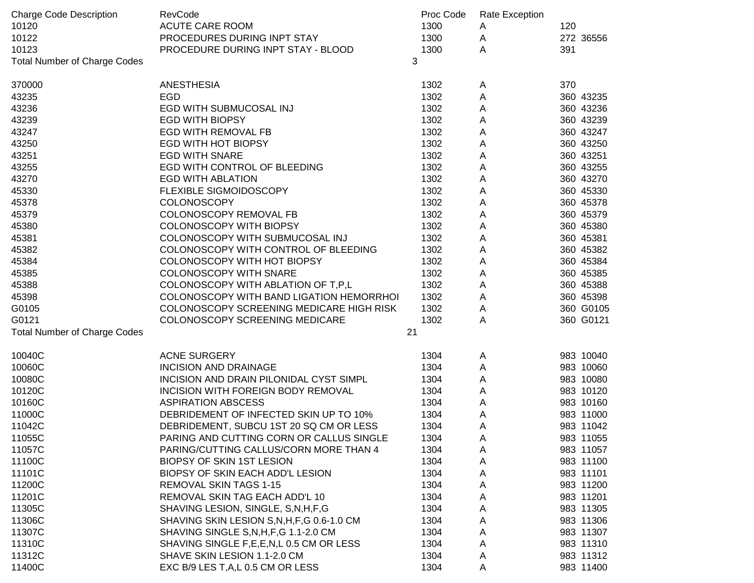| <b>Charge Code Description</b>      | RevCode                                      | Proc Code | Rate Exception |           |
|-------------------------------------|----------------------------------------------|-----------|----------------|-----------|
| 10120                               | <b>ACUTE CARE ROOM</b>                       | 1300      | A              | 120       |
| 10122                               | PROCEDURES DURING INPT STAY                  | 1300      | A              | 272 36556 |
| 10123                               | PROCEDURE DURING INPT STAY - BLOOD           | 1300      | A              | 391       |
| <b>Total Number of Charge Codes</b> |                                              | 3         |                |           |
| 370000                              | <b>ANESTHESIA</b>                            | 1302      | A              | 370       |
| 43235                               | <b>EGD</b>                                   | 1302      | A              | 360 43235 |
| 43236                               | EGD WITH SUBMUCOSAL INJ                      | 1302      | A              | 360 43236 |
| 43239                               | <b>EGD WITH BIOPSY</b>                       | 1302      | A              | 360 43239 |
| 43247                               | <b>EGD WITH REMOVAL FB</b>                   | 1302      | Α              | 360 43247 |
| 43250                               | <b>EGD WITH HOT BIOPSY</b>                   | 1302      | A              | 360 43250 |
| 43251                               | <b>EGD WITH SNARE</b>                        | 1302      | Α              | 360 43251 |
| 43255                               | EGD WITH CONTROL OF BLEEDING                 | 1302      | Α              | 360 43255 |
| 43270                               | <b>EGD WITH ABLATION</b>                     | 1302      | A              | 360 43270 |
| 45330                               | FLEXIBLE SIGMOIDOSCOPY                       | 1302      | A              | 360 45330 |
| 45378                               | <b>COLONOSCOPY</b>                           | 1302      | A              | 360 45378 |
| 45379                               | COLONOSCOPY REMOVAL FB                       | 1302      | A              | 360 45379 |
| 45380                               | <b>COLONOSCOPY WITH BIOPSY</b>               | 1302      | A              | 360 45380 |
| 45381                               | COLONOSCOPY WITH SUBMUCOSAL INJ              | 1302      | Α              | 360 45381 |
| 45382                               | COLONOSCOPY WITH CONTROL OF BLEEDING         | 1302      | Α              | 360 45382 |
| 45384                               | COLONOSCOPY WITH HOT BIOPSY                  | 1302      | A              | 360 45384 |
| 45385                               | COLONOSCOPY WITH SNARE                       | 1302      | A              | 360 45385 |
| 45388                               | COLONOSCOPY WITH ABLATION OF T, P, L         | 1302      | A              | 360 45388 |
| 45398                               | COLONOSCOPY WITH BAND LIGATION HEMORRHOI     | 1302      | A              | 360 45398 |
| G0105                               | COLONOSCOPY SCREENING MEDICARE HIGH RISK     | 1302      | Α              | 360 G0105 |
| G0121                               | COLONOSCOPY SCREENING MEDICARE               | 1302      | A              | 360 G0121 |
| <b>Total Number of Charge Codes</b> |                                              | 21        |                |           |
| 10040C                              | <b>ACNE SURGERY</b>                          | 1304      | A              | 983 10040 |
| 10060C                              | <b>INCISION AND DRAINAGE</b>                 | 1304      | A              | 983 10060 |
| 10080C                              | INCISION AND DRAIN PILONIDAL CYST SIMPL      | 1304      | A              | 983 10080 |
| 10120C                              | INCISION WITH FOREIGN BODY REMOVAL           | 1304      | A              | 983 10120 |
| 10160C                              | <b>ASPIRATION ABSCESS</b>                    | 1304      | A              | 983 10160 |
| 11000C                              | DEBRIDEMENT OF INFECTED SKIN UP TO 10%       | 1304      | A              | 983 11000 |
| 11042C                              | DEBRIDEMENT, SUBCU 1ST 20 SQ CM OR LESS      | 1304      | A              | 983 11042 |
| 11055C                              | PARING AND CUTTING CORN OR CALLUS SINGLE     | 1304      | A              | 983 11055 |
| 11057C                              | PARING/CUTTING CALLUS/CORN MORE THAN 4       | 1304      | A              | 983 11057 |
| 11100C                              | <b>BIOPSY OF SKIN 1ST LESION</b>             | 1304      | A              | 983 11100 |
| 11101C                              | BIOPSY OF SKIN EACH ADD'L LESION             | 1304      | A              | 983 11101 |
| 11200C                              | <b>REMOVAL SKIN TAGS 1-15</b>                | 1304      | A              | 983 11200 |
| 11201C                              | REMOVAL SKIN TAG EACH ADD'L 10               | 1304      | A              | 983 11201 |
| 11305C                              | SHAVING LESION, SINGLE, S, N, H, F, G        | 1304      | A              | 983 11305 |
| 11306C                              | SHAVING SKIN LESION S, N, H, F, G 0.6-1.0 CM | 1304      | A              | 983 11306 |
| 11307C                              | SHAVING SINGLE S, N, H, F, G 1.1-2.0 CM      | 1304      | A              | 983 11307 |
| 11310C                              | SHAVING SINGLE F, E, E, N, L 0.5 CM OR LESS  | 1304      | Α              | 983 11310 |
| 11312C                              | SHAVE SKIN LESION 1.1-2.0 CM                 | 1304      | Α              | 983 11312 |
| 11400C                              | EXC B/9 LES T, A, L 0.5 CM OR LESS           | 1304      | A              | 983 11400 |
|                                     |                                              |           |                |           |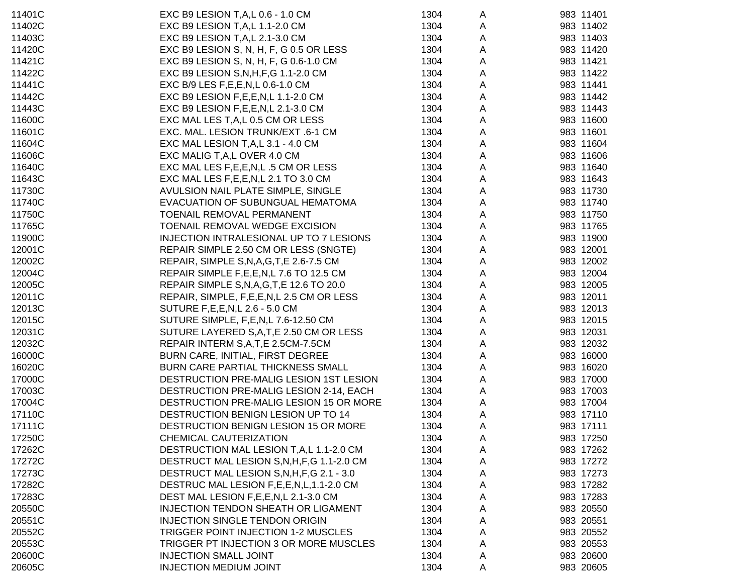| 11401C | EXC B9 LESION T, A, L 0.6 - 1.0 CM           | 1304 | A           | 983 11401 |
|--------|----------------------------------------------|------|-------------|-----------|
| 11402C | EXC B9 LESION T, A, L 1.1-2.0 CM             | 1304 | A           | 983 11402 |
| 11403C | EXC B9 LESION T, A, L 2.1-3.0 CM             | 1304 | A           | 983 11403 |
| 11420C | EXC B9 LESION S, N, H, F, G 0.5 OR LESS      | 1304 | A           | 983 11420 |
| 11421C | EXC B9 LESION S, N, H, F, G 0.6-1.0 CM       | 1304 | Α           | 983 11421 |
| 11422C | EXC B9 LESION S, N, H, F, G 1.1-2.0 CM       | 1304 | A           | 983 11422 |
| 11441C | EXC B/9 LES F, E, E, N, L 0.6-1.0 CM         | 1304 | A           | 983 11441 |
| 11442C | EXC B9 LESION F, E, E, N, L 1.1-2.0 CM       | 1304 | A           | 983 11442 |
| 11443C | EXC B9 LESION F, E, E, N, L 2.1-3.0 CM       | 1304 | A           | 983 11443 |
| 11600C | EXC MAL LES T, A, L 0.5 CM OR LESS           | 1304 | A           | 983 11600 |
| 11601C | EXC. MAL. LESION TRUNK/EXT .6-1 CM           | 1304 | $\mathsf A$ | 983 11601 |
| 11604C | EXC MAL LESION T, A, L 3.1 - 4.0 CM          | 1304 | A           | 983 11604 |
| 11606C | EXC MALIG T, A, L OVER 4.0 CM                | 1304 | A           | 983 11606 |
| 11640C | EXC MAL LES F, E, E, N, L .5 CM OR LESS      | 1304 | A           | 983 11640 |
| 11643C | EXC MAL LES F, E, E, N, L 2.1 TO 3.0 CM      | 1304 | A           | 983 11643 |
| 11730C | AVULSION NAIL PLATE SIMPLE, SINGLE           | 1304 | Α           | 983 11730 |
| 11740C | EVACUATION OF SUBUNGUAL HEMATOMA             | 1304 | Α           | 983 11740 |
| 11750C | TOENAIL REMOVAL PERMANENT                    | 1304 | A           | 983 11750 |
| 11765C | TOENAIL REMOVAL WEDGE EXCISION               | 1304 | Α           | 983 11765 |
| 11900C | INJECTION INTRALESIONAL UP TO 7 LESIONS      | 1304 | Α           | 983 11900 |
| 12001C | REPAIR SIMPLE 2.50 CM OR LESS (SNGTE)        | 1304 | Α           | 983 12001 |
| 12002C | REPAIR, SIMPLE S, N, A, G, T, E 2.6-7.5 CM   | 1304 | A           | 983 12002 |
| 12004C | REPAIR SIMPLE F,E,E,N,L 7.6 TO 12.5 CM       | 1304 | A           | 983 12004 |
| 12005C | REPAIR SIMPLE S, N, A, G, T, E 12.6 TO 20.0  | 1304 | A           | 983 12005 |
| 12011C | REPAIR, SIMPLE, F, E, E, N, L 2.5 CM OR LESS | 1304 | Α           | 983 12011 |
| 12013C | SUTURE F, E, E, N, L 2.6 - 5.0 CM            | 1304 | A           | 983 12013 |
| 12015C | SUTURE SIMPLE, F, E, N, L 7.6-12.50 CM       | 1304 | Α           | 983 12015 |
| 12031C | SUTURE LAYERED S, A, T, E 2.50 CM OR LESS    | 1304 | A           | 983 12031 |
| 12032C | REPAIR INTERM S,A,T,E 2.5CM-7.5CM            | 1304 | A           | 983 12032 |
| 16000C | BURN CARE, INITIAL, FIRST DEGREE             | 1304 | Α           | 983 16000 |
| 16020C | BURN CARE PARTIAL THICKNESS SMALL            | 1304 | A           | 983 16020 |
| 17000C | DESTRUCTION PRE-MALIG LESION 1ST LESION      | 1304 | Α           | 983 17000 |
| 17003C | DESTRUCTION PRE-MALIG LESION 2-14, EACH      | 1304 | Α           | 983 17003 |
| 17004C | DESTRUCTION PRE-MALIG LESION 15 OR MORE      | 1304 | Α           | 983 17004 |
| 17110C | DESTRUCTION BENIGN LESION UP TO 14           | 1304 | A           | 983 17110 |
| 17111C | DESTRUCTION BENIGN LESION 15 OR MORE         | 1304 | A           | 983 17111 |
| 17250C | CHEMICAL CAUTERIZATION                       | 1304 | A           | 983 17250 |
| 17262C | DESTRUCTION MAL LESION T, A, L 1.1-2.0 CM    | 1304 | A           | 983 17262 |
| 17272C | DESTRUCT MAL LESION S, N, H, F, G 1.1-2.0 CM | 1304 | A           | 983 17272 |
| 17273C | DESTRUCT MAL LESION S, N, H, F, G 2.1 - 3.0  | 1304 | A           | 983 17273 |
| 17282C | DESTRUC MAL LESION F,E,E,N,L,1.1-2.0 CM      | 1304 | A           | 983 17282 |
| 17283C | DEST MAL LESION F, E, E, N, L 2.1-3.0 CM     | 1304 | A           | 983 17283 |
| 20550C | <b>INJECTION TENDON SHEATH OR LIGAMENT</b>   | 1304 | Α           | 983 20550 |
| 20551C | <b>INJECTION SINGLE TENDON ORIGIN</b>        | 1304 | A           | 983 20551 |
| 20552C | TRIGGER POINT INJECTION 1-2 MUSCLES          | 1304 | A           | 983 20552 |
| 20553C | TRIGGER PT INJECTION 3 OR MORE MUSCLES       | 1304 | A           | 983 20553 |
| 20600C | <b>INJECTION SMALL JOINT</b>                 | 1304 | A           | 983 20600 |
| 20605C | <b>INJECTION MEDIUM JOINT</b>                | 1304 | A           | 983 20605 |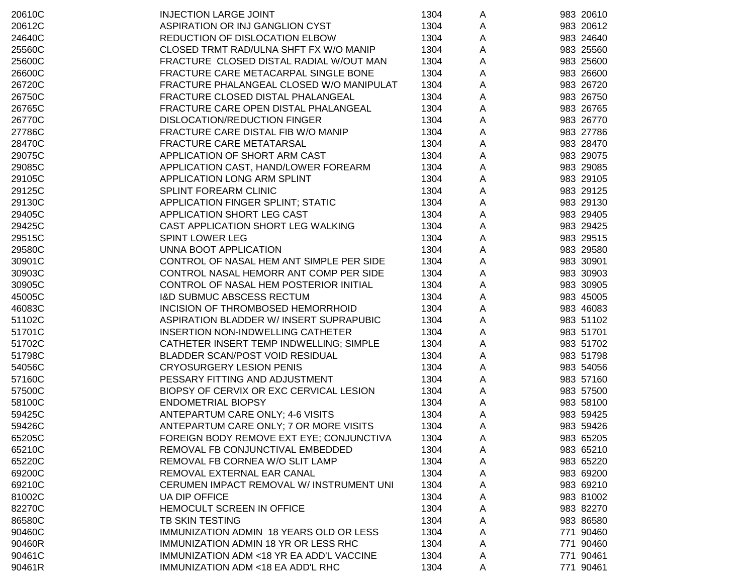| 20610C | <b>INJECTION LARGE JOINT</b>                   | 1304 | A            | 983 20610 |
|--------|------------------------------------------------|------|--------------|-----------|
| 20612C | ASPIRATION OR INJ GANGLION CYST                | 1304 | A            | 983 20612 |
| 24640C | REDUCTION OF DISLOCATION ELBOW                 | 1304 | A            | 983 24640 |
| 25560C | CLOSED TRMT RAD/ULNA SHFT FX W/O MANIP         | 1304 | A            | 983 25560 |
| 25600C | FRACTURE CLOSED DISTAL RADIAL W/OUT MAN        | 1304 | A            | 983 25600 |
| 26600C | FRACTURE CARE METACARPAL SINGLE BONE           | 1304 | A            | 983 26600 |
| 26720C | FRACTURE PHALANGEAL CLOSED W/O MANIPULAT       | 1304 | A            | 983 26720 |
| 26750C | FRACTURE CLOSED DISTAL PHALANGEAL              | 1304 | A            | 983 26750 |
| 26765C | FRACTURE CARE OPEN DISTAL PHALANGEAL           | 1304 | A            | 983 26765 |
| 26770C | DISLOCATION/REDUCTION FINGER                   | 1304 | A            | 983 26770 |
| 27786C | FRACTURE CARE DISTAL FIB W/O MANIP             | 1304 | A            | 983 27786 |
| 28470C | FRACTURE CARE METATARSAL                       | 1304 | A            | 983 28470 |
| 29075C | APPLICATION OF SHORT ARM CAST                  | 1304 | A            | 983 29075 |
| 29085C | APPLICATION CAST, HAND/LOWER FOREARM           | 1304 | $\mathsf{A}$ | 983 29085 |
| 29105C | APPLICATION LONG ARM SPLINT                    | 1304 | $\mathsf{A}$ | 983 29105 |
| 29125C | SPLINT FOREARM CLINIC                          | 1304 | A            | 983 29125 |
| 29130C | APPLICATION FINGER SPLINT; STATIC              | 1304 | A            | 983 29130 |
| 29405C | APPLICATION SHORT LEG CAST                     | 1304 | A            | 983 29405 |
| 29425C | CAST APPLICATION SHORT LEG WALKING             | 1304 | A            | 983 29425 |
| 29515C | <b>SPINT LOWER LEG</b>                         | 1304 | A            | 983 29515 |
| 29580C | UNNA BOOT APPLICATION                          | 1304 | A            | 983 29580 |
| 30901C | CONTROL OF NASAL HEM ANT SIMPLE PER SIDE       | 1304 | A            | 983 30901 |
| 30903C | CONTROL NASAL HEMORR ANT COMP PER SIDE         | 1304 | A            | 983 30903 |
| 30905C | CONTROL OF NASAL HEM POSTERIOR INITIAL         | 1304 | A            | 983 30905 |
| 45005C | <b>I&amp;D SUBMUC ABSCESS RECTUM</b>           | 1304 | A            | 983 45005 |
| 46083C | INCISION OF THROMBOSED HEMORRHOID              | 1304 | A            | 983 46083 |
| 51102C | ASPIRATION BLADDER W/INSERT SUPRAPUBIC         | 1304 | $\mathsf{A}$ | 983 51102 |
| 51701C | INSERTION NON-INDWELLING CATHETER              | 1304 | A            | 983 51701 |
| 51702C | CATHETER INSERT TEMP INDWELLING; SIMPLE        | 1304 | A            | 983 51702 |
| 51798C | BLADDER SCAN/POST VOID RESIDUAL                | 1304 | A            | 983 51798 |
|        |                                                |      |              |           |
| 54056C | <b>CRYOSURGERY LESION PENIS</b>                | 1304 | A            | 983 54056 |
| 57160C | PESSARY FITTING AND ADJUSTMENT                 | 1304 | A            | 983 57160 |
| 57500C | BIOPSY OF CERVIX OR EXC CERVICAL LESION        | 1304 | A            | 983 57500 |
| 58100C | <b>ENDOMETRIAL BIOPSY</b>                      | 1304 | A            | 983 58100 |
| 59425C | ANTEPARTUM CARE ONLY; 4-6 VISITS               | 1304 | A            | 983 59425 |
| 59426C | ANTEPARTUM CARE ONLY; 7 OR MORE VISITS         | 1304 | A            | 983 59426 |
| 65205C | FOREIGN BODY REMOVE EXT EYE; CONJUNCTIVA       | 1304 | A            | 983 65205 |
| 65210C | REMOVAL FB CONJUNCTIVAL EMBEDDED               | 1304 | A            | 983 65210 |
| 65220C | REMOVAL FB CORNEA W/O SLIT LAMP                | 1304 | A            | 983 65220 |
| 69200C | REMOVAL EXTERNAL EAR CANAL                     | 1304 | A            | 983 69200 |
| 69210C | CERUMEN IMPACT REMOVAL W/ INSTRUMENT UNI       | 1304 | A            | 983 69210 |
| 81002C | UA DIP OFFICE                                  | 1304 | A            | 983 81002 |
| 82270C | HEMOCULT SCREEN IN OFFICE                      | 1304 | A            | 983 82270 |
| 86580C | TB SKIN TESTING                                | 1304 | A            | 983 86580 |
| 90460C | <b>IMMUNIZATION ADMIN 18 YEARS OLD OR LESS</b> | 1304 | A            | 771 90460 |
| 90460R | IMMUNIZATION ADMIN 18 YR OR LESS RHC           | 1304 | Α            | 771 90460 |
| 90461C | IMMUNIZATION ADM <18 YR EA ADD'L VACCINE       | 1304 | A            | 771 90461 |
| 90461R | <b>IMMUNIZATION ADM &lt;18 EA ADD'L RHC</b>    | 1304 | A            | 771 90461 |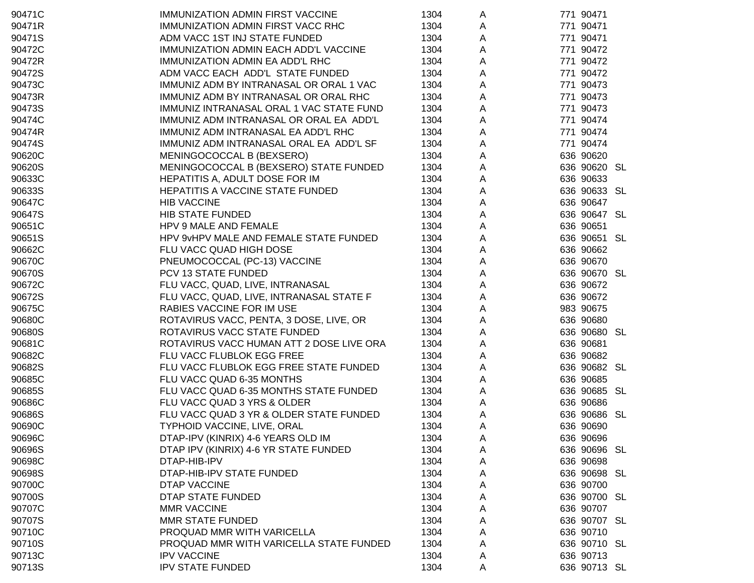| 90471C | IMMUNIZATION ADMIN FIRST VACCINE         | 1304 | A            | 771 90471    |
|--------|------------------------------------------|------|--------------|--------------|
| 90471R | IMMUNIZATION ADMIN FIRST VACC RHC        | 1304 | A            | 771 90471    |
| 90471S | ADM VACC 1ST INJ STATE FUNDED            | 1304 | Α            | 771 90471    |
| 90472C | IMMUNIZATION ADMIN EACH ADD'L VACCINE    | 1304 | Α            | 771 90472    |
| 90472R | IMMUNIZATION ADMIN EA ADD'L RHC          | 1304 | Α            | 771 90472    |
| 90472S | ADM VACC EACH ADD'L STATE FUNDED         | 1304 | Α            | 771 90472    |
| 90473C | IMMUNIZ ADM BY INTRANASAL OR ORAL 1 VAC  | 1304 | Α            | 771 90473    |
| 90473R | IMMUNIZ ADM BY INTRANASAL OR ORAL RHC    | 1304 | A            | 771 90473    |
| 90473S | IMMUNIZ INTRANASAL ORAL 1 VAC STATE FUND | 1304 | A            | 771 90473    |
| 90474C | IMMUNIZ ADM INTRANASAL OR ORAL EA ADD'L  | 1304 | A            | 771 90474    |
| 90474R | IMMUNIZ ADM INTRANASAL EA ADD'L RHC      | 1304 | A            | 771 90474    |
| 90474S | IMMUNIZ ADM INTRANASAL ORAL EA ADD'L SF  | 1304 | A            | 771 90474    |
| 90620C | MENINGOCOCCAL B (BEXSERO)                | 1304 | A            | 636 90620    |
| 90620S | MENINGOCOCCAL B (BEXSERO) STATE FUNDED   | 1304 | A            | 636 90620 SL |
| 90633C | HEPATITIS A, ADULT DOSE FOR IM           | 1304 | A            | 636 90633    |
| 90633S | HEPATITIS A VACCINE STATE FUNDED         | 1304 | A            | 636 90633 SL |
| 90647C | <b>HIB VACCINE</b>                       | 1304 | A            | 636 90647    |
| 90647S | <b>HIB STATE FUNDED</b>                  | 1304 | A            | 636 90647 SL |
| 90651C | HPV 9 MALE AND FEMALE                    | 1304 | A            | 636 90651    |
| 90651S | HPV 9vHPV MALE AND FEMALE STATE FUNDED   | 1304 | A            | 636 90651 SL |
| 90662C | FLU VACC QUAD HIGH DOSE                  | 1304 | A            | 636 90662    |
| 90670C | PNEUMOCOCCAL (PC-13) VACCINE             | 1304 | A            | 636 90670    |
| 90670S | PCV 13 STATE FUNDED                      | 1304 | A            | 636 90670 SL |
| 90672C | FLU VACC, QUAD, LIVE, INTRANASAL         | 1304 | A            | 636 90672    |
| 90672S | FLU VACC, QUAD, LIVE, INTRANASAL STATE F | 1304 | A            | 636 90672    |
| 90675C | RABIES VACCINE FOR IM USE                | 1304 | A            | 983 90675    |
| 90680C | ROTAVIRUS VACC, PENTA, 3 DOSE, LIVE, OR  | 1304 | A            | 636 90680    |
| 90680S | ROTAVIRUS VACC STATE FUNDED              | 1304 | A            | 636 90680 SL |
| 90681C | ROTAVIRUS VACC HUMAN ATT 2 DOSE LIVE ORA | 1304 | A            | 636 90681    |
| 90682C | FLU VACC FLUBLOK EGG FREE                | 1304 | A            | 636 90682    |
| 90682S | FLU VACC FLUBLOK EGG FREE STATE FUNDED   | 1304 | A            | 636 90682 SL |
| 90685C | FLU VACC QUAD 6-35 MONTHS                | 1304 | $\mathsf{A}$ | 636 90685    |
| 90685S | FLU VACC QUAD 6-35 MONTHS STATE FUNDED   | 1304 | $\mathsf{A}$ | 636 90685 SL |
| 90686C | FLU VACC QUAD 3 YRS & OLDER              | 1304 | A            | 636 90686    |
| 90686S | FLU VACC QUAD 3 YR & OLDER STATE FUNDED  | 1304 | A            | 636 90686 SL |
| 90690C | TYPHOID VACCINE, LIVE, ORAL              | 1304 | A            | 636 90690    |
| 90696C | DTAP-IPV (KINRIX) 4-6 YEARS OLD IM       | 1304 | A            | 636 90696    |
| 90696S | DTAP IPV (KINRIX) 4-6 YR STATE FUNDED    | 1304 | A            | 636 90696 SL |
| 90698C | DTAP-HIB-IPV                             | 1304 | A            | 636 90698    |
| 90698S | DTAP-HIB-IPV STATE FUNDED                | 1304 | Α            | 636 90698 SL |
| 90700C | DTAP VACCINE                             | 1304 | A            | 636 90700    |
| 90700S | DTAP STATE FUNDED                        | 1304 | A            | 636 90700 SL |
| 90707C | <b>MMR VACCINE</b>                       | 1304 | Α            | 636 90707    |
| 90707S | MMR STATE FUNDED                         | 1304 | A            | 636 90707 SL |
| 90710C | PROQUAD MMR WITH VARICELLA               | 1304 | A            | 636 90710    |
| 90710S | PROQUAD MMR WITH VARICELLA STATE FUNDED  | 1304 | A            | 636 90710 SL |
| 90713C | <b>IPV VACCINE</b>                       | 1304 | A            | 636 90713    |
| 90713S | <b>IPV STATE FUNDED</b>                  | 1304 | A            | 636 90713 SL |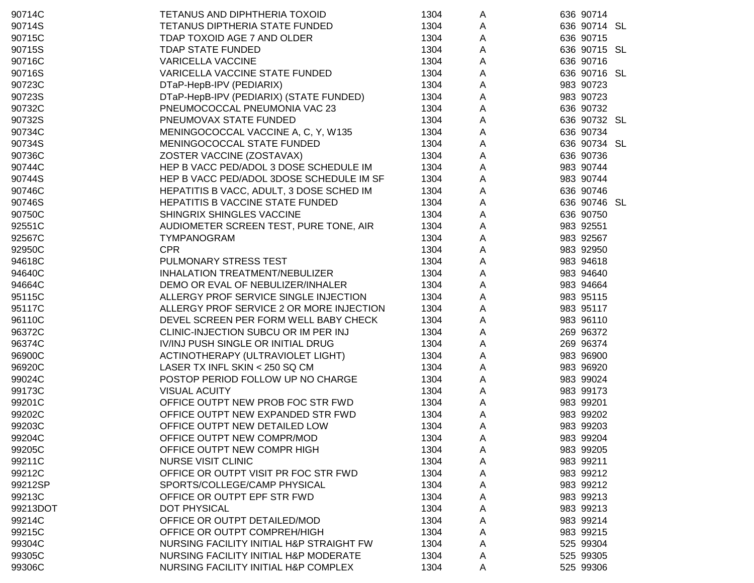| 90714C   | TETANUS AND DIPHTHERIA TOXOID            | 1304 | A                         | 636 90714    |
|----------|------------------------------------------|------|---------------------------|--------------|
| 90714S   | TETANUS DIPTHERIA STATE FUNDED           | 1304 | A                         | 636 90714 SL |
| 90715C   | TDAP TOXOID AGE 7 AND OLDER              | 1304 | A                         | 636 90715    |
| 90715S   | <b>TDAP STATE FUNDED</b>                 | 1304 | A                         | 636 90715 SL |
| 90716C   | <b>VARICELLA VACCINE</b>                 | 1304 | $\mathsf{A}$              | 636 90716    |
| 90716S   | VARICELLA VACCINE STATE FUNDED           | 1304 | $\boldsymbol{\mathsf{A}}$ | 636 90716 SL |
| 90723C   | DTaP-HepB-IPV (PEDIARIX)                 | 1304 | A                         | 983 90723    |
| 90723S   | DTaP-HepB-IPV (PEDIARIX) (STATE FUNDED)  | 1304 | A                         | 983 90723    |
| 90732C   | PNEUMOCOCCAL PNEUMONIA VAC 23            | 1304 | A                         | 636 90732    |
| 90732S   | PNEUMOVAX STATE FUNDED                   | 1304 | A                         | 636 90732 SL |
| 90734C   | MENINGOCOCCAL VACCINE A, C, Y, W135      | 1304 | A                         | 636 90734    |
| 90734S   | MENINGOCOCCAL STATE FUNDED               | 1304 | A                         | 636 90734 SL |
| 90736C   | ZOSTER VACCINE (ZOSTAVAX)                | 1304 | A                         | 636 90736    |
| 90744C   | HEP B VACC PED/ADOL 3 DOSE SCHEDULE IM   | 1304 | A                         | 983 90744    |
| 90744S   | HEP B VACC PED/ADOL 3DOSE SCHEDULE IM SF | 1304 | $\boldsymbol{\mathsf{A}}$ | 983 90744    |
| 90746C   | HEPATITIS B VACC, ADULT, 3 DOSE SCHED IM | 1304 | $\boldsymbol{\mathsf{A}}$ | 636 90746    |
| 90746S   | HEPATITIS B VACCINE STATE FUNDED         | 1304 | $\mathsf{A}$              | 636 90746 SL |
| 90750C   | SHINGRIX SHINGLES VACCINE                | 1304 | $\mathsf{A}$              | 636 90750    |
| 92551C   | AUDIOMETER SCREEN TEST, PURE TONE, AIR   | 1304 | $\mathsf{A}$              | 983 92551    |
| 92567C   | TYMPANOGRAM                              | 1304 | A                         | 983 92567    |
| 92950C   | <b>CPR</b>                               | 1304 | A                         | 983 92950    |
| 94618C   | PULMONARY STRESS TEST                    | 1304 | A                         | 983 94618    |
| 94640C   | INHALATION TREATMENT/NEBULIZER           | 1304 | A                         | 983 94640    |
| 94664C   | DEMO OR EVAL OF NEBULIZER/INHALER        | 1304 | A                         | 983 94664    |
| 95115C   | ALLERGY PROF SERVICE SINGLE INJECTION    | 1304 | A                         | 983 95115    |
| 95117C   | ALLERGY PROF SERVICE 2 OR MORE INJECTION | 1304 | A                         | 983 95117    |
| 96110C   | DEVEL SCREEN PER FORM WELL BABY CHECK    | 1304 | A                         | 983 96110    |
| 96372C   | CLINIC-INJECTION SUBCU OR IM PER INJ     | 1304 | A                         | 269 96372    |
| 96374C   | IV/INJ PUSH SINGLE OR INITIAL DRUG       | 1304 | A                         | 269 96374    |
| 96900C   | ACTINOTHERAPY (ULTRAVIOLET LIGHT)        | 1304 | $\mathsf{A}$              | 983 96900    |
| 96920C   | LASER TX INFL SKIN < 250 SQ CM           | 1304 | $\mathsf{A}$              | 983 96920    |
| 99024C   | POSTOP PERIOD FOLLOW UP NO CHARGE        | 1304 | $\mathsf{A}$              | 983 99024    |
| 99173C   | <b>VISUAL ACUITY</b>                     | 1304 | $\mathsf{A}$              | 983 99173    |
| 99201C   | OFFICE OUTPT NEW PROB FOC STR FWD        | 1304 | $\mathsf{A}$              | 983 99201    |
| 99202C   | OFFICE OUTPT NEW EXPANDED STR FWD        | 1304 | A                         | 983 99202    |
| 99203C   | OFFICE OUTPT NEW DETAILED LOW            | 1304 | Α                         | 983 99203    |
| 99204C   | OFFICE OUTPT NEW COMPR/MOD               | 1304 | A                         | 983 99204    |
| 99205C   | OFFICE OUTPT NEW COMPR HIGH              | 1304 | A                         | 983 99205    |
| 99211C   | <b>NURSE VISIT CLINIC</b>                | 1304 | A                         | 983 99211    |
| 99212C   | OFFICE OR OUTPT VISIT PR FOC STR FWD     | 1304 | A                         | 983 99212    |
| 99212SP  | SPORTS/COLLEGE/CAMP PHYSICAL             | 1304 | A                         | 983 99212    |
| 99213C   | OFFICE OR OUTPT EPF STR FWD              | 1304 | A                         | 983 99213    |
| 99213DOT | DOT PHYSICAL                             | 1304 | A                         | 983 99213    |
| 99214C   | OFFICE OR OUTPT DETAILED/MOD             | 1304 | A                         | 983 99214    |
| 99215C   | OFFICE OR OUTPT COMPREH/HIGH             | 1304 | A                         | 983 99215    |
| 99304C   | NURSING FACILITY INITIAL H&P STRAIGHT FW | 1304 | Α                         | 525 99304    |
| 99305C   | NURSING FACILITY INITIAL H&P MODERATE    | 1304 |                           | 525 99305    |
| 99306C   | NURSING FACILITY INITIAL H&P COMPLEX     |      | A                         |              |
|          |                                          | 1304 | Α                         | 525 99306    |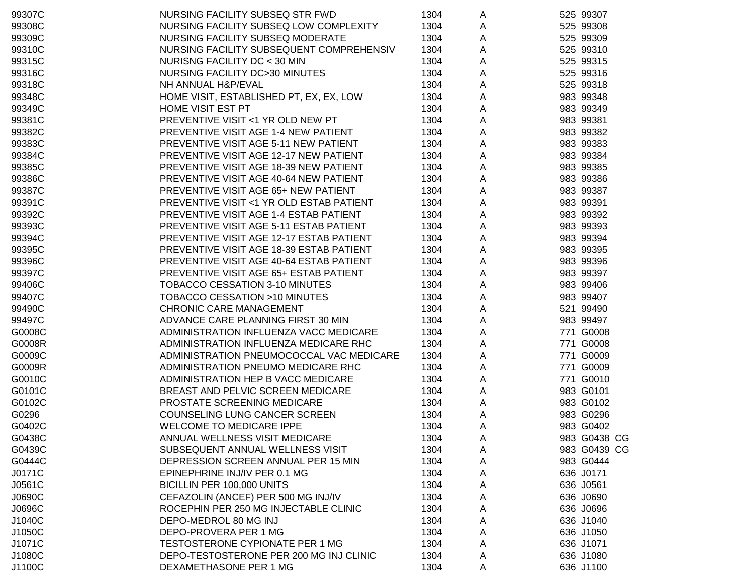| 99307C | NURSING FACILITY SUBSEQ STR FWD                    | 1304 | A | 525 99307    |
|--------|----------------------------------------------------|------|---|--------------|
| 99308C | NURSING FACILITY SUBSEQ LOW COMPLEXITY             | 1304 | A | 525 99308    |
| 99309C | NURSING FACILITY SUBSEQ MODERATE                   | 1304 | A | 525 99309    |
| 99310C | NURSING FACILITY SUBSEQUENT COMPREHENSIV           | 1304 | Α | 525 99310    |
| 99315C | NURISNG FACILITY DC < 30 MIN                       | 1304 | Α | 525 99315    |
| 99316C | NURSING FACILITY DC>30 MINUTES                     | 1304 | Α | 525 99316    |
| 99318C | NH ANNUAL H&P/EVAL                                 | 1304 | Α | 525 99318    |
| 99348C | HOME VISIT, ESTABLISHED PT, EX, EX, LOW            | 1304 | Α | 983 99348    |
| 99349C | HOME VISIT EST PT                                  | 1304 | Α | 983 99349    |
| 99381C | PREVENTIVE VISIT <1 YR OLD NEW PT                  | 1304 | Α | 983 99381    |
| 99382C | PREVENTIVE VISIT AGE 1-4 NEW PATIENT               | 1304 | Α | 983 99382    |
| 99383C | PREVENTIVE VISIT AGE 5-11 NEW PATIENT              | 1304 | Α | 983 99383    |
| 99384C | PREVENTIVE VISIT AGE 12-17 NEW PATIENT             | 1304 | А | 983 99384    |
| 99385C | PREVENTIVE VISIT AGE 18-39 NEW PATIENT             | 1304 | А | 983 99385    |
| 99386C | PREVENTIVE VISIT AGE 40-64 NEW PATIENT             | 1304 | А | 983 99386    |
| 99387C | PREVENTIVE VISIT AGE 65+ NEW PATIENT               | 1304 | Α | 983 99387    |
| 99391C | <b>PREVENTIVE VISIT &lt;1 YR OLD ESTAB PATIENT</b> | 1304 | Α | 983 99391    |
| 99392C | PREVENTIVE VISIT AGE 1-4 ESTAB PATIENT             | 1304 | Α | 983 99392    |
| 99393C | PREVENTIVE VISIT AGE 5-11 ESTAB PATIENT            | 1304 | A | 983 99393    |
| 99394C | PREVENTIVE VISIT AGE 12-17 ESTAB PATIENT           | 1304 | Α | 983 99394    |
| 99395C | PREVENTIVE VISIT AGE 18-39 ESTAB PATIENT           | 1304 | A | 983 99395    |
| 99396C | PREVENTIVE VISIT AGE 40-64 ESTAB PATIENT           | 1304 | A | 983 99396    |
| 99397C | PREVENTIVE VISIT AGE 65+ ESTAB PATIENT             | 1304 | A | 983 99397    |
| 99406C | TOBACCO CESSATION 3-10 MINUTES                     | 1304 | Α | 983 99406    |
| 99407C | TOBACCO CESSATION >10 MINUTES                      | 1304 | А | 983 99407    |
| 99490C | <b>CHRONIC CARE MANAGEMENT</b>                     | 1304 | А | 521 99490    |
| 99497C | ADVANCE CARE PLANNING FIRST 30 MIN                 | 1304 | Α | 983 99497    |
| G0008C | ADMINISTRATION INFLUENZA VACC MEDICARE             | 1304 | A | 771 G0008    |
| G0008R | ADMINISTRATION INFLUENZA MEDICARE RHC              | 1304 | A | 771 G0008    |
| G0009C | ADMINISTRATION PNEUMOCOCCAL VAC MEDICARE           | 1304 | A | 771 G0009    |
| G0009R | ADMINISTRATION PNEUMO MEDICARE RHC                 | 1304 | A | 771 G0009    |
| G0010C | ADMINISTRATION HEP B VACC MEDICARE                 | 1304 | Α | 771 G0010    |
| G0101C | BREAST AND PELVIC SCREEN MEDICARE                  | 1304 | A | 983 G0101    |
| G0102C | PROSTATE SCREENING MEDICARE                        | 1304 | A | 983 G0102    |
| G0296  | COUNSELING LUNG CANCER SCREEN                      | 1304 | A | 983 G0296    |
| G0402C | <b>WELCOME TO MEDICARE IPPE</b>                    | 1304 | Α | 983 G0402    |
| G0438C | ANNUAL WELLNESS VISIT MEDICARE                     | 1304 | A | 983 G0438 CG |
| G0439C | SUBSEQUENT ANNUAL WELLNESS VISIT                   | 1304 | A | 983 G0439 CG |
| G0444C | DEPRESSION SCREEN ANNUAL PER 15 MIN                | 1304 | A | 983 G0444    |
| J0171C | EPINEPHRINE INJ/IV PER 0.1 MG                      | 1304 | A | 636 J0171    |
| J0561C | BICILLIN PER 100,000 UNITS                         | 1304 | A | 636 J0561    |
| J0690C | CEFAZOLIN (ANCEF) PER 500 MG INJ/IV                | 1304 | A | 636 J0690    |
| J0696C | ROCEPHIN PER 250 MG INJECTABLE CLINIC              | 1304 | A | 636 J0696    |
| J1040C | DEPO-MEDROL 80 MG INJ                              | 1304 | A | 636 J1040    |
| J1050C | DEPO-PROVERA PER 1 MG                              | 1304 | A | 636 J1050    |
| J1071C | <b>TESTOSTERONE CYPIONATE PER 1 MG</b>             | 1304 | Α | 636 J1071    |
| J1080C | DEPO-TESTOSTERONE PER 200 MG INJ CLINIC            | 1304 | Α | 636 J1080    |
| J1100C | DEXAMETHASONE PER 1 MG                             | 1304 | A | 636 J1100    |
|        |                                                    |      |   |              |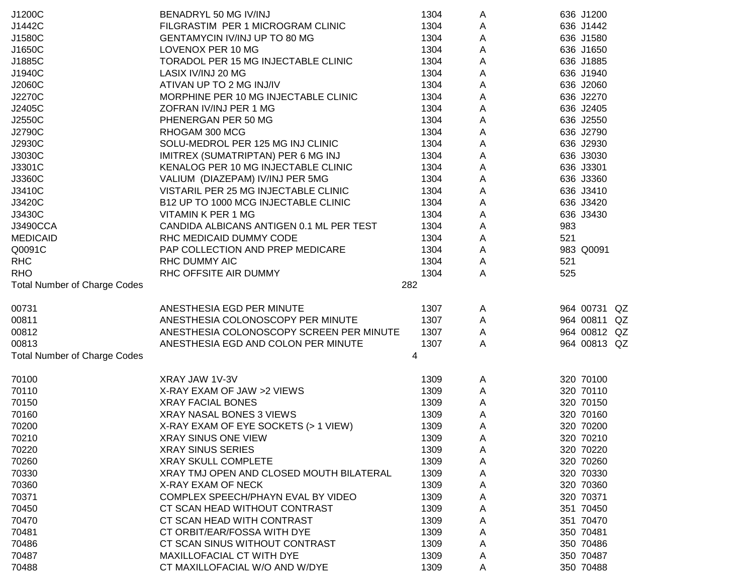| J1200C                              | BENADRYL 50 MG IV/INJ                    | 1304 | A                         | 636 J1200                    |
|-------------------------------------|------------------------------------------|------|---------------------------|------------------------------|
| J1442C                              | FILGRASTIM PER 1 MICROGRAM CLINIC        | 1304 | Α                         | 636 J1442                    |
| J1580C                              | GENTAMYCIN IV/INJ UP TO 80 MG            | 1304 | Α                         | 636 J1580                    |
| J1650C                              | LOVENOX PER 10 MG                        | 1304 | Α                         | 636 J1650                    |
| J1885C                              | TORADOL PER 15 MG INJECTABLE CLINIC      | 1304 | Α                         | 636 J1885                    |
| J1940C                              | LASIX IV/INJ 20 MG                       | 1304 | A                         | 636 J1940                    |
| J2060C                              | ATIVAN UP TO 2 MG INJ/IV                 | 1304 | A                         | 636 J2060                    |
| J2270C                              | MORPHINE PER 10 MG INJECTABLE CLINIC     | 1304 | A                         | 636 J2270                    |
| J2405C                              | ZOFRAN IV/INJ PER 1 MG                   | 1304 | $\mathsf A$               | 636 J2405                    |
| J2550C                              | PHENERGAN PER 50 MG                      | 1304 | $\mathsf A$               | 636 J2550                    |
| J2790C                              | RHOGAM 300 MCG                           | 1304 | $\boldsymbol{\mathsf{A}}$ | 636 J2790                    |
| J2930C                              | SOLU-MEDROL PER 125 MG INJ CLINIC        | 1304 | $\mathsf A$               | 636 J2930                    |
| J3030C                              | IMITREX (SUMATRIPTAN) PER 6 MG INJ       | 1304 | $\mathsf A$               | 636 J3030                    |
| J3301C                              | KENALOG PER 10 MG INJECTABLE CLINIC      | 1304 | $\mathsf A$               | 636 J3301                    |
| J3360C                              | VALIUM (DIAZEPAM) IV/INJ PER 5MG         | 1304 | $\mathsf{A}$              | 636 J3360                    |
| J3410C                              | VISTARIL PER 25 MG INJECTABLE CLINIC     | 1304 | A                         | 636 J3410                    |
| J3420C                              | B12 UP TO 1000 MCG INJECTABLE CLINIC     | 1304 | A                         | 636 J3420                    |
| J3430C                              | VITAMIN K PER 1 MG                       | 1304 | A                         | 636 J3430                    |
| J3490CCA                            | CANDIDA ALBICANS ANTIGEN 0.1 ML PER TEST | 1304 | $\mathsf{A}$              | 983                          |
| <b>MEDICAID</b>                     | RHC MEDICAID DUMMY CODE                  | 1304 | Α                         | 521                          |
| Q0091C                              | PAP COLLECTION AND PREP MEDICARE         | 1304 | $\mathsf{A}$              | 983 Q0091                    |
| <b>RHC</b>                          | <b>RHC DUMMY AIC</b>                     | 1304 | A                         | 521                          |
| <b>RHO</b>                          | RHC OFFSITE AIR DUMMY                    | 1304 | A                         | 525                          |
| <b>Total Number of Charge Codes</b> |                                          | 282  |                           |                              |
|                                     |                                          |      |                           |                              |
| 00731                               | ANESTHESIA EGD PER MINUTE                | 1307 | A                         | 964 00731 QZ                 |
| 00811                               | ANESTHESIA COLONOSCOPY PER MINUTE        | 1307 | A                         | 964 00811 QZ<br>964 00812 QZ |
| 00812                               | ANESTHESIA COLONOSCOPY SCREEN PER MINUTE | 1307 | $\mathsf{A}$              |                              |
| 00813                               | ANESTHESIA EGD AND COLON PER MINUTE      | 1307 | A                         | 964 00813 QZ                 |
| <b>Total Number of Charge Codes</b> |                                          | 4    |                           |                              |
| 70100                               | XRAY JAW 1V-3V                           | 1309 | A                         | 320 70100                    |
| 70110                               | X-RAY EXAM OF JAW >2 VIEWS               | 1309 | Α                         | 320 70110                    |
| 70150                               | <b>XRAY FACIAL BONES</b>                 | 1309 | A                         | 320 70150                    |
| 70160                               | XRAY NASAL BONES 3 VIEWS                 | 1309 | A                         | 320 70160                    |
| 70200                               | X-RAY EXAM OF EYE SOCKETS (> 1 VIEW)     | 1309 | A                         | 320 70200                    |
| 70210                               | <b>XRAY SINUS ONE VIEW</b>               | 1309 | A                         | 320 70210                    |
| 70220                               | <b>XRAY SINUS SERIES</b>                 | 1309 | A                         | 320 70220                    |
| 70260                               | <b>XRAY SKULL COMPLETE</b>               | 1309 | A                         | 320 70260                    |
| 70330                               | XRAY TMJ OPEN AND CLOSED MOUTH BILATERAL | 1309 | A                         | 320 70330                    |
| 70360                               | X-RAY EXAM OF NECK                       | 1309 | A                         | 320 70360                    |
| 70371                               | COMPLEX SPEECH/PHAYN EVAL BY VIDEO       | 1309 | Α                         | 320 70371                    |
| 70450                               | CT SCAN HEAD WITHOUT CONTRAST            | 1309 | Α                         | 351 70450                    |
| 70470                               | CT SCAN HEAD WITH CONTRAST               | 1309 | Α                         | 351 70470                    |
| 70481                               | CT ORBIT/EAR/FOSSA WITH DYE              | 1309 | Α                         | 350 70481                    |
| 70486                               | CT SCAN SINUS WITHOUT CONTRAST           | 1309 | Α                         | 350 70486                    |
| 70487                               | MAXILLOFACIAL CT WITH DYE                | 1309 | A                         | 350 70487                    |
| 70488                               | CT MAXILLOFACIAL W/O AND W/DYE           | 1309 | Α                         | 350 70488                    |
|                                     |                                          |      |                           |                              |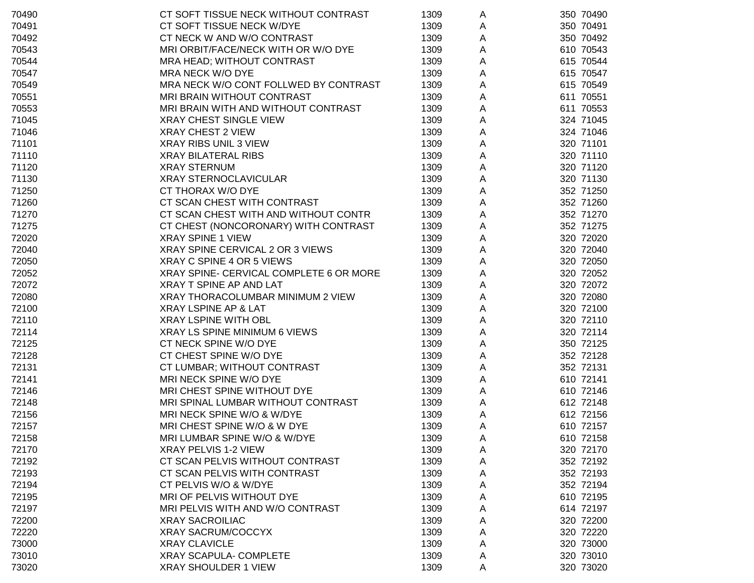| 70490 | CT SOFT TISSUE NECK WITHOUT CONTRAST    | 1309 | A | 350 70490 |
|-------|-----------------------------------------|------|---|-----------|
| 70491 | CT SOFT TISSUE NECK W/DYE               | 1309 | A | 350 70491 |
| 70492 | CT NECK W AND W/O CONTRAST              | 1309 | A | 350 70492 |
| 70543 | MRI ORBIT/FACE/NECK WITH OR W/O DYE     | 1309 | A | 610 70543 |
| 70544 | MRA HEAD; WITHOUT CONTRAST              | 1309 | Α | 615 70544 |
| 70547 | MRA NECK W/O DYE                        | 1309 | Α | 615 70547 |
| 70549 | MRA NECK W/O CONT FOLLWED BY CONTRAST   | 1309 | Α | 615 70549 |
| 70551 | MRI BRAIN WITHOUT CONTRAST              | 1309 | Α | 611 70551 |
| 70553 | MRI BRAIN WITH AND WITHOUT CONTRAST     | 1309 | Α | 611 70553 |
| 71045 | <b>XRAY CHEST SINGLE VIEW</b>           | 1309 | Α | 324 71045 |
| 71046 | XRAY CHEST 2 VIEW                       | 1309 | A | 324 71046 |
| 71101 | XRAY RIBS UNIL 3 VIEW                   | 1309 | Α | 320 71101 |
| 71110 | <b>XRAY BILATERAL RIBS</b>              | 1309 | Α | 320 71110 |
| 71120 | <b>XRAY STERNUM</b>                     | 1309 | Α | 320 71120 |
| 71130 | <b>XRAY STERNOCLAVICULAR</b>            | 1309 | A | 320 71130 |
| 71250 | CT THORAX W/O DYE                       | 1309 | A | 352 71250 |
| 71260 | CT SCAN CHEST WITH CONTRAST             | 1309 | Α | 352 71260 |
| 71270 | CT SCAN CHEST WITH AND WITHOUT CONTR    | 1309 | Α | 352 71270 |
| 71275 | CT CHEST (NONCORONARY) WITH CONTRAST    | 1309 | Α | 352 71275 |
| 72020 | <b>XRAY SPINE 1 VIEW</b>                | 1309 | Α | 320 72020 |
| 72040 | XRAY SPINE CERVICAL 2 OR 3 VIEWS        | 1309 | Α | 320 72040 |
| 72050 | XRAY C SPINE 4 OR 5 VIEWS               | 1309 | Α | 320 72050 |
| 72052 | XRAY SPINE- CERVICAL COMPLETE 6 OR MORE | 1309 | A | 320 72052 |
| 72072 | XRAY T SPINE AP AND LAT                 | 1309 | Α | 320 72072 |
| 72080 | XRAY THORACOLUMBAR MINIMUM 2 VIEW       | 1309 | A | 320 72080 |
| 72100 | XRAY LSPINE AP & LAT                    | 1309 | A | 320 72100 |
| 72110 | <b>XRAY LSPINE WITH OBL</b>             | 1309 | A | 320 72110 |
| 72114 | XRAY LS SPINE MINIMUM 6 VIEWS           | 1309 | Α | 320 72114 |
| 72125 | CT NECK SPINE W/O DYE                   | 1309 | Α | 350 72125 |
| 72128 | CT CHEST SPINE W/O DYE                  | 1309 | Α | 352 72128 |
| 72131 | CT LUMBAR; WITHOUT CONTRAST             | 1309 | A | 352 72131 |
| 72141 | MRI NECK SPINE W/O DYE                  | 1309 | A | 610 72141 |
| 72146 | MRI CHEST SPINE WITHOUT DYE             | 1309 | A | 610 72146 |
| 72148 | MRI SPINAL LUMBAR WITHOUT CONTRAST      | 1309 | A | 612 72148 |
| 72156 | MRI NECK SPINE W/O & W/DYE              | 1309 | A | 612 72156 |
| 72157 | MRI CHEST SPINE W/O & W DYE             | 1309 | A | 610 72157 |
| 72158 | MRI LUMBAR SPINE W/O & W/DYE            | 1309 | A | 610 72158 |
| 72170 | XRAY PELVIS 1-2 VIEW                    | 1309 | A | 320 72170 |
| 72192 | CT SCAN PELVIS WITHOUT CONTRAST         | 1309 | A | 352 72192 |
| 72193 | CT SCAN PELVIS WITH CONTRAST            | 1309 | Α | 352 72193 |
| 72194 | CT PELVIS W/O & W/DYE                   | 1309 | Α | 352 72194 |
| 72195 | MRI OF PELVIS WITHOUT DYE               | 1309 | A | 610 72195 |
| 72197 | MRI PELVIS WITH AND W/O CONTRAST        | 1309 | A | 614 72197 |
| 72200 | <b>XRAY SACROILIAC</b>                  | 1309 | A | 320 72200 |
| 72220 | <b>XRAY SACRUM/COCCYX</b>               | 1309 | Α | 320 72220 |
| 73000 | <b>XRAY CLAVICLE</b>                    | 1309 | Α | 320 73000 |
| 73010 | <b>XRAY SCAPULA- COMPLETE</b>           | 1309 | A | 320 73010 |
| 73020 | <b>XRAY SHOULDER 1 VIEW</b>             | 1309 | A | 320 73020 |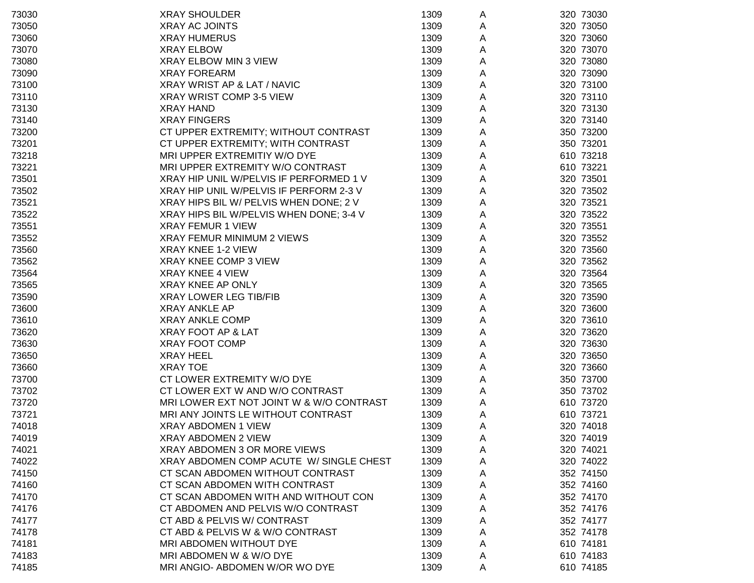| 73030 | <b>XRAY SHOULDER</b>                     | 1309 | A | 320 73030 |
|-------|------------------------------------------|------|---|-----------|
| 73050 | <b>XRAY AC JOINTS</b>                    | 1309 | A | 320 73050 |
| 73060 | <b>XRAY HUMERUS</b>                      | 1309 | A | 320 73060 |
| 73070 | <b>XRAY ELBOW</b>                        | 1309 | A | 320 73070 |
| 73080 | XRAY ELBOW MIN 3 VIEW                    | 1309 | A | 320 73080 |
| 73090 | <b>XRAY FOREARM</b>                      | 1309 | A | 320 73090 |
| 73100 | XRAY WRIST AP & LAT / NAVIC              | 1309 | A | 320 73100 |
| 73110 | XRAY WRIST COMP 3-5 VIEW                 | 1309 | A | 320 73110 |
| 73130 | <b>XRAY HAND</b>                         | 1309 | A | 320 73130 |
| 73140 | <b>XRAY FINGERS</b>                      | 1309 | A | 320 73140 |
| 73200 | CT UPPER EXTREMITY; WITHOUT CONTRAST     | 1309 | A | 350 73200 |
| 73201 | CT UPPER EXTREMITY; WITH CONTRAST        | 1309 | Α | 350 73201 |
| 73218 | MRI UPPER EXTREMITIY W/O DYE             | 1309 | A | 610 73218 |
| 73221 | MRI UPPER EXTREMITY W/O CONTRAST         | 1309 | A | 610 73221 |
| 73501 | XRAY HIP UNIL W/PELVIS IF PERFORMED 1 V  | 1309 | Α | 320 73501 |
| 73502 | XRAY HIP UNIL W/PELVIS IF PERFORM 2-3 V  | 1309 | A | 320 73502 |
| 73521 | XRAY HIPS BIL W/ PELVIS WHEN DONE; 2 V   | 1309 | A | 320 73521 |
| 73522 | XRAY HIPS BIL W/PELVIS WHEN DONE; 3-4 V  | 1309 | A | 320 73522 |
| 73551 | <b>XRAY FEMUR 1 VIEW</b>                 | 1309 | A | 320 73551 |
| 73552 | XRAY FEMUR MINIMUM 2 VIEWS               | 1309 | A | 320 73552 |
| 73560 | <b>XRAY KNEE 1-2 VIEW</b>                | 1309 | A | 320 73560 |
| 73562 | XRAY KNEE COMP 3 VIEW                    | 1309 | A | 320 73562 |
| 73564 | <b>XRAY KNEE 4 VIEW</b>                  | 1309 | A | 320 73564 |
| 73565 | <b>XRAY KNEE AP ONLY</b>                 | 1309 | Α | 320 73565 |
| 73590 | <b>XRAY LOWER LEG TIB/FIB</b>            | 1309 | A | 320 73590 |
| 73600 | <b>XRAY ANKLE AP</b>                     | 1309 | A | 320 73600 |
| 73610 | <b>XRAY ANKLE COMP</b>                   | 1309 | Α | 320 73610 |
| 73620 | XRAY FOOT AP & LAT                       | 1309 | Α | 320 73620 |
| 73630 | <b>XRAY FOOT COMP</b>                    | 1309 | Α | 320 73630 |
| 73650 | <b>XRAY HEEL</b>                         | 1309 | Α | 320 73650 |
| 73660 | <b>XRAY TOE</b>                          | 1309 | Α | 320 73660 |
| 73700 | CT LOWER EXTREMITY W/O DYE               | 1309 | Α | 350 73700 |
| 73702 | CT LOWER EXT W AND W/O CONTRAST          | 1309 | Α | 350 73702 |
| 73720 | MRI LOWER EXT NOT JOINT W & W/O CONTRAST | 1309 | A | 610 73720 |
| 73721 | MRI ANY JOINTS LE WITHOUT CONTRAST       | 1309 | A | 610 73721 |
| 74018 | XRAY ABDOMEN 1 VIEW                      | 1309 | Α | 320 74018 |
| 74019 | XRAY ABDOMEN 2 VIEW                      | 1309 | A | 320 74019 |
| 74021 | XRAY ABDOMEN 3 OR MORE VIEWS             | 1309 | A | 320 74021 |
| 74022 | XRAY ABDOMEN COMP ACUTE W/ SINGLE CHEST  | 1309 | A | 320 74022 |
| 74150 | CT SCAN ABDOMEN WITHOUT CONTRAST         | 1309 | Α | 352 74150 |
| 74160 | CT SCAN ABDOMEN WITH CONTRAST            | 1309 | A | 352 74160 |
| 74170 | CT SCAN ABDOMEN WITH AND WITHOUT CON     | 1309 | Α | 352 74170 |
| 74176 | CT ABDOMEN AND PELVIS W/O CONTRAST       | 1309 | A | 352 74176 |
| 74177 | CT ABD & PELVIS W/ CONTRAST              | 1309 | A | 352 74177 |
| 74178 | CT ABD & PELVIS W & W/O CONTRAST         | 1309 | A | 352 74178 |
| 74181 | MRI ABDOMEN WITHOUT DYE                  | 1309 | A | 610 74181 |
| 74183 | MRI ABDOMEN W & W/O DYE                  | 1309 | A | 610 74183 |
| 74185 | MRI ANGIO- ABDOMEN W/OR WO DYE           | 1309 | A | 610 74185 |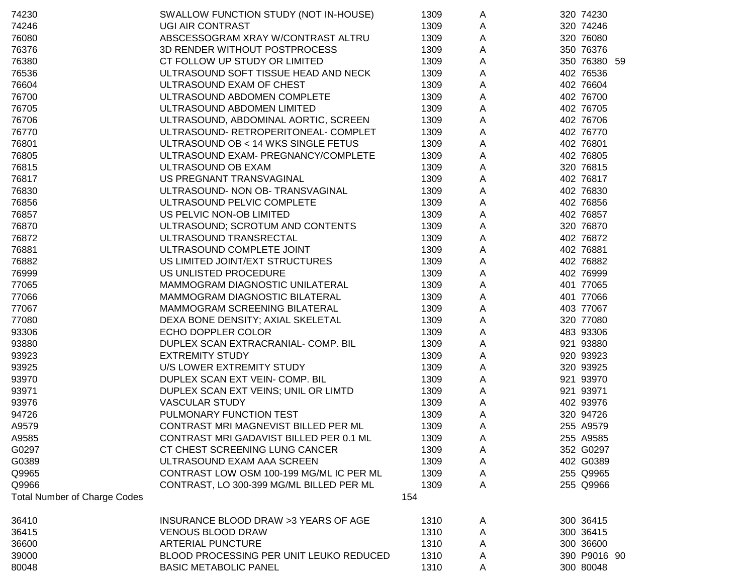| 74230                               | SWALLOW FUNCTION STUDY (NOT IN-HOUSE)    | 1309 | A                         | 320 74230    |
|-------------------------------------|------------------------------------------|------|---------------------------|--------------|
| 74246                               | <b>UGI AIR CONTRAST</b>                  | 1309 | A                         | 320 74246    |
| 76080                               | ABSCESSOGRAM XRAY W/CONTRAST ALTRU       | 1309 | A                         | 320 76080    |
| 76376                               | 3D RENDER WITHOUT POSTPROCESS            | 1309 | A                         | 350 76376    |
| 76380                               | CT FOLLOW UP STUDY OR LIMITED            | 1309 | A                         | 350 76380 59 |
| 76536                               | ULTRASOUND SOFT TISSUE HEAD AND NECK     | 1309 | A                         | 402 76536    |
| 76604                               | ULTRASOUND EXAM OF CHEST                 | 1309 | A                         | 402 76604    |
| 76700                               | ULTRASOUND ABDOMEN COMPLETE              | 1309 | A                         | 402 76700    |
| 76705                               | ULTRASOUND ABDOMEN LIMITED               | 1309 | $\mathsf A$               | 402 76705    |
| 76706                               | ULTRASOUND, ABDOMINAL AORTIC, SCREEN     | 1309 | $\mathsf A$               | 402 76706    |
| 76770                               | ULTRASOUND- RETROPERITONEAL- COMPLET     | 1309 | $\mathsf A$               | 402 76770    |
| 76801                               | ULTRASOUND OB < 14 WKS SINGLE FETUS      | 1309 | A                         | 402 76801    |
| 76805                               | ULTRASOUND EXAM- PREGNANCY/COMPLETE      | 1309 | $\mathsf A$               | 402 76805    |
| 76815                               | ULTRASOUND OB EXAM                       | 1309 | $\boldsymbol{\mathsf{A}}$ | 320 76815    |
| 76817                               | US PREGNANT TRANSVAGINAL                 | 1309 | A                         | 402 76817    |
| 76830                               | ULTRASOUND- NON OB- TRANSVAGINAL         | 1309 | A                         | 402 76830    |
| 76856                               | ULTRASOUND PELVIC COMPLETE               | 1309 | A                         | 402 76856    |
| 76857                               | US PELVIC NON-OB LIMITED                 | 1309 | $\mathsf{A}$              | 402 76857    |
| 76870                               | ULTRASOUND; SCROTUM AND CONTENTS         | 1309 | A                         | 320 76870    |
| 76872                               | ULTRASOUND TRANSRECTAL                   | 1309 | A                         | 402 76872    |
| 76881                               | ULTRASOUND COMPLETE JOINT                | 1309 | A                         | 402 76881    |
| 76882                               | US LIMITED JOINT/EXT STRUCTURES          | 1309 | A                         | 402 76882    |
| 76999                               | US UNLISTED PROCEDURE                    | 1309 | A                         | 402 76999    |
| 77065                               | MAMMOGRAM DIAGNOSTIC UNILATERAL          | 1309 | A                         | 401 77065    |
| 77066                               | MAMMOGRAM DIAGNOSTIC BILATERAL           | 1309 | A                         | 401 77066    |
| 77067                               | MAMMOGRAM SCREENING BILATERAL            | 1309 | A                         | 403 77067    |
| 77080                               | DEXA BONE DENSITY; AXIAL SKELETAL        | 1309 | $\mathsf A$               | 320 77080    |
| 93306                               | ECHO DOPPLER COLOR                       | 1309 | A                         | 483 93306    |
| 93880                               | DUPLEX SCAN EXTRACRANIAL- COMP. BIL      | 1309 | A                         | 921 93880    |
| 93923                               | <b>EXTREMITY STUDY</b>                   | 1309 | A                         | 920 93923    |
| 93925                               | U/S LOWER EXTREMITY STUDY                | 1309 | A                         | 320 93925    |
| 93970                               | DUPLEX SCAN EXT VEIN- COMP. BIL          | 1309 | $\mathsf{A}$              | 921 93970    |
| 93971                               | DUPLEX SCAN EXT VEINS; UNIL OR LIMTD     | 1309 | $\mathsf{A}$              | 921 93971    |
| 93976                               | <b>VASCULAR STUDY</b>                    | 1309 | $\mathsf{A}$              | 402 93976    |
| 94726                               | PULMONARY FUNCTION TEST                  | 1309 | A                         | 320 94726    |
| A9579                               | CONTRAST MRI MAGNEVIST BILLED PER ML     | 1309 | A                         | 255 A9579    |
| A9585                               | CONTRAST MRI GADAVIST BILLED PER 0.1 ML  | 1309 | A                         | 255 A9585    |
| G0297                               | CT CHEST SCREENING LUNG CANCER           | 1309 | A                         | 352 G0297    |
| G0389                               | ULTRASOUND EXAM AAA SCREEN               | 1309 | A                         | 402 G0389    |
| Q9965                               | CONTRAST LOW OSM 100-199 MG/ML IC PER ML | 1309 | A                         | 255 Q9965    |
| Q9966                               | CONTRAST, LO 300-399 MG/ML BILLED PER ML | 1309 | A                         | 255 Q9966    |
| <b>Total Number of Charge Codes</b> |                                          | 154  |                           |              |
| 36410                               | INSURANCE BLOOD DRAW >3 YEARS OF AGE     | 1310 | A                         | 300 36415    |
| 36415                               | <b>VENOUS BLOOD DRAW</b>                 | 1310 | Α                         | 300 36415    |
| 36600                               | <b>ARTERIAL PUNCTURE</b>                 | 1310 | Α                         | 300 36600    |
| 39000                               | BLOOD PROCESSING PER UNIT LEUKO REDUCED  | 1310 | A                         | 390 P9016 90 |
| 80048                               | <b>BASIC METABOLIC PANEL</b>             | 1310 | Α                         | 300 80048    |
|                                     |                                          |      |                           |              |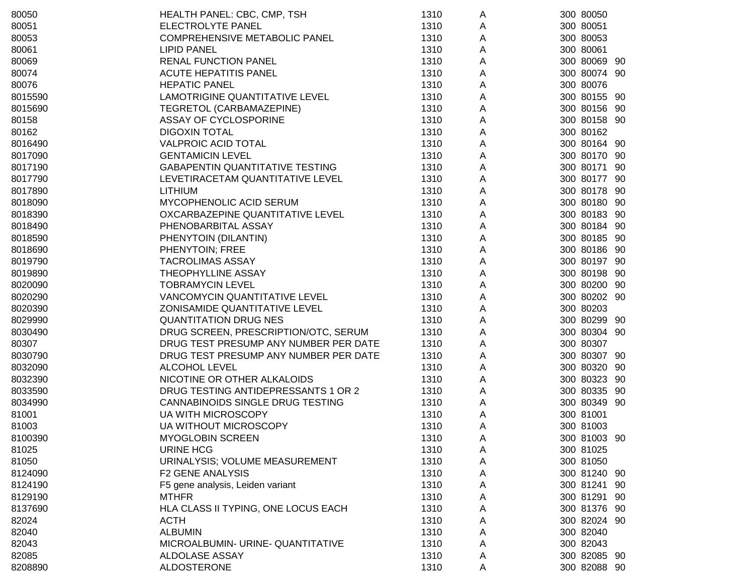| 80050   | HEALTH PANEL: CBC, CMP, TSH            | 1310 | A | 300 80050    |  |
|---------|----------------------------------------|------|---|--------------|--|
| 80051   | ELECTROLYTE PANEL                      | 1310 | A | 300 80051    |  |
| 80053   | COMPREHENSIVE METABOLIC PANEL          | 1310 | Α | 300 80053    |  |
| 80061   | <b>LIPID PANEL</b>                     | 1310 | Α | 300 80061    |  |
| 80069   | <b>RENAL FUNCTION PANEL</b>            | 1310 | Α | 300 80069 90 |  |
| 80074   | <b>ACUTE HEPATITIS PANEL</b>           | 1310 | Α | 300 80074 90 |  |
| 80076   | <b>HEPATIC PANEL</b>                   | 1310 | Α | 300 80076    |  |
| 8015590 | LAMOTRIGINE QUANTITATIVE LEVEL         | 1310 | Α | 300 80155 90 |  |
| 8015690 | TEGRETOL (CARBAMAZEPINE)               | 1310 | A | 300 80156 90 |  |
| 80158   | ASSAY OF CYCLOSPORINE                  | 1310 | A | 300 80158 90 |  |
| 80162   | <b>DIGOXIN TOTAL</b>                   | 1310 | Α | 300 80162    |  |
| 8016490 | <b>VALPROIC ACID TOTAL</b>             | 1310 | Α | 300 80164 90 |  |
| 8017090 | <b>GENTAMICIN LEVEL</b>                | 1310 | A | 300 80170 90 |  |
| 8017190 | <b>GABAPENTIN QUANTITATIVE TESTING</b> | 1310 | A | 300 80171 90 |  |
| 8017790 | LEVETIRACETAM QUANTITATIVE LEVEL       | 1310 | A | 300 80177 90 |  |
| 8017890 | <b>LITHIUM</b>                         | 1310 | A | 300 80178 90 |  |
| 8018090 | MYCOPHENOLIC ACID SERUM                | 1310 | A | 300 80180 90 |  |
| 8018390 | OXCARBAZEPINE QUANTITATIVE LEVEL       | 1310 | A | 300 80183 90 |  |
| 8018490 | PHENOBARBITAL ASSAY                    | 1310 | Α | 300 80184 90 |  |
| 8018590 | PHENYTOIN (DILANTIN)                   | 1310 | A | 300 80185 90 |  |
| 8018690 | PHENYTOIN; FREE                        | 1310 | A | 300 80186 90 |  |
| 8019790 | <b>TACROLIMAS ASSAY</b>                | 1310 | Α | 300 80197 90 |  |
| 8019890 | THEOPHYLLINE ASSAY                     | 1310 | Α | 300 80198 90 |  |
| 8020090 | <b>TOBRAMYCIN LEVEL</b>                | 1310 | A | 300 80200 90 |  |
| 8020290 | VANCOMYCIN QUANTITATIVE LEVEL          | 1310 | A | 300 80202 90 |  |
| 8020390 | ZONISAMIDE QUANTITATIVE LEVEL          | 1310 | A | 300 80203    |  |
| 8029990 | <b>QUANTITATION DRUG NES</b>           | 1310 | Α | 300 80299 90 |  |
| 8030490 | DRUG SCREEN, PRESCRIPTION/OTC, SERUM   | 1310 | Α | 300 80304 90 |  |
| 80307   | DRUG TEST PRESUMP ANY NUMBER PER DATE  | 1310 | A | 300 80307    |  |
| 8030790 | DRUG TEST PRESUMP ANY NUMBER PER DATE  | 1310 | A | 300 80307 90 |  |
| 8032090 | ALCOHOL LEVEL                          | 1310 | A | 300 80320 90 |  |
| 8032390 | NICOTINE OR OTHER ALKALOIDS            | 1310 | A | 300 80323 90 |  |
| 8033590 | DRUG TESTING ANTIDEPRESSANTS 1 OR 2    | 1310 | A | 300 80335 90 |  |
| 8034990 | CANNABINOIDS SINGLE DRUG TESTING       | 1310 | A | 300 80349 90 |  |
| 81001   | <b>UA WITH MICROSCOPY</b>              | 1310 | Α | 300 81001    |  |
| 81003   | UA WITHOUT MICROSCOPY                  | 1310 | A | 300 81003    |  |
| 8100390 | <b>MYOGLOBIN SCREEN</b>                | 1310 | A | 300 81003 90 |  |
| 81025   | <b>URINE HCG</b>                       | 1310 | A | 300 81025    |  |
| 81050   | URINALYSIS; VOLUME MEASUREMENT         | 1310 | A | 300 81050    |  |
| 8124090 | <b>F2 GENE ANALYSIS</b>                | 1310 | A | 300 81240 90 |  |
| 8124190 | F5 gene analysis, Leiden variant       | 1310 | Α | 300 81241 90 |  |
| 8129190 | <b>MTHFR</b>                           | 1310 | Α | 300 81291 90 |  |
| 8137690 | HLA CLASS II TYPING, ONE LOCUS EACH    | 1310 | Α | 300 81376 90 |  |
| 82024   | <b>ACTH</b>                            | 1310 | A | 300 82024 90 |  |
| 82040   | <b>ALBUMIN</b>                         | 1310 | A | 300 82040    |  |
| 82043   | MICROALBUMIN- URINE- QUANTITATIVE      | 1310 | Α | 300 82043    |  |
| 82085   | ALDOLASE ASSAY                         | 1310 | A | 300 82085 90 |  |
| 8208890 | <b>ALDOSTERONE</b>                     | 1310 | A | 300 82088 90 |  |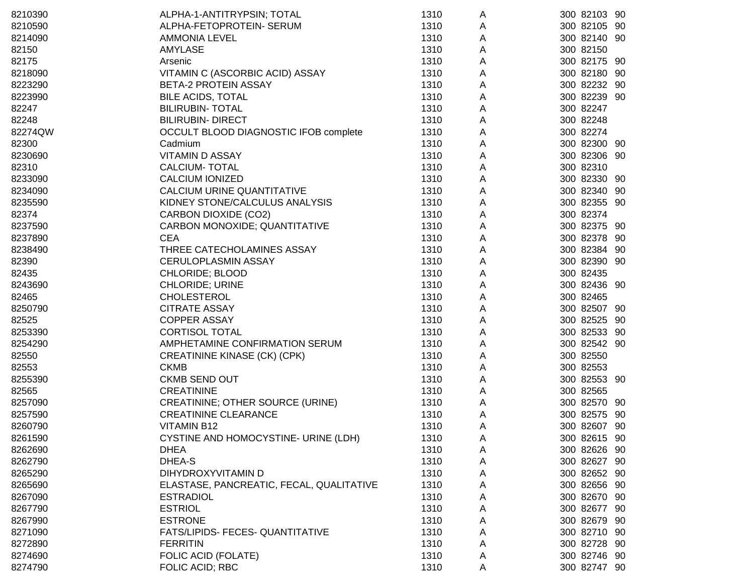| 8210390 | ALPHA-1-ANTITRYPSIN; TOTAL               | 1310 | A | 300 82103 90 |  |
|---------|------------------------------------------|------|---|--------------|--|
| 8210590 | ALPHA-FETOPROTEIN- SERUM                 | 1310 | A | 300 82105 90 |  |
| 8214090 | <b>AMMONIA LEVEL</b>                     | 1310 | A | 300 82140 90 |  |
| 82150   | <b>AMYLASE</b>                           | 1310 | A | 300 82150    |  |
| 82175   | Arsenic                                  | 1310 | A | 300 82175 90 |  |
| 8218090 | VITAMIN C (ASCORBIC ACID) ASSAY          | 1310 | Α | 300 82180 90 |  |
| 8223290 | <b>BETA-2 PROTEIN ASSAY</b>              | 1310 | Α | 300 82232 90 |  |
| 8223990 | <b>BILE ACIDS, TOTAL</b>                 | 1310 | A | 300 82239 90 |  |
| 82247   | <b>BILIRUBIN- TOTAL</b>                  | 1310 | Α | 300 82247    |  |
| 82248   | <b>BILIRUBIN- DIRECT</b>                 | 1310 | Α | 300 82248    |  |
| 82274QW | OCCULT BLOOD DIAGNOSTIC IFOB complete    | 1310 | Α | 300 82274    |  |
| 82300   | Cadmium                                  | 1310 | Α | 300 82300 90 |  |
| 8230690 | <b>VITAMIN D ASSAY</b>                   | 1310 | Α | 300 82306 90 |  |
| 82310   | <b>CALCIUM- TOTAL</b>                    | 1310 | Α | 300 82310    |  |
| 8233090 | <b>CALCIUM IONIZED</b>                   | 1310 | Α | 300 82330 90 |  |
| 8234090 | CALCIUM URINE QUANTITATIVE               | 1310 | Α | 300 82340 90 |  |
| 8235590 | KIDNEY STONE/CALCULUS ANALYSIS           | 1310 | Α | 300 82355 90 |  |
| 82374   | <b>CARBON DIOXIDE (CO2)</b>              | 1310 | Α | 300 82374    |  |
| 8237590 | CARBON MONOXIDE; QUANTITATIVE            | 1310 | Α | 300 82375 90 |  |
| 8237890 | <b>CEA</b>                               | 1310 | A | 300 82378 90 |  |
| 8238490 | THREE CATECHOLAMINES ASSAY               | 1310 | A | 300 82384 90 |  |
| 82390   | <b>CERULOPLASMIN ASSAY</b>               | 1310 | Α | 300 82390 90 |  |
| 82435   | CHLORIDE; BLOOD                          | 1310 | Α | 300 82435    |  |
| 8243690 | <b>CHLORIDE; URINE</b>                   | 1310 | A | 300 82436 90 |  |
| 82465   | <b>CHOLESTEROL</b>                       | 1310 | Α | 300 82465    |  |
| 8250790 | <b>CITRATE ASSAY</b>                     | 1310 | Α | 300 82507 90 |  |
| 82525   | <b>COPPER ASSAY</b>                      | 1310 | Α | 300 82525 90 |  |
| 8253390 | <b>CORTISOL TOTAL</b>                    | 1310 | A | 300 82533 90 |  |
| 8254290 | AMPHETAMINE CONFIRMATION SERUM           | 1310 | Α | 300 82542 90 |  |
| 82550   | CREATININE KINASE (CK) (CPK)             | 1310 | Α | 300 82550    |  |
| 82553   | <b>CKMB</b>                              | 1310 | Α | 300 82553    |  |
| 8255390 | <b>CKMB SEND OUT</b>                     | 1310 | A | 300 82553 90 |  |
| 82565   | <b>CREATININE</b>                        | 1310 | A | 300 82565    |  |
| 8257090 | CREATININE; OTHER SOURCE (URINE)         | 1310 | A | 300 82570 90 |  |
| 8257590 | <b>CREATININE CLEARANCE</b>              | 1310 | A | 300 82575 90 |  |
| 8260790 | <b>VITAMIN B12</b>                       | 1310 | A | 300 82607 90 |  |
| 8261590 | CYSTINE AND HOMOCYSTINE- URINE (LDH)     | 1310 | Α | 300 82615 90 |  |
| 8262690 | <b>DHEA</b>                              | 1310 | A | 300 82626 90 |  |
| 8262790 | DHEA-S                                   | 1310 | A | 300 82627 90 |  |
| 8265290 | DIHYDROXYVITAMIN D                       | 1310 | A | 300 82652 90 |  |
| 8265690 | ELASTASE, PANCREATIC, FECAL, QUALITATIVE | 1310 | A | 300 82656 90 |  |
| 8267090 | <b>ESTRADIOL</b>                         | 1310 | A | 300 82670 90 |  |
| 8267790 | <b>ESTRIOL</b>                           | 1310 | A | 300 82677 90 |  |
| 8267990 | <b>ESTRONE</b>                           | 1310 | A | 300 82679 90 |  |
| 8271090 | FATS/LIPIDS- FECES- QUANTITATIVE         | 1310 | A | 300 82710 90 |  |
| 8272890 | <b>FERRITIN</b>                          | 1310 | A | 300 82728 90 |  |
| 8274690 | FOLIC ACID (FOLATE)                      | 1310 | A | 300 82746 90 |  |
| 8274790 | FOLIC ACID; RBC                          | 1310 | Α | 300 82747 90 |  |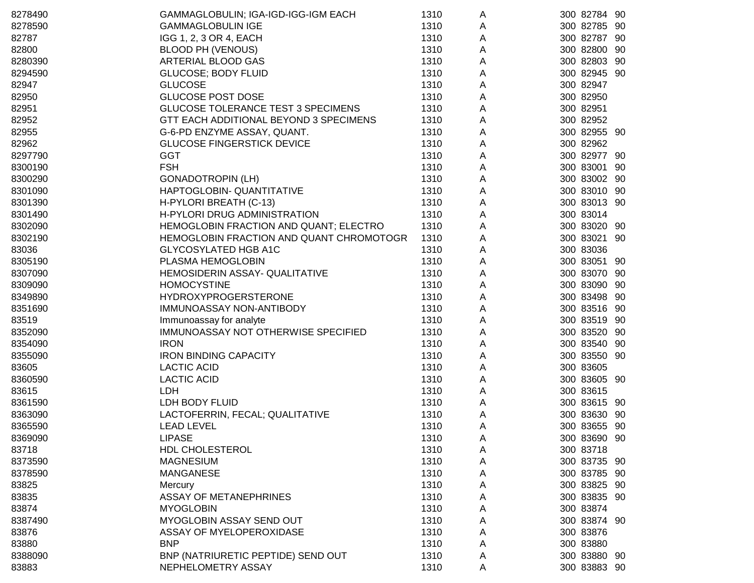| 8278490 | GAMMAGLOBULIN; IGA-IGD-IGG-IGM EACH       | 1310 | A | 300 82784 90 |     |
|---------|-------------------------------------------|------|---|--------------|-----|
| 8278590 | <b>GAMMAGLOBULIN IGE</b>                  | 1310 | A | 300 82785 90 |     |
| 82787   | IGG 1, 2, 3 OR 4, EACH                    | 1310 | A | 300 82787 90 |     |
| 82800   | BLOOD PH (VENOUS)                         | 1310 | A | 300 82800 90 |     |
| 8280390 | ARTERIAL BLOOD GAS                        | 1310 | Α | 300 82803    | -90 |
| 8294590 | <b>GLUCOSE; BODY FLUID</b>                | 1310 | A | 300 82945 90 |     |
| 82947   | <b>GLUCOSE</b>                            | 1310 | A | 300 82947    |     |
| 82950   | <b>GLUCOSE POST DOSE</b>                  | 1310 | Α | 300 82950    |     |
| 82951   | <b>GLUCOSE TOLERANCE TEST 3 SPECIMENS</b> | 1310 | Α | 300 82951    |     |
| 82952   | GTT EACH ADDITIONAL BEYOND 3 SPECIMENS    | 1310 | Α | 300 82952    |     |
| 82955   | G-6-PD ENZYME ASSAY, QUANT.               | 1310 | Α | 300 82955 90 |     |
| 82962   | <b>GLUCOSE FINGERSTICK DEVICE</b>         | 1310 | А | 300 82962    |     |
| 8297790 | <b>GGT</b>                                | 1310 | Α | 300 82977 90 |     |
| 8300190 | <b>FSH</b>                                | 1310 | Α | 300 83001    | -90 |
| 8300290 | <b>GONADOTROPIN (LH)</b>                  | 1310 | А | 300 83002 90 |     |
| 8301090 | HAPTOGLOBIN- QUANTITATIVE                 | 1310 | Α | 300 83010 90 |     |
| 8301390 | H-PYLORI BREATH (C-13)                    | 1310 | Α | 300 83013 90 |     |
| 8301490 | H-PYLORI DRUG ADMINISTRATION              | 1310 | Α | 300 83014    |     |
| 8302090 | HEMOGLOBIN FRACTION AND QUANT; ELECTRO    | 1310 | Α | 300 83020 90 |     |
| 8302190 | HEMOGLOBIN FRACTION AND QUANT CHROMOTOGR  | 1310 | Α | 300 83021 90 |     |
| 83036   | <b>GLYCOSYLATED HGB A1C</b>               | 1310 | Α | 300 83036    |     |
| 8305190 | PLASMA HEMOGLOBIN                         | 1310 | Α | 300 83051 90 |     |
| 8307090 | HEMOSIDERIN ASSAY- QUALITATIVE            | 1310 | Α | 300 83070 90 |     |
| 8309090 | <b>HOMOCYSTINE</b>                        | 1310 | Α | 300 83090 90 |     |
| 8349890 | <b>HYDROXYPROGERSTERONE</b>               | 1310 | Α | 300 83498 90 |     |
| 8351690 | IMMUNOASSAY NON-ANTIBODY                  | 1310 | Α | 300 83516 90 |     |
| 83519   | Immunoassay for analyte                   | 1310 | А | 300 83519 90 |     |
| 8352090 | IMMUNOASSAY NOT OTHERWISE SPECIFIED       | 1310 | Α | 300 83520 90 |     |
| 8354090 | <b>IRON</b>                               | 1310 | Α | 300 83540 90 |     |
| 8355090 | <b>IRON BINDING CAPACITY</b>              | 1310 | Α | 300 83550 90 |     |
| 83605   | <b>LACTIC ACID</b>                        | 1310 | А | 300 83605    |     |
| 8360590 | <b>LACTIC ACID</b>                        | 1310 | Α | 300 83605 90 |     |
| 83615   | <b>LDH</b>                                | 1310 | Α | 300 83615    |     |
| 8361590 | LDH BODY FLUID                            | 1310 | A | 300 83615 90 |     |
| 8363090 | LACTOFERRIN, FECAL; QUALITATIVE           | 1310 | A | 300 83630 90 |     |
| 8365590 | <b>LEAD LEVEL</b>                         | 1310 | A | 300 83655 90 |     |
| 8369090 | LIPASE                                    | 1310 | A | 300 83690 90 |     |
| 83718   | HDL CHOLESTEROL                           | 1310 | A | 300 83718    |     |
| 8373590 | <b>MAGNESIUM</b>                          | 1310 | A | 300 83735 90 |     |
| 8378590 | <b>MANGANESE</b>                          | 1310 | A | 300 83785 90 |     |
| 83825   | Mercury                                   | 1310 | A | 300 83825 90 |     |
| 83835   | <b>ASSAY OF METANEPHRINES</b>             | 1310 | A | 300 83835 90 |     |
| 83874   | <b>MYOGLOBIN</b>                          | 1310 | A | 300 83874    |     |
| 8387490 | MYOGLOBIN ASSAY SEND OUT                  | 1310 | A | 300 83874 90 |     |
| 83876   | ASSAY OF MYELOPEROXIDASE                  | 1310 | Α | 300 83876    |     |
| 83880   | <b>BNP</b>                                | 1310 | Α | 300 83880    |     |
| 8388090 | BNP (NATRIURETIC PEPTIDE) SEND OUT        | 1310 | A | 300 83880 90 |     |
| 83883   | NEPHELOMETRY ASSAY                        | 1310 | A | 300 83883 90 |     |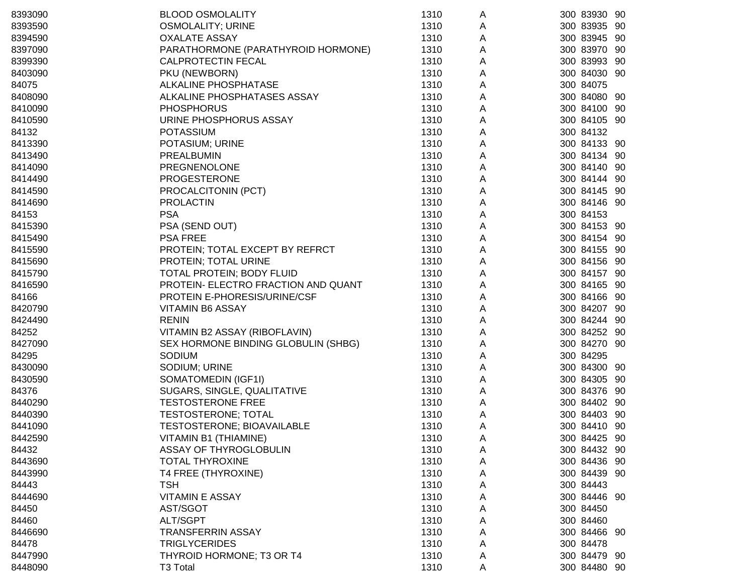| 8393090 | <b>BLOOD OSMOLALITY</b>             | 1310 | A | 300 83930 90 |
|---------|-------------------------------------|------|---|--------------|
| 8393590 | <b>OSMOLALITY; URINE</b>            | 1310 | A | 300 83935 90 |
| 8394590 | <b>OXALATE ASSAY</b>                | 1310 | A | 300 83945 90 |
| 8397090 | PARATHORMONE (PARATHYROID HORMONE)  | 1310 | A | 300 83970 90 |
| 8399390 | <b>CALPROTECTIN FECAL</b>           | 1310 | A | 300 83993 90 |
| 8403090 | PKU (NEWBORN)                       | 1310 | Α | 300 84030 90 |
| 84075   | ALKALINE PHOSPHATASE                | 1310 | Α | 300 84075    |
| 8408090 | ALKALINE PHOSPHATASES ASSAY         | 1310 | A | 300 84080 90 |
| 8410090 | <b>PHOSPHORUS</b>                   | 1310 | Α | 300 84100 90 |
| 8410590 | URINE PHOSPHORUS ASSAY              | 1310 | Α | 300 84105 90 |
| 84132   | <b>POTASSIUM</b>                    | 1310 | Α | 300 84132    |
| 8413390 | POTASIUM; URINE                     | 1310 | Α | 300 84133 90 |
| 8413490 | PREALBUMIN                          | 1310 | Α | 300 84134 90 |
| 8414090 | <b>PREGNENOLONE</b>                 | 1310 | Α | 300 84140 90 |
| 8414490 | <b>PROGESTERONE</b>                 | 1310 | A | 300 84144 90 |
| 8414590 | PROCALCITONIN (PCT)                 | 1310 | A | 300 84145 90 |
| 8414690 | <b>PROLACTIN</b>                    | 1310 | Α | 300 84146 90 |
| 84153   | <b>PSA</b>                          | 1310 | Α | 300 84153    |
| 8415390 | PSA (SEND OUT)                      | 1310 | Α | 300 84153 90 |
| 8415490 | <b>PSA FREE</b>                     | 1310 | A | 300 84154 90 |
| 8415590 | PROTEIN; TOTAL EXCEPT BY REFRCT     | 1310 | Α | 300 84155 90 |
| 8415690 | PROTEIN; TOTAL URINE                | 1310 | Α | 300 84156 90 |
| 8415790 | <b>TOTAL PROTEIN; BODY FLUID</b>    | 1310 | Α | 300 84157 90 |
| 8416590 | PROTEIN- ELECTRO FRACTION AND QUANT | 1310 | Α | 300 84165 90 |
| 84166   | PROTEIN E-PHORESIS/URINE/CSF        | 1310 | Α | 300 84166 90 |
| 8420790 | <b>VITAMIN B6 ASSAY</b>             | 1310 | Α | 300 84207 90 |
| 8424490 | <b>RENIN</b>                        | 1310 | Α | 300 84244 90 |
| 84252   | VITAMIN B2 ASSAY (RIBOFLAVIN)       | 1310 | A | 300 84252 90 |
| 8427090 | SEX HORMONE BINDING GLOBULIN (SHBG) | 1310 | Α | 300 84270 90 |
| 84295   | SODIUM                              | 1310 | Α | 300 84295    |
| 8430090 | SODIUM; URINE                       | 1310 | Α | 300 84300 90 |
| 8430590 | SOMATOMEDIN (IGF1I)                 | 1310 | A | 300 84305 90 |
| 84376   | SUGARS, SINGLE, QUALITATIVE         | 1310 | A | 300 84376 90 |
| 8440290 | <b>TESTOSTERONE FREE</b>            | 1310 | A | 300 84402 90 |
| 8440390 | TESTOSTERONE; TOTAL                 | 1310 | A | 300 84403 90 |
| 8441090 | TESTOSTERONE; BIOAVAILABLE          | 1310 | A | 300 84410 90 |
| 8442590 | VITAMIN B1 (THIAMINE)               | 1310 | Α | 300 84425 90 |
| 84432   | ASSAY OF THYROGLOBULIN              | 1310 | A | 300 84432 90 |
| 8443690 | <b>TOTAL THYROXINE</b>              | 1310 | A | 300 84436 90 |
| 8443990 | T4 FREE (THYROXINE)                 | 1310 | A | 300 84439 90 |
| 84443   | <b>TSH</b>                          | 1310 | Α | 300 84443    |
| 8444690 | <b>VITAMIN E ASSAY</b>              | 1310 | Α | 300 84446 90 |
| 84450   | AST/SGOT                            | 1310 | A | 300 84450    |
| 84460   | ALT/SGPT                            | 1310 | A | 300 84460    |
| 8446690 | <b>TRANSFERRIN ASSAY</b>            | 1310 | Α | 300 84466 90 |
| 84478   | <b>TRIGLYCERIDES</b>                | 1310 | Α | 300 84478    |
| 8447990 | THYROID HORMONE; T3 OR T4           | 1310 | A | 300 84479 90 |
| 8448090 | T3 Total                            | 1310 | A | 300 84480 90 |
|         |                                     |      |   |              |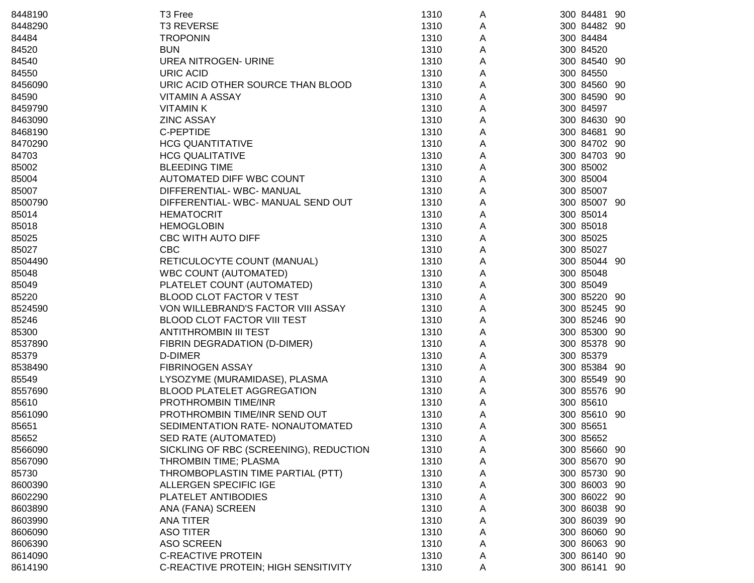| 8448190 | T3 Free                                | 1310 | A | 300 84481 90 |
|---------|----------------------------------------|------|---|--------------|
| 8448290 | <b>T3 REVERSE</b>                      | 1310 | A | 300 84482 90 |
| 84484   | <b>TROPONIN</b>                        | 1310 | A | 300 84484    |
| 84520   | <b>BUN</b>                             | 1310 | A | 300 84520    |
| 84540   | <b>UREA NITROGEN- URINE</b>            | 1310 | Α | 300 84540 90 |
| 84550   | <b>URIC ACID</b>                       | 1310 | A | 300 84550    |
| 8456090 | URIC ACID OTHER SOURCE THAN BLOOD      | 1310 | A | 300 84560 90 |
| 84590   | <b>VITAMIN A ASSAY</b>                 | 1310 | A | 300 84590 90 |
| 8459790 | <b>VITAMINK</b>                        | 1310 | A | 300 84597    |
| 8463090 | <b>ZINC ASSAY</b>                      | 1310 | A | 300 84630 90 |
| 8468190 | C-PEPTIDE                              | 1310 | A | 300 84681 90 |
| 8470290 | <b>HCG QUANTITATIVE</b>                | 1310 | Α | 300 84702 90 |
| 84703   | <b>HCG QUALITATIVE</b>                 | 1310 | Α | 300 84703 90 |
| 85002   | <b>BLEEDING TIME</b>                   | 1310 | А | 300 85002    |
| 85004   | AUTOMATED DIFF WBC COUNT               | 1310 | Α | 300 85004    |
| 85007   | DIFFERENTIAL-WBC-MANUAL                | 1310 | Α | 300 85007    |
| 8500790 | DIFFERENTIAL-WBC-MANUAL SEND OUT       | 1310 | A | 300 85007 90 |
| 85014   | <b>HEMATOCRIT</b>                      | 1310 | Α | 300 85014    |
| 85018   | <b>HEMOGLOBIN</b>                      | 1310 | A | 300 85018    |
| 85025   | CBC WITH AUTO DIFF                     | 1310 | A | 300 85025    |
| 85027   | <b>CBC</b>                             | 1310 | A | 300 85027    |
| 8504490 | RETICULOCYTE COUNT (MANUAL)            | 1310 | А | 300 85044 90 |
| 85048   | <b>WBC COUNT (AUTOMATED)</b>           | 1310 | A | 300 85048    |
| 85049   | PLATELET COUNT (AUTOMATED)             | 1310 | A | 300 85049    |
| 85220   | <b>BLOOD CLOT FACTOR V TEST</b>        | 1310 | A | 300 85220 90 |
| 8524590 | VON WILLEBRAND'S FACTOR VIII ASSAY     | 1310 | Α | 300 85245 90 |
| 85246   | BLOOD CLOT FACTOR VIII TEST            | 1310 | A | 300 85246 90 |
| 85300   | ANTITHROMBIN III TEST                  | 1310 | Α | 300 85300 90 |
| 8537890 | FIBRIN DEGRADATION (D-DIMER)           | 1310 | Α | 300 85378 90 |
| 85379   | <b>D-DIMER</b>                         | 1310 | А | 300 85379    |
| 8538490 | <b>FIBRINOGEN ASSAY</b>                | 1310 | Α | 300 85384 90 |
| 85549   | LYSOZYME (MURAMIDASE), PLASMA          | 1310 | Α | 300 85549 90 |
| 8557690 | <b>BLOOD PLATELET AGGREGATION</b>      | 1310 | Α | 300 85576 90 |
| 85610   | PROTHROMBIN TIME/INR                   | 1310 | Α | 300 85610    |
| 8561090 | PROTHROMBIN TIME/INR SEND OUT          | 1310 | A | 300 85610 90 |
| 85651   | SEDIMENTATION RATE- NONAUTOMATED       | 1310 | A | 300 85651    |
| 85652   | SED RATE (AUTOMATED)                   | 1310 | A | 300 85652    |
| 8566090 | SICKLING OF RBC (SCREENING), REDUCTION | 1310 | A | 300 85660 90 |
| 8567090 | THROMBIN TIME; PLASMA                  | 1310 | A | 300 85670 90 |
| 85730   | THROMBOPLASTIN TIME PARTIAL (PTT)      | 1310 | A | 300 85730 90 |
| 8600390 | ALLERGEN SPECIFIC IGE                  | 1310 | Α | 300 86003 90 |
| 8602290 | PLATELET ANTIBODIES                    | 1310 | A | 300 86022 90 |
| 8603890 | ANA (FANA) SCREEN                      | 1310 | A | 300 86038 90 |
| 8603990 | <b>ANA TITER</b>                       | 1310 | A | 300 86039 90 |
| 8606090 | <b>ASO TITER</b>                       | 1310 | A | 300 86060 90 |
| 8606390 | <b>ASO SCREEN</b>                      | 1310 | A | 300 86063 90 |
| 8614090 | <b>C-REACTIVE PROTEIN</b>              | 1310 | A | 300 86140 90 |
| 8614190 | C-REACTIVE PROTEIN; HIGH SENSITIVITY   | 1310 | A | 300 86141 90 |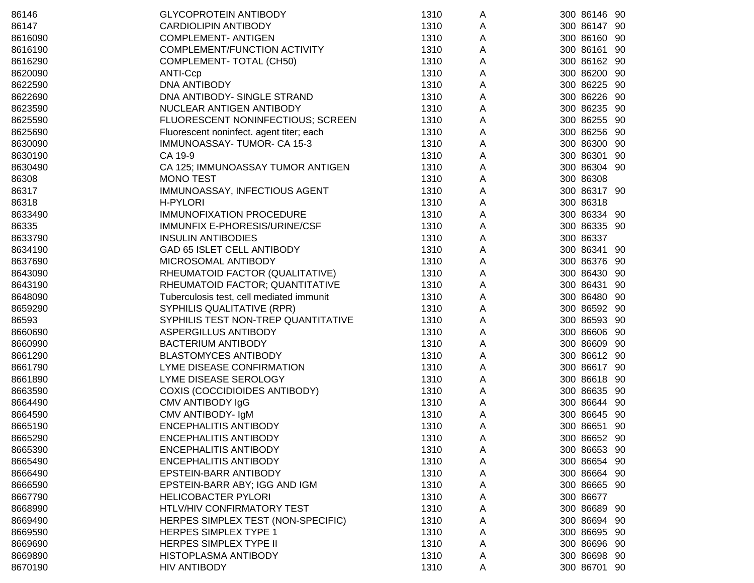| 86146   | <b>GLYCOPROTEIN ANTIBODY</b>             | 1310 | A | 300 86146 90     |
|---------|------------------------------------------|------|---|------------------|
| 86147   | <b>CARDIOLIPIN ANTIBODY</b>              | 1310 | A | 300 86147 90     |
| 8616090 | <b>COMPLEMENT- ANTIGEN</b>               | 1310 | Α | 300 86160<br>90  |
| 8616190 | COMPLEMENT/FUNCTION ACTIVITY             | 1310 | Α | 300 86161<br>90  |
| 8616290 | COMPLEMENT- TOTAL (CH50)                 | 1310 | Α | 300 86162<br>90  |
| 8620090 | <b>ANTI-Ccp</b>                          | 1310 | Α | 300 86200<br>90  |
| 8622590 | DNA ANTIBODY                             | 1310 | Α | 300 86225<br>90  |
| 8622690 | DNA ANTIBODY- SINGLE STRAND              | 1310 | Α | 300 86226<br>90  |
| 8623590 | NUCLEAR ANTIGEN ANTIBODY                 | 1310 | Α | 300 86235 90     |
| 8625590 | FLUORESCENT NONINFECTIOUS; SCREEN        | 1310 | Α | 300 86255<br>-90 |
| 8625690 | Fluorescent noninfect. agent titer; each | 1310 | Α | 300 86256 90     |
| 8630090 | IMMUNOASSAY-TUMOR-CA 15-3                | 1310 | Α | 300 86300<br>90  |
| 8630190 | CA 19-9                                  | 1310 | Α | 300 86301<br>90  |
| 8630490 | CA 125; IMMUNOASSAY TUMOR ANTIGEN        | 1310 | Α | 300 86304 90     |
| 86308   | <b>MONO TEST</b>                         | 1310 | Α | 300 86308        |
| 86317   | IMMUNOASSAY, INFECTIOUS AGENT            | 1310 | Α | 300 86317 90     |
| 86318   | H-PYLORI                                 | 1310 | A | 300 86318        |
| 8633490 | <b>IMMUNOFIXATION PROCEDURE</b>          | 1310 | Α | 300 86334 90     |
| 86335   | IMMUNFIX E-PHORESIS/URINE/CSF            | 1310 | Α | 300 86335 90     |
| 8633790 | <b>INSULIN ANTIBODIES</b>                | 1310 | Α | 300 86337        |
| 8634190 | GAD 65 ISLET CELL ANTIBODY               | 1310 | A | 300 86341<br>90  |
| 8637690 | MICROSOMAL ANTIBODY                      | 1310 | Α | 300 86376<br>-90 |
| 8643090 | RHEUMATOID FACTOR (QUALITATIVE)          | 1310 | Α | 300 86430<br>-90 |
| 8643190 | RHEUMATOID FACTOR; QUANTITATIVE          | 1310 | Α | 300 86431<br>90  |
| 8648090 | Tuberculosis test, cell mediated immunit | 1310 | Α | 300 86480 90     |
| 8659290 | SYPHILIS QUALITATIVE (RPR)               | 1310 | Α | 300 86592 90     |
| 86593   | SYPHILIS TEST NON-TREP QUANTITATIVE      | 1310 | Α | 300 86593 90     |
| 8660690 | ASPERGILLUS ANTIBODY                     | 1310 | Α | 300 86606 90     |
| 8660990 | <b>BACTERIUM ANTIBODY</b>                | 1310 | A | 300 86609 90     |
| 8661290 | <b>BLASTOMYCES ANTIBODY</b>              | 1310 | A | 300 86612 90     |
| 8661790 | LYME DISEASE CONFIRMATION                | 1310 | Α | 300 86617 90     |
| 8661890 | LYME DISEASE SEROLOGY                    | 1310 | Α | 300 86618 90     |
| 8663590 | <b>COXIS (COCCIDIOIDES ANTIBODY)</b>     | 1310 | Α | 300 86635 90     |
| 8664490 | CMV ANTIBODY IgG                         | 1310 | Α | 300 86644 90     |
| 8664590 | CMV ANTIBODY- IgM                        | 1310 | Α | 300 86645 90     |
| 8665190 | <b>ENCEPHALITIS ANTIBODY</b>             | 1310 | A | 300 86651 90     |
| 8665290 | ENCEPHALITIS ANTIBODY                    | 1310 | Α | 300 86652 90     |
| 8665390 | <b>ENCEPHALITIS ANTIBODY</b>             | 1310 | A | 300 86653<br>90  |
| 8665490 | <b>ENCEPHALITIS ANTIBODY</b>             | 1310 | A | 300 86654<br>-90 |
| 8666490 | EPSTEIN-BARR ANTIBODY                    | 1310 | A | 300 86664<br>-90 |
| 8666590 | EPSTEIN-BARR ABY; IGG AND IGM            | 1310 | Α | 300 86665 90     |
| 8667790 | <b>HELICOBACTER PYLORI</b>               | 1310 | A | 300 86677        |
| 8668990 | HTLV/HIV CONFIRMATORY TEST               | 1310 | Α | 300 86689<br>-90 |
| 8669490 | HERPES SIMPLEX TEST (NON-SPECIFIC)       | 1310 | Α | 300 86694 90     |
| 8669590 | <b>HERPES SIMPLEX TYPE 1</b>             | 1310 | A | 300 86695<br>90  |
| 8669690 | HERPES SIMPLEX TYPE II                   | 1310 | A | 300 86696 90     |
| 8669890 | HISTOPLASMA ANTIBODY                     | 1310 | A | 300 86698 90     |
| 8670190 | <b>HIV ANTIBODY</b>                      | 1310 | Α | 300 86701 90     |
|         |                                          |      |   |                  |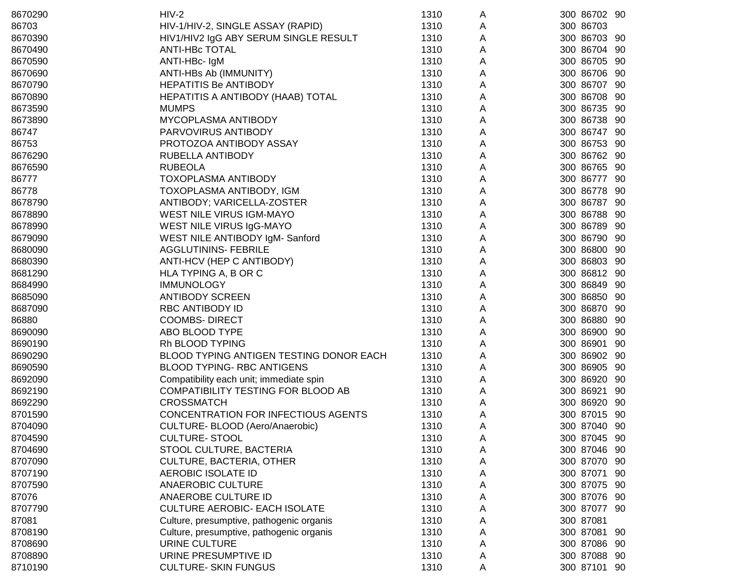| 8670290 | $HIV-2$                                    | 1310 | A | 300 86702 90     |
|---------|--------------------------------------------|------|---|------------------|
| 86703   | HIV-1/HIV-2, SINGLE ASSAY (RAPID)          | 1310 | A | 300 86703        |
| 8670390 | HIV1/HIV2 IgG ABY SERUM SINGLE RESULT      | 1310 | A | 300 86703 90     |
| 8670490 | <b>ANTI-HBC TOTAL</b>                      | 1310 | A | 300 86704 90     |
| 8670590 | ANTI-HBc- IgM                              | 1310 | A | 300 86705 90     |
| 8670690 | ANTI-HBs Ab (IMMUNITY)                     | 1310 | A | 300 86706 90     |
| 8670790 | <b>HEPATITIS Be ANTIBODY</b>               | 1310 | A | 300 86707 90     |
| 8670890 | HEPATITIS A ANTIBODY (HAAB) TOTAL          | 1310 | Α | 300 86708 90     |
| 8673590 | <b>MUMPS</b>                               | 1310 | Α | 300 86735 90     |
| 8673890 | MYCOPLASMA ANTIBODY                        | 1310 | Α | 300 86738 90     |
| 86747   | PARVOVIRUS ANTIBODY                        | 1310 | А | 300 86747 90     |
| 86753   | PROTOZOA ANTIBODY ASSAY                    | 1310 | Α | 300 86753 90     |
| 8676290 | RUBELLA ANTIBODY                           | 1310 | Α | 300 86762 90     |
| 8676590 | <b>RUBEOLA</b>                             | 1310 | Α | 300 86765 90     |
| 86777   | TOXOPLASMA ANTIBODY                        | 1310 | Α | 300 86777 90     |
| 86778   | TOXOPLASMA ANTIBODY, IGM                   | 1310 | Α | 300 86778<br>-90 |
| 8678790 | ANTIBODY; VARICELLA-ZOSTER                 | 1310 | A | 300 86787 90     |
| 8678890 | WEST NILE VIRUS IGM-MAYO                   | 1310 | Α | 300 86788<br>-90 |
| 8678990 | WEST NILE VIRUS IgG-MAYO                   | 1310 | Α | 300 86789 90     |
| 8679090 | WEST NILE ANTIBODY IgM- Sanford            | 1310 | А | 300 86790 90     |
| 8680090 | <b>AGGLUTININS- FEBRILE</b>                | 1310 | A | 300 86800 90     |
| 8680390 | ANTI-HCV (HEP C ANTIBODY)                  | 1310 | Α | 300 86803 90     |
| 8681290 | HLA TYPING A, B OR C                       | 1310 | Α | 300 86812 90     |
| 8684990 | <b>IMMUNOLOGY</b>                          | 1310 | A | 300 86849 90     |
| 8685090 | <b>ANTIBODY SCREEN</b>                     | 1310 | Α | 300 86850 90     |
| 8687090 | <b>RBC ANTIBODY ID</b>                     | 1310 | Α | 300 86870 90     |
| 86880   | <b>COOMBS- DIRECT</b>                      | 1310 | А | 300 86880 90     |
| 8690090 | ABO BLOOD TYPE                             | 1310 | Α | 300 86900 90     |
| 8690190 | Rh BLOOD TYPING                            | 1310 | A | 300 86901<br>-90 |
| 8690290 | BLOOD TYPING ANTIGEN TESTING DONOR EACH    | 1310 | Α | 300 86902 90     |
| 8690590 | <b>BLOOD TYPING- RBC ANTIGENS</b>          | 1310 | A | 300 86905<br>-90 |
| 8692090 | Compatibility each unit; immediate spin    | 1310 | A | 300 86920<br>-90 |
| 8692190 | COMPATIBILITY TESTING FOR BLOOD AB         | 1310 | A | 300 86921<br>90  |
| 8692290 | <b>CROSSMATCH</b>                          | 1310 | A | 300 86920<br>-90 |
| 8701590 | <b>CONCENTRATION FOR INFECTIOUS AGENTS</b> | 1310 | A | 300 87015<br>-90 |
| 8704090 | CULTURE- BLOOD (Aero/Anaerobic)            | 1310 | Α | 300 87040 90     |
| 8704590 | <b>CULTURE-STOOL</b>                       | 1310 | A | 300 87045 90     |
| 8704690 | STOOL CULTURE, BACTERIA                    | 1310 | A | 300 87046 90     |
| 8707090 | <b>CULTURE, BACTERIA, OTHER</b>            | 1310 | A | 300 87070 90     |
| 8707190 | AEROBIC ISOLATE ID                         | 1310 | Α | 300 87071 90     |
| 8707590 | <b>ANAEROBIC CULTURE</b>                   | 1310 | Α | 300 87075 90     |
| 87076   | ANAEROBE CULTURE ID                        | 1310 | Α | 300 87076 90     |
| 8707790 | <b>CULTURE AEROBIC- EACH ISOLATE</b>       | 1310 | Α | 300 87077 90     |
| 87081   | Culture, presumptive, pathogenic organis   | 1310 | Α | 300 87081        |
| 8708190 | Culture, presumptive, pathogenic organis   | 1310 | A | 300 87081 90     |
| 8708690 | URINE CULTURE                              | 1310 | A | 300 87086 90     |
| 8708890 | URINE PRESUMPTIVE ID                       | 1310 | A | 300 87088 90     |
| 8710190 | <b>CULTURE- SKIN FUNGUS</b>                | 1310 | A | 300 87101 90     |
|         |                                            |      |   |                  |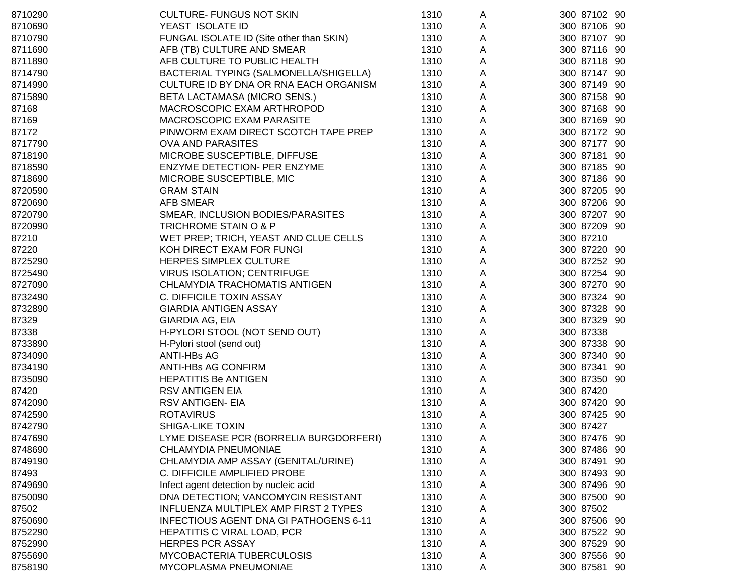| 8710290 | <b>CULTURE- FUNGUS NOT SKIN</b>               | 1310 | A | 300 87102 90      |
|---------|-----------------------------------------------|------|---|-------------------|
| 8710690 | YEAST ISOLATE ID                              | 1310 | A | 300 87106 90      |
| 8710790 | FUNGAL ISOLATE ID (Site other than SKIN)      | 1310 | A | 300 87107 90      |
| 8711690 | AFB (TB) CULTURE AND SMEAR                    | 1310 | A | 300 87116 90      |
| 8711890 | AFB CULTURE TO PUBLIC HEALTH                  | 1310 | A | 300 87118 90      |
| 8714790 | BACTERIAL TYPING (SALMONELLA/SHIGELLA)        | 1310 | A | 300 87147 90      |
| 8714990 | CULTURE ID BY DNA OR RNA EACH ORGANISM        | 1310 | A | 300 87149 90      |
| 8715890 | BETA LACTAMASA (MICRO SENS.)                  | 1310 | A | 300 87158 90      |
| 87168   | MACROSCOPIC EXAM ARTHROPOD                    | 1310 | A | 300 87168 90      |
| 87169   | MACROSCOPIC EXAM PARASITE                     | 1310 | A | 300 87169 90      |
| 87172   | PINWORM EXAM DIRECT SCOTCH TAPE PREP          | 1310 | A | 300 87172 90      |
| 8717790 | <b>OVA AND PARASITES</b>                      | 1310 | A | 300 87177 90      |
| 8718190 | MICROBE SUSCEPTIBLE, DIFFUSE                  | 1310 | Α | 300 87181 90      |
| 8718590 | ENZYME DETECTION- PER ENZYME                  | 1310 | Α | 300 87185 90      |
| 8718690 | MICROBE SUSCEPTIBLE, MIC                      | 1310 | A | 300 87186 90      |
| 8720590 | <b>GRAM STAIN</b>                             | 1310 | Α | 300 87205 90      |
| 8720690 | <b>AFB SMEAR</b>                              | 1310 | A | 300 87206 90      |
| 8720790 | SMEAR, INCLUSION BODIES/PARASITES             | 1310 | A | 300 87207 90      |
| 8720990 | TRICHROME STAIN O & P                         | 1310 | A | 300 87209 90      |
| 87210   | WET PREP; TRICH, YEAST AND CLUE CELLS         | 1310 | A | 300 87210         |
| 87220   | KOH DIRECT EXAM FOR FUNGI                     | 1310 | A | 300 87220 90      |
| 8725290 | <b>HERPES SIMPLEX CULTURE</b>                 | 1310 | A | 300 87252 90      |
| 8725490 | <b>VIRUS ISOLATION; CENTRIFUGE</b>            | 1310 | A | 300 87254 90      |
| 8727090 | CHLAMYDIA TRACHOMATIS ANTIGEN                 | 1310 | A | 300 87270 90      |
| 8732490 | C. DIFFICILE TOXIN ASSAY                      | 1310 | A | 300 87324 90      |
| 8732890 | <b>GIARDIA ANTIGEN ASSAY</b>                  | 1310 | A | 300 87328 90      |
| 87329   | GIARDIA AG, EIA                               | 1310 | A | 300 87329 90      |
| 87338   | H-PYLORI STOOL (NOT SEND OUT)                 | 1310 | A | 300 87338         |
| 8733890 | H-Pylori stool (send out)                     | 1310 | A | 300 87338 90      |
| 8734090 | <b>ANTI-HBs AG</b>                            | 1310 | Α | 300 87340<br>- 90 |
| 8734190 | <b>ANTI-HBs AG CONFIRM</b>                    | 1310 | A | 300 87341<br>-90  |
| 8735090 | <b>HEPATITIS Be ANTIGEN</b>                   | 1310 | A | 300 87350 90      |
| 87420   | <b>RSV ANTIGEN EIA</b>                        | 1310 | A | 300 87420         |
| 8742090 | RSV ANTIGEN- EIA                              | 1310 | A | 300 87420 90      |
| 8742590 | <b>ROTAVIRUS</b>                              | 1310 | A | 300 87425 90      |
| 8742790 | <b>SHIGA-LIKE TOXIN</b>                       | 1310 | A | 300 87427         |
| 8747690 | LYME DISEASE PCR (BORRELIA BURGDORFERI)       | 1310 | A | 300 87476 90      |
| 8748690 | CHLAMYDIA PNEUMONIAE                          | 1310 | Α | 300 87486 90      |
| 8749190 | CHLAMYDIA AMP ASSAY (GENITAL/URINE)           | 1310 | Α | 300 87491 90      |
| 87493   | C. DIFFICILE AMPLIFIED PROBE                  | 1310 | A | 300 87493 90      |
| 8749690 | Infect agent detection by nucleic acid        | 1310 | A | 300 87496 90      |
| 8750090 | DNA DETECTION; VANCOMYCIN RESISTANT           | 1310 | A | 300 87500 90      |
| 87502   | INFLUENZA MULTIPLEX AMP FIRST 2 TYPES         | 1310 | A | 300 87502         |
| 8750690 | <b>INFECTIOUS AGENT DNA GI PATHOGENS 6-11</b> | 1310 | A | 300 87506 90      |
| 8752290 | HEPATITIS C VIRAL LOAD, PCR                   | 1310 | A | 300 87522 90      |
| 8752990 | <b>HERPES PCR ASSAY</b>                       | 1310 | A | 300 87529 90      |
| 8755690 | MYCOBACTERIA TUBERCULOSIS                     | 1310 | A | 300 87556 90      |
| 8758190 | MYCOPLASMA PNEUMONIAE                         | 1310 | A | 300 87581 90      |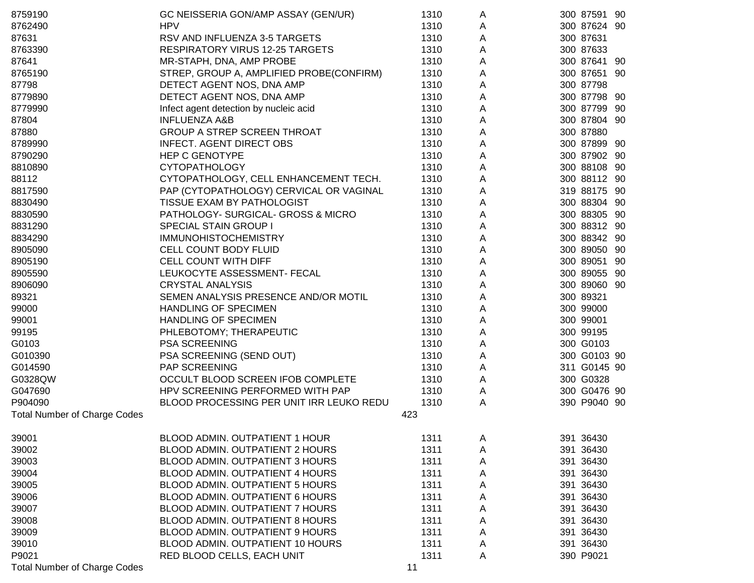| 8759190                             | GC NEISSERIA GON/AMP ASSAY (GEN/UR)      | 1310 | A | 300 87591 90     |
|-------------------------------------|------------------------------------------|------|---|------------------|
| 8762490                             | <b>HPV</b>                               | 1310 | A | 300 87624 90     |
| 87631                               | RSV AND INFLUENZA 3-5 TARGETS            | 1310 | A | 300 87631        |
| 8763390                             | <b>RESPIRATORY VIRUS 12-25 TARGETS</b>   | 1310 | A | 300 87633        |
| 87641                               | MR-STAPH, DNA, AMP PROBE                 | 1310 | A | 300 87641 90     |
| 8765190                             | STREP, GROUP A, AMPLIFIED PROBE(CONFIRM) | 1310 | A | 300 87651 90     |
| 87798                               | DETECT AGENT NOS, DNA AMP                | 1310 | A | 300 87798        |
| 8779890                             | DETECT AGENT NOS, DNA AMP                | 1310 | A | 300 87798 90     |
| 8779990                             | Infect agent detection by nucleic acid   | 1310 | A | 300 87799 90     |
| 87804                               | <b>INFLUENZA A&amp;B</b>                 | 1310 | Α | 300 87804 90     |
| 87880                               | <b>GROUP A STREP SCREEN THROAT</b>       | 1310 | Α | 300 87880        |
| 8789990                             | <b>INFECT. AGENT DIRECT OBS</b>          | 1310 | A | 300 87899 90     |
| 8790290                             | <b>HEP C GENOTYPE</b>                    | 1310 | A | 300 87902 90     |
| 8810890                             | <b>CYTOPATHOLOGY</b>                     | 1310 | Α | 300 88108 90     |
| 88112                               | CYTOPATHOLOGY, CELL ENHANCEMENT TECH.    | 1310 | Α | 300 88112 90     |
| 8817590                             | PAP (CYTOPATHOLOGY) CERVICAL OR VAGINAL  | 1310 | A | 319 88175 90     |
| 8830490                             | TISSUE EXAM BY PATHOLOGIST               | 1310 | A | 300 88304 90     |
| 8830590                             | PATHOLOGY- SURGICAL- GROSS & MICRO       | 1310 | A | 300 88305 90     |
| 8831290                             | <b>SPECIAL STAIN GROUP I</b>             | 1310 | A | 300 88312 90     |
| 8834290                             | <b>IMMUNOHISTOCHEMISTRY</b>              | 1310 | A | 300 88342 90     |
| 8905090                             | CELL COUNT BODY FLUID                    | 1310 | A | 300 89050 90     |
| 8905190                             | CELL COUNT WITH DIFF                     | 1310 | A | 300 89051<br>-90 |
| 8905590                             | LEUKOCYTE ASSESSMENT- FECAL              | 1310 | A | 300 89055 90     |
| 8906090                             | <b>CRYSTAL ANALYSIS</b>                  | 1310 | Α | 300 89060 90     |
| 89321                               | SEMEN ANALYSIS PRESENCE AND/OR MOTIL     | 1310 | A | 300 89321        |
| 99000                               | <b>HANDLING OF SPECIMEN</b>              | 1310 | Α | 300 99000        |
| 99001                               | HANDLING OF SPECIMEN                     | 1310 | A | 300 99001        |
| 99195                               | PHLEBOTOMY; THERAPEUTIC                  | 1310 | A | 300 99195        |
| G0103                               | PSA SCREENING                            | 1310 | A | 300 G0103        |
| G010390                             | PSA SCREENING (SEND OUT)                 | 1310 | A | 300 G0103 90     |
| G014590                             | PAP SCREENING                            | 1310 | A | 311 G0145 90     |
| G0328QW                             | OCCULT BLOOD SCREEN IFOB COMPLETE        | 1310 | A | 300 G0328        |
| G047690                             | HPV SCREENING PERFORMED WITH PAP         | 1310 | A | 300 G0476 90     |
| P904090                             | BLOOD PROCESSING PER UNIT IRR LEUKO REDU | 1310 | A | 390 P9040 90     |
| <b>Total Number of Charge Codes</b> |                                          | 423  |   |                  |
| 39001                               | <b>BLOOD ADMIN. OUTPATIENT 1 HOUR</b>    | 1311 | A | 391 36430        |
| 39002                               | BLOOD ADMIN. OUTPATIENT 2 HOURS          | 1311 | A | 391 36430        |
| 39003                               | <b>BLOOD ADMIN. OUTPATIENT 3 HOURS</b>   | 1311 | A | 391 36430        |
| 39004                               | <b>BLOOD ADMIN. OUTPATIENT 4 HOURS</b>   | 1311 | A | 391 36430        |
| 39005                               | BLOOD ADMIN. OUTPATIENT 5 HOURS          | 1311 | Α | 391 36430        |
| 39006                               | BLOOD ADMIN. OUTPATIENT 6 HOURS          | 1311 | A | 391 36430        |
| 39007                               | <b>BLOOD ADMIN. OUTPATIENT 7 HOURS</b>   | 1311 | A | 391 36430        |
| 39008                               | <b>BLOOD ADMIN. OUTPATIENT 8 HOURS</b>   | 1311 | A | 391 36430        |
| 39009                               | BLOOD ADMIN. OUTPATIENT 9 HOURS          | 1311 | A | 391 36430        |
| 39010                               | BLOOD ADMIN. OUTPATIENT 10 HOURS         | 1311 | A | 391 36430        |
| P9021                               | RED BLOOD CELLS, EACH UNIT               | 1311 | A | 390 P9021        |
| <b>Total Number of Charge Codes</b> |                                          | 11   |   |                  |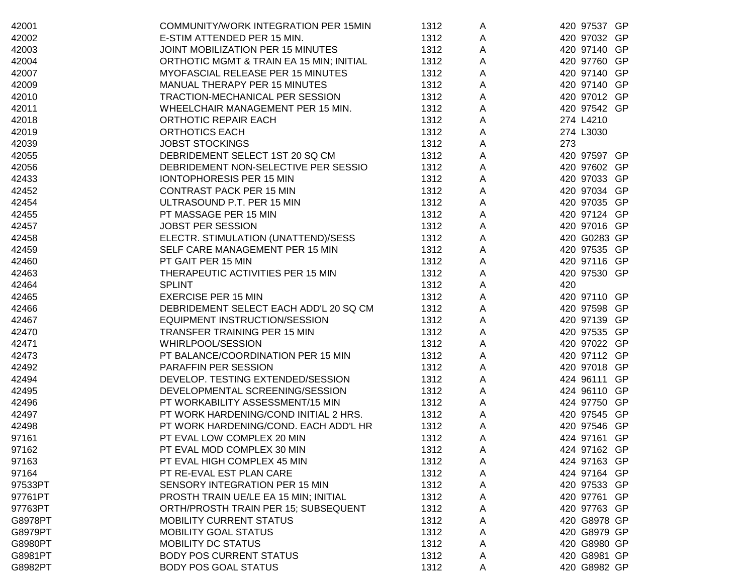| 42001   | COMMUNITY/WORK INTEGRATION PER 15MIN     | 1312 |   | 420 97537 GP |
|---------|------------------------------------------|------|---|--------------|
| 42002   | E-STIM ATTENDED PER 15 MIN.              | 1312 | A | 420 97032 GP |
|         | JOINT MOBILIZATION PER 15 MINUTES        | 1312 | A | 420 97140 GP |
| 42003   |                                          |      | A |              |
| 42004   | ORTHOTIC MGMT & TRAIN EA 15 MIN; INITIAL | 1312 | A | 420 97760 GP |
| 42007   | MYOFASCIAL RELEASE PER 15 MINUTES        | 1312 | A | 420 97140 GP |
| 42009   | MANUAL THERAPY PER 15 MINUTES            | 1312 | A | 420 97140 GP |
| 42010   | TRACTION-MECHANICAL PER SESSION          | 1312 | A | 420 97012 GP |
| 42011   | WHEELCHAIR MANAGEMENT PER 15 MIN.        | 1312 | A | 420 97542 GP |
| 42018   | ORTHOTIC REPAIR EACH                     | 1312 | Α | 274 L4210    |
| 42019   | <b>ORTHOTICS EACH</b>                    | 1312 | A | 274 L3030    |
| 42039   | <b>JOBST STOCKINGS</b>                   | 1312 | А | 273          |
| 42055   | DEBRIDEMENT SELECT 1ST 20 SQ CM          | 1312 | A | 420 97597 GP |
| 42056   | DEBRIDEMENT NON-SELECTIVE PER SESSIO     | 1312 | A | 420 97602 GP |
| 42433   | IONTOPHORESIS PER 15 MIN                 | 1312 | Α | 420 97033 GP |
| 42452   | <b>CONTRAST PACK PER 15 MIN</b>          | 1312 | A | 420 97034 GP |
| 42454   | ULTRASOUND P.T. PER 15 MIN               | 1312 | A | 420 97035 GP |
| 42455   | PT MASSAGE PER 15 MIN                    | 1312 | A | 420 97124 GP |
| 42457   | <b>JOBST PER SESSION</b>                 | 1312 | А | 420 97016 GP |
| 42458   | ELECTR. STIMULATION (UNATTEND)/SESS      | 1312 | A | 420 G0283 GP |
| 42459   | SELF CARE MANAGEMENT PER 15 MIN          | 1312 |   | 420 97535 GP |
|         | PT GAIT PER 15 MIN                       |      | Α |              |
| 42460   |                                          | 1312 | A | 420 97116 GP |
| 42463   | THERAPEUTIC ACTIVITIES PER 15 MIN        | 1312 | A | 420 97530 GP |
| 42464   | <b>SPLINT</b>                            | 1312 | A | 420          |
| 42465   | <b>EXERCISE PER 15 MIN</b>               | 1312 | Α | 420 97110 GP |
| 42466   | DEBRIDEMENT SELECT EACH ADD'L 20 SQ CM   | 1312 | A | 420 97598 GP |
| 42467   | EQUIPMENT INSTRUCTION/SESSION            | 1312 | Α | 420 97139 GP |
| 42470   | <b>TRANSFER TRAINING PER 15 MIN</b>      | 1312 | A | 420 97535 GP |
| 42471   | WHIRLPOOL/SESSION                        | 1312 | A | 420 97022 GP |
| 42473   | PT BALANCE/COORDINATION PER 15 MIN       | 1312 | A | 420 97112 GP |
| 42492   | <b>PARAFFIN PER SESSION</b>              | 1312 | A | 420 97018 GP |
| 42494   | DEVELOP. TESTING EXTENDED/SESSION        | 1312 | A | 424 96111 GP |
| 42495   | DEVELOPMENTAL SCREENING/SESSION          | 1312 | A | 424 96110 GP |
| 42496   | PT WORKABILITY ASSESSMENT/15 MIN         | 1312 | A | 424 97750 GP |
| 42497   | PT WORK HARDENING/COND INITIAL 2 HRS.    | 1312 | Α | 420 97545 GP |
| 42498   | PT WORK HARDENING/COND. EACH ADD'L HR    | 1312 | Α | 420 97546 GP |
| 97161   | PT EVAL LOW COMPLEX 20 MIN               | 1312 | Α | 424 97161 GP |
| 97162   | PT EVAL MOD COMPLEX 30 MIN               | 1312 | Α | 424 97162 GP |
| 97163   | PT EVAL HIGH COMPLEX 45 MIN              | 1312 | A | 424 97163 GP |
| 97164   | PT RE-EVAL EST PLAN CARE                 | 1312 | A | 424 97164 GP |
| 97533PT | SENSORY INTEGRATION PER 15 MIN           | 1312 |   | 420 97533 GP |
|         | PROSTH TRAIN UE/LE EA 15 MIN; INITIAL    | 1312 | A | 420 97761 GP |
| 97761PT |                                          |      | Α |              |
| 97763PT | ORTH/PROSTH TRAIN PER 15; SUBSEQUENT     | 1312 | Α | 420 97763 GP |
| G8978PT | <b>MOBILITY CURRENT STATUS</b>           | 1312 | Α | 420 G8978 GP |
| G8979PT | <b>MOBILITY GOAL STATUS</b>              | 1312 | A | 420 G8979 GP |
| G8980PT | <b>MOBILITY DC STATUS</b>                | 1312 | Α | 420 G8980 GP |
| G8981PT | <b>BODY POS CURRENT STATUS</b>           | 1312 | A | 420 G8981 GP |
| G8982PT | <b>BODY POS GOAL STATUS</b>              | 1312 | A | 420 G8982 GP |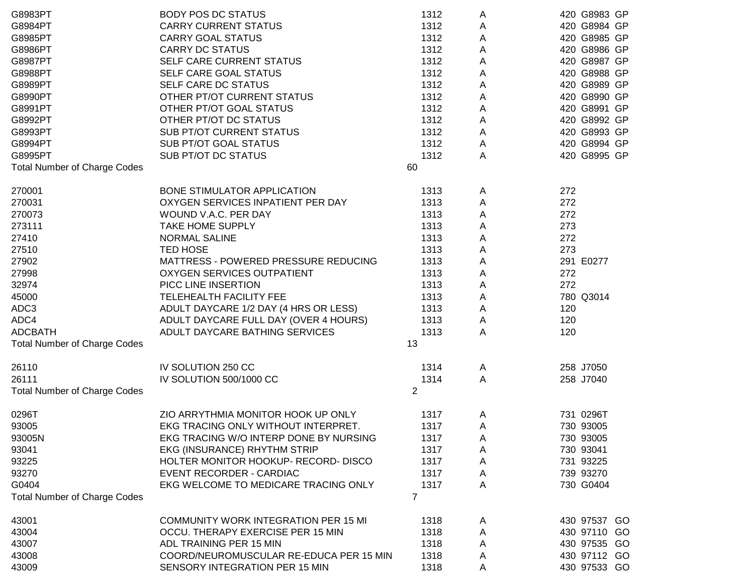| G8983PT                             | <b>BODY POS DC STATUS</b>                   | 1312           | A | 420 G8983 GP |
|-------------------------------------|---------------------------------------------|----------------|---|--------------|
| G8984PT                             | <b>CARRY CURRENT STATUS</b>                 | 1312           | A | 420 G8984 GP |
| G8985PT                             | <b>CARRY GOAL STATUS</b>                    | 1312           | Α | 420 G8985 GP |
| G8986PT                             | <b>CARRY DC STATUS</b>                      | 1312           | A | 420 G8986 GP |
| G8987PT                             | SELF CARE CURRENT STATUS                    | 1312           | A | 420 G8987 GP |
| G8988PT                             | SELF CARE GOAL STATUS                       | 1312           | A | 420 G8988 GP |
| G8989PT                             | SELF CARE DC STATUS                         | 1312           | A | 420 G8989 GP |
| G8990PT                             | OTHER PT/OT CURRENT STATUS                  | 1312           | Α | 420 G8990 GP |
| G8991PT                             | OTHER PT/OT GOAL STATUS                     | 1312           | Α | 420 G8991 GP |
| G8992PT                             | OTHER PT/OT DC STATUS                       | 1312           | Α | 420 G8992 GP |
| G8993PT                             | <b>SUB PT/OT CURRENT STATUS</b>             | 1312           | Α | 420 G8993 GP |
| G8994PT                             | SUB PT/OT GOAL STATUS                       | 1312           | Α | 420 G8994 GP |
| G8995PT                             | SUB PT/OT DC STATUS                         | 1312           | Α | 420 G8995 GP |
| <b>Total Number of Charge Codes</b> |                                             | 60             |   |              |
|                                     |                                             |                |   |              |
| 270001                              | BONE STIMULATOR APPLICATION                 | 1313           | A | 272          |
| 270031                              | OXYGEN SERVICES INPATIENT PER DAY           | 1313           | А | 272          |
| 270073                              | WOUND V.A.C. PER DAY                        | 1313           | Α | 272          |
| 273111                              | TAKE HOME SUPPLY                            | 1313           | Α | 273          |
| 27410                               | <b>NORMAL SALINE</b>                        | 1313           | Α | 272          |
| 27510                               | <b>TED HOSE</b>                             | 1313           | Α | 273          |
| 27902                               | MATTRESS - POWERED PRESSURE REDUCING        | 1313           | A | 291 E0277    |
| 27998                               | <b>OXYGEN SERVICES OUTPATIENT</b>           | 1313           | Α | 272          |
| 32974                               | PICC LINE INSERTION                         | 1313           | Α | 272          |
| 45000                               | TELEHEALTH FACILITY FEE                     | 1313           | Α | 780 Q3014    |
| ADC3                                | ADULT DAYCARE 1/2 DAY (4 HRS OR LESS)       | 1313           | Α | 120          |
| ADC4                                | ADULT DAYCARE FULL DAY (OVER 4 HOURS)       | 1313           | Α | 120          |
| <b>ADCBATH</b>                      | ADULT DAYCARE BATHING SERVICES              | 1313           | Α | 120          |
| <b>Total Number of Charge Codes</b> |                                             | 13             |   |              |
|                                     |                                             |                |   |              |
| 26110                               | IV SOLUTION 250 CC                          | 1314           | A | 258 J7050    |
| 26111                               | IV SOLUTION 500/1000 CC                     | 1314           | A | 258 J7040    |
| <b>Total Number of Charge Codes</b> |                                             | 2              |   |              |
|                                     |                                             |                |   |              |
| 0296T                               | ZIO ARRYTHMIA MONITOR HOOK UP ONLY          | 1317           | A | 731 0296T    |
| 93005                               | EKG TRACING ONLY WITHOUT INTERPRET.         | 1317           | A | 730 93005    |
| 93005N                              | EKG TRACING W/O INTERP DONE BY NURSING      | 1317           | Α | 730 93005    |
| 93041                               | EKG (INSURANCE) RHYTHM STRIP                | 1317           | A | 730 93041    |
| 93225                               | HOLTER MONITOR HOOKUP- RECORD- DISCO        | 1317           | A | 731 93225    |
| 93270                               | EVENT RECORDER - CARDIAC                    | 1317           | A | 739 93270    |
| G0404                               | EKG WELCOME TO MEDICARE TRACING ONLY        | 1317           | A | 730 G0404    |
| <b>Total Number of Charge Codes</b> |                                             | $\overline{7}$ |   |              |
|                                     |                                             |                |   |              |
| 43001                               | <b>COMMUNITY WORK INTEGRATION PER 15 MI</b> | 1318           | A | 430 97537 GO |
| 43004                               | OCCU. THERAPY EXERCISE PER 15 MIN           | 1318           | A | 430 97110 GO |
| 43007                               | ADL TRAINING PER 15 MIN                     | 1318           | Α | 430 97535 GO |
| 43008                               | COORD/NEUROMUSCULAR RE-EDUCA PER 15 MIN     | 1318           | A | 430 97112 GO |
| 43009                               | SENSORY INTEGRATION PER 15 MIN              | 1318           | A | 430 97533 GO |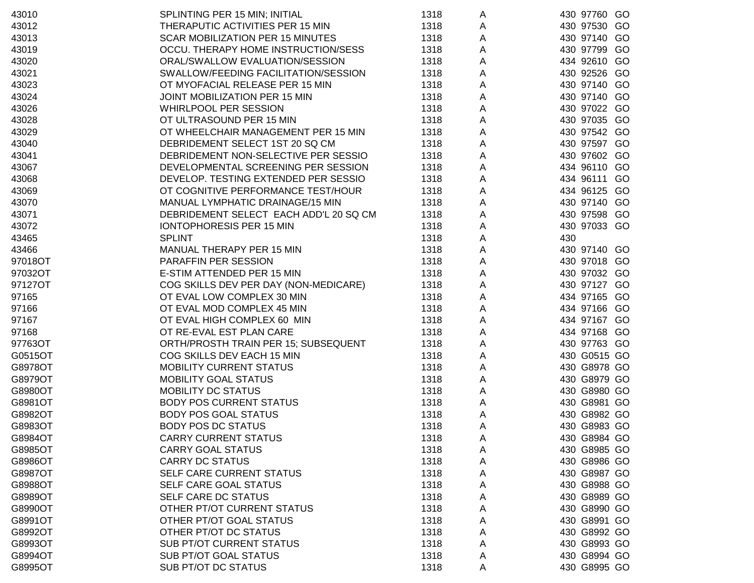| 43010   | SPLINTING PER 15 MIN; INITIAL          | 1318 | A |     | 430 97760 GO |    |
|---------|----------------------------------------|------|---|-----|--------------|----|
| 43012   | THERAPUTIC ACTIVITIES PER 15 MIN       | 1318 | A |     | 430 97530 GO |    |
| 43013   | SCAR MOBILIZATION PER 15 MINUTES       | 1318 | A |     | 430 97140 GO |    |
| 43019   | OCCU. THERAPY HOME INSTRUCTION/SESS    | 1318 | A |     | 430 97799 GO |    |
| 43020   | ORAL/SWALLOW EVALUATION/SESSION        | 1318 | A |     | 434 92610 GO |    |
| 43021   | SWALLOW/FEEDING FACILITATION/SESSION   | 1318 | A |     | 430 92526 GO |    |
| 43023   | OT MYOFACIAL RELEASE PER 15 MIN        | 1318 | A |     | 430 97140 GO |    |
| 43024   | JOINT MOBILIZATION PER 15 MIN          | 1318 | Α |     | 430 97140 GO |    |
| 43026   | WHIRLPOOL PER SESSION                  | 1318 | Α |     | 430 97022 GO |    |
| 43028   | OT ULTRASOUND PER 15 MIN               | 1318 | Α |     | 430 97035 GO |    |
| 43029   | OT WHEELCHAIR MANAGEMENT PER 15 MIN    | 1318 | Α |     | 430 97542 GO |    |
| 43040   | DEBRIDEMENT SELECT 1ST 20 SQ CM        | 1318 | A |     | 430 97597 GO |    |
| 43041   | DEBRIDEMENT NON-SELECTIVE PER SESSIO   | 1318 | Α |     | 430 97602 GO |    |
| 43067   | DEVELOPMENTAL SCREENING PER SESSION    | 1318 | Α |     | 434 96110 GO |    |
| 43068   | DEVELOP. TESTING EXTENDED PER SESSIO   | 1318 | Α |     | 434 96111    | GO |
| 43069   | OT COGNITIVE PERFORMANCE TEST/HOUR     | 1318 | Α |     | 434 96125 GO |    |
| 43070   | MANUAL LYMPHATIC DRAINAGE/15 MIN       | 1318 | Α |     | 430 97140 GO |    |
| 43071   | DEBRIDEMENT SELECT EACH ADD'L 20 SQ CM | 1318 | Α |     | 430 97598 GO |    |
| 43072   | <b>IONTOPHORESIS PER 15 MIN</b>        | 1318 | Α |     | 430 97033 GO |    |
| 43465   | <b>SPLINT</b>                          | 1318 | Α | 430 |              |    |
| 43466   | MANUAL THERAPY PER 15 MIN              | 1318 | Α |     | 430 97140 GO |    |
| 97018OT | PARAFFIN PER SESSION                   | 1318 | A |     | 430 97018 GO |    |
| 97032OT | E-STIM ATTENDED PER 15 MIN             | 1318 | A |     | 430 97032 GO |    |
| 97127OT | COG SKILLS DEV PER DAY (NON-MEDICARE)  | 1318 | A |     | 430 97127 GO |    |
| 97165   | OT EVAL LOW COMPLEX 30 MIN             | 1318 | Α |     | 434 97165 GO |    |
| 97166   | OT EVAL MOD COMPLEX 45 MIN             | 1318 | Α |     | 434 97166 GO |    |
| 97167   | OT EVAL HIGH COMPLEX 60 MIN            | 1318 | Α |     | 434 97167 GO |    |
| 97168   | OT RE-EVAL EST PLAN CARE               | 1318 | A |     | 434 97168 GO |    |
| 97763OT | ORTH/PROSTH TRAIN PER 15; SUBSEQUENT   | 1318 | Α |     | 430 97763 GO |    |
| G0515OT | COG SKILLS DEV EACH 15 MIN             | 1318 | Α |     | 430 G0515 GO |    |
| G8978OT | <b>MOBILITY CURRENT STATUS</b>         | 1318 | Α |     | 430 G8978 GO |    |
| G8979OT | <b>MOBILITY GOAL STATUS</b>            | 1318 | Α |     | 430 G8979 GO |    |
| G8980OT | MOBILITY DC STATUS                     | 1318 | Α |     | 430 G8980 GO |    |
| G8981OT | <b>BODY POS CURRENT STATUS</b>         | 1318 | Α |     | 430 G8981 GO |    |
| G8982OT | <b>BODY POS GOAL STATUS</b>            | 1318 | A |     | 430 G8982 GO |    |
| G8983OT | <b>BODY POS DC STATUS</b>              | 1318 | A |     | 430 G8983 GO |    |
| G8984OT | <b>CARRY CURRENT STATUS</b>            | 1318 | A |     | 430 G8984 GO |    |
| G8985OT | <b>CARRY GOAL STATUS</b>               | 1318 | A |     | 430 G8985 GO |    |
| G8986OT | <b>CARRY DC STATUS</b>                 | 1318 | A |     | 430 G8986 GO |    |
| G8987OT | SELF CARE CURRENT STATUS               | 1318 | A |     | 430 G8987 GO |    |
| G8988OT | SELF CARE GOAL STATUS                  | 1318 | Α |     | 430 G8988 GO |    |
| G8989OT | SELF CARE DC STATUS                    | 1318 | Α |     | 430 G8989 GO |    |
| G8990OT | OTHER PT/OT CURRENT STATUS             | 1318 | Α |     | 430 G8990 GO |    |
| G8991OT | OTHER PT/OT GOAL STATUS                | 1318 | Α |     | 430 G8991 GO |    |
| G8992OT | OTHER PT/OT DC STATUS                  | 1318 | Α |     | 430 G8992 GO |    |
| G8993OT | <b>SUB PT/OT CURRENT STATUS</b>        | 1318 | A |     | 430 G8993 GO |    |
| G8994OT | <b>SUB PT/OT GOAL STATUS</b>           | 1318 | A |     | 430 G8994 GO |    |
| G8995OT | SUB PT/OT DC STATUS                    | 1318 | A |     | 430 G8995 GO |    |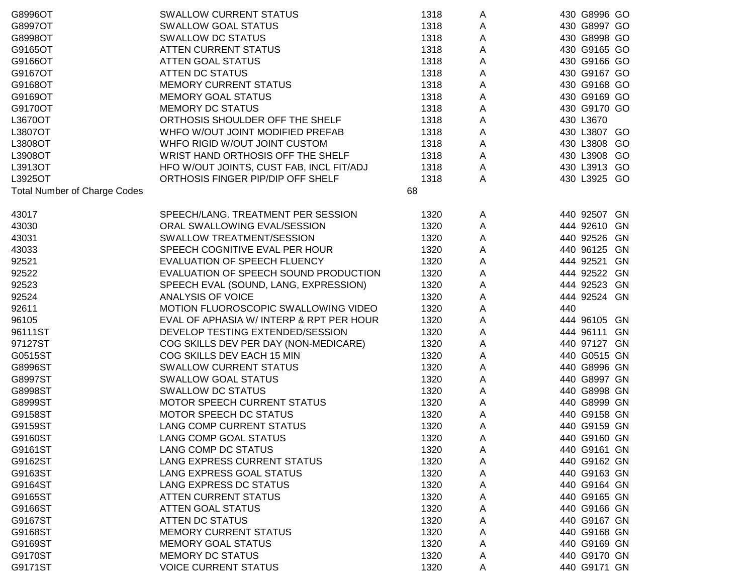| G8996OT                             | <b>SWALLOW CURRENT STATUS</b>            | 1318 | A | 430 G8996 GO |
|-------------------------------------|------------------------------------------|------|---|--------------|
| G8997OT                             | <b>SWALLOW GOAL STATUS</b>               | 1318 | A | 430 G8997 GO |
| G8998OT                             | <b>SWALLOW DC STATUS</b>                 | 1318 | A | 430 G8998 GO |
| G9165OT                             | <b>ATTEN CURRENT STATUS</b>              | 1318 | A | 430 G9165 GO |
| G9166OT                             | ATTEN GOAL STATUS                        | 1318 | A | 430 G9166 GO |
| G9167OT                             | <b>ATTEN DC STATUS</b>                   | 1318 | A | 430 G9167 GO |
| G9168OT                             | <b>MEMORY CURRENT STATUS</b>             | 1318 | Α | 430 G9168 GO |
| G9169OT                             | <b>MEMORY GOAL STATUS</b>                | 1318 | Α | 430 G9169 GO |
| G9170OT                             | <b>MEMORY DC STATUS</b>                  | 1318 | Α | 430 G9170 GO |
| L3670OT                             | ORTHOSIS SHOULDER OFF THE SHELF          | 1318 | Α | 430 L3670    |
| L3807OT                             | WHFO W/OUT JOINT MODIFIED PREFAB         | 1318 | Α | 430 L3807 GO |
| L3808OT                             | WHFO RIGID W/OUT JOINT CUSTOM            | 1318 | Α | 430 L3808 GO |
| L3908OT                             | WRIST HAND ORTHOSIS OFF THE SHELF        | 1318 | Α | 430 L3908 GO |
| L3913OT                             | HFO W/OUT JOINTS, CUST FAB, INCL FIT/ADJ | 1318 | Α | 430 L3913 GO |
| L3925OT                             | ORTHOSIS FINGER PIP/DIP OFF SHELF        | 1318 | Α | 430 L3925 GO |
| <b>Total Number of Charge Codes</b> |                                          | 68   |   |              |
|                                     |                                          |      |   |              |
| 43017                               | SPEECH/LANG. TREATMENT PER SESSION       | 1320 | A | 440 92507 GN |
| 43030                               | ORAL SWALLOWING EVAL/SESSION             | 1320 | Α | 444 92610 GN |
| 43031                               | SWALLOW TREATMENT/SESSION                | 1320 | Α | 440 92526 GN |
| 43033                               | SPEECH COGNITIVE EVAL PER HOUR           | 1320 | A | 440 96125 GN |
| 92521                               | EVALUATION OF SPEECH FLUENCY             | 1320 | Α | 444 92521 GN |
| 92522                               | EVALUATION OF SPEECH SOUND PRODUCTION    | 1320 | Α | 444 92522 GN |
| 92523                               | SPEECH EVAL (SOUND, LANG, EXPRESSION)    | 1320 | Α | 444 92523 GN |
| 92524                               | <b>ANALYSIS OF VOICE</b>                 | 1320 | Α | 444 92524 GN |
| 92611                               | MOTION FLUOROSCOPIC SWALLOWING VIDEO     | 1320 | Α | 440          |
| 96105                               | EVAL OF APHASIA W/ INTERP & RPT PER HOUR | 1320 | Α | 444 96105 GN |
| 96111ST                             | DEVELOP TESTING EXTENDED/SESSION         | 1320 | Α | 444 96111 GN |
| 97127ST                             | COG SKILLS DEV PER DAY (NON-MEDICARE)    | 1320 | Α | 440 97127 GN |
| G0515ST                             | COG SKILLS DEV EACH 15 MIN               | 1320 | Α | 440 G0515 GN |
| G8996ST                             | <b>SWALLOW CURRENT STATUS</b>            | 1320 | Α | 440 G8996 GN |
| G8997ST                             | <b>SWALLOW GOAL STATUS</b>               | 1320 | А | 440 G8997 GN |
| G8998ST                             | <b>SWALLOW DC STATUS</b>                 | 1320 | Α | 440 G8998 GN |
| G8999ST                             | <b>MOTOR SPEECH CURRENT STATUS</b>       | 1320 | A | 440 G8999 GN |
| G9158ST                             | <b>MOTOR SPEECH DC STATUS</b>            | 1320 | A | 440 G9158 GN |
| G9159ST                             | LANG COMP CURRENT STATUS                 | 1320 | Α | 440 G9159 GN |
| G9160ST                             | LANG COMP GOAL STATUS                    | 1320 | A | 440 G9160 GN |
| G9161ST                             | LANG COMP DC STATUS                      | 1320 | A | 440 G9161 GN |
| G9162ST                             | LANG EXPRESS CURRENT STATUS              | 1320 | A | 440 G9162 GN |
| G9163ST                             | LANG EXPRESS GOAL STATUS                 | 1320 | A | 440 G9163 GN |
| G9164ST                             | <b>LANG EXPRESS DC STATUS</b>            | 1320 | A | 440 G9164 GN |
| G9165ST                             | <b>ATTEN CURRENT STATUS</b>              | 1320 | Α | 440 G9165 GN |
| G9166ST                             | <b>ATTEN GOAL STATUS</b>                 | 1320 | Α | 440 G9166 GN |
| G9167ST                             | <b>ATTEN DC STATUS</b>                   | 1320 | A | 440 G9167 GN |
| G9168ST                             | <b>MEMORY CURRENT STATUS</b>             | 1320 | A | 440 G9168 GN |
| G9169ST                             | <b>MEMORY GOAL STATUS</b>                | 1320 | Α | 440 G9169 GN |
| G9170ST                             | <b>MEMORY DC STATUS</b>                  | 1320 | A | 440 G9170 GN |
| G9171ST                             | <b>VOICE CURRENT STATUS</b>              | 1320 | A | 440 G9171 GN |
|                                     |                                          |      |   |              |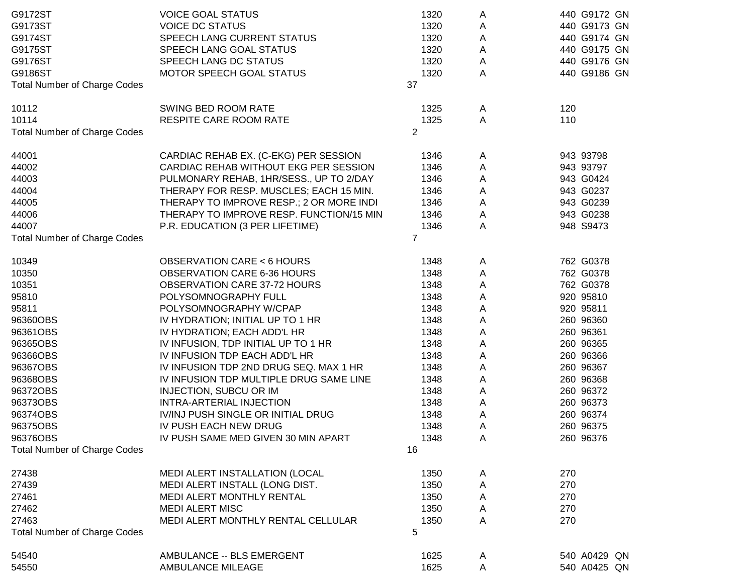| G9172ST                             | <b>VOICE GOAL STATUS</b>                 | 1320           | Α | 440 G9172 GN |
|-------------------------------------|------------------------------------------|----------------|---|--------------|
| G9173ST                             | <b>VOICE DC STATUS</b>                   | 1320           | Α | 440 G9173 GN |
| G9174ST                             | SPEECH LANG CURRENT STATUS               | 1320           | A | 440 G9174 GN |
| G9175ST                             | SPEECH LANG GOAL STATUS                  | 1320           | A | 440 G9175 GN |
| G9176ST                             | SPEECH LANG DC STATUS                    | 1320           | A | 440 G9176 GN |
| G9186ST                             | MOTOR SPEECH GOAL STATUS                 | 1320           | A | 440 G9186 GN |
| <b>Total Number of Charge Codes</b> |                                          | 37             |   |              |
|                                     |                                          |                |   |              |
| 10112                               | SWING BED ROOM RATE                      | 1325           | A | 120          |
| 10114                               | RESPITE CARE ROOM RATE                   | 1325           | A | 110          |
| <b>Total Number of Charge Codes</b> |                                          | $\overline{2}$ |   |              |
|                                     |                                          |                |   |              |
| 44001                               | CARDIAC REHAB EX. (C-EKG) PER SESSION    | 1346           | A | 943 93798    |
| 44002                               | CARDIAC REHAB WITHOUT EKG PER SESSION    | 1346           | Α | 943 93797    |
| 44003                               | PULMONARY REHAB, 1HR/SESS., UP TO 2/DAY  | 1346           | Α | 943 G0424    |
| 44004                               | THERAPY FOR RESP. MUSCLES; EACH 15 MIN.  | 1346           | Α | 943 G0237    |
| 44005                               | THERAPY TO IMPROVE RESP.; 2 OR MORE INDI | 1346           | A | 943 G0239    |
| 44006                               | THERAPY TO IMPROVE RESP. FUNCTION/15 MIN | 1346           | A | 943 G0238    |
| 44007                               | P.R. EDUCATION (3 PER LIFETIME)          | 1346           | A | 948 S9473    |
| <b>Total Number of Charge Codes</b> |                                          | $\overline{7}$ |   |              |
|                                     |                                          |                |   |              |
| 10349                               | <b>OBSERVATION CARE &lt; 6 HOURS</b>     | 1348           | A | 762 G0378    |
| 10350                               | <b>OBSERVATION CARE 6-36 HOURS</b>       | 1348           | A | 762 G0378    |
| 10351                               | OBSERVATION CARE 37-72 HOURS             | 1348           | A | 762 G0378    |
| 95810                               | POLYSOMNOGRAPHY FULL                     | 1348           | Α | 920 95810    |
| 95811                               | POLYSOMNOGRAPHY W/CPAP                   | 1348           | Α | 920 95811    |
| 96360OBS                            | IV HYDRATION; INITIAL UP TO 1 HR         | 1348           | Α | 260 96360    |
| 96361OBS                            | IV HYDRATION; EACH ADD'L HR              | 1348           | A | 260 96361    |
| 96365OBS                            | IV INFUSION, TDP INITIAL UP TO 1 HR      | 1348           | Α | 260 96365    |
| 96366OBS                            | IV INFUSION TDP EACH ADD'L HR            | 1348           | Α | 260 96366    |
| 96367OBS                            | IV INFUSION TDP 2ND DRUG SEQ. MAX 1 HR   | 1348           | Α | 260 96367    |
| 96368OBS                            | IV INFUSION TDP MULTIPLE DRUG SAME LINE  | 1348           | Α | 260 96368    |
| 96372OBS                            | <b>INJECTION, SUBCU OR IM</b>            | 1348           | A | 260 96372    |
| 96373OBS                            | INTRA-ARTERIAL INJECTION                 | 1348           | A | 260 96373    |
| 96374OBS                            | IV/INJ PUSH SINGLE OR INITIAL DRUG       | 1348           | Α | 260 96374    |
| 96375OBS                            | IV PUSH EACH NEW DRUG                    | 1348           | A | 260 96375    |
| 96376OBS                            | IV PUSH SAME MED GIVEN 30 MIN APART      | 1348           | Α | 260 96376    |
| <b>Total Number of Charge Codes</b> |                                          | 16             |   |              |
|                                     |                                          |                |   |              |
| 27438                               | MEDI ALERT INSTALLATION (LOCAL           | 1350           | A | 270          |
| 27439                               | MEDI ALERT INSTALL (LONG DIST.           | 1350           | Α | 270          |
| 27461                               | MEDI ALERT MONTHLY RENTAL                | 1350           | A | 270          |
| 27462                               | <b>MEDI ALERT MISC</b>                   | 1350           | A | 270          |
| 27463                               | MEDI ALERT MONTHLY RENTAL CELLULAR       | 1350           | A | 270          |
| <b>Total Number of Charge Codes</b> |                                          | 5              |   |              |
| 54540                               | AMBULANCE -- BLS EMERGENT                | 1625           |   | 540 A0429 QN |
|                                     |                                          |                | A |              |
| 54550                               | <b>AMBULANCE MILEAGE</b>                 | 1625           | A | 540 A0425 QN |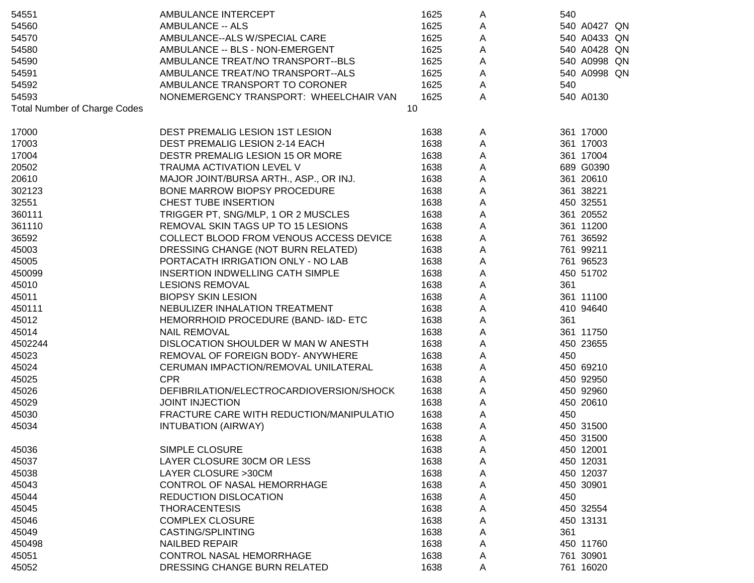| 54551                               | AMBULANCE INTERCEPT                      | 1625 | A                       | 540          |
|-------------------------------------|------------------------------------------|------|-------------------------|--------------|
| 54560                               | <b>AMBULANCE -- ALS</b>                  | 1625 | A                       | 540 A0427 QN |
| 54570                               | AMBULANCE--ALS W/SPECIAL CARE            | 1625 | A                       | 540 A0433 QN |
| 54580                               | AMBULANCE -- BLS - NON-EMERGENT          | 1625 | A                       | 540 A0428 QN |
| 54590                               | AMBULANCE TREAT/NO TRANSPORT--BLS        | 1625 | A                       | 540 A0998 QN |
| 54591                               | AMBULANCE TREAT/NO TRANSPORT--ALS        | 1625 | A                       | 540 A0998 QN |
| 54592                               | AMBULANCE TRANSPORT TO CORONER           | 1625 | $\overline{\mathsf{A}}$ | 540          |
| 54593                               | NONEMERGENCY TRANSPORT: WHEELCHAIR VAN   | 1625 | Α                       | 540 A0130    |
| <b>Total Number of Charge Codes</b> |                                          | 10   |                         |              |
| 17000                               | DEST PREMALIG LESION 1ST LESION          | 1638 | A                       | 361 17000    |
| 17003                               | <b>DEST PREMALIG LESION 2-14 EACH</b>    | 1638 | A                       | 361 17003    |
| 17004                               | DESTR PREMALIG LESION 15 OR MORE         | 1638 | A                       | 361 17004    |
| 20502                               | TRAUMA ACTIVATION LEVEL V                | 1638 | $\mathsf A$             | 689 G0390    |
| 20610                               | MAJOR JOINT/BURSA ARTH., ASP., OR INJ.   | 1638 | $\mathsf A$             | 361 20610    |
| 302123                              | BONE MARROW BIOPSY PROCEDURE             | 1638 | $\mathsf A$             | 361 38221    |
| 32551                               | <b>CHEST TUBE INSERTION</b>              | 1638 | $\mathsf A$             | 450 32551    |
| 360111                              | TRIGGER PT, SNG/MLP, 1 OR 2 MUSCLES      | 1638 | A                       | 361 20552    |
| 361110                              | REMOVAL SKIN TAGS UP TO 15 LESIONS       | 1638 | Α                       | 361 11200    |
| 36592                               | COLLECT BLOOD FROM VENOUS ACCESS DEVICE  | 1638 | $\mathsf A$             | 761 36592    |
| 45003                               | DRESSING CHANGE (NOT BURN RELATED)       | 1638 | Α                       | 761 99211    |
| 45005                               | PORTACATH IRRIGATION ONLY - NO LAB       | 1638 | Α                       | 761 96523    |
| 450099                              | <b>INSERTION INDWELLING CATH SIMPLE</b>  | 1638 | Α                       | 450 51702    |
| 45010                               | <b>LESIONS REMOVAL</b>                   | 1638 | Α                       | 361          |
| 45011                               | <b>BIOPSY SKIN LESION</b>                | 1638 | Α                       | 361 11100    |
| 450111                              | NEBULIZER INHALATION TREATMENT           | 1638 | Α                       | 410 94640    |
| 45012                               | HEMORRHOID PROCEDURE (BAND-1&D-ETC       | 1638 | Α                       | 361          |
| 45014                               | <b>NAIL REMOVAL</b>                      | 1638 | $\mathsf A$             | 361 11750    |
| 4502244                             | DISLOCATION SHOULDER W MAN W ANESTH      | 1638 | $\mathsf A$             | 450 23655    |
| 45023                               | REMOVAL OF FOREIGN BODY- ANYWHERE        | 1638 | A                       | 450          |
| 45024                               | CERUMAN IMPACTION/REMOVAL UNILATERAL     | 1638 | $\mathsf A$             | 450 69210    |
| 45025                               | <b>CPR</b>                               | 1638 | $\mathsf A$             | 450 92950    |
| 45026                               | DEFIBRILATION/ELECTROCARDIOVERSION/SHOCK | 1638 | $\mathsf A$             | 450 92960    |
| 45029                               | <b>JOINT INJECTION</b>                   | 1638 | A                       | 450 20610    |
| 45030                               | FRACTURE CARE WITH REDUCTION/MANIPULATIO | 1638 | Α                       | 450          |
| 45034                               | <b>INTUBATION (AIRWAY)</b>               | 1638 | Α                       | 450 31500    |
|                                     |                                          | 1638 | A                       | 450 31500    |
| 45036                               | SIMPLE CLOSURE                           | 1638 | A                       | 450 12001    |
| 45037                               | LAYER CLOSURE 30CM OR LESS               | 1638 | A                       | 450 12031    |
| 45038                               | LAYER CLOSURE >30CM                      | 1638 | A                       | 450 12037    |
| 45043                               | <b>CONTROL OF NASAL HEMORRHAGE</b>       | 1638 | A                       | 450 30901    |
| 45044                               | <b>REDUCTION DISLOCATION</b>             | 1638 | A                       | 450          |
| 45045                               | <b>THORACENTESIS</b>                     | 1638 | Α                       | 450 32554    |
| 45046                               | <b>COMPLEX CLOSURE</b>                   | 1638 | Α                       | 450 13131    |
| 45049                               | CASTING/SPLINTING                        | 1638 | Α                       | 361          |
| 450498                              | <b>NAILBED REPAIR</b>                    | 1638 | A                       | 450 11760    |
| 45051                               | <b>CONTROL NASAL HEMORRHAGE</b>          | 1638 | A                       | 761 30901    |
| 45052                               | DRESSING CHANGE BURN RELATED             | 1638 | A                       | 761 16020    |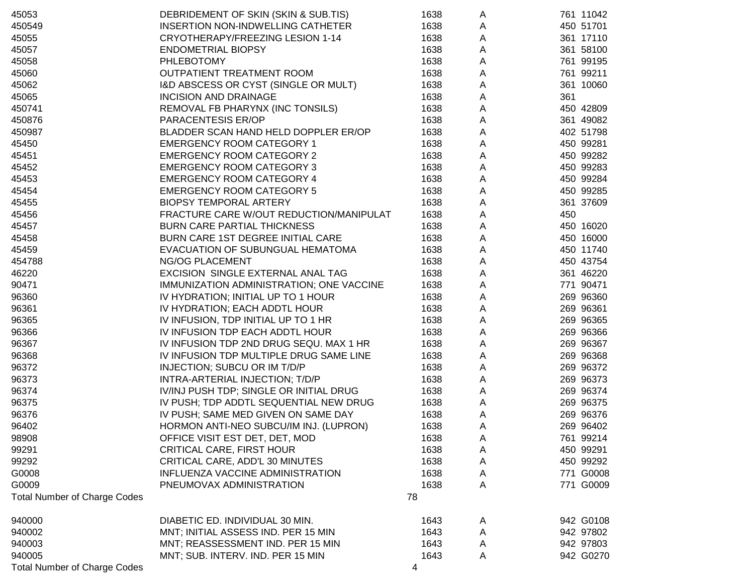| 45053                               | DEBRIDEMENT OF SKIN (SKIN & SUB.TIS)     | 1638 | A | 761 11042 |
|-------------------------------------|------------------------------------------|------|---|-----------|
| 450549                              | INSERTION NON-INDWELLING CATHETER        | 1638 | A | 450 51701 |
| 45055                               | CRYOTHERAPY/FREEZING LESION 1-14         | 1638 | A | 361 17110 |
| 45057                               | <b>ENDOMETRIAL BIOPSY</b>                | 1638 | A | 361 58100 |
| 45058                               | <b>PHLEBOTOMY</b>                        | 1638 | A | 761 99195 |
| 45060                               | OUTPATIENT TREATMENT ROOM                | 1638 | A | 761 99211 |
| 45062                               | I&D ABSCESS OR CYST (SINGLE OR MULT)     | 1638 | A | 361 10060 |
| 45065                               | <b>INCISION AND DRAINAGE</b>             | 1638 | A | 361       |
| 450741                              | REMOVAL FB PHARYNX (INC TONSILS)         | 1638 | A | 450 42809 |
| 450876                              | PARACENTESIS ER/OP                       | 1638 | Α | 361 49082 |
| 450987                              | BLADDER SCAN HAND HELD DOPPLER ER/OP     | 1638 | A | 402 51798 |
| 45450                               | <b>EMERGENCY ROOM CATEGORY 1</b>         | 1638 | A | 450 99281 |
| 45451                               | <b>EMERGENCY ROOM CATEGORY 2</b>         | 1638 | A | 450 99282 |
| 45452                               | <b>EMERGENCY ROOM CATEGORY 3</b>         | 1638 | A | 450 99283 |
| 45453                               | <b>EMERGENCY ROOM CATEGORY 4</b>         | 1638 | A | 450 99284 |
| 45454                               | <b>EMERGENCY ROOM CATEGORY 5</b>         | 1638 | A | 450 99285 |
| 45455                               | <b>BIOPSY TEMPORAL ARTERY</b>            | 1638 | A | 361 37609 |
| 45456                               | FRACTURE CARE W/OUT REDUCTION/MANIPULAT  | 1638 | Α | 450       |
| 45457                               | <b>BURN CARE PARTIAL THICKNESS</b>       | 1638 | A | 450 16020 |
| 45458                               | BURN CARE 1ST DEGREE INITIAL CARE        | 1638 | A | 450 16000 |
| 45459                               | EVACUATION OF SUBUNGUAL HEMATOMA         | 1638 | A | 450 11740 |
| 454788                              | <b>NG/OG PLACEMENT</b>                   | 1638 | A | 450 43754 |
| 46220                               | EXCISION SINGLE EXTERNAL ANAL TAG        | 1638 | A | 361 46220 |
| 90471                               | IMMUNIZATION ADMINISTRATION; ONE VACCINE | 1638 | A | 771 90471 |
| 96360                               | IV HYDRATION; INITIAL UP TO 1 HOUR       | 1638 | A | 269 96360 |
| 96361                               | IV HYDRATION; EACH ADDTL HOUR            | 1638 | A | 269 96361 |
| 96365                               | IV INFUSION, TDP INITIAL UP TO 1 HR      | 1638 | Α | 269 96365 |
| 96366                               | IV INFUSION TDP EACH ADDTL HOUR          | 1638 | Α | 269 96366 |
| 96367                               | IV INFUSION TDP 2ND DRUG SEQU. MAX 1 HR  | 1638 | A | 269 96367 |
| 96368                               | IV INFUSION TDP MULTIPLE DRUG SAME LINE  | 1638 | A | 269 96368 |
| 96372                               | INJECTION; SUBCU OR IM T/D/P             | 1638 | A | 269 96372 |
| 96373                               | INTRA-ARTERIAL INJECTION; T/D/P          | 1638 | A | 269 96373 |
| 96374                               | IV/INJ PUSH TDP; SINGLE OR INITIAL DRUG  | 1638 | A | 269 96374 |
| 96375                               | IV PUSH; TDP ADDTL SEQUENTIAL NEW DRUG   | 1638 | A | 269 96375 |
| 96376                               | IV PUSH; SAME MED GIVEN ON SAME DAY      | 1638 | A | 269 96376 |
| 96402                               | HORMON ANTI-NEO SUBCU/IM INJ. (LUPRON)   | 1638 | A | 269 96402 |
| 98908                               | OFFICE VISIT EST DET, DET, MOD           | 1638 | Α | 761 99214 |
| 99291                               | <b>CRITICAL CARE, FIRST HOUR</b>         | 1638 | A | 450 99291 |
| 99292                               | CRITICAL CARE, ADD'L 30 MINUTES          | 1638 | A | 450 99292 |
| G0008                               | INFLUENZA VACCINE ADMINISTRATION         | 1638 | A | 771 G0008 |
| G0009                               | PNEUMOVAX ADMINISTRATION                 | 1638 | A | 771 G0009 |
| <b>Total Number of Charge Codes</b> |                                          | 78   |   |           |
|                                     |                                          |      |   |           |
| 940000                              | DIABETIC ED. INDIVIDUAL 30 MIN.          | 1643 | A | 942 G0108 |
| 940002                              | MNT; INITIAL ASSESS IND. PER 15 MIN      | 1643 | A | 942 97802 |
| 940003                              | MNT; REASSESSMENT IND. PER 15 MIN        | 1643 | A | 942 97803 |
| 940005                              | MNT; SUB. INTERV. IND. PER 15 MIN        | 1643 | A | 942 G0270 |
| <b>Total Number of Charge Codes</b> |                                          | 4    |   |           |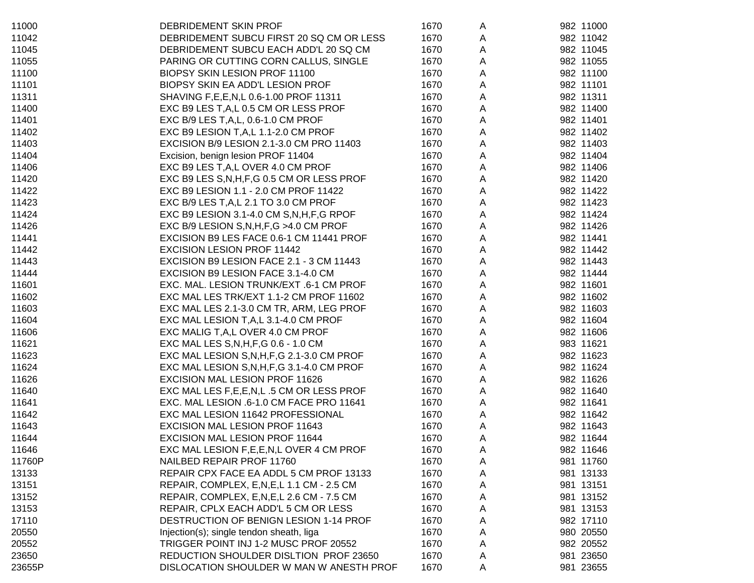| 11000  | DEBRIDEMENT SKIN PROF                        | 1670 | A | 982 11000 |
|--------|----------------------------------------------|------|---|-----------|
| 11042  | DEBRIDEMENT SUBCU FIRST 20 SQ CM OR LESS     | 1670 | A | 982 11042 |
| 11045  | DEBRIDEMENT SUBCU EACH ADD'L 20 SQ CM        | 1670 | A | 982 11045 |
| 11055  | PARING OR CUTTING CORN CALLUS, SINGLE        | 1670 | Α | 982 11055 |
| 11100  | BIOPSY SKIN LESION PROF 11100                | 1670 | A | 982 11100 |
| 11101  | BIOPSY SKIN EA ADD'L LESION PROF             | 1670 | A | 982 11101 |
| 11311  | SHAVING F, E, E, N, L 0.6-1.00 PROF 11311    | 1670 | A | 982 11311 |
| 11400  | EXC B9 LES T, A, L 0.5 CM OR LESS PROF       | 1670 | Α | 982 11400 |
| 11401  | EXC B/9 LES T, A, L, 0.6-1.0 CM PROF         | 1670 | Α | 982 11401 |
| 11402  | EXC B9 LESION T, A, L 1.1-2.0 CM PROF        | 1670 | Α | 982 11402 |
| 11403  | EXCISION B/9 LESION 2.1-3.0 CM PRO 11403     | 1670 | A | 982 11403 |
| 11404  | Excision, benign lesion PROF 11404           | 1670 | Α | 982 11404 |
| 11406  | EXC B9 LES T, A, L OVER 4.0 CM PROF          | 1670 | Α | 982 11406 |
| 11420  | EXC B9 LES S, N, H, F, G 0.5 CM OR LESS PROF | 1670 | Α | 982 11420 |
| 11422  | EXC B9 LESION 1.1 - 2.0 CM PROF 11422        | 1670 | Α | 982 11422 |
| 11423  | EXC B/9 LES T, A, L 2.1 TO 3.0 CM PROF       | 1670 | Α | 982 11423 |
| 11424  | EXC B9 LESION 3.1-4.0 CM S, N, H, F, G RPOF  | 1670 | A | 982 11424 |
| 11426  | EXC B/9 LESION S, N, H, F, G > 4.0 CM PROF   | 1670 | A | 982 11426 |
| 11441  | EXCISION B9 LES FACE 0.6-1 CM 11441 PROF     | 1670 | A | 982 11441 |
| 11442  | <b>EXCISION LESION PROF 11442</b>            | 1670 | A | 982 11442 |
| 11443  | EXCISION B9 LESION FACE 2.1 - 3 CM 11443     | 1670 | A | 982 11443 |
| 11444  | EXCISION B9 LESION FACE 3.1-4.0 CM           | 1670 | A | 982 11444 |
| 11601  | EXC. MAL. LESION TRUNK/EXT .6-1 CM PROF      | 1670 | A | 982 11601 |
| 11602  | EXC MAL LES TRK/EXT 1.1-2 CM PROF 11602      | 1670 | Α | 982 11602 |
| 11603  | EXC MAL LES 2.1-3.0 CM TR, ARM, LEG PROF     | 1670 | Α | 982 11603 |
| 11604  | EXC MAL LESION T, A, L 3.1-4.0 CM PROF       | 1670 | Α | 982 11604 |
| 11606  | EXC MALIG T, A, L OVER 4.0 CM PROF           | 1670 | A | 982 11606 |
| 11621  | EXC MAL LES S, N, H, F, G 0.6 - 1.0 CM       | 1670 | Α | 983 11621 |
| 11623  | EXC MAL LESION S, N, H, F, G 2.1-3.0 CM PROF | 1670 | Α | 982 11623 |
| 11624  | EXC MAL LESION S, N, H, F, G 3.1-4.0 CM PROF | 1670 | Α | 982 11624 |
| 11626  | <b>EXCISION MAL LESION PROF 11626</b>        | 1670 | Α | 982 11626 |
| 11640  | EXC MAL LES F, E, E, N, L .5 CM OR LESS PROF | 1670 | Α | 982 11640 |
| 11641  | EXC. MAL LESION .6-1.0 CM FACE PRO 11641     | 1670 | Α | 982 11641 |
| 11642  | EXC MAL LESION 11642 PROFESSIONAL            | 1670 | Α | 982 11642 |
| 11643  | EXCISION MAL LESION PROF 11643               | 1670 | A | 982 11643 |
| 11644  | <b>EXCISION MAL LESION PROF 11644</b>        | 1670 | Α | 982 11644 |
| 11646  | EXC MAL LESION F, E, E, N, L OVER 4 CM PROF  | 1670 | A | 982 11646 |
| 11760P | NAILBED REPAIR PROF 11760                    | 1670 | A | 981 11760 |
| 13133  | REPAIR CPX FACE EA ADDL 5 CM PROF 13133      | 1670 | A | 981 13133 |
| 13151  | REPAIR, COMPLEX, E, N, E, L 1.1 CM - 2.5 CM  | 1670 | A | 981 13151 |
| 13152  | REPAIR, COMPLEX, E,N,E,L 2.6 CM - 7.5 CM     | 1670 | A | 981 13152 |
| 13153  | REPAIR, CPLX EACH ADD'L 5 CM OR LESS         | 1670 | A | 981 13153 |
| 17110  | DESTRUCTION OF BENIGN LESION 1-14 PROF       | 1670 | A | 982 17110 |
| 20550  | Injection(s); single tendon sheath, liga     | 1670 | Α | 980 20550 |
| 20552  | TRIGGER POINT INJ 1-2 MUSC PROF 20552        | 1670 | A | 982 20552 |
| 23650  | REDUCTION SHOULDER DISLTION PROF 23650       | 1670 | A | 981 23650 |
| 23655P | DISLOCATION SHOULDER W MAN W ANESTH PROF     | 1670 | A | 981 23655 |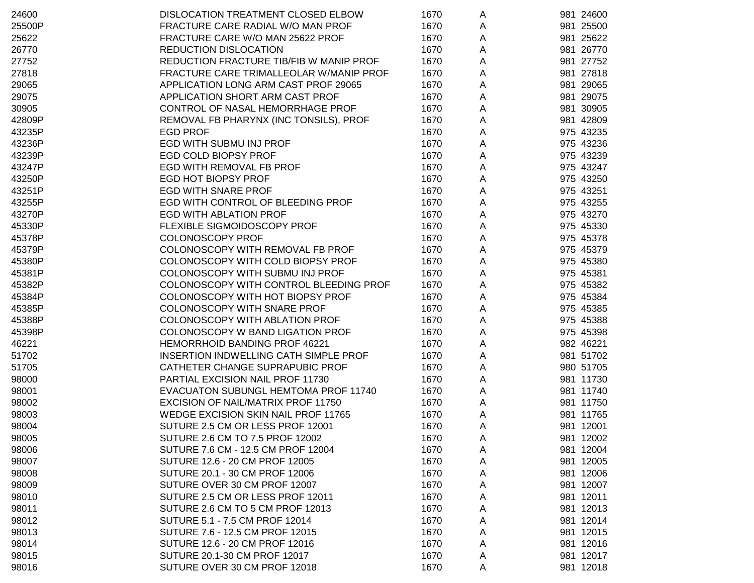| 24600  | DISLOCATION TREATMENT CLOSED ELBOW      | 1670 | A | 981 24600 |
|--------|-----------------------------------------|------|---|-----------|
| 25500P | FRACTURE CARE RADIAL W/O MAN PROF       | 1670 | A | 981 25500 |
| 25622  | FRACTURE CARE W/O MAN 25622 PROF        | 1670 | A | 981 25622 |
| 26770  | REDUCTION DISLOCATION                   | 1670 | A | 981 26770 |
| 27752  | REDUCTION FRACTURE TIB/FIB W MANIP PROF | 1670 | A | 981 27752 |
| 27818  | FRACTURE CARE TRIMALLEOLAR W/MANIP PROF | 1670 | A | 981 27818 |
| 29065  | APPLICATION LONG ARM CAST PROF 29065    | 1670 | A | 981 29065 |
| 29075  | APPLICATION SHORT ARM CAST PROF         | 1670 | A | 981 29075 |
| 30905  | CONTROL OF NASAL HEMORRHAGE PROF        | 1670 | A | 981 30905 |
| 42809P | REMOVAL FB PHARYNX (INC TONSILS), PROF  | 1670 | A | 981 42809 |
| 43235P | <b>EGD PROF</b>                         | 1670 | A | 975 43235 |
| 43236P | EGD WITH SUBMU INJ PROF                 | 1670 | A | 975 43236 |
| 43239P | EGD COLD BIOPSY PROF                    | 1670 | A | 975 43239 |
| 43247P | EGD WITH REMOVAL FB PROF                | 1670 | A | 975 43247 |
| 43250P | EGD HOT BIOPSY PROF                     | 1670 | A | 975 43250 |
| 43251P | <b>EGD WITH SNARE PROF</b>              | 1670 | A | 975 43251 |
| 43255P | EGD WITH CONTROL OF BLEEDING PROF       | 1670 | A | 975 43255 |
| 43270P | <b>EGD WITH ABLATION PROF</b>           | 1670 | A | 975 43270 |
| 45330P | FLEXIBLE SIGMOIDOSCOPY PROF             | 1670 | A | 975 45330 |
| 45378P | <b>COLONOSCOPY PROF</b>                 | 1670 | A | 975 45378 |
| 45379P | COLONOSCOPY WITH REMOVAL FB PROF        | 1670 | Α | 975 45379 |
| 45380P | COLONOSCOPY WITH COLD BIOPSY PROF       | 1670 | A | 975 45380 |
| 45381P | COLONOSCOPY WITH SUBMU INJ PROF         | 1670 | A | 975 45381 |
| 45382P | COLONOSCOPY WITH CONTROL BLEEDING PROF  | 1670 | A | 975 45382 |
| 45384P | COLONOSCOPY WITH HOT BIOPSY PROF        | 1670 | A | 975 45384 |
| 45385P | COLONOSCOPY WITH SNARE PROF             | 1670 | A | 975 45385 |
| 45388P | COLONOSCOPY WITH ABLATION PROF          | 1670 | A | 975 45388 |
| 45398P | COLONOSCOPY W BAND LIGATION PROF        | 1670 | Α | 975 45398 |
| 46221  | HEMORRHOID BANDING PROF 46221           | 1670 | А | 982 46221 |
| 51702  | INSERTION INDWELLING CATH SIMPLE PROF   | 1670 | Α | 981 51702 |
| 51705  | CATHETER CHANGE SUPRAPUBIC PROF         | 1670 | A | 980 51705 |
| 98000  | PARTIAL EXCISION NAIL PROF 11730        | 1670 | A | 981 11730 |
| 98001  | EVACUATON SUBUNGL HEMTOMA PROF 11740    | 1670 | A | 981 11740 |
| 98002  | EXCISION OF NAIL/MATRIX PROF 11750      | 1670 | A | 981 11750 |
| 98003  | WEDGE EXCISION SKIN NAIL PROF 11765     | 1670 | A | 981 11765 |
| 98004  | SUTURE 2.5 CM OR LESS PROF 12001        | 1670 | Α | 981 12001 |
| 98005  | SUTURE 2.6 CM TO 7.5 PROF 12002         | 1670 | A | 981 12002 |
| 98006  | SUTURE 7.6 CM - 12.5 CM PROF 12004      | 1670 | A | 981 12004 |
| 98007  | SUTURE 12.6 - 20 CM PROF 12005          | 1670 | A | 981 12005 |
| 98008  | SUTURE 20.1 - 30 CM PROF 12006          | 1670 | A | 981 12006 |
| 98009  | SUTURE OVER 30 CM PROF 12007            | 1670 | A | 981 12007 |
| 98010  | SUTURE 2.5 CM OR LESS PROF 12011        | 1670 | Α | 981 12011 |
| 98011  | SUTURE 2.6 CM TO 5 CM PROF 12013        | 1670 | Α | 981 12013 |
| 98012  | SUTURE 5.1 - 7.5 CM PROF 12014          | 1670 | A | 981 12014 |
| 98013  | SUTURE 7.6 - 12.5 CM PROF 12015         | 1670 | A | 981 12015 |
| 98014  | SUTURE 12.6 - 20 CM PROF 12016          | 1670 | A | 981 12016 |
| 98015  | SUTURE 20.1-30 CM PROF 12017            | 1670 | A | 981 12017 |
| 98016  | SUTURE OVER 30 CM PROF 12018            | 1670 | A | 981 12018 |
|        |                                         |      |   |           |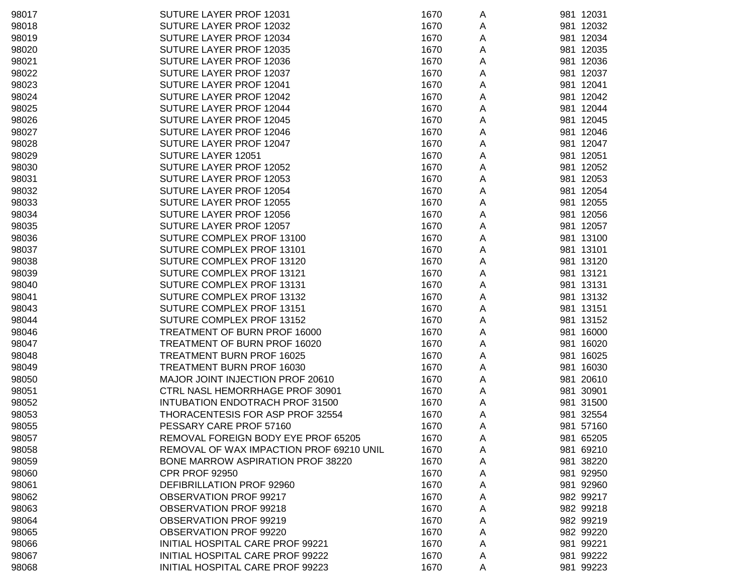| 98017 | SUTURE LAYER PROF 12031                  | 1670 | A | 981 12031 |
|-------|------------------------------------------|------|---|-----------|
| 98018 | SUTURE LAYER PROF 12032                  | 1670 | A | 981 12032 |
| 98019 | SUTURE LAYER PROF 12034                  | 1670 | A | 981 12034 |
| 98020 | SUTURE LAYER PROF 12035                  | 1670 | A | 981 12035 |
| 98021 | SUTURE LAYER PROF 12036                  | 1670 | A | 981 12036 |
| 98022 | SUTURE LAYER PROF 12037                  | 1670 | A | 981 12037 |
| 98023 | SUTURE LAYER PROF 12041                  | 1670 | A | 981 12041 |
| 98024 | SUTURE LAYER PROF 12042                  | 1670 | A | 981 12042 |
| 98025 | SUTURE LAYER PROF 12044                  | 1670 | A | 981 12044 |
| 98026 | SUTURE LAYER PROF 12045                  | 1670 | Α | 981 12045 |
| 98027 | SUTURE LAYER PROF 12046                  | 1670 | Α | 981 12046 |
| 98028 | SUTURE LAYER PROF 12047                  | 1670 | A | 981 12047 |
| 98029 | SUTURE LAYER 12051                       | 1670 |   | 981 12051 |
| 98030 | SUTURE LAYER PROF 12052                  | 1670 | A | 981 12052 |
|       |                                          |      | A |           |
| 98031 | SUTURE LAYER PROF 12053                  | 1670 | A | 981 12053 |
| 98032 | SUTURE LAYER PROF 12054                  | 1670 | A | 981 12054 |
| 98033 | SUTURE LAYER PROF 12055                  | 1670 | A | 981 12055 |
| 98034 | SUTURE LAYER PROF 12056                  | 1670 | A | 981 12056 |
| 98035 | SUTURE LAYER PROF 12057                  | 1670 | A | 981 12057 |
| 98036 | SUTURE COMPLEX PROF 13100                | 1670 | A | 981 13100 |
| 98037 | SUTURE COMPLEX PROF 13101                | 1670 | Α | 981 13101 |
| 98038 | SUTURE COMPLEX PROF 13120                | 1670 | A | 981 13120 |
| 98039 | SUTURE COMPLEX PROF 13121                | 1670 | A | 981 13121 |
| 98040 | SUTURE COMPLEX PROF 13131                | 1670 | A | 981 13131 |
| 98041 | SUTURE COMPLEX PROF 13132                | 1670 | A | 981 13132 |
| 98043 | SUTURE COMPLEX PROF 13151                | 1670 | Α | 981 13151 |
| 98044 | SUTURE COMPLEX PROF 13152                | 1670 | A | 981 13152 |
| 98046 | TREATMENT OF BURN PROF 16000             | 1670 | A | 981 16000 |
| 98047 | TREATMENT OF BURN PROF 16020             | 1670 | A | 981 16020 |
| 98048 | TREATMENT BURN PROF 16025                | 1670 | A | 981 16025 |
| 98049 | TREATMENT BURN PROF 16030                | 1670 | A | 981 16030 |
| 98050 | MAJOR JOINT INJECTION PROF 20610         | 1670 | A | 981 20610 |
| 98051 | CTRL NASL HEMORRHAGE PROF 30901          | 1670 | A | 981 30901 |
| 98052 | INTUBATION ENDOTRACH PROF 31500          | 1670 | A | 981 31500 |
| 98053 | THORACENTESIS FOR ASP PROF 32554         | 1670 | A | 981 32554 |
| 98055 | PESSARY CARE PROF 57160                  | 1670 | Α | 981 57160 |
| 98057 | REMOVAL FOREIGN BODY EYE PROF 65205      | 1670 | A | 981 65205 |
| 98058 | REMOVAL OF WAX IMPACTION PROF 69210 UNIL | 1670 | A | 981 69210 |
| 98059 | <b>BONE MARROW ASPIRATION PROF 38220</b> | 1670 | A | 981 38220 |
| 98060 | <b>CPR PROF 92950</b>                    | 1670 | A | 981 92950 |
| 98061 | DEFIBRILLATION PROF 92960                | 1670 | A | 981 92960 |
| 98062 | OBSERVATION PROF 99217                   | 1670 | A | 982 99217 |
| 98063 | OBSERVATION PROF 99218                   | 1670 | A | 982 99218 |
| 98064 | OBSERVATION PROF 99219                   | 1670 |   | 982 99219 |
| 98065 | OBSERVATION PROF 99220                   | 1670 | Α | 982 99220 |
| 98066 |                                          |      | A |           |
|       | INITIAL HOSPITAL CARE PROF 99221         | 1670 | A | 981 99221 |
| 98067 | <b>INITIAL HOSPITAL CARE PROF 99222</b>  | 1670 | A | 981 99222 |
| 98068 | INITIAL HOSPITAL CARE PROF 99223         | 1670 | A | 981 99223 |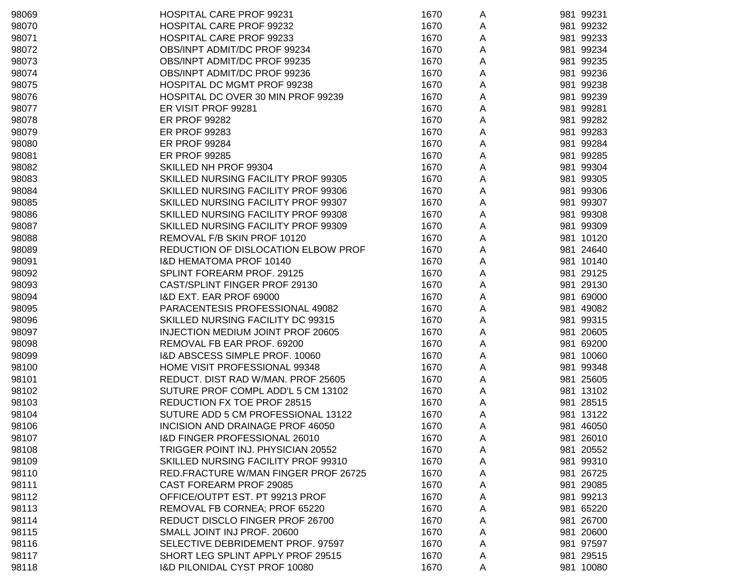| 98069 | <b>HOSPITAL CARE PROF 99231</b>      | 1670 | A | 981 99231 |
|-------|--------------------------------------|------|---|-----------|
| 98070 | HOSPITAL CARE PROF 99232             | 1670 | A | 981 99232 |
| 98071 | HOSPITAL CARE PROF 99233             | 1670 | A | 981 99233 |
| 98072 | OBS/INPT ADMIT/DC PROF 99234         | 1670 | A | 981 99234 |
| 98073 | OBS/INPT ADMIT/DC PROF 99235         | 1670 | A | 981 99235 |
| 98074 | OBS/INPT ADMIT/DC PROF 99236         | 1670 | A | 981 99236 |
| 98075 | HOSPITAL DC MGMT PROF 99238          | 1670 | A | 981 99238 |
| 98076 | HOSPITAL DC OVER 30 MIN PROF 99239   | 1670 | A | 981 99239 |
| 98077 | ER VISIT PROF 99281                  | 1670 | A | 981 99281 |
| 98078 | <b>ER PROF 99282</b>                 | 1670 | A | 981 99282 |
| 98079 | ER PROF 99283                        | 1670 | A | 981 99283 |
| 98080 | <b>ER PROF 99284</b>                 | 1670 | A | 981 99284 |
| 98081 | <b>ER PROF 99285</b>                 | 1670 | A | 981 99285 |
| 98082 | SKILLED NH PROF 99304                | 1670 | A | 981 99304 |
| 98083 | SKILLED NURSING FACILITY PROF 99305  | 1670 | A | 981 99305 |
| 98084 | SKILLED NURSING FACILITY PROF 99306  | 1670 | A | 981 99306 |
| 98085 | SKILLED NURSING FACILITY PROF 99307  | 1670 | A | 981 99307 |
| 98086 | SKILLED NURSING FACILITY PROF 99308  | 1670 | A | 981 99308 |
| 98087 | SKILLED NURSING FACILITY PROF 99309  | 1670 | A | 981 99309 |
| 98088 | REMOVAL F/B SKIN PROF 10120          | 1670 | A | 981 10120 |
| 98089 | REDUCTION OF DISLOCATION ELBOW PROF  | 1670 | A | 981 24640 |
| 98091 | <b>I&amp;D HEMATOMA PROF 10140</b>   | 1670 | A | 981 10140 |
| 98092 | SPLINT FOREARM PROF. 29125           | 1670 | A | 981 29125 |
| 98093 | CAST/SPLINT FINGER PROF 29130        | 1670 | A | 981 29130 |
| 98094 | I&D EXT. EAR PROF 69000              | 1670 | A | 981 69000 |
| 98095 | PARACENTESIS PROFESSIONAL 49082      | 1670 | A | 981 49082 |
| 98096 | SKILLED NURSING FACILITY DC 99315    | 1670 | A | 981 99315 |
| 98097 | INJECTION MEDIUM JOINT PROF 20605    | 1670 | A | 981 20605 |
| 98098 | REMOVAL FB EAR PROF. 69200           | 1670 | A | 981 69200 |
| 98099 | I&D ABSCESS SIMPLE PROF. 10060       | 1670 | A | 981 10060 |
| 98100 | HOME VISIT PROFESSIONAL 99348        | 1670 | A | 981 99348 |
| 98101 | REDUCT. DIST RAD W/MAN. PROF 25605   | 1670 | A | 981 25605 |
| 98102 | SUTURE PROF COMPL ADD'L 5 CM 13102   | 1670 | A | 981 13102 |
| 98103 | REDUCTION FX TOE PROF 28515          | 1670 | A | 981 28515 |
| 98104 | SUTURE ADD 5 CM PROFESSIONAL 13122   | 1670 | A | 981 13122 |
| 98106 | INCISION AND DRAINAGE PROF 46050     | 1670 | A | 981 46050 |
| 98107 | I&D FINGER PROFESSIONAL 26010        | 1670 | A | 981 26010 |
| 98108 | TRIGGER POINT INJ. PHYSICIAN 20552   | 1670 | A | 981 20552 |
| 98109 | SKILLED NURSING FACILITY PROF 99310  | 1670 | A | 981 99310 |
| 98110 | RED.FRACTURE W/MAN FINGER PROF 26725 | 1670 | A | 981 26725 |
| 98111 | CAST FOREARM PROF 29085              | 1670 | A | 981 29085 |
| 98112 | OFFICE/OUTPT EST. PT 99213 PROF      | 1670 | A | 981 99213 |
| 98113 | REMOVAL FB CORNEA; PROF 65220        | 1670 | A | 981 65220 |
| 98114 | REDUCT DISCLO FINGER PROF 26700      | 1670 | A | 981 26700 |
| 98115 | SMALL JOINT INJ PROF. 20600          | 1670 | A | 981 20600 |
| 98116 | SELECTIVE DEBRIDEMENT PROF. 97597    | 1670 | A | 981 97597 |
| 98117 | SHORT LEG SPLINT APPLY PROF 29515    | 1670 | A | 981 29515 |
| 98118 | I&D PILONIDAL CYST PROF 10080        | 1670 | A | 981 10080 |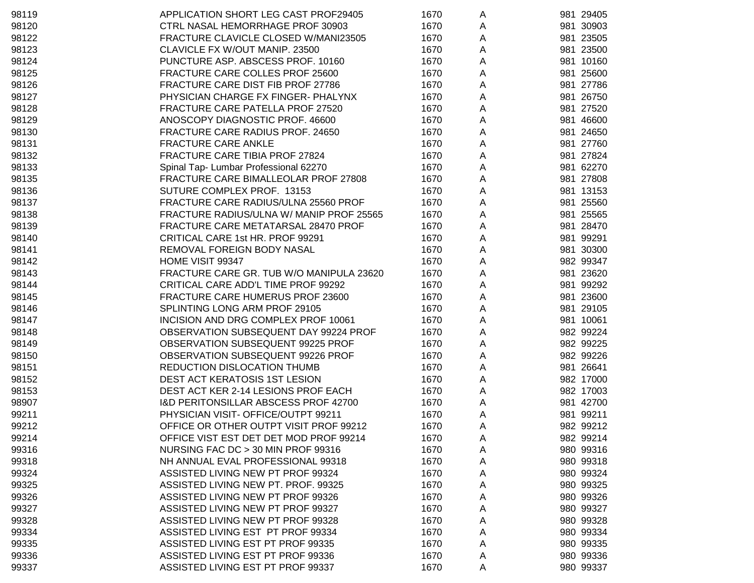| 98119 | APPLICATION SHORT LEG CAST PROF29405            | 1670 | A | 981 29405 |
|-------|-------------------------------------------------|------|---|-----------|
| 98120 | <b>CTRL NASAL HEMORRHAGE PROF 30903</b>         | 1670 | A | 981 30903 |
| 98122 | FRACTURE CLAVICLE CLOSED W/MANI23505            | 1670 | A | 981 23505 |
| 98123 | CLAVICLE FX W/OUT MANIP. 23500                  | 1670 | A | 981 23500 |
| 98124 | PUNCTURE ASP. ABSCESS PROF. 10160               | 1670 | A | 981 10160 |
| 98125 | FRACTURE CARE COLLES PROF 25600                 | 1670 | A | 981 25600 |
| 98126 | FRACTURE CARE DIST FIB PROF 27786               | 1670 | A | 981 27786 |
| 98127 | PHYSICIAN CHARGE FX FINGER- PHALYNX             | 1670 | Α | 981 26750 |
| 98128 | FRACTURE CARE PATELLA PROF 27520                | 1670 | Α | 981 27520 |
| 98129 | ANOSCOPY DIAGNOSTIC PROF. 46600                 | 1670 | А | 981 46600 |
| 98130 | FRACTURE CARE RADIUS PROF. 24650                | 1670 | А | 981 24650 |
| 98131 | <b>FRACTURE CARE ANKLE</b>                      | 1670 | Α | 981 27760 |
| 98132 | FRACTURE CARE TIBIA PROF 27824                  | 1670 | Α | 981 27824 |
| 98133 | Spinal Tap- Lumbar Professional 62270           | 1670 | Α | 981 62270 |
| 98135 | FRACTURE CARE BIMALLEOLAR PROF 27808            | 1670 | Α | 981 27808 |
| 98136 | SUTURE COMPLEX PROF. 13153                      | 1670 | Α | 981 13153 |
| 98137 | FRACTURE CARE RADIUS/ULNA 25560 PROF            | 1670 | A | 981 25560 |
| 98138 | FRACTURE RADIUS/ULNA W/ MANIP PROF 25565        | 1670 | A | 981 25565 |
| 98139 | FRACTURE CARE METATARSAL 28470 PROF             | 1670 | A | 981 28470 |
| 98140 | CRITICAL CARE 1st HR. PROF 99291                | 1670 | A | 981 99291 |
| 98141 | REMOVAL FOREIGN BODY NASAL                      | 1670 | A | 981 30300 |
| 98142 | HOME VISIT 99347                                | 1670 | A | 982 99347 |
| 98143 | FRACTURE CARE GR. TUB W/O MANIPULA 23620        | 1670 | Α | 981 23620 |
| 98144 | CRITICAL CARE ADD'L TIME PROF 99292             | 1670 | Α | 981 99292 |
| 98145 | FRACTURE CARE HUMERUS PROF 23600                | 1670 | Α | 981 23600 |
| 98146 | SPLINTING LONG ARM PROF 29105                   | 1670 | А | 981 29105 |
| 98147 | INCISION AND DRG COMPLEX PROF 10061             | 1670 | А | 981 10061 |
| 98148 | OBSERVATION SUBSEQUENT DAY 99224 PROF           | 1670 | Α | 982 99224 |
| 98149 | OBSERVATION SUBSEQUENT 99225 PROF               | 1670 | Α | 982 99225 |
| 98150 | OBSERVATION SUBSEQUENT 99226 PROF               | 1670 | Α | 982 99226 |
| 98151 | REDUCTION DISLOCATION THUMB                     | 1670 | Α | 981 26641 |
| 98152 | DEST ACT KERATOSIS 1ST LESION                   | 1670 | A | 982 17000 |
| 98153 | DEST ACT KER 2-14 LESIONS PROF EACH             | 1670 | A | 982 17003 |
| 98907 | <b>I&amp;D PERITONSILLAR ABSCESS PROF 42700</b> | 1670 | A | 981 42700 |
| 99211 | PHYSICIAN VISIT- OFFICE/OUTPT 99211             | 1670 | A | 981 99211 |
| 99212 | OFFICE OR OTHER OUTPT VISIT PROF 99212          | 1670 | Α | 982 99212 |
| 99214 | OFFICE VIST EST DET DET MOD PROF 99214          | 1670 | A | 982 99214 |
| 99316 | NURSING FAC DC > 30 MIN PROF 99316              | 1670 | A | 980 99316 |
| 99318 | NH ANNUAL EVAL PROFESSIONAL 99318               | 1670 | Α | 980 99318 |
| 99324 | ASSISTED LIVING NEW PT PROF 99324               | 1670 | Α | 980 99324 |
| 99325 | ASSISTED LIVING NEW PT. PROF. 99325             | 1670 | Α | 980 99325 |
| 99326 | ASSISTED LIVING NEW PT PROF 99326               | 1670 | Α | 980 99326 |
| 99327 | ASSISTED LIVING NEW PT PROF 99327               | 1670 | Α | 980 99327 |
| 99328 | ASSISTED LIVING NEW PT PROF 99328               | 1670 | Α | 980 99328 |
| 99334 | ASSISTED LIVING EST PT PROF 99334               | 1670 | Α | 980 99334 |
| 99335 | ASSISTED LIVING EST PT PROF 99335               | 1670 | A | 980 99335 |
| 99336 | ASSISTED LIVING EST PT PROF 99336               | 1670 | A | 980 99336 |
| 99337 | ASSISTED LIVING EST PT PROF 99337               | 1670 | A | 980 99337 |
|       |                                                 |      |   |           |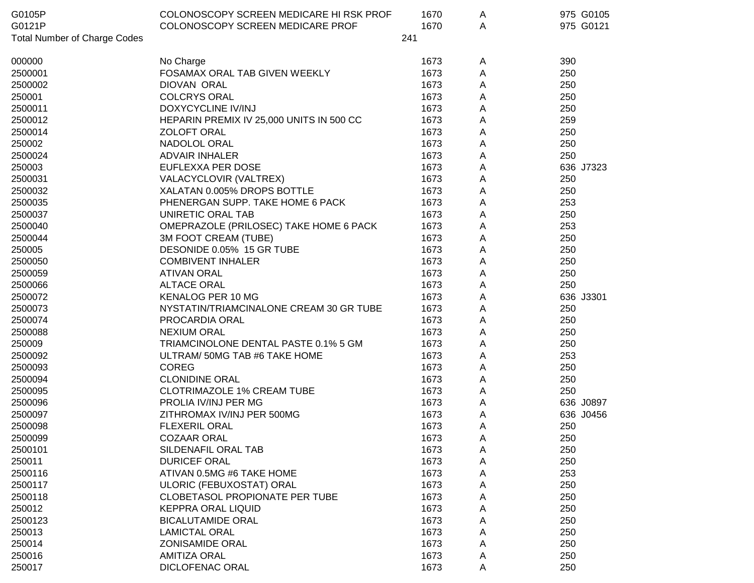| G0105P                              | COLONOSCOPY SCREEN MEDICARE HI RSK PROF  | 1670 | A | 975 G0105 |
|-------------------------------------|------------------------------------------|------|---|-----------|
| G0121P                              | COLONOSCOPY SCREEN MEDICARE PROF         | 1670 | A | 975 G0121 |
| <b>Total Number of Charge Codes</b> |                                          | 241  |   |           |
| 000000                              | No Charge                                | 1673 | Α | 390       |
| 2500001                             | FOSAMAX ORAL TAB GIVEN WEEKLY            | 1673 | Α | 250       |
| 2500002                             | DIOVAN ORAL                              | 1673 | А | 250       |
| 250001                              | <b>COLCRYS ORAL</b>                      | 1673 | А | 250       |
| 2500011                             | DOXYCYCLINE IV/INJ                       | 1673 | Α | 250       |
| 2500012                             | HEPARIN PREMIX IV 25,000 UNITS IN 500 CC | 1673 | Α | 259       |
| 2500014                             | <b>ZOLOFT ORAL</b>                       | 1673 | Α | 250       |
| 250002                              | NADOLOL ORAL                             | 1673 | Α | 250       |
| 2500024                             | <b>ADVAIR INHALER</b>                    | 1673 | Α | 250       |
| 250003                              | EUFLEXXA PER DOSE                        | 1673 | Α | 636 J7323 |
| 2500031                             | VALACYCLOVIR (VALTREX)                   | 1673 | A | 250       |
| 2500032                             | XALATAN 0.005% DROPS BOTTLE              | 1673 | Α | 250       |
| 2500035                             | PHENERGAN SUPP. TAKE HOME 6 PACK         | 1673 | Α | 253       |
| 2500037                             | UNIRETIC ORAL TAB                        | 1673 | Α | 250       |
| 2500040                             | OMEPRAZOLE (PRILOSEC) TAKE HOME 6 PACK   | 1673 | Α | 253       |
| 2500044                             | 3M FOOT CREAM (TUBE)                     | 1673 | Α | 250       |
| 250005                              | DESONIDE 0.05% 15 GR TUBE                | 1673 | Α | 250       |
| 2500050                             | <b>COMBIVENT INHALER</b>                 | 1673 | Α | 250       |
| 2500059                             | <b>ATIVAN ORAL</b>                       | 1673 | Α | 250       |
| 2500066                             | <b>ALTACE ORAL</b>                       | 1673 | А | 250       |
| 2500072                             | KENALOG PER 10 MG                        | 1673 | А | 636 J3301 |
| 2500073                             | NYSTATIN/TRIAMCINALONE CREAM 30 GR TUBE  | 1673 | Α | 250       |
| 2500074                             | PROCARDIA ORAL                           | 1673 | Α | 250       |
| 2500088                             | <b>NEXIUM ORAL</b>                       | 1673 | Α | 250       |
| 250009                              | TRIAMCINOLONE DENTAL PASTE 0.1% 5 GM     | 1673 | A | 250       |
| 2500092                             | ULTRAM/ 50MG TAB #6 TAKE HOME            | 1673 | A | 253       |
| 2500093                             | <b>COREG</b>                             | 1673 | A | 250       |
| 2500094                             | <b>CLONIDINE ORAL</b>                    | 1673 | Α | 250       |
| 2500095                             | <b>CLOTRIMAZOLE 1% CREAM TUBE</b>        | 1673 | Α | 250       |
| 2500096                             | PROLIA IV/INJ PER MG                     | 1673 | Α | 636 J0897 |
| 2500097                             | ZITHROMAX IV/INJ PER 500MG               | 1673 | Α | 636 J0456 |
| 2500098                             | <b>FLEXERIL ORAL</b>                     | 1673 | Α | 250       |
| 2500099                             | <b>COZAAR ORAL</b>                       | 1673 | A | 250       |
| 2500101                             | SILDENAFIL ORAL TAB                      | 1673 | Α | 250       |
| 250011                              | <b>DURICEF ORAL</b>                      | 1673 | A | 250       |
| 2500116                             | ATIVAN 0.5MG #6 TAKE HOME                | 1673 | A | 253       |
| 2500117                             | ULORIC (FEBUXOSTAT) ORAL                 | 1673 | Α | 250       |
| 2500118                             | CLOBETASOL PROPIONATE PER TUBE           | 1673 | Α | 250       |
| 250012                              | <b>KEPPRA ORAL LIQUID</b>                | 1673 | A | 250       |
| 2500123                             | <b>BICALUTAMIDE ORAL</b>                 | 1673 | A | 250       |
| 250013                              | <b>LAMICTAL ORAL</b>                     | 1673 | A | 250       |
| 250014                              | <b>ZONISAMIDE ORAL</b>                   | 1673 | Α | 250       |
| 250016                              | <b>AMITIZA ORAL</b>                      | 1673 | A | 250       |
| 250017                              | <b>DICLOFENAC ORAL</b>                   | 1673 | A | 250       |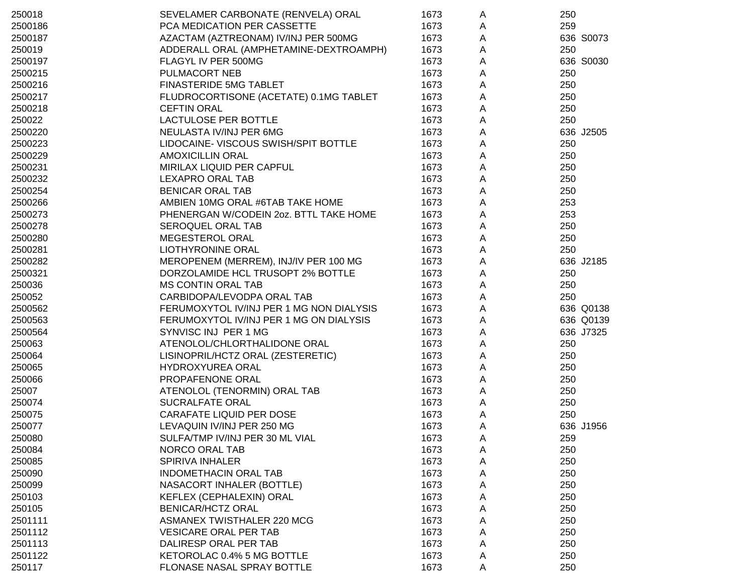| 250018  | SEVELAMER CARBONATE (RENVELA) ORAL       | 1673 | A | 250       |
|---------|------------------------------------------|------|---|-----------|
| 2500186 | PCA MEDICATION PER CASSETTE              | 1673 | A | 259       |
| 2500187 | AZACTAM (AZTREONAM) IV/INJ PER 500MG     | 1673 | A | 636 S0073 |
| 250019  | ADDERALL ORAL (AMPHETAMINE-DEXTROAMPH)   | 1673 | A | 250       |
| 2500197 | FLAGYL IV PER 500MG                      | 1673 | A | 636 S0030 |
| 2500215 | PULMACORT NEB                            | 1673 | Α | 250       |
| 2500216 | <b>FINASTERIDE 5MG TABLET</b>            | 1673 | Α | 250       |
| 2500217 | FLUDROCORTISONE (ACETATE) 0.1MG TABLET   | 1673 | Α | 250       |
| 2500218 | <b>CEFTIN ORAL</b>                       | 1673 | Α | 250       |
| 250022  | LACTULOSE PER BOTTLE                     | 1673 | Α | 250       |
| 2500220 | NEULASTA IV/INJ PER 6MG                  | 1673 | Α | 636 J2505 |
| 2500223 | LIDOCAINE- VISCOUS SWISH/SPIT BOTTLE     | 1673 | Α | 250       |
| 2500229 | <b>AMOXICILLIN ORAL</b>                  | 1673 | Α | 250       |
| 2500231 | MIRILAX LIQUID PER CAPFUL                | 1673 | Α | 250       |
| 2500232 | LEXAPRO ORAL TAB                         | 1673 | Α | 250       |
| 2500254 | <b>BENICAR ORAL TAB</b>                  | 1673 | A | 250       |
| 2500266 | AMBIEN 10MG ORAL #6TAB TAKE HOME         | 1673 | А | 253       |
| 2500273 | PHENERGAN W/CODEIN 20Z. BTTL TAKE HOME   | 1673 | А | 253       |
| 2500278 | SEROQUEL ORAL TAB                        | 1673 | Α | 250       |
| 2500280 | MEGESTEROL ORAL                          | 1673 | Α | 250       |
| 2500281 | LIOTHYRONINE ORAL                        | 1673 | А | 250       |
| 2500282 | MEROPENEM (MERREM), INJ/IV PER 100 MG    | 1673 | Α | 636 J2185 |
| 2500321 | DORZOLAMIDE HCL TRUSOPT 2% BOTTLE        | 1673 | Α | 250       |
| 250036  | <b>MS CONTIN ORAL TAB</b>                | 1673 | Α | 250       |
| 250052  | CARBIDOPA/LEVODPA ORAL TAB               | 1673 | Α | 250       |
| 2500562 | FERUMOXYTOL IV/INJ PER 1 MG NON DIALYSIS | 1673 | Α | 636 Q0138 |
| 2500563 | FERUMOXYTOL IV/INJ PER 1 MG ON DIALYSIS  | 1673 | Α | 636 Q0139 |
| 2500564 | SYNVISC INJ PER 1 MG                     | 1673 | Α | 636 J7325 |
| 250063  | ATENOLOL/CHLORTHALIDONE ORAL             | 1673 | Α | 250       |
| 250064  | LISINOPRIL/HCTZ ORAL (ZESTERETIC)        | 1673 | Α | 250       |
| 250065  | HYDROXYUREA ORAL                         | 1673 | Α | 250       |
| 250066  | PROPAFENONE ORAL                         | 1673 | Α | 250       |
| 25007   | ATENOLOL (TENORMIN) ORAL TAB             | 1673 | A | 250       |
| 250074  | <b>SUCRALFATE ORAL</b>                   | 1673 | A | 250       |
| 250075  | CARAFATE LIQUID PER DOSE                 | 1673 | A | 250       |
| 250077  | LEVAQUIN IV/INJ PER 250 MG               | 1673 | Α | 636 J1956 |
| 250080  | SULFA/TMP IV/INJ PER 30 ML VIAL          | 1673 | A | 259       |
| 250084  | NORCO ORAL TAB                           | 1673 | Α | 250       |
| 250085  | SPIRIVA INHALER                          | 1673 | Α | 250       |
| 250090  | <b>INDOMETHACIN ORAL TAB</b>             | 1673 | Α | 250       |
| 250099  | NASACORT INHALER (BOTTLE)                | 1673 | Α | 250       |
| 250103  | KEFLEX (CEPHALEXIN) ORAL                 | 1673 | Α | 250       |
| 250105  | BENICAR/HCTZ ORAL                        | 1673 | Α | 250       |
| 2501111 | ASMANEX TWISTHALER 220 MCG               | 1673 | Α | 250       |
| 2501112 | <b>VESICARE ORAL PER TAB</b>             | 1673 | Α | 250       |
| 2501113 | DALIRESP ORAL PER TAB                    | 1673 | Α | 250       |
| 2501122 | KETOROLAC 0.4% 5 MG BOTTLE               | 1673 | A | 250       |
| 250117  | FLONASE NASAL SPRAY BOTTLE               | 1673 | Α | 250       |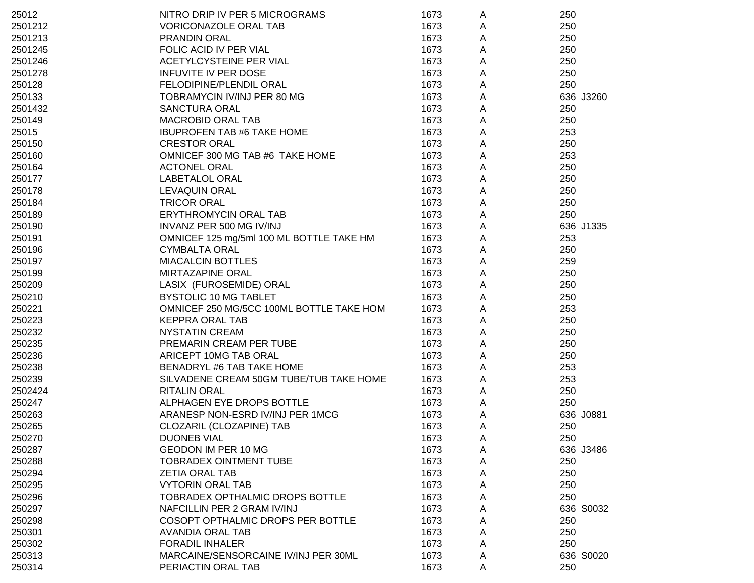| 25012   | NITRO DRIP IV PER 5 MICROGRAMS           | 1673 | A | 250       |
|---------|------------------------------------------|------|---|-----------|
| 2501212 | <b>VORICONAZOLE ORAL TAB</b>             | 1673 | Α | 250       |
| 2501213 | <b>PRANDIN ORAL</b>                      | 1673 | Α | 250       |
| 2501245 | FOLIC ACID IV PER VIAL                   | 1673 | A | 250       |
| 2501246 | ACETYLCYSTEINE PER VIAL                  | 1673 | Α | 250       |
| 2501278 | <b>INFUVITE IV PER DOSE</b>              | 1673 | Α | 250       |
| 250128  | FELODIPINE/PLENDIL ORAL                  | 1673 | Α | 250       |
| 250133  | TOBRAMYCIN IV/INJ PER 80 MG              | 1673 | Α | 636 J3260 |
| 2501432 | <b>SANCTURA ORAL</b>                     | 1673 | A | 250       |
| 250149  | <b>MACROBID ORAL TAB</b>                 | 1673 | A | 250       |
| 25015   | <b>IBUPROFEN TAB #6 TAKE HOME</b>        | 1673 | A | 253       |
| 250150  | <b>CRESTOR ORAL</b>                      | 1673 | Α | 250       |
| 250160  | OMNICEF 300 MG TAB #6 TAKE HOME          | 1673 | A | 253       |
| 250164  | <b>ACTONEL ORAL</b>                      | 1673 | A | 250       |
| 250177  | LABETALOL ORAL                           | 1673 | A | 250       |
| 250178  | <b>LEVAQUIN ORAL</b>                     | 1673 | A | 250       |
| 250184  | <b>TRICOR ORAL</b>                       | 1673 | A | 250       |
| 250189  | ERYTHROMYCIN ORAL TAB                    | 1673 | A | 250       |
| 250190  | INVANZ PER 500 MG IV/INJ                 | 1673 | A | 636 J1335 |
| 250191  | OMNICEF 125 mg/5ml 100 ML BOTTLE TAKE HM | 1673 | A | 253       |
| 250196  | <b>CYMBALTA ORAL</b>                     | 1673 | A | 250       |
| 250197  | <b>MIACALCIN BOTTLES</b>                 | 1673 | A | 259       |
| 250199  | <b>MIRTAZAPINE ORAL</b>                  | 1673 | A | 250       |
| 250209  | LASIX (FUROSEMIDE) ORAL                  | 1673 | A | 250       |
| 250210  | BYSTOLIC 10 MG TABLET                    | 1673 | A | 250       |
| 250221  | OMNICEF 250 MG/5CC 100ML BOTTLE TAKE HOM | 1673 | A | 253       |
| 250223  | <b>KEPPRA ORAL TAB</b>                   | 1673 | A | 250       |
| 250232  | <b>NYSTATIN CREAM</b>                    | 1673 | Α | 250       |
| 250235  | PREMARIN CREAM PER TUBE                  | 1673 | A | 250       |
| 250236  | ARICEPT 10MG TAB ORAL                    | 1673 | A | 250       |
| 250238  | BENADRYL #6 TAB TAKE HOME                | 1673 | A | 253       |
| 250239  | SILVADENE CREAM 50GM TUBE/TUB TAKE HOME  | 1673 | A | 253       |
| 2502424 | <b>RITALIN ORAL</b>                      | 1673 | A | 250       |
| 250247  | ALPHAGEN EYE DROPS BOTTLE                | 1673 | A | 250       |
| 250263  | ARANESP NON-ESRD IV/INJ PER 1MCG         | 1673 | Α | 636 J0881 |
| 250265  | CLOZARIL (CLOZAPINE) TAB                 | 1673 | A | 250       |
| 250270  | <b>DUONEB VIAL</b>                       | 1673 | A | 250       |
| 250287  | GEODON IM PER 10 MG                      | 1673 | A | 636 J3486 |
| 250288  | <b>TOBRADEX OINTMENT TUBE</b>            | 1673 | Α | 250       |
| 250294  | <b>ZETIA ORAL TAB</b>                    | 1673 | Α | 250       |
| 250295  | <b>VYTORIN ORAL TAB</b>                  | 1673 | Α | 250       |
| 250296  | TOBRADEX OPTHALMIC DROPS BOTTLE          | 1673 | Α | 250       |
| 250297  | NAFCILLIN PER 2 GRAM IV/INJ              | 1673 | Α | 636 S0032 |
| 250298  | COSOPT OPTHALMIC DROPS PER BOTTLE        | 1673 | Α | 250       |
| 250301  | <b>AVANDIA ORAL TAB</b>                  | 1673 | Α | 250       |
| 250302  | <b>FORADIL INHALER</b>                   | 1673 | A | 250       |
| 250313  | MARCAINE/SENSORCAINE IV/INJ PER 30ML     | 1673 | A | 636 S0020 |
| 250314  | PERIACTIN ORAL TAB                       | 1673 | Α | 250       |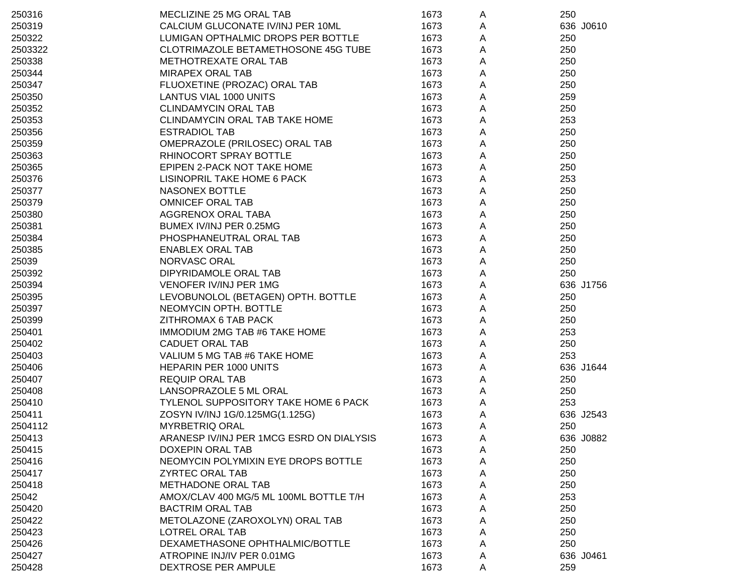| 250316  | MECLIZINE 25 MG ORAL TAB                 | 1673 | A | 250       |
|---------|------------------------------------------|------|---|-----------|
| 250319  | CALCIUM GLUCONATE IV/INJ PER 10ML        | 1673 | Α | 636 J0610 |
| 250322  | LUMIGAN OPTHALMIC DROPS PER BOTTLE       | 1673 | Α | 250       |
| 2503322 | CLOTRIMAZOLE BETAMETHOSONE 45G TUBE      | 1673 | A | 250       |
| 250338  | METHOTREXATE ORAL TAB                    | 1673 | A | 250       |
| 250344  | <b>MIRAPEX ORAL TAB</b>                  | 1673 | Α | 250       |
| 250347  | FLUOXETINE (PROZAC) ORAL TAB             | 1673 | Α | 250       |
| 250350  | LANTUS VIAL 1000 UNITS                   | 1673 | A | 259       |
| 250352  | <b>CLINDAMYCIN ORAL TAB</b>              | 1673 | A | 250       |
| 250353  | CLINDAMYCIN ORAL TAB TAKE HOME           | 1673 | Α | 253       |
| 250356  | <b>ESTRADIOL TAB</b>                     | 1673 | Α | 250       |
| 250359  | OMEPRAZOLE (PRILOSEC) ORAL TAB           | 1673 | A | 250       |
| 250363  | RHINOCORT SPRAY BOTTLE                   | 1673 | Α | 250       |
| 250365  | EPIPEN 2-PACK NOT TAKE HOME              | 1673 | Α | 250       |
| 250376  | LISINOPRIL TAKE HOME 6 PACK              | 1673 | Α | 253       |
| 250377  | NASONEX BOTTLE                           | 1673 | Α | 250       |
| 250379  | <b>OMNICEF ORAL TAB</b>                  | 1673 | A | 250       |
| 250380  | AGGRENOX ORAL TABA                       | 1673 | A | 250       |
| 250381  | BUMEX IV/INJ PER 0.25MG                  | 1673 | A | 250       |
| 250384  | PHOSPHANEUTRAL ORAL TAB                  | 1673 | Α | 250       |
| 250385  | <b>ENABLEX ORAL TAB</b>                  | 1673 | A | 250       |
| 25039   | NORVASC ORAL                             | 1673 | Α | 250       |
| 250392  | DIPYRIDAMOLE ORAL TAB                    | 1673 | Α | 250       |
| 250394  | VENOFER IV/INJ PER 1MG                   | 1673 | Α | 636 J1756 |
| 250395  | LEVOBUNOLOL (BETAGEN) OPTH. BOTTLE       | 1673 | A | 250       |
| 250397  | NEOMYCIN OPTH. BOTTLE                    | 1673 | Α | 250       |
| 250399  | ZITHROMAX 6 TAB PACK                     | 1673 | Α | 250       |
| 250401  | IMMODIUM 2MG TAB #6 TAKE HOME            | 1673 | A | 253       |
| 250402  | <b>CADUET ORAL TAB</b>                   | 1673 | Α | 250       |
| 250403  | VALIUM 5 MG TAB #6 TAKE HOME             | 1673 | Α | 253       |
| 250406  | HEPARIN PER 1000 UNITS                   | 1673 | Α | 636 J1644 |
| 250407  | <b>REQUIP ORAL TAB</b>                   | 1673 | Α | 250       |
| 250408  | LANSOPRAZOLE 5 ML ORAL                   | 1673 | A | 250       |
| 250410  | TYLENOL SUPPOSITORY TAKE HOME 6 PACK     | 1673 | A | 253       |
| 250411  | ZOSYN IV/INJ 1G/0.125MG(1.125G)          | 1673 | Α | 636 J2543 |
| 2504112 | <b>MYRBETRIQ ORAL</b>                    | 1673 | A | 250       |
| 250413  | ARANESP IV/INJ PER 1MCG ESRD ON DIALYSIS | 1673 | A | 636 J0882 |
| 250415  | <b>DOXEPIN ORAL TAB</b>                  | 1673 | A | 250       |
| 250416  | NEOMYCIN POLYMIXIN EYE DROPS BOTTLE      | 1673 | A | 250       |
| 250417  | <b>ZYRTEC ORAL TAB</b>                   | 1673 | A | 250       |
| 250418  | METHADONE ORAL TAB                       | 1673 | A | 250       |
| 25042   | AMOX/CLAV 400 MG/5 ML 100ML BOTTLE T/H   | 1673 | Α | 253       |
| 250420  | <b>BACTRIM ORAL TAB</b>                  | 1673 | A | 250       |
| 250422  | METOLAZONE (ZAROXOLYN) ORAL TAB          | 1673 | A | 250       |
| 250423  | LOTREL ORAL TAB                          | 1673 | A | 250       |
| 250426  | DEXAMETHASONE OPHTHALMIC/BOTTLE          | 1673 | A | 250       |
| 250427  | ATROPINE INJ/IV PER 0.01MG               | 1673 | A | 636 J0461 |
| 250428  | DEXTROSE PER AMPULE                      | 1673 | A | 259       |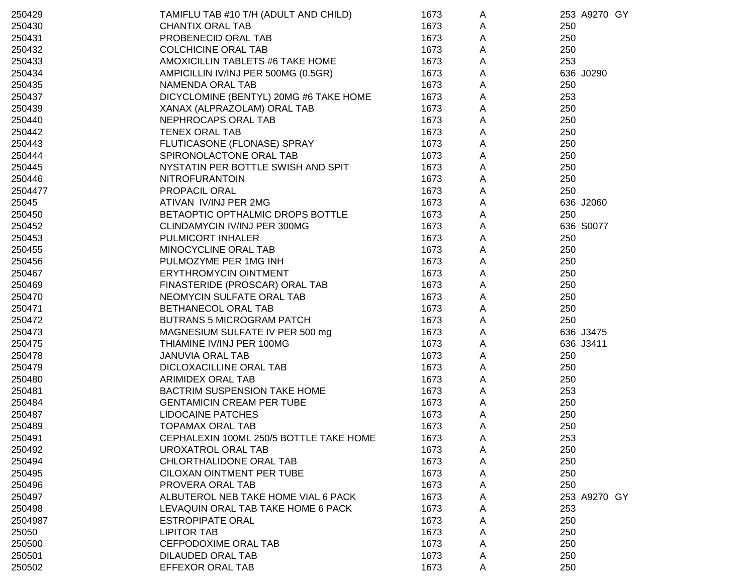| 250429  | TAMIFLU TAB #10 T/H (ADULT AND CHILD)   | 1673 | A |     | 253 A9270 GY |  |
|---------|-----------------------------------------|------|---|-----|--------------|--|
| 250430  | <b>CHANTIX ORAL TAB</b>                 | 1673 | Α | 250 |              |  |
| 250431  | PROBENECID ORAL TAB                     | 1673 | Α | 250 |              |  |
| 250432  | <b>COLCHICINE ORAL TAB</b>              | 1673 | A | 250 |              |  |
| 250433  | AMOXICILLIN TABLETS #6 TAKE HOME        | 1673 | A | 253 |              |  |
| 250434  | AMPICILLIN IV/INJ PER 500MG (0.5GR)     | 1673 | A |     | 636 J0290    |  |
| 250435  | NAMENDA ORAL TAB                        | 1673 | A | 250 |              |  |
| 250437  | DICYCLOMINE (BENTYL) 20MG #6 TAKE HOME  | 1673 | А | 253 |              |  |
| 250439  | XANAX (ALPRAZOLAM) ORAL TAB             | 1673 | A | 250 |              |  |
| 250440  | NEPHROCAPS ORAL TAB                     | 1673 | А | 250 |              |  |
| 250442  | <b>TENEX ORAL TAB</b>                   | 1673 | А | 250 |              |  |
| 250443  | FLUTICASONE (FLONASE) SPRAY             | 1673 | А | 250 |              |  |
| 250444  | SPIRONOLACTONE ORAL TAB                 | 1673 | A | 250 |              |  |
| 250445  | NYSTATIN PER BOTTLE SWISH AND SPIT      | 1673 | A | 250 |              |  |
| 250446  | NITROFURANTOIN                          | 1673 | A | 250 |              |  |
| 2504477 | PROPACIL ORAL                           | 1673 | A | 250 |              |  |
| 25045   | ATIVAN IV/INJ PER 2MG                   | 1673 | A |     | 636 J2060    |  |
| 250450  | BETAOPTIC OPTHALMIC DROPS BOTTLE        | 1673 | A | 250 |              |  |
| 250452  | CLINDAMYCIN IV/INJ PER 300MG            | 1673 | A |     | 636 S0077    |  |
| 250453  | PULMICORT INHALER                       | 1673 | A | 250 |              |  |
| 250455  | MINOCYCLINE ORAL TAB                    | 1673 | A | 250 |              |  |
| 250456  | PULMOZYME PER 1MG INH                   | 1673 | A | 250 |              |  |
| 250467  | ERYTHROMYCIN OINTMENT                   | 1673 | A | 250 |              |  |
| 250469  | FINASTERIDE (PROSCAR) ORAL TAB          | 1673 | A | 250 |              |  |
| 250470  | NEOMYCIN SULFATE ORAL TAB               | 1673 | A | 250 |              |  |
| 250471  | BETHANECOL ORAL TAB                     | 1673 | A | 250 |              |  |
| 250472  | <b>BUTRANS 5 MICROGRAM PATCH</b>        | 1673 | A | 250 |              |  |
| 250473  | MAGNESIUM SULFATE IV PER 500 mg         | 1673 | A |     | 636 J3475    |  |
| 250475  | THIAMINE IV/INJ PER 100MG               | 1673 | A |     | 636 J3411    |  |
| 250478  | <b>JANUVIA ORAL TAB</b>                 | 1673 | A | 250 |              |  |
| 250479  | DICLOXACILLINE ORAL TAB                 | 1673 | A | 250 |              |  |
| 250480  | ARIMIDEX ORAL TAB                       | 1673 | A | 250 |              |  |
| 250481  | BACTRIM SUSPENSION TAKE HOME            | 1673 | A | 253 |              |  |
| 250484  | <b>GENTAMICIN CREAM PER TUBE</b>        | 1673 | A | 250 |              |  |
| 250487  | <b>LIDOCAINE PATCHES</b>                | 1673 | A | 250 |              |  |
| 250489  | <b>TOPAMAX ORAL TAB</b>                 | 1673 | Α | 250 |              |  |
| 250491  | CEPHALEXIN 100ML 250/5 BOTTLE TAKE HOME | 1673 | A | 253 |              |  |
| 250492  | UROXATROL ORAL TAB                      | 1673 | A | 250 |              |  |
| 250494  | CHLORTHALIDONE ORAL TAB                 | 1673 | A | 250 |              |  |
| 250495  | CILOXAN OINTMENT PER TUBE               | 1673 | A | 250 |              |  |
| 250496  | PROVERA ORAL TAB                        | 1673 | A | 250 |              |  |
| 250497  | ALBUTEROL NEB TAKE HOME VIAL 6 PACK     | 1673 | A |     | 253 A9270 GY |  |
| 250498  | LEVAQUIN ORAL TAB TAKE HOME 6 PACK      | 1673 | Α | 253 |              |  |
| 2504987 | <b>ESTROPIPATE ORAL</b>                 | 1673 | A | 250 |              |  |
| 25050   | <b>LIPITOR TAB</b>                      | 1673 | A | 250 |              |  |
| 250500  | CEFPODOXIME ORAL TAB                    | 1673 | Α | 250 |              |  |
| 250501  | <b>DILAUDED ORAL TAB</b>                | 1673 | A | 250 |              |  |
| 250502  | EFFEXOR ORAL TAB                        | 1673 | A | 250 |              |  |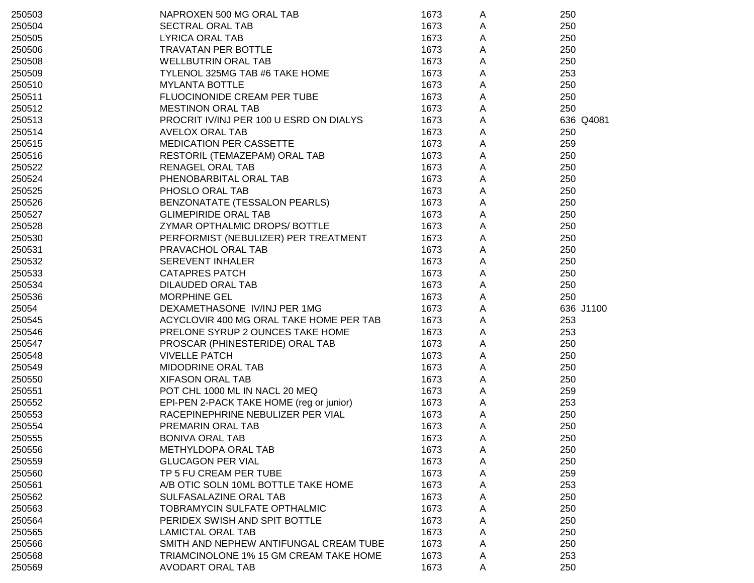| 250503 | NAPROXEN 500 MG ORAL TAB                 | 1673 | A | 250       |
|--------|------------------------------------------|------|---|-----------|
| 250504 | <b>SECTRAL ORAL TAB</b>                  | 1673 | A | 250       |
| 250505 | <b>LYRICA ORAL TAB</b>                   | 1673 | Α | 250       |
| 250506 | TRAVATAN PER BOTTLE                      | 1673 | Α | 250       |
| 250508 | <b>WELLBUTRIN ORAL TAB</b>               | 1673 | Α | 250       |
| 250509 | TYLENOL 325MG TAB #6 TAKE HOME           | 1673 | Α | 253       |
| 250510 | <b>MYLANTA BOTTLE</b>                    | 1673 | A | 250       |
| 250511 | FLUOCINONIDE CREAM PER TUBE              | 1673 | Α | 250       |
| 250512 | <b>MESTINON ORAL TAB</b>                 | 1673 | Α | 250       |
| 250513 | PROCRIT IV/INJ PER 100 U ESRD ON DIALYS  | 1673 | Α | 636 Q4081 |
| 250514 | <b>AVELOX ORAL TAB</b>                   | 1673 | Α | 250       |
| 250515 | MEDICATION PER CASSETTE                  | 1673 | Α | 259       |
| 250516 | RESTORIL (TEMAZEPAM) ORAL TAB            | 1673 | A | 250       |
| 250522 | <b>RENAGEL ORAL TAB</b>                  | 1673 | A | 250       |
| 250524 | PHENOBARBITAL ORAL TAB                   | 1673 | Α | 250       |
| 250525 | PHOSLO ORAL TAB                          | 1673 | A | 250       |
| 250526 | BENZONATATE (TESSALON PEARLS)            | 1673 | A | 250       |
| 250527 | <b>GLIMEPIRIDE ORAL TAB</b>              | 1673 | A | 250       |
| 250528 | ZYMAR OPTHALMIC DROPS/BOTTLE             | 1673 | Α | 250       |
| 250530 | PERFORMIST (NEBULIZER) PER TREATMENT     | 1673 | Α | 250       |
| 250531 | PRAVACHOL ORAL TAB                       | 1673 | Α | 250       |
| 250532 | <b>SEREVENT INHALER</b>                  | 1673 | Α | 250       |
| 250533 | <b>CATAPRES PATCH</b>                    | 1673 | Α | 250       |
| 250534 | DILAUDED ORAL TAB                        | 1673 | Α | 250       |
| 250536 | <b>MORPHINE GEL</b>                      | 1673 | Α | 250       |
| 25054  | DEXAMETHASONE IV/INJ PER 1MG             | 1673 | Α | 636 J1100 |
| 250545 | ACYCLOVIR 400 MG ORAL TAKE HOME PER TAB  | 1673 | A | 253       |
| 250546 | PRELONE SYRUP 2 OUNCES TAKE HOME         | 1673 | A | 253       |
| 250547 | PROSCAR (PHINESTERIDE) ORAL TAB          | 1673 | A | 250       |
| 250548 | <b>VIVELLE PATCH</b>                     | 1673 | A | 250       |
| 250549 | MIDODRINE ORAL TAB                       | 1673 | A | 250       |
| 250550 | <b>XIFASON ORAL TAB</b>                  | 1673 | Α | 250       |
| 250551 | POT CHL 1000 ML IN NACL 20 MEQ           | 1673 | Α | 259       |
| 250552 | EPI-PEN 2-PACK TAKE HOME (reg or junior) | 1673 | A | 253       |
| 250553 | RACEPINEPHRINE NEBULIZER PER VIAL        | 1673 | A | 250       |
| 250554 | PREMARIN ORAL TAB                        | 1673 | A | 250       |
| 250555 | BONIVA ORAL TAB                          | 1673 | A | 250       |
| 250556 | METHYLDOPA ORAL TAB                      | 1673 | A | 250       |
| 250559 | <b>GLUCAGON PER VIAL</b>                 | 1673 | A | 250       |
| 250560 | TP 5 FU CREAM PER TUBE                   | 1673 | A | 259       |
| 250561 | A/B OTIC SOLN 10ML BOTTLE TAKE HOME      | 1673 | Α | 253       |
| 250562 | SULFASALAZINE ORAL TAB                   | 1673 | Α | 250       |
| 250563 | TOBRAMYCIN SULFATE OPTHALMIC             | 1673 | A | 250       |
| 250564 | PERIDEX SWISH AND SPIT BOTTLE            | 1673 | A | 250       |
| 250565 | <b>LAMICTAL ORAL TAB</b>                 | 1673 | Α | 250       |
| 250566 | SMITH AND NEPHEW ANTIFUNGAL CREAM TUBE   | 1673 | A | 250       |
| 250568 | TRIAMCINOLONE 1% 15 GM CREAM TAKE HOME   | 1673 | A | 253       |
| 250569 | AVODART ORAL TAB                         | 1673 | A | 250       |
|        |                                          |      |   |           |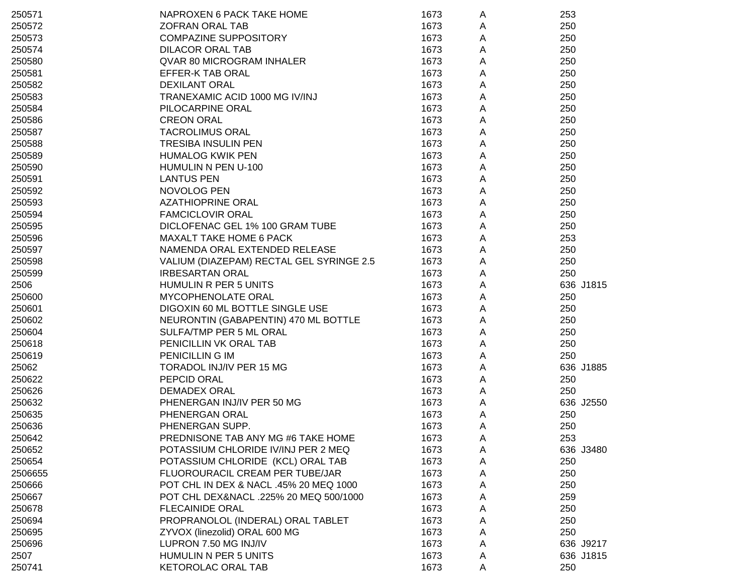| 250571  | NAPROXEN 6 PACK TAKE HOME                | 1673 | A           | 253       |
|---------|------------------------------------------|------|-------------|-----------|
| 250572  | <b>ZOFRAN ORAL TAB</b>                   | 1673 | Α           | 250       |
| 250573  | <b>COMPAZINE SUPPOSITORY</b>             | 1673 | A           | 250       |
| 250574  | <b>DILACOR ORAL TAB</b>                  | 1673 | Α           | 250       |
| 250580  | <b>QVAR 80 MICROGRAM INHALER</b>         | 1673 | Α           | 250       |
| 250581  | EFFER-K TAB ORAL                         | 1673 | A           | 250       |
| 250582  | <b>DEXILANT ORAL</b>                     | 1673 | A           | 250       |
| 250583  | TRANEXAMIC ACID 1000 MG IV/INJ           | 1673 | А           | 250       |
| 250584  | PILOCARPINE ORAL                         | 1673 | А           | 250       |
| 250586  | <b>CREON ORAL</b>                        | 1673 | Α           | 250       |
| 250587  | <b>TACROLIMUS ORAL</b>                   | 1673 | А           | 250       |
| 250588  | TRESIBA INSULIN PEN                      | 1673 | Α           | 250       |
| 250589  | <b>HUMALOG KWIK PEN</b>                  | 1673 | A           | 250       |
| 250590  | HUMULIN N PEN U-100                      | 1673 | $\mathsf A$ | 250       |
| 250591  | <b>LANTUS PEN</b>                        | 1673 | A           | 250       |
| 250592  | NOVOLOG PEN                              | 1673 | $\mathsf A$ | 250       |
| 250593  | <b>AZATHIOPRINE ORAL</b>                 | 1673 | $\mathsf A$ | 250       |
| 250594  | <b>FAMCICLOVIR ORAL</b>                  | 1673 | A           | 250       |
| 250595  | DICLOFENAC GEL 1% 100 GRAM TUBE          | 1673 | A           | 250       |
| 250596  | <b>MAXALT TAKE HOME 6 PACK</b>           | 1673 | A           | 253       |
| 250597  | NAMENDA ORAL EXTENDED RELEASE            | 1673 | A           | 250       |
| 250598  | VALIUM (DIAZEPAM) RECTAL GEL SYRINGE 2.5 | 1673 | A           | 250       |
| 250599  | <b>IRBESARTAN ORAL</b>                   | 1673 | A           | 250       |
| 2506    | HUMULIN R PER 5 UNITS                    | 1673 | A           | 636 J1815 |
| 250600  | MYCOPHENOLATE ORAL                       | 1673 | A           | 250       |
| 250601  | DIGOXIN 60 ML BOTTLE SINGLE USE          | 1673 | A           | 250       |
| 250602  | NEURONTIN (GABAPENTIN) 470 ML BOTTLE     | 1673 | A           | 250       |
| 250604  | SULFA/TMP PER 5 ML ORAL                  | 1673 | A           | 250       |
| 250618  | PENICILLIN VK ORAL TAB                   | 1673 | A           | 250       |
| 250619  | PENICILLIN G IM                          | 1673 | $\mathsf A$ | 250       |
| 25062   | TORADOL INJ/IV PER 15 MG                 | 1673 | A           | 636 J1885 |
| 250622  | PEPCID ORAL                              | 1673 | A           | 250       |
| 250626  | <b>DEMADEX ORAL</b>                      | 1673 | A           | 250       |
| 250632  | PHENERGAN INJ/IV PER 50 MG               | 1673 | A           | 636 J2550 |
| 250635  | PHENERGAN ORAL                           | 1673 | A           | 250       |
| 250636  | PHENERGAN SUPP.                          | 1673 | Α           | 250       |
| 250642  | PREDNISONE TAB ANY MG #6 TAKE HOME       | 1673 | A           | 253       |
| 250652  | POTASSIUM CHLORIDE IV/INJ PER 2 MEQ      | 1673 | A           | 636 J3480 |
| 250654  | POTASSIUM CHLORIDE (KCL) ORAL TAB        | 1673 | A           | 250       |
| 2506655 | FLUOROURACIL CREAM PER TUBE/JAR          | 1673 | A           | 250       |
| 250666  | POT CHL IN DEX & NACL .45% 20 MEQ 1000   | 1673 | A           | 250       |
| 250667  | POT CHL DEX&NACL .225% 20 MEQ 500/1000   | 1673 | A           | 259       |
| 250678  | <b>FLECAINIDE ORAL</b>                   | 1673 | A           | 250       |
| 250694  | PROPRANOLOL (INDERAL) ORAL TABLET        | 1673 | A           | 250       |
| 250695  | ZYVOX (linezolid) ORAL 600 MG            | 1673 | Α           | 250       |
| 250696  | LUPRON 7.50 MG INJ/IV                    | 1673 | A           | 636 J9217 |
| 2507    | HUMULIN N PER 5 UNITS                    | 1673 | A           | 636 J1815 |
| 250741  | <b>KETOROLAC ORAL TAB</b>                | 1673 | A           | 250       |
|         |                                          |      |             |           |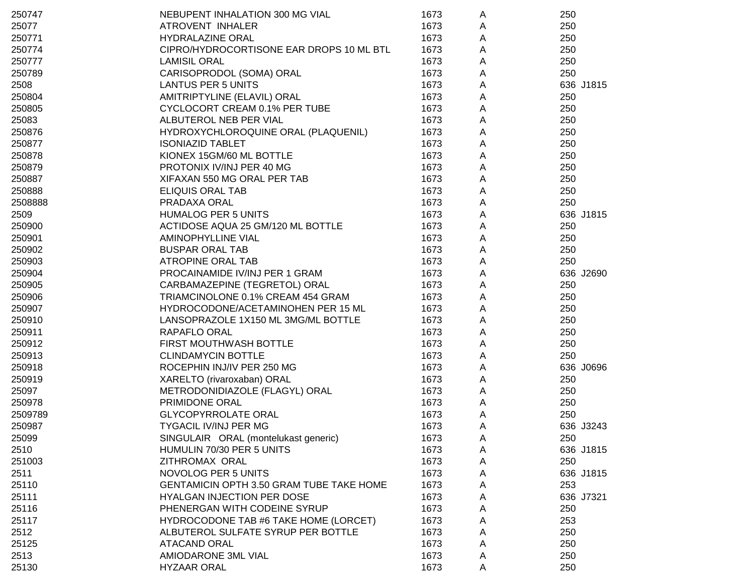| 250747  | NEBUPENT INHALATION 300 MG VIAL          | 1673 | A | 250       |
|---------|------------------------------------------|------|---|-----------|
| 25077   | ATROVENT INHALER                         | 1673 | A | 250       |
| 250771  | <b>HYDRALAZINE ORAL</b>                  | 1673 | Α | 250       |
| 250774  | CIPRO/HYDROCORTISONE EAR DROPS 10 ML BTL | 1673 | Α | 250       |
| 250777  | <b>LAMISIL ORAL</b>                      | 1673 | Α | 250       |
| 250789  | CARISOPRODOL (SOMA) ORAL                 | 1673 | Α | 250       |
| 2508    | <b>LANTUS PER 5 UNITS</b>                | 1673 | Α | 636 J1815 |
| 250804  | AMITRIPTYLINE (ELAVIL) ORAL              | 1673 | Α | 250       |
| 250805  | CYCLOCORT CREAM 0.1% PER TUBE            | 1673 | A | 250       |
| 25083   | ALBUTEROL NEB PER VIAL                   | 1673 | A | 250       |
| 250876  | HYDROXYCHLOROQUINE ORAL (PLAQUENIL)      | 1673 | A | 250       |
| 250877  | <b>ISONIAZID TABLET</b>                  | 1673 | Α | 250       |
| 250878  | KIONEX 15GM/60 ML BOTTLE                 | 1673 | Α | 250       |
| 250879  | PROTONIX IV/INJ PER 40 MG                | 1673 | A | 250       |
| 250887  | XIFAXAN 550 MG ORAL PER TAB              | 1673 | A | 250       |
| 250888  | <b>ELIQUIS ORAL TAB</b>                  | 1673 | A | 250       |
| 2508888 | PRADAXA ORAL                             | 1673 | A | 250       |
| 2509    | <b>HUMALOG PER 5 UNITS</b>               | 1673 | A | 636 J1815 |
| 250900  | ACTIDOSE AQUA 25 GM/120 ML BOTTLE        | 1673 | Α | 250       |
| 250901  | AMINOPHYLLINE VIAL                       | 1673 | Α | 250       |
| 250902  | <b>BUSPAR ORAL TAB</b>                   | 1673 | Α | 250       |
| 250903  | ATROPINE ORAL TAB                        | 1673 | Α | 250       |
| 250904  | PROCAINAMIDE IV/INJ PER 1 GRAM           | 1673 | A | 636 J2690 |
| 250905  | CARBAMAZEPINE (TEGRETOL) ORAL            | 1673 | Α | 250       |
| 250906  | TRIAMCINOLONE 0.1% CREAM 454 GRAM        | 1673 | A | 250       |
| 250907  | HYDROCODONE/ACETAMINOHEN PER 15 ML       | 1673 | A | 250       |
| 250910  | LANSOPRAZOLE 1X150 ML 3MG/ML BOTTLE      | 1673 | A | 250       |
| 250911  | RAPAFLO ORAL                             | 1673 | Α | 250       |
| 250912  | FIRST MOUTHWASH BOTTLE                   | 1673 | A | 250       |
| 250913  | <b>CLINDAMYCIN BOTTLE</b>                | 1673 | A | 250       |
| 250918  | ROCEPHIN INJ/IV PER 250 MG               | 1673 | A | 636 J0696 |
| 250919  | XARELTO (rivaroxaban) ORAL               | 1673 | A | 250       |
| 25097   | METRODONIDIAZOLE (FLAGYL) ORAL           | 1673 | A | 250       |
| 250978  | PRIMIDONE ORAL                           | 1673 | A | 250       |
| 2509789 | <b>GLYCOPYRROLATE ORAL</b>               | 1673 | Α | 250       |
| 250987  | TYGACIL IV/INJ PER MG                    | 1673 | A | 636 J3243 |
| 25099   | SINGULAIR ORAL (montelukast generic)     | 1673 | A | 250       |
| 2510    | HUMULIN 70/30 PER 5 UNITS                | 1673 | A | 636 J1815 |
| 251003  | ZITHROMAX ORAL                           | 1673 | A | 250       |
| 2511    | <b>NOVOLOG PER 5 UNITS</b>               | 1673 | A | 636 J1815 |
| 25110   | GENTAMICIN OPTH 3.50 GRAM TUBE TAKE HOME | 1673 | A | 253       |
| 25111   | HYALGAN INJECTION PER DOSE               | 1673 | Α | 636 J7321 |
| 25116   | PHENERGAN WITH CODEINE SYRUP             | 1673 | A | 250       |
| 25117   | HYDROCODONE TAB #6 TAKE HOME (LORCET)    | 1673 | A | 253       |
| 2512    | ALBUTEROL SULFATE SYRUP PER BOTTLE       | 1673 | A | 250       |
| 25125   | <b>ATACAND ORAL</b>                      | 1673 | Α | 250       |
| 2513    | AMIODARONE 3ML VIAL                      | 1673 | A | 250       |
| 25130   | <b>HYZAAR ORAL</b>                       | 1673 | Α | 250       |
|         |                                          |      |   |           |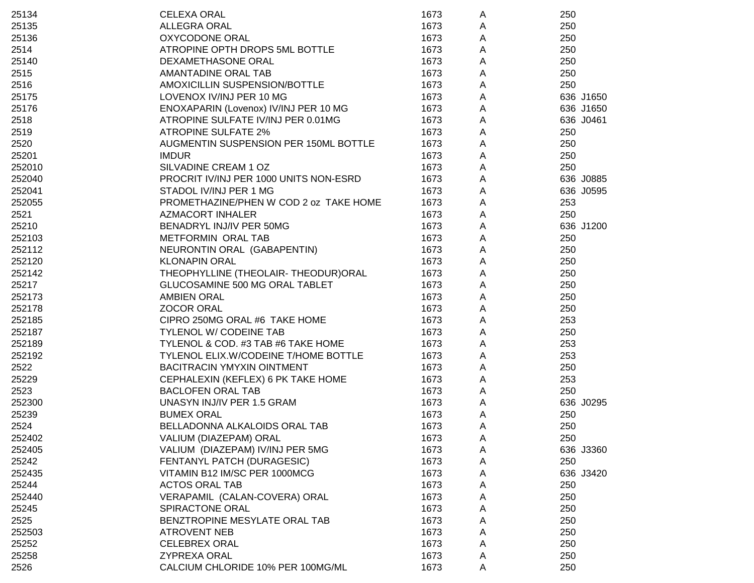| 25134  | <b>CELEXA ORAL</b>                     | 1673 | A | 250       |
|--------|----------------------------------------|------|---|-----------|
| 25135  | <b>ALLEGRA ORAL</b>                    | 1673 | A | 250       |
| 25136  | OXYCODONE ORAL                         | 1673 | A | 250       |
| 2514   | ATROPINE OPTH DROPS 5ML BOTTLE         | 1673 | A | 250       |
| 25140  | DEXAMETHASONE ORAL                     | 1673 | A | 250       |
| 2515   | AMANTADINE ORAL TAB                    | 1673 | A | 250       |
| 2516   | AMOXICILLIN SUSPENSION/BOTTLE          | 1673 | A | 250       |
| 25175  | LOVENOX IV/INJ PER 10 MG               | 1673 | A | 636 J1650 |
| 25176  | ENOXAPARIN (Lovenox) IV/INJ PER 10 MG  | 1673 | A | 636 J1650 |
| 2518   | ATROPINE SULFATE IV/INJ PER 0.01MG     | 1673 | A | 636 J0461 |
| 2519   | <b>ATROPINE SULFATE 2%</b>             | 1673 | A | 250       |
| 2520   | AUGMENTIN SUSPENSION PER 150ML BOTTLE  | 1673 | Α | 250       |
| 25201  | <b>IMDUR</b>                           | 1673 | A | 250       |
| 252010 | SILVADINE CREAM 1 OZ                   | 1673 | A | 250       |
| 252040 | PROCRIT IV/INJ PER 1000 UNITS NON-ESRD | 1673 | A | 636 J0885 |
| 252041 | STADOL IV/INJ PER 1 MG                 | 1673 | A | 636 J0595 |
| 252055 | PROMETHAZINE/PHEN W COD 2 oz TAKE HOME | 1673 | A | 253       |
| 2521   | <b>AZMACORT INHALER</b>                | 1673 | A | 250       |
| 25210  | BENADRYL INJ/IV PER 50MG               | 1673 | A | 636 J1200 |
| 252103 | METFORMIN ORAL TAB                     | 1673 | Α | 250       |
| 252112 | NEURONTIN ORAL (GABAPENTIN)            | 1673 | Α | 250       |
| 252120 | <b>KLONAPIN ORAL</b>                   | 1673 | A | 250       |
| 252142 | THEOPHYLLINE (THEOLAIR-THEODUR)ORAL    | 1673 | Α | 250       |
| 25217  | GLUCOSAMINE 500 MG ORAL TABLET         | 1673 | A | 250       |
| 252173 | <b>AMBIEN ORAL</b>                     | 1673 | Α | 250       |
| 252178 | <b>ZOCOR ORAL</b>                      | 1673 | A | 250       |
| 252185 | CIPRO 250MG ORAL #6 TAKE HOME          | 1673 | Α | 253       |
| 252187 | TYLENOL W/ CODEINE TAB                 | 1673 | Α | 250       |
| 252189 | TYLENOL & COD. #3 TAB #6 TAKE HOME     | 1673 | A | 253       |
| 252192 | TYLENOL ELIX.W/CODEINE T/HOME BOTTLE   | 1673 | A | 253       |
| 2522   | <b>BACITRACIN YMYXIN OINTMENT</b>      | 1673 | A | 250       |
| 25229  | CEPHALEXIN (KEFLEX) 6 PK TAKE HOME     | 1673 | A | 253       |
| 2523   | <b>BACLOFEN ORAL TAB</b>               | 1673 | A | 250       |
| 252300 | UNASYN INJ/IV PER 1.5 GRAM             | 1673 | A | 636 J0295 |
| 25239  | <b>BUMEX ORAL</b>                      | 1673 | Α | 250       |
| 2524   | BELLADONNA ALKALOIDS ORAL TAB          | 1673 | A | 250       |
| 252402 | VALIUM (DIAZEPAM) ORAL                 | 1673 | A | 250       |
| 252405 | VALIUM (DIAZEPAM) IV/INJ PER 5MG       | 1673 | A | 636 J3360 |
| 25242  | FENTANYL PATCH (DURAGESIC)             | 1673 | A | 250       |
| 252435 | VITAMIN B12 IM/SC PER 1000MCG          | 1673 | A | 636 J3420 |
| 25244  | <b>ACTOS ORAL TAB</b>                  | 1673 | Α | 250       |
| 252440 | VERAPAMIL (CALAN-COVERA) ORAL          | 1673 | Α | 250       |
| 25245  | SPIRACTONE ORAL                        | 1673 | Α | 250       |
| 2525   | BENZTROPINE MESYLATE ORAL TAB          | 1673 | Α | 250       |
| 252503 | <b>ATROVENT NEB</b>                    | 1673 | Α | 250       |
| 25252  | <b>CELEBREX ORAL</b>                   | 1673 | A | 250       |
| 25258  | <b>ZYPREXA ORAL</b>                    | 1673 | Α | 250       |
| 2526   | CALCIUM CHLORIDE 10% PER 100MG/ML      | 1673 | A | 250       |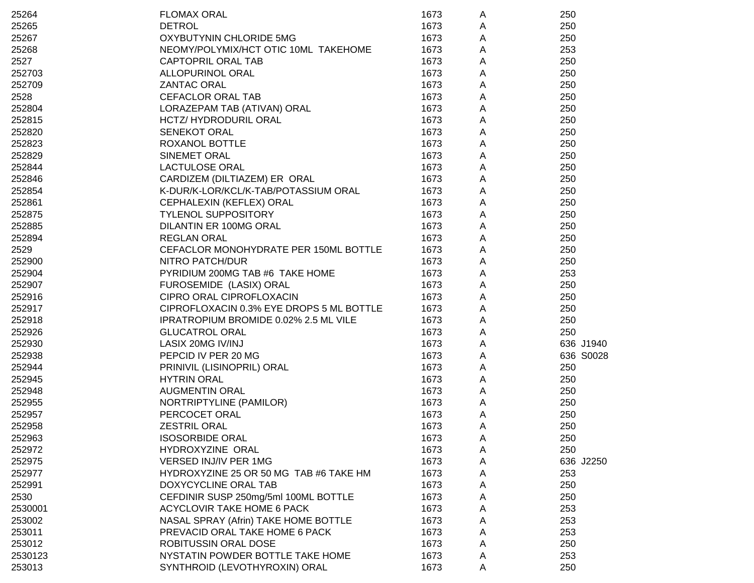| 25264   | <b>FLOMAX ORAL</b>                       | 1673 | A           | 250       |
|---------|------------------------------------------|------|-------------|-----------|
| 25265   | <b>DETROL</b>                            | 1673 | Α           | 250       |
| 25267   | OXYBUTYNIN CHLORIDE 5MG                  | 1673 | A           | 250       |
| 25268   | NEOMY/POLYMIX/HCT OTIC 10ML TAKEHOME     | 1673 | A           | 253       |
| 2527    | <b>CAPTOPRIL ORAL TAB</b>                | 1673 | A           | 250       |
| 252703  | <b>ALLOPURINOL ORAL</b>                  | 1673 | A           | 250       |
| 252709  | <b>ZANTAC ORAL</b>                       | 1673 | A           | 250       |
| 2528    | <b>CEFACLOR ORAL TAB</b>                 | 1673 | $\mathsf A$ | 250       |
| 252804  | LORAZEPAM TAB (ATIVAN) ORAL              | 1673 | A           | 250       |
| 252815  | HCTZ/ HYDRODURIL ORAL                    | 1673 | $\mathsf A$ | 250       |
| 252820  | <b>SENEKOT ORAL</b>                      | 1673 | $\mathsf A$ | 250       |
| 252823  | ROXANOL BOTTLE                           | 1673 | $\mathsf A$ | 250       |
| 252829  | <b>SINEMET ORAL</b>                      | 1673 | A           | 250       |
| 252844  | <b>LACTULOSE ORAL</b>                    | 1673 | A           | 250       |
| 252846  | CARDIZEM (DILTIAZEM) ER ORAL             | 1673 | A           | 250       |
| 252854  | K-DUR/K-LOR/KCL/K-TAB/POTASSIUM ORAL     | 1673 | $\mathsf A$ | 250       |
| 252861  | CEPHALEXIN (KEFLEX) ORAL                 | 1673 | A           | 250       |
| 252875  | <b>TYLENOL SUPPOSITORY</b>               | 1673 | $\mathsf A$ | 250       |
| 252885  | DILANTIN ER 100MG ORAL                   | 1673 | A           | 250       |
| 252894  | <b>REGLAN ORAL</b>                       | 1673 | A           | 250       |
| 2529    | CEFACLOR MONOHYDRATE PER 150ML BOTTLE    | 1673 | A           | 250       |
| 252900  | <b>NITRO PATCH/DUR</b>                   | 1673 | $\mathsf A$ | 250       |
| 252904  | PYRIDIUM 200MG TAB #6 TAKE HOME          | 1673 | A           | 253       |
| 252907  | FUROSEMIDE (LASIX) ORAL                  | 1673 | A           | 250       |
| 252916  | CIPRO ORAL CIPROFLOXACIN                 | 1673 | A           | 250       |
| 252917  | CIPROFLOXACIN 0.3% EYE DROPS 5 ML BOTTLE | 1673 | $\mathsf A$ | 250       |
| 252918  | IPRATROPIUM BROMIDE 0.02% 2.5 ML VILE    | 1673 | A           | 250       |
| 252926  | <b>GLUCATROL ORAL</b>                    | 1673 | A           | 250       |
| 252930  | LASIX 20MG IV/INJ                        | 1673 | A           | 636 J1940 |
| 252938  | PEPCID IV PER 20 MG                      | 1673 | $\mathsf A$ | 636 S0028 |
| 252944  | PRINIVIL (LISINOPRIL) ORAL               | 1673 | A           | 250       |
| 252945  | <b>HYTRIN ORAL</b>                       | 1673 | A           | 250       |
| 252948  | <b>AUGMENTIN ORAL</b>                    | 1673 | Α           | 250       |
| 252955  | NORTRIPTYLINE (PAMILOR)                  | 1673 | A           | 250       |
| 252957  | PERCOCET ORAL                            | 1673 | Α           | 250       |
| 252958  | <b>ZESTRIL ORAL</b>                      | 1673 | A           | 250       |
| 252963  | <b>ISOSORBIDE ORAL</b>                   | 1673 | A           | 250       |
| 252972  | HYDROXYZINE ORAL                         | 1673 | Α           | 250       |
| 252975  | VERSED INJ/IV PER 1MG                    | 1673 | A           | 636 J2250 |
| 252977  | HYDROXYZINE 25 OR 50 MG TAB #6 TAKE HM   | 1673 | A           | 253       |
| 252991  | DOXYCYCLINE ORAL TAB                     | 1673 | Α           | 250       |
| 2530    | CEFDINIR SUSP 250mg/5ml 100ML BOTTLE     | 1673 | Α           | 250       |
| 2530001 | <b>ACYCLOVIR TAKE HOME 6 PACK</b>        | 1673 | A           | 253       |
| 253002  | NASAL SPRAY (Afrin) TAKE HOME BOTTLE     | 1673 | A           | 253       |
| 253011  | PREVACID ORAL TAKE HOME 6 PACK           | 1673 | A           | 253       |
| 253012  | ROBITUSSIN ORAL DOSE                     | 1673 | A           | 250       |
| 2530123 | NYSTATIN POWDER BOTTLE TAKE HOME         | 1673 | A           | 253       |
| 253013  | SYNTHROID (LEVOTHYROXIN) ORAL            | 1673 | A           | 250       |
|         |                                          |      |             |           |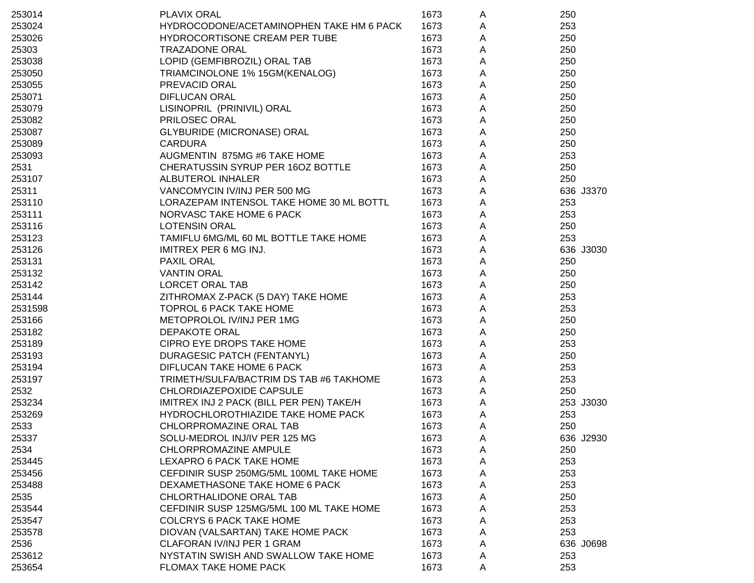| 253014  | <b>PLAVIX ORAL</b>                       | 1673 | A | 250       |
|---------|------------------------------------------|------|---|-----------|
| 253024  | HYDROCODONE/ACETAMINOPHEN TAKE HM 6 PACK | 1673 | A | 253       |
| 253026  | HYDROCORTISONE CREAM PER TUBE            | 1673 | A | 250       |
| 25303   | <b>TRAZADONE ORAL</b>                    | 1673 | A | 250       |
| 253038  | LOPID (GEMFIBROZIL) ORAL TAB             | 1673 | A | 250       |
| 253050  | TRIAMCINOLONE 1% 15GM(KENALOG)           | 1673 | Α | 250       |
| 253055  | PREVACID ORAL                            | 1673 | Α | 250       |
| 253071  | <b>DIFLUCAN ORAL</b>                     | 1673 | A | 250       |
| 253079  | LISINOPRIL (PRINIVIL) ORAL               | 1673 | A | 250       |
| 253082  | PRILOSEC ORAL                            | 1673 | A | 250       |
| 253087  | <b>GLYBURIDE (MICRONASE) ORAL</b>        | 1673 | A | 250       |
| 253089  | <b>CARDURA</b>                           | 1673 | A | 250       |
| 253093  | AUGMENTIN 875MG #6 TAKE HOME             | 1673 | A | 253       |
| 2531    | CHERATUSSIN SYRUP PER 16OZ BOTTLE        | 1673 | A | 250       |
| 253107  | <b>ALBUTEROL INHALER</b>                 | 1673 | A | 250       |
| 25311   | VANCOMYCIN IV/INJ PER 500 MG             | 1673 | A | 636 J3370 |
| 253110  | LORAZEPAM INTENSOL TAKE HOME 30 ML BOTTL | 1673 | A | 253       |
| 253111  | NORVASC TAKE HOME 6 PACK                 | 1673 | A | 253       |
| 253116  | <b>LOTENSIN ORAL</b>                     | 1673 | A | 250       |
| 253123  | TAMIFLU 6MG/ML 60 ML BOTTLE TAKE HOME    | 1673 | A | 253       |
| 253126  | <b>IMITREX PER 6 MG INJ.</b>             | 1673 | A | 636 J3030 |
| 253131  | PAXIL ORAL                               | 1673 | Α | 250       |
| 253132  | <b>VANTIN ORAL</b>                       | 1673 | Α | 250       |
| 253142  | LORCET ORAL TAB                          | 1673 | Α | 250       |
| 253144  | ZITHROMAX Z-PACK (5 DAY) TAKE HOME       | 1673 | A | 253       |
| 2531598 | TOPROL 6 PACK TAKE HOME                  | 1673 | Α | 253       |
| 253166  | METOPROLOL IV/INJ PER 1MG                | 1673 | A | 250       |
| 253182  | <b>DEPAKOTE ORAL</b>                     | 1673 | Α | 250       |
| 253189  | CIPRO EYE DROPS TAKE HOME                | 1673 | A | 253       |
| 253193  | <b>DURAGESIC PATCH (FENTANYL)</b>        | 1673 | A | 250       |
| 253194  | DIFLUCAN TAKE HOME 6 PACK                | 1673 | A | 253       |
| 253197  | TRIMETH/SULFA/BACTRIM DS TAB #6 TAKHOME  | 1673 | A | 253       |
| 2532    | CHLORDIAZEPOXIDE CAPSULE                 | 1673 | A | 250       |
| 253234  | IMITREX INJ 2 PACK (BILL PER PEN) TAKE/H | 1673 | A | 253 J3030 |
| 253269  | HYDROCHLOROTHIAZIDE TAKE HOME PACK       | 1673 | A | 253       |
| 2533    | CHLORPROMAZINE ORAL TAB                  | 1673 | A | 250       |
| 25337   | SOLU-MEDROL INJ/IV PER 125 MG            | 1673 | A | 636 J2930 |
| 2534    | CHLORPROMAZINE AMPULE                    | 1673 | A | 250       |
| 253445  | LEXAPRO 6 PACK TAKE HOME                 | 1673 | A | 253       |
| 253456  | CEFDINIR SUSP 250MG/5ML 100ML TAKE HOME  | 1673 | Α | 253       |
| 253488  | DEXAMETHASONE TAKE HOME 6 PACK           | 1673 | A | 253       |
| 2535    | CHLORTHALIDONE ORAL TAB                  | 1673 | A | 250       |
| 253544  | CEFDINIR SUSP 125MG/5ML 100 ML TAKE HOME | 1673 | A | 253       |
| 253547  | <b>COLCRYS 6 PACK TAKE HOME</b>          | 1673 | A | 253       |
| 253578  | DIOVAN (VALSARTAN) TAKE HOME PACK        | 1673 | A | 253       |
| 2536    | CLAFORAN IV/INJ PER 1 GRAM               | 1673 | A | 636 J0698 |
| 253612  | NYSTATIN SWISH AND SWALLOW TAKE HOME     | 1673 | A | 253       |
| 253654  | FLOMAX TAKE HOME PACK                    | 1673 | A | 253       |
|         |                                          |      |   |           |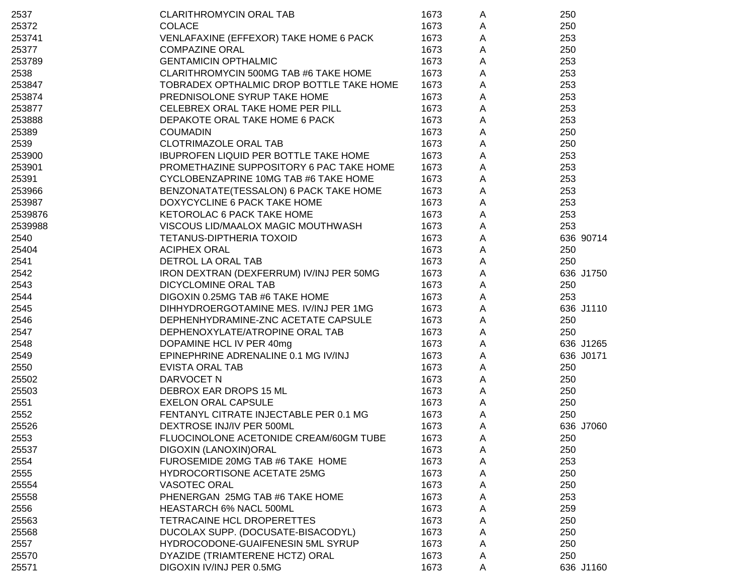| 2537    | <b>CLARITHROMYCIN ORAL TAB</b>               | 1673 | A | 250       |
|---------|----------------------------------------------|------|---|-----------|
| 25372   | <b>COLACE</b>                                | 1673 | A | 250       |
| 253741  | VENLAFAXINE (EFFEXOR) TAKE HOME 6 PACK       | 1673 | Α | 253       |
| 25377   | <b>COMPAZINE ORAL</b>                        | 1673 | Α | 250       |
| 253789  | <b>GENTAMICIN OPTHALMIC</b>                  | 1673 | А | 253       |
| 2538    | CLARITHROMYCIN 500MG TAB #6 TAKE HOME        | 1673 | А | 253       |
| 253847  | TOBRADEX OPTHALMIC DROP BOTTLE TAKE HOME     | 1673 | A | 253       |
| 253874  | PREDNISOLONE SYRUP TAKE HOME                 | 1673 | А | 253       |
| 253877  | CELEBREX ORAL TAKE HOME PER PILL             | 1673 | А | 253       |
| 253888  | DEPAKOTE ORAL TAKE HOME 6 PACK               | 1673 | A | 253       |
| 25389   | <b>COUMADIN</b>                              | 1673 | A | 250       |
| 2539    | <b>CLOTRIMAZOLE ORAL TAB</b>                 | 1673 | A | 250       |
| 253900  | <b>IBUPROFEN LIQUID PER BOTTLE TAKE HOME</b> | 1673 | A | 253       |
| 253901  | PROMETHAZINE SUPPOSITORY 6 PAC TAKE HOME     | 1673 | A | 253       |
| 25391   | CYCLOBENZAPRINE 10MG TAB #6 TAKE HOME        | 1673 | A | 253       |
| 253966  | BENZONATATE(TESSALON) 6 PACK TAKE HOME       | 1673 | A | 253       |
| 253987  | DOXYCYCLINE 6 PACK TAKE HOME                 | 1673 | A | 253       |
| 2539876 | KETOROLAC 6 PACK TAKE HOME                   | 1673 | A | 253       |
| 2539988 | VISCOUS LID/MAALOX MAGIC MOUTHWASH           | 1673 | A | 253       |
| 2540    | TETANUS-DIPTHERIA TOXOID                     | 1673 | A | 636 90714 |
| 25404   | <b>ACIPHEX ORAL</b>                          | 1673 | A | 250       |
| 2541    | DETROL LA ORAL TAB                           | 1673 | A | 250       |
| 2542    | IRON DEXTRAN (DEXFERRUM) IV/INJ PER 50MG     | 1673 | A | 636 J1750 |
| 2543    | DICYCLOMINE ORAL TAB                         | 1673 | A | 250       |
| 2544    | DIGOXIN 0.25MG TAB #6 TAKE HOME              | 1673 | A | 253       |
| 2545    | DIHHYDROERGOTAMINE MES. IV/INJ PER 1MG       | 1673 | A | 636 J1110 |
| 2546    | DEPHENHYDRAMINE-ZNC ACETATE CAPSULE          | 1673 | A | 250       |
| 2547    | DEPHENOXYLATE/ATROPINE ORAL TAB              | 1673 | A | 250       |
| 2548    | DOPAMINE HCL IV PER 40mg                     | 1673 | A | 636 J1265 |
| 2549    | EPINEPHRINE ADRENALINE 0.1 MG IV/INJ         | 1673 | A | 636 J0171 |
| 2550    | <b>EVISTA ORAL TAB</b>                       | 1673 | A | 250       |
| 25502   | DARVOCET N                                   | 1673 | A | 250       |
| 25503   | DEBROX EAR DROPS 15 ML                       | 1673 | A | 250       |
| 2551    | <b>EXELON ORAL CAPSULE</b>                   | 1673 | A | 250       |
| 2552    | FENTANYL CITRATE INJECTABLE PER 0.1 MG       | 1673 | A | 250       |
| 25526   | DEXTROSE INJ/IV PER 500ML                    | 1673 | A | 636 J7060 |
| 2553    | FLUOCINOLONE ACETONIDE CREAM/60GM TUBE       | 1673 | A | 250       |
| 25537   | DIGOXIN (LANOXIN)ORAL                        | 1673 | A | 250       |
| 2554    | FUROSEMIDE 20MG TAB #6 TAKE HOME             | 1673 | Α | 253       |
| 2555    | HYDROCORTISONE ACETATE 25MG                  | 1673 | Α | 250       |
| 25554   | VASOTEC ORAL                                 | 1673 | A | 250       |
| 25558   | PHENERGAN 25MG TAB #6 TAKE HOME              | 1673 | A | 253       |
| 2556    | HEASTARCH 6% NACL 500ML                      | 1673 | A | 259       |
| 25563   | TETRACAINE HCL DROPERETTES                   | 1673 | Α | 250       |
| 25568   | DUCOLAX SUPP. (DOCUSATE-BISACODYL)           | 1673 | Α | 250       |
| 2557    | HYDROCODONE-GUAIFENESIN 5ML SYRUP            | 1673 | A | 250       |
| 25570   | DYAZIDE (TRIAMTERENE HCTZ) ORAL              | 1673 | A | 250       |
| 25571   | DIGOXIN IV/INJ PER 0.5MG                     | 1673 | A | 636 J1160 |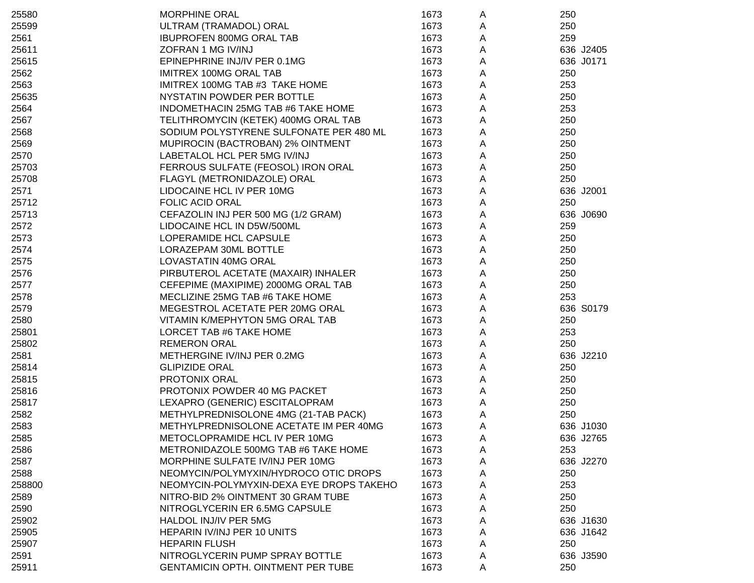| 25580  | <b>MORPHINE ORAL</b>                      | 1673 | A | 250       |
|--------|-------------------------------------------|------|---|-----------|
| 25599  | ULTRAM (TRAMADOL) ORAL                    | 1673 | A | 250       |
| 2561   | <b>IBUPROFEN 800MG ORAL TAB</b>           | 1673 | A | 259       |
| 25611  | ZOFRAN 1 MG IV/INJ                        | 1673 | A | 636 J2405 |
| 25615  | EPINEPHRINE INJ/IV PER 0.1MG              | 1673 | Α | 636 J0171 |
| 2562   | <b>IMITREX 100MG ORAL TAB</b>             | 1673 | A | 250       |
| 2563   | IMITREX 100MG TAB #3 TAKE HOME            | 1673 | A | 253       |
| 25635  | NYSTATIN POWDER PER BOTTLE                | 1673 | Α | 250       |
| 2564   | INDOMETHACIN 25MG TAB #6 TAKE HOME        | 1673 | Α | 253       |
| 2567   | TELITHROMYCIN (KETEK) 400MG ORAL TAB      | 1673 | Α | 250       |
| 2568   | SODIUM POLYSTYRENE SULFONATE PER 480 ML   | 1673 | Α | 250       |
| 2569   | MUPIROCIN (BACTROBAN) 2% OINTMENT         | 1673 | Α | 250       |
| 2570   | LABETALOL HCL PER 5MG IV/INJ              | 1673 | А | 250       |
| 25703  | FERROUS SULFATE (FEOSOL) IRON ORAL        | 1673 | Α | 250       |
| 25708  | FLAGYL (METRONIDAZOLE) ORAL               | 1673 | Α | 250       |
| 2571   | LIDOCAINE HCL IV PER 10MG                 | 1673 | Α | 636 J2001 |
| 25712  | <b>FOLIC ACID ORAL</b>                    | 1673 | А | 250       |
| 25713  | CEFAZOLIN INJ PER 500 MG (1/2 GRAM)       | 1673 | Α | 636 J0690 |
| 2572   | LIDOCAINE HCL IN D5W/500ML                | 1673 | A | 259       |
| 2573   | LOPERAMIDE HCL CAPSULE                    | 1673 | Α | 250       |
| 2574   | LORAZEPAM 30ML BOTTLE                     | 1673 | Α | 250       |
| 2575   | LOVASTATIN 40MG ORAL                      | 1673 | Α | 250       |
| 2576   | PIRBUTEROL ACETATE (MAXAIR) INHALER       | 1673 | Α | 250       |
| 2577   | CEFEPIME (MAXIPIME) 2000MG ORAL TAB       | 1673 | Α | 250       |
| 2578   | MECLIZINE 25MG TAB #6 TAKE HOME           | 1673 | Α | 253       |
| 2579   | MEGESTROL ACETATE PER 20MG ORAL           | 1673 | Α | 636 S0179 |
| 2580   | VITAMIN K/MEPHYTON 5MG ORAL TAB           | 1673 | Α | 250       |
| 25801  | LORCET TAB #6 TAKE HOME                   | 1673 | Α | 253       |
| 25802  | <b>REMERON ORAL</b>                       | 1673 | Α | 250       |
| 2581   | METHERGINE IV/INJ PER 0.2MG               | 1673 | Α | 636 J2210 |
| 25814  | <b>GLIPIZIDE ORAL</b>                     | 1673 | Α | 250       |
| 25815  | PROTONIX ORAL                             | 1673 | Α | 250       |
| 25816  | PROTONIX POWDER 40 MG PACKET              | 1673 | Α | 250       |
| 25817  | LEXAPRO (GENERIC) ESCITALOPRAM            | 1673 | Α | 250       |
| 2582   | METHYLPREDNISOLONE 4MG (21-TAB PACK)      | 1673 | Α | 250       |
| 2583   | METHYLPREDNISOLONE ACETATE IM PER 40MG    | 1673 | A | 636 J1030 |
| 2585   | METOCLOPRAMIDE HCL IV PER 10MG            | 1673 | A | 636 J2765 |
| 2586   | METRONIDAZOLE 500MG TAB #6 TAKE HOME      | 1673 | A | 253       |
| 2587   | MORPHINE SULFATE IV/INJ PER 10MG          | 1673 | A | 636 J2270 |
| 2588   | NEOMYCIN/POLYMYXIN/HYDROCO OTIC DROPS     | 1673 | Α | 250       |
| 258800 | NEOMYCIN-POLYMYXIN-DEXA EYE DROPS TAKEHO  | 1673 | A | 253       |
| 2589   | NITRO-BID 2% OINTMENT 30 GRAM TUBE        | 1673 | Α | 250       |
| 2590   | NITROGLYCERIN ER 6.5MG CAPSULE            | 1673 | Α | 250       |
| 25902  | HALDOL INJ/IV PER 5MG                     | 1673 | Α | 636 J1630 |
| 25905  | HEPARIN IV/INJ PER 10 UNITS               | 1673 | Α | 636 J1642 |
| 25907  | <b>HEPARIN FLUSH</b>                      | 1673 | Α | 250       |
| 2591   | NITROGLYCERIN PUMP SPRAY BOTTLE           | 1673 | A | 636 J3590 |
| 25911  | <b>GENTAMICIN OPTH. OINTMENT PER TUBE</b> | 1673 | A | 250       |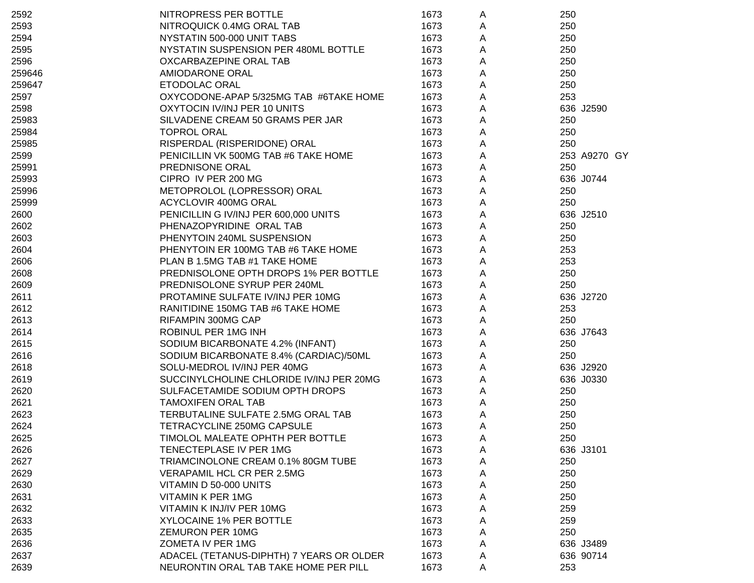| 2592   | NITROPRESS PER BOTTLE                    | 1673 | A | 250          |
|--------|------------------------------------------|------|---|--------------|
| 2593   | NITROQUICK 0.4MG ORAL TAB                | 1673 | A | 250          |
| 2594   | NYSTATIN 500-000 UNIT TABS               | 1673 | Α | 250          |
| 2595   | NYSTATIN SUSPENSION PER 480ML BOTTLE     | 1673 | A | 250          |
| 2596   | OXCARBAZEPINE ORAL TAB                   | 1673 | Α | 250          |
| 259646 | AMIODARONE ORAL                          | 1673 | Α | 250          |
| 259647 | ETODOLAC ORAL                            | 1673 | Α | 250          |
| 2597   | OXYCODONE-APAP 5/325MG TAB #6TAKE HOME   | 1673 | Α | 253          |
| 2598   | OXYTOCIN IV/INJ PER 10 UNITS             | 1673 | Α | 636 J2590    |
| 25983  | SILVADENE CREAM 50 GRAMS PER JAR         | 1673 | А | 250          |
| 25984  | <b>TOPROL ORAL</b>                       | 1673 | A | 250          |
| 25985  | RISPERDAL (RISPERIDONE) ORAL             | 1673 | Α | 250          |
| 2599   | PENICILLIN VK 500MG TAB #6 TAKE HOME     | 1673 | Α | 253 A9270 GY |
| 25991  | PREDNISONE ORAL                          | 1673 | А | 250          |
| 25993  | CIPRO IV PER 200 MG                      | 1673 | Α | 636 J0744    |
| 25996  | METOPROLOL (LOPRESSOR) ORAL              | 1673 | Α | 250          |
| 25999  | ACYCLOVIR 400MG ORAL                     | 1673 | Α | 250          |
| 2600   | PENICILLIN G IV/INJ PER 600,000 UNITS    | 1673 | A | 636 J2510    |
| 2602   | PHENAZOPYRIDINE ORAL TAB                 | 1673 | A | 250          |
| 2603   | PHENYTOIN 240ML SUSPENSION               | 1673 | A | 250          |
| 2604   | PHENYTOIN ER 100MG TAB #6 TAKE HOME      | 1673 | Α | 253          |
| 2606   | PLAN B 1.5MG TAB #1 TAKE HOME            | 1673 | Α | 253          |
| 2608   | PREDNISOLONE OPTH DROPS 1% PER BOTTLE    | 1673 | Α | 250          |
| 2609   | PREDNISOLONE SYRUP PER 240ML             | 1673 | Α | 250          |
| 2611   | PROTAMINE SULFATE IV/INJ PER 10MG        | 1673 | A | 636 J2720    |
| 2612   | RANITIDINE 150MG TAB #6 TAKE HOME        | 1673 | А | 253          |
| 2613   | RIFAMPIN 300MG CAP                       | 1673 | A | 250          |
| 2614   | ROBINUL PER 1MG INH                      | 1673 | Α | 636 J7643    |
| 2615   | SODIUM BICARBONATE 4.2% (INFANT)         | 1673 | Α | 250          |
| 2616   | SODIUM BICARBONATE 8.4% (CARDIAC)/50ML   | 1673 | А | 250          |
| 2618   | SOLU-MEDROL IV/INJ PER 40MG              | 1673 | А | 636 J2920    |
| 2619   | SUCCINYLCHOLINE CHLORIDE IV/INJ PER 20MG | 1673 | A | 636 J0330    |
| 2620   | SULFACETAMIDE SODIUM OPTH DROPS          | 1673 | A | 250          |
| 2621   | <b>TAMOXIFEN ORAL TAB</b>                | 1673 | A | 250          |
| 2623   | TERBUTALINE SULFATE 2.5MG ORAL TAB       | 1673 | Α | 250          |
| 2624   | TETRACYCLINE 250MG CAPSULE               | 1673 | Α | 250          |
| 2625   | TIMOLOL MALEATE OPHTH PER BOTTLE         | 1673 | A | 250          |
| 2626   | TENECTEPLASE IV PER 1MG                  | 1673 | A | 636 J3101    |
| 2627   | TRIAMCINOLONE CREAM 0.1% 80GM TUBE       | 1673 | A | 250          |
| 2629   | <b>VERAPAMIL HCL CR PER 2.5MG</b>        | 1673 | A | 250          |
| 2630   | VITAMIN D 50-000 UNITS                   | 1673 | A | 250          |
| 2631   | VITAMIN K PER 1MG                        | 1673 | A | 250          |
| 2632   | VITAMIN K INJ/IV PER 10MG                | 1673 | A | 259          |
| 2633   | XYLOCAINE 1% PER BOTTLE                  | 1673 | A | 259          |
| 2635   | ZEMURON PER 10MG                         | 1673 | Α | 250          |
| 2636   | ZOMETA IV PER 1MG                        | 1673 | Α | 636 J3489    |
| 2637   | ADACEL (TETANUS-DIPHTH) 7 YEARS OR OLDER | 1673 | Α | 636 90714    |
| 2639   | NEURONTIN ORAL TAB TAKE HOME PER PILL    | 1673 | A | 253          |
|        |                                          |      |   |              |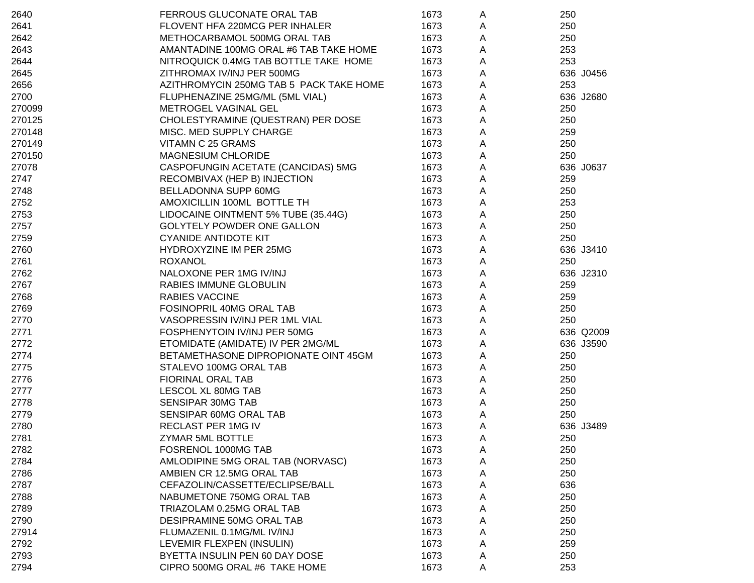| 2640   | FERROUS GLUCONATE ORAL TAB              | 1673 | A | 250       |
|--------|-----------------------------------------|------|---|-----------|
| 2641   | FLOVENT HFA 220MCG PER INHALER          | 1673 | A | 250       |
| 2642   | METHOCARBAMOL 500MG ORAL TAB            | 1673 | A | 250       |
| 2643   | AMANTADINE 100MG ORAL #6 TAB TAKE HOME  | 1673 | A | 253       |
| 2644   | NITROQUICK 0.4MG TAB BOTTLE TAKE HOME   | 1673 | Α | 253       |
| 2645   | ZITHROMAX IV/INJ PER 500MG              | 1673 | Α | 636 J0456 |
| 2656   | AZITHROMYCIN 250MG TAB 5 PACK TAKE HOME | 1673 | A | 253       |
| 2700   | FLUPHENAZINE 25MG/ML (5ML VIAL)         | 1673 | A | 636 J2680 |
| 270099 | METROGEL VAGINAL GEL                    | 1673 | Α | 250       |
| 270125 | CHOLESTYRAMINE (QUESTRAN) PER DOSE      | 1673 | Α | 250       |
| 270148 | MISC. MED SUPPLY CHARGE                 | 1673 | Α | 259       |
| 270149 | VITAMN C 25 GRAMS                       | 1673 | Α | 250       |
| 270150 | <b>MAGNESIUM CHLORIDE</b>               | 1673 | Α | 250       |
| 27078  | CASPOFUNGIN ACETATE (CANCIDAS) 5MG      | 1673 | Α | 636 J0637 |
| 2747   | RECOMBIVAX (HEP B) INJECTION            | 1673 | Α | 259       |
| 2748   | BELLADONNA SUPP 60MG                    | 1673 | Α | 250       |
| 2752   | AMOXICILLIN 100ML BOTTLE TH             | 1673 | А | 253       |
| 2753   | LIDOCAINE OINTMENT 5% TUBE (35.44G)     | 1673 | Α | 250       |
| 2757   | <b>GOLYTELY POWDER ONE GALLON</b>       | 1673 | Α | 250       |
| 2759   | <b>CYANIDE ANTIDOTE KIT</b>             | 1673 | Α | 250       |
| 2760   | HYDROXYZINE IM PER 25MG                 | 1673 | Α | 636 J3410 |
| 2761   | <b>ROXANOL</b>                          | 1673 | Α | 250       |
| 2762   | NALOXONE PER 1MG IV/INJ                 | 1673 | Α | 636 J2310 |
| 2767   | RABIES IMMUNE GLOBULIN                  | 1673 | Α | 259       |
| 2768   | <b>RABIES VACCINE</b>                   | 1673 | Α | 259       |
| 2769   | FOSINOPRIL 40MG ORAL TAB                | 1673 | Α | 250       |
| 2770   | VASOPRESSIN IV/INJ PER 1ML VIAL         | 1673 | Α | 250       |
| 2771   | FOSPHENYTOIN IV/INJ PER 50MG            | 1673 | Α | 636 Q2009 |
| 2772   | ETOMIDATE (AMIDATE) IV PER 2MG/ML       | 1673 | Α | 636 J3590 |
| 2774   | BETAMETHASONE DIPROPIONATE OINT 45GM    | 1673 | Α | 250       |
| 2775   | STALEVO 100MG ORAL TAB                  | 1673 | Α | 250       |
| 2776   | FIORINAL ORAL TAB                       | 1673 | Α | 250       |
| 2777   | LESCOL XL 80MG TAB                      | 1673 | Α | 250       |
| 2778   | SENSIPAR 30MG TAB                       | 1673 | Α | 250       |
| 2779   | SENSIPAR 60MG ORAL TAB                  | 1673 | A | 250       |
| 2780   | RECLAST PER 1MG IV                      | 1673 | Α | 636 J3489 |
| 2781   | ZYMAR 5ML BOTTLE                        | 1673 | A | 250       |
| 2782   | FOSRENOL 1000MG TAB                     | 1673 | A | 250       |
| 2784   | AMLODIPINE 5MG ORAL TAB (NORVASC)       | 1673 | Α | 250       |
| 2786   | AMBIEN CR 12.5MG ORAL TAB               | 1673 | A | 250       |
| 2787   | CEFAZOLIN/CASSETTE/ECLIPSE/BALL         | 1673 | A | 636       |
| 2788   | NABUMETONE 750MG ORAL TAB               | 1673 | A | 250       |
| 2789   | TRIAZOLAM 0.25MG ORAL TAB               | 1673 | A | 250       |
| 2790   | DESIPRAMINE 50MG ORAL TAB               | 1673 | A | 250       |
| 27914  | FLUMAZENIL 0.1MG/ML IV/INJ              | 1673 | A | 250       |
| 2792   | LEVEMIR FLEXPEN (INSULIN)               | 1673 | Α | 259       |
| 2793   | BYETTA INSULIN PEN 60 DAY DOSE          | 1673 | Α | 250       |
| 2794   | CIPRO 500MG ORAL #6 TAKE HOME           | 1673 | A | 253       |
|        |                                         |      |   |           |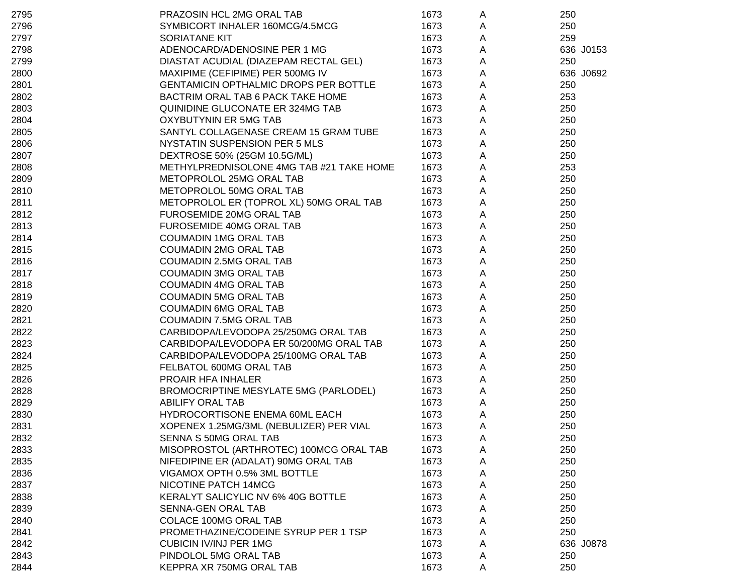| 2795 | PRAZOSIN HCL 2MG ORAL TAB                | 1673 | A           | 250       |
|------|------------------------------------------|------|-------------|-----------|
| 2796 | SYMBICORT INHALER 160MCG/4.5MCG          | 1673 | A           | 250       |
| 2797 | SORIATANE KIT                            | 1673 | A           | 259       |
| 2798 | ADENOCARD/ADENOSINE PER 1 MG             | 1673 | Α           | 636 J0153 |
| 2799 | DIASTAT ACUDIAL (DIAZEPAM RECTAL GEL)    | 1673 | A           | 250       |
| 2800 | MAXIPIME (CEFIPIME) PER 500MG IV         | 1673 | A           | 636 J0692 |
| 2801 | GENTAMICIN OPTHALMIC DROPS PER BOTTLE    | 1673 | Α           | 250       |
| 2802 | BACTRIM ORAL TAB 6 PACK TAKE HOME        | 1673 | A           | 253       |
| 2803 | QUINIDINE GLUCONATE ER 324MG TAB         | 1673 | A           | 250       |
| 2804 | OXYBUTYNIN ER 5MG TAB                    | 1673 | A           | 250       |
| 2805 | SANTYL COLLAGENASE CREAM 15 GRAM TUBE    | 1673 | $\mathsf A$ | 250       |
| 2806 | NYSTATIN SUSPENSION PER 5 MLS            | 1673 | $\mathsf A$ | 250       |
| 2807 | DEXTROSE 50% (25GM 10.5G/ML)             | 1673 | $\mathsf A$ | 250       |
| 2808 | METHYLPREDNISOLONE 4MG TAB #21 TAKE HOME | 1673 | $\mathsf A$ | 253       |
| 2809 | METOPROLOL 25MG ORAL TAB                 | 1673 | A           | 250       |
| 2810 | METOPROLOL 50MG ORAL TAB                 | 1673 | Α           | 250       |
| 2811 | METOPROLOL ER (TOPROL XL) 50MG ORAL TAB  | 1673 | Α           | 250       |
| 2812 | FUROSEMIDE 20MG ORAL TAB                 | 1673 | Α           | 250       |
| 2813 | FUROSEMIDE 40MG ORAL TAB                 | 1673 | Α           | 250       |
| 2814 | <b>COUMADIN 1MG ORAL TAB</b>             | 1673 | Α           | 250       |
| 2815 | <b>COUMADIN 2MG ORAL TAB</b>             | 1673 | A           | 250       |
| 2816 | <b>COUMADIN 2.5MG ORAL TAB</b>           | 1673 | A           | 250       |
| 2817 | <b>COUMADIN 3MG ORAL TAB</b>             | 1673 | Α           | 250       |
| 2818 | <b>COUMADIN 4MG ORAL TAB</b>             | 1673 | Α           | 250       |
| 2819 | <b>COUMADIN 5MG ORAL TAB</b>             | 1673 | A           | 250       |
| 2820 | <b>COUMADIN 6MG ORAL TAB</b>             | 1673 | A           | 250       |
| 2821 | <b>COUMADIN 7.5MG ORAL TAB</b>           | 1673 | A           | 250       |
| 2822 | CARBIDOPA/LEVODOPA 25/250MG ORAL TAB     | 1673 | $\mathsf A$ | 250       |
| 2823 | CARBIDOPA/LEVODOPA ER 50/200MG ORAL TAB  | 1673 | $\mathsf A$ | 250       |
| 2824 | CARBIDOPA/LEVODOPA 25/100MG ORAL TAB     | 1673 | A           | 250       |
| 2825 | FELBATOL 600MG ORAL TAB                  | 1673 | Α           | 250       |
| 2826 | PROAIR HFA INHALER                       | 1673 | Α           | 250       |
| 2828 | BROMOCRIPTINE MESYLATE 5MG (PARLODEL)    | 1673 | A           | 250       |
| 2829 | <b>ABILIFY ORAL TAB</b>                  | 1673 | A           | 250       |
| 2830 | HYDROCORTISONE ENEMA 60ML EACH           | 1673 | A           | 250       |
| 2831 | XOPENEX 1.25MG/3ML (NEBULIZER) PER VIAL  | 1673 | Α           | 250       |
| 2832 | SENNA S 50MG ORAL TAB                    | 1673 | A           | 250       |
| 2833 | MISOPROSTOL (ARTHROTEC) 100MCG ORAL TAB  | 1673 | A           | 250       |
| 2835 | NIFEDIPINE ER (ADALAT) 90MG ORAL TAB     | 1673 | A           | 250       |
| 2836 | VIGAMOX OPTH 0.5% 3ML BOTTLE             | 1673 | A           | 250       |
| 2837 | NICOTINE PATCH 14MCG                     | 1673 | A           | 250       |
| 2838 | KERALYT SALICYLIC NV 6% 40G BOTTLE       | 1673 | A           | 250       |
| 2839 | SENNA-GEN ORAL TAB                       | 1673 | A           | 250       |
| 2840 | <b>COLACE 100MG ORAL TAB</b>             | 1673 | A           | 250       |
| 2841 | PROMETHAZINE/CODEINE SYRUP PER 1 TSP     | 1673 | Α           | 250       |
| 2842 | <b>CUBICIN IV/INJ PER 1MG</b>            | 1673 | Α           | 636 J0878 |
| 2843 | PINDOLOL 5MG ORAL TAB                    | 1673 | A           | 250       |
| 2844 | KEPPRA XR 750MG ORAL TAB                 | 1673 | A           | 250       |
|      |                                          |      |             |           |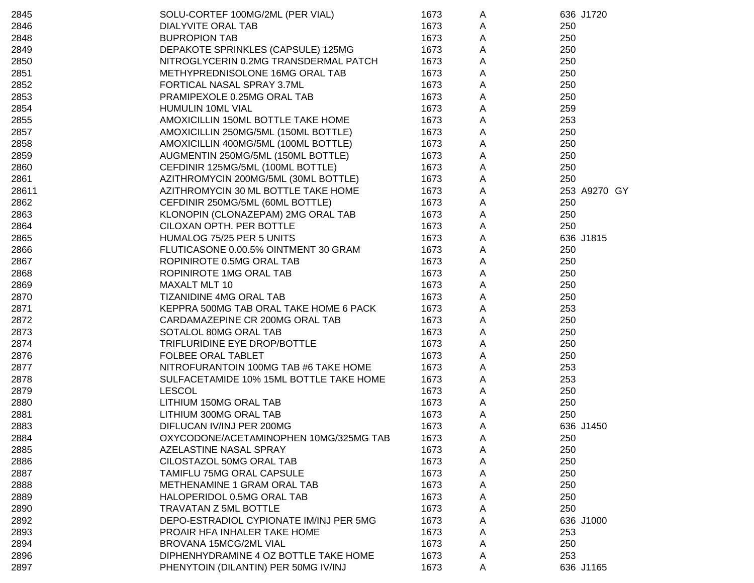| 2845  | SOLU-CORTEF 100MG/2ML (PER VIAL)        | 1673 | A | 636 J1720    |
|-------|-----------------------------------------|------|---|--------------|
| 2846  | DIALYVITE ORAL TAB                      | 1673 | Α | 250          |
| 2848  | <b>BUPROPION TAB</b>                    | 1673 | A | 250          |
| 2849  | DEPAKOTE SPRINKLES (CAPSULE) 125MG      | 1673 | Α | 250          |
| 2850  | NITROGLYCERIN 0.2MG TRANSDERMAL PATCH   | 1673 | Α | 250          |
| 2851  | METHYPREDNISOLONE 16MG ORAL TAB         | 1673 | Α | 250          |
| 2852  | FORTICAL NASAL SPRAY 3.7ML              | 1673 | A | 250          |
| 2853  | PRAMIPEXOLE 0.25MG ORAL TAB             | 1673 | A | 250          |
| 2854  | HUMULIN 10ML VIAL                       | 1673 | A | 259          |
| 2855  | AMOXICILLIN 150ML BOTTLE TAKE HOME      | 1673 | Α | 253          |
| 2857  | AMOXICILLIN 250MG/5ML (150ML BOTTLE)    | 1673 | Α | 250          |
| 2858  | AMOXICILLIN 400MG/5ML (100ML BOTTLE)    | 1673 | Α | 250          |
| 2859  | AUGMENTIN 250MG/5ML (150ML BOTTLE)      | 1673 | A | 250          |
| 2860  | CEFDINIR 125MG/5ML (100ML BOTTLE)       | 1673 | A | 250          |
| 2861  | AZITHROMYCIN 200MG/5ML (30ML BOTTLE)    | 1673 | A | 250          |
| 28611 | AZITHROMYCIN 30 ML BOTTLE TAKE HOME     | 1673 | A | 253 A9270 GY |
| 2862  | CEFDINIR 250MG/5ML (60ML BOTTLE)        | 1673 | A | 250          |
| 2863  | KLONOPIN (CLONAZEPAM) 2MG ORAL TAB      | 1673 | A | 250          |
| 2864  | CILOXAN OPTH. PER BOTTLE                | 1673 | A | 250          |
| 2865  | HUMALOG 75/25 PER 5 UNITS               | 1673 | A | 636 J1815    |
| 2866  | FLUTICASONE 0.00.5% OINTMENT 30 GRAM    | 1673 | A | 250          |
| 2867  | ROPINIROTE 0.5MG ORAL TAB               | 1673 | A | 250          |
| 2868  | ROPINIROTE 1MG ORAL TAB                 | 1673 | A | 250          |
| 2869  | MAXALT MLT 10                           | 1673 | A | 250          |
| 2870  | <b>TIZANIDINE 4MG ORAL TAB</b>          | 1673 | Α | 250          |
| 2871  | KEPPRA 500MG TAB ORAL TAKE HOME 6 PACK  | 1673 | Α | 253          |
| 2872  | CARDAMAZEPINE CR 200MG ORAL TAB         | 1673 | A | 250          |
| 2873  | SOTALOL 80MG ORAL TAB                   | 1673 | Α | 250          |
| 2874  | TRIFLURIDINE EYE DROP/BOTTLE            | 1673 | A | 250          |
| 2876  | <b>FOLBEE ORAL TABLET</b>               | 1673 | A | 250          |
| 2877  | NITROFURANTOIN 100MG TAB #6 TAKE HOME   | 1673 | A | 253          |
| 2878  | SULFACETAMIDE 10% 15ML BOTTLE TAKE HOME | 1673 | A | 253          |
| 2879  | <b>LESCOL</b>                           | 1673 | A | 250          |
| 2880  | LITHIUM 150MG ORAL TAB                  | 1673 | A | 250          |
| 2881  | LITHIUM 300MG ORAL TAB                  | 1673 | A | 250          |
| 2883  | DIFLUCAN IV/INJ PER 200MG               | 1673 | A | 636 J1450    |
| 2884  | OXYCODONE/ACETAMINOPHEN 10MG/325MG TAB  | 1673 | A | 250          |
| 2885  | AZELASTINE NASAL SPRAY                  | 1673 | A | 250          |
| 2886  | CILOSTAZOL 50MG ORAL TAB                | 1673 | A | 250          |
| 2887  | TAMIFLU 75MG ORAL CAPSULE               | 1673 | Α | 250          |
| 2888  | METHENAMINE 1 GRAM ORAL TAB             | 1673 | Α | 250          |
| 2889  | HALOPERIDOL 0.5MG ORAL TAB              | 1673 | Α | 250          |
| 2890  | TRAVATAN Z 5ML BOTTLE                   | 1673 | A | 250          |
| 2892  | DEPO-ESTRADIOL CYPIONATE IM/INJ PER 5MG | 1673 | Α | 636 J1000    |
| 2893  | PROAIR HFA INHALER TAKE HOME            | 1673 | A | 253          |
| 2894  | BROVANA 15MCG/2ML VIAL                  | 1673 | Α | 250          |
| 2896  | DIPHENHYDRAMINE 4 OZ BOTTLE TAKE HOME   | 1673 | A | 253          |
| 2897  | PHENYTOIN (DILANTIN) PER 50MG IV/INJ    | 1673 | A | 636 J1165    |
|       |                                         |      |   |              |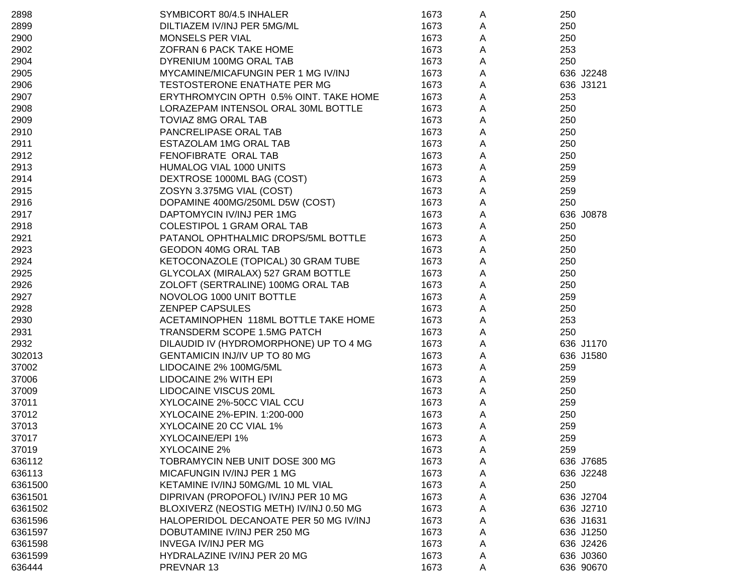| 2898    | SYMBICORT 80/4.5 INHALER                | 1673 | A | 250       |
|---------|-----------------------------------------|------|---|-----------|
| 2899    | DILTIAZEM IV/INJ PER 5MG/ML             | 1673 | Α | 250       |
| 2900    | MONSELS PER VIAL                        | 1673 | Α | 250       |
| 2902    | ZOFRAN 6 PACK TAKE HOME                 | 1673 | A | 253       |
| 2904    | DYRENIUM 100MG ORAL TAB                 | 1673 | Α | 250       |
| 2905    | MYCAMINE/MICAFUNGIN PER 1 MG IV/INJ     | 1673 | Α | 636 J2248 |
| 2906    | TESTOSTERONE ENATHATE PER MG            | 1673 | Α | 636 J3121 |
| 2907    | ERYTHROMYCIN OPTH 0.5% OINT. TAKE HOME  | 1673 | Α | 253       |
| 2908    | LORAZEPAM INTENSOL ORAL 30ML BOTTLE     | 1673 | Α | 250       |
| 2909    | <b>TOVIAZ 8MG ORAL TAB</b>              | 1673 | Α | 250       |
| 2910    | PANCRELIPASE ORAL TAB                   | 1673 | Α | 250       |
| 2911    | ESTAZOLAM 1MG ORAL TAB                  | 1673 | Α | 250       |
| 2912    | FENOFIBRATE ORAL TAB                    | 1673 | Α | 250       |
| 2913    | HUMALOG VIAL 1000 UNITS                 | 1673 | Α | 259       |
| 2914    | DEXTROSE 1000ML BAG (COST)              | 1673 | Α | 259       |
| 2915    | ZOSYN 3.375MG VIAL (COST)               | 1673 | A | 259       |
| 2916    | DOPAMINE 400MG/250ML D5W (COST)         | 1673 | A | 250       |
| 2917    | DAPTOMYCIN IV/INJ PER 1MG               | 1673 | Α | 636 J0878 |
| 2918    | <b>COLESTIPOL 1 GRAM ORAL TAB</b>       | 1673 | Α | 250       |
| 2921    | PATANOL OPHTHALMIC DROPS/5ML BOTTLE     | 1673 | A | 250       |
| 2923    | <b>GEODON 40MG ORAL TAB</b>             | 1673 | Α | 250       |
| 2924    | KETOCONAZOLE (TOPICAL) 30 GRAM TUBE     | 1673 | Α | 250       |
| 2925    | GLYCOLAX (MIRALAX) 527 GRAM BOTTLE      | 1673 | Α | 250       |
| 2926    | ZOLOFT (SERTRALINE) 100MG ORAL TAB      | 1673 | Α | 250       |
| 2927    | NOVOLOG 1000 UNIT BOTTLE                | 1673 | A | 259       |
| 2928    | <b>ZENPEP CAPSULES</b>                  | 1673 | Α | 250       |
| 2930    | ACETAMINOPHEN 118ML BOTTLE TAKE HOME    | 1673 | A | 253       |
| 2931    | TRANSDERM SCOPE 1.5MG PATCH             | 1673 | A | 250       |
| 2932    | DILAUDID IV (HYDROMORPHONE) UP TO 4 MG  | 1673 | Α | 636 J1170 |
| 302013  | GENTAMICIN INJ/IV UP TO 80 MG           | 1673 | Α | 636 J1580 |
| 37002   | LIDOCAINE 2% 100MG/5ML                  | 1673 | Α | 259       |
| 37006   | LIDOCAINE 2% WITH EPI                   | 1673 | A | 259       |
| 37009   | LIDOCAINE VISCUS 20ML                   | 1673 | A | 250       |
| 37011   | XYLOCAINE 2%-50CC VIAL CCU              | 1673 | Α | 259       |
| 37012   | XYLOCAINE 2%-EPIN. 1:200-000            | 1673 | Α | 250       |
| 37013   | XYLOCAINE 20 CC VIAL 1%                 | 1673 | A | 259       |
| 37017   | XYLOCAINE/EPI 1%                        | 1673 | A | 259       |
| 37019   | XYLOCAINE 2%                            | 1673 | A | 259       |
| 636112  | TOBRAMYCIN NEB UNIT DOSE 300 MG         | 1673 | A | 636 J7685 |
| 636113  | MICAFUNGIN IV/INJ PER 1 MG              | 1673 | A | 636 J2248 |
| 6361500 | KETAMINE IV/INJ 50MG/ML 10 ML VIAL      | 1673 | A | 250       |
| 6361501 | DIPRIVAN (PROPOFOL) IV/INJ PER 10 MG    | 1673 | A | 636 J2704 |
| 6361502 | BLOXIVERZ (NEOSTIG METH) IV/INJ 0.50 MG | 1673 | A | 636 J2710 |
| 6361596 | HALOPERIDOL DECANOATE PER 50 MG IV/INJ  | 1673 | A | 636 J1631 |
| 6361597 | DOBUTAMINE IV/INJ PER 250 MG            | 1673 | A | 636 J1250 |
| 6361598 | <b>INVEGA IV/INJ PER MG</b>             | 1673 | A | 636 J2426 |
| 6361599 | HYDRALAZINE IV/INJ PER 20 MG            | 1673 | A | 636 J0360 |
| 636444  | PREVNAR 13                              | 1673 | Α | 636 90670 |
|         |                                         |      |   |           |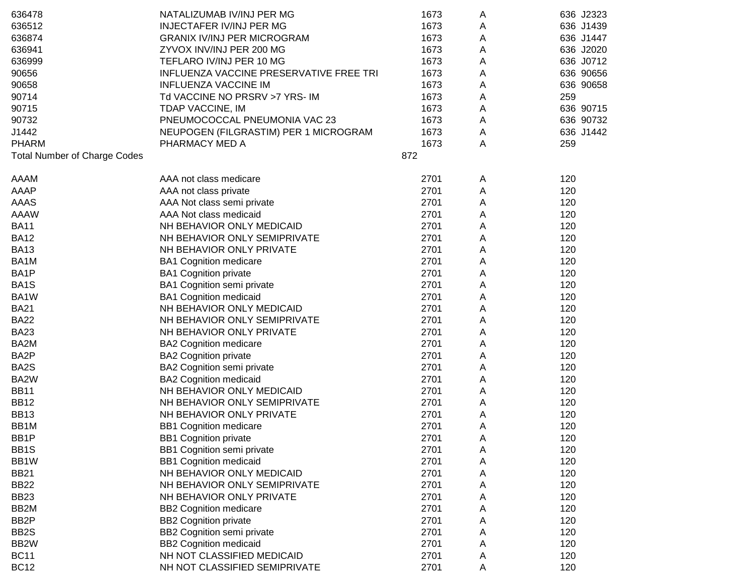| 636478                              | NATALIZUMAB IV/INJ PER MG               | 1673 | A | 636 J2323 |
|-------------------------------------|-----------------------------------------|------|---|-----------|
| 636512                              | <b>INJECTAFER IV/INJ PER MG</b>         | 1673 | A | 636 J1439 |
| 636874                              | <b>GRANIX IV/INJ PER MICROGRAM</b>      | 1673 | A | 636 J1447 |
| 636941                              | ZYVOX INV/INJ PER 200 MG                | 1673 | A | 636 J2020 |
| 636999                              | TEFLARO IV/INJ PER 10 MG                | 1673 | A | 636 J0712 |
| 90656                               | INFLUENZA VACCINE PRESERVATIVE FREE TRI | 1673 | Α | 636 90656 |
| 90658                               | <b>INFLUENZA VACCINE IM</b>             | 1673 | A | 636 90658 |
| 90714                               | Td VACCINE NO PRSRV >7 YRS- IM          | 1673 | Α | 259       |
| 90715                               | TDAP VACCINE, IM                        | 1673 | A | 636 90715 |
| 90732                               | PNEUMOCOCCAL PNEUMONIA VAC 23           | 1673 | A | 636 90732 |
| J1442                               | NEUPOGEN (FILGRASTIM) PER 1 MICROGRAM   | 1673 | Α | 636 J1442 |
| PHARM                               | PHARMACY MED A                          | 1673 | A | 259       |
| <b>Total Number of Charge Codes</b> |                                         | 872  |   |           |
| AAAM                                | AAA not class medicare                  | 2701 | A | 120       |
| AAAP                                | AAA not class private                   | 2701 | A | 120       |
| AAAS                                | AAA Not class semi private              | 2701 | A | 120       |
| AAAW                                | AAA Not class medicaid                  | 2701 | A | 120       |
| <b>BA11</b>                         | NH BEHAVIOR ONLY MEDICAID               | 2701 | A | 120       |
| <b>BA12</b>                         | NH BEHAVIOR ONLY SEMIPRIVATE            | 2701 | A | 120       |
| <b>BA13</b>                         | NH BEHAVIOR ONLY PRIVATE                | 2701 | A | 120       |
| BA1M                                | <b>BA1 Cognition medicare</b>           | 2701 | Α | 120       |
| BA1P                                | <b>BA1 Cognition private</b>            | 2701 | A | 120       |
| BA1S                                | BA1 Cognition semi private              | 2701 | A | 120       |
| BA1W                                | <b>BA1 Cognition medicaid</b>           | 2701 | A | 120       |
| <b>BA21</b>                         | NH BEHAVIOR ONLY MEDICAID               | 2701 | Α | 120       |
| <b>BA22</b>                         | NH BEHAVIOR ONLY SEMIPRIVATE            | 2701 | Α | 120       |
| <b>BA23</b>                         | NH BEHAVIOR ONLY PRIVATE                | 2701 | A | 120       |
| BA2M                                | <b>BA2 Cognition medicare</b>           | 2701 | A | 120       |
| BA2P                                | <b>BA2 Cognition private</b>            | 2701 | Α | 120       |
| BA2S                                | BA2 Cognition semi private              | 2701 | Α | 120       |
| BA2W                                | <b>BA2 Cognition medicaid</b>           | 2701 | A | 120       |
| <b>BB11</b>                         | NH BEHAVIOR ONLY MEDICAID               | 2701 | A | 120       |
| <b>BB12</b>                         | NH BEHAVIOR ONLY SEMIPRIVATE            | 2701 | A | 120       |
| <b>BB13</b>                         | NH BEHAVIOR ONLY PRIVATE                | 2701 | A | 120       |
| BB1M                                | <b>BB1 Cognition medicare</b>           | 2701 | A | 120       |
| BB1P                                | <b>BB1 Cognition private</b>            | 2701 | A | 120       |
| BB1S                                | BB1 Cognition semi private              | 2701 | A | 120       |
| BB1W                                | <b>BB1 Cognition medicaid</b>           | 2701 | Α | 120       |
| <b>BB21</b>                         | NH BEHAVIOR ONLY MEDICAID               | 2701 | Α | 120       |
| <b>BB22</b>                         | NH BEHAVIOR ONLY SEMIPRIVATE            | 2701 | Α | 120       |
| <b>BB23</b>                         | NH BEHAVIOR ONLY PRIVATE                | 2701 | Α | 120       |
| BB2M                                | <b>BB2 Cognition medicare</b>           | 2701 | Α | 120       |
| BB2P                                | <b>BB2 Cognition private</b>            | 2701 | Α | 120       |
| BB2S                                | BB2 Cognition semi private              | 2701 | Α | 120       |
| BB2W                                | <b>BB2 Cognition medicaid</b>           | 2701 | A | 120       |
| <b>BC11</b>                         | NH NOT CLASSIFIED MEDICAID              | 2701 | A | 120       |
| <b>BC12</b>                         | NH NOT CLASSIFIED SEMIPRIVATE           | 2701 | A | 120       |
|                                     |                                         |      |   |           |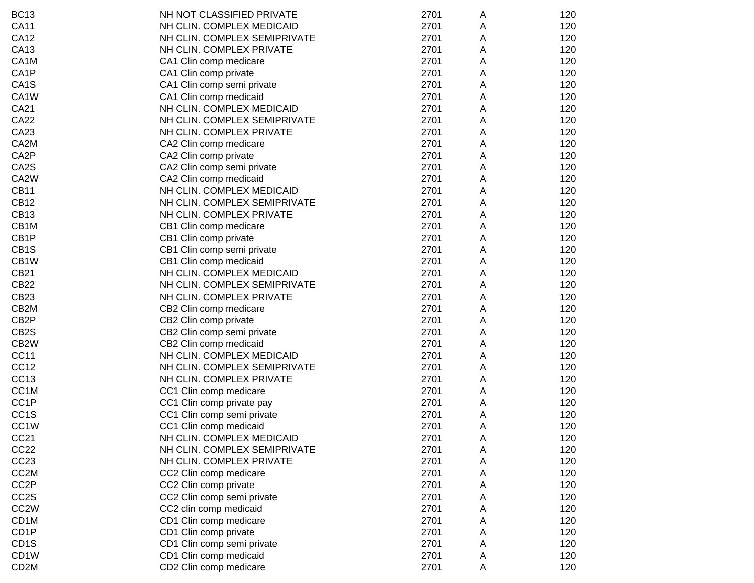| <b>BC13</b>       | NH NOT CLASSIFIED PRIVATE    | 2701 | Α | 120 |
|-------------------|------------------------------|------|---|-----|
| <b>CA11</b>       | NH CLIN. COMPLEX MEDICAID    | 2701 | Α | 120 |
| <b>CA12</b>       | NH CLIN. COMPLEX SEMIPRIVATE | 2701 | A | 120 |
| CA13              | NH CLIN. COMPLEX PRIVATE     | 2701 | A | 120 |
| CA1M              | CA1 Clin comp medicare       | 2701 | A | 120 |
| CA1P              | CA1 Clin comp private        | 2701 | A | 120 |
| CA <sub>1</sub> S | CA1 Clin comp semi private   | 2701 | Α | 120 |
| CA1W              | CA1 Clin comp medicaid       | 2701 | A | 120 |
| <b>CA21</b>       | NH CLIN. COMPLEX MEDICAID    | 2701 | A | 120 |
| <b>CA22</b>       | NH CLIN. COMPLEX SEMIPRIVATE | 2701 | A | 120 |
| CA23              | NH CLIN. COMPLEX PRIVATE     | 2701 | Α | 120 |
| CA <sub>2</sub> M | CA2 Clin comp medicare       | 2701 | Α | 120 |
| CA2P              | CA2 Clin comp private        | 2701 | Α | 120 |
| CA2S              | CA2 Clin comp semi private   | 2701 | A | 120 |
| CA2W              | CA2 Clin comp medicaid       | 2701 | A | 120 |
| <b>CB11</b>       | NH CLIN. COMPLEX MEDICAID    | 2701 | A | 120 |
| <b>CB12</b>       | NH CLIN. COMPLEX SEMIPRIVATE | 2701 | A | 120 |
| <b>CB13</b>       | NH CLIN. COMPLEX PRIVATE     | 2701 | A | 120 |
| CB1M              | CB1 Clin comp medicare       | 2701 | Α | 120 |
| CB <sub>1</sub> P | CB1 Clin comp private        | 2701 | A | 120 |
| CB <sub>1</sub> S | CB1 Clin comp semi private   | 2701 | A | 120 |
| CB1W              | CB1 Clin comp medicaid       | 2701 | A | 120 |
| <b>CB21</b>       | NH CLIN. COMPLEX MEDICAID    | 2701 | A | 120 |
| <b>CB22</b>       | NH CLIN. COMPLEX SEMIPRIVATE | 2701 | A | 120 |
| CB <sub>23</sub>  | NH CLIN. COMPLEX PRIVATE     | 2701 | A | 120 |
| CB <sub>2</sub> M | CB2 Clin comp medicare       | 2701 | A | 120 |
| CB <sub>2</sub> P | CB2 Clin comp private        | 2701 | А | 120 |
| CB <sub>2</sub> S | CB2 Clin comp semi private   | 2701 | Α | 120 |
| CB <sub>2</sub> W | CB2 Clin comp medicaid       | 2701 | А | 120 |
| <b>CC11</b>       | NH CLIN. COMPLEX MEDICAID    | 2701 | A | 120 |
| CC <sub>12</sub>  | NH CLIN. COMPLEX SEMIPRIVATE | 2701 | A | 120 |
| CC13              | NH CLIN. COMPLEX PRIVATE     | 2701 | A | 120 |
| CC <sub>1</sub> M | CC1 Clin comp medicare       | 2701 | A | 120 |
| CC <sub>1</sub> P | CC1 Clin comp private pay    | 2701 | A | 120 |
| CC <sub>1</sub> S | CC1 Clin comp semi private   | 2701 | Α | 120 |
| CC <sub>1</sub> W | CC1 Clin comp medicaid       | 2701 | Α | 120 |
| CC <sub>21</sub>  | NH CLIN. COMPLEX MEDICAID    | 2701 | A | 120 |
| CC <sub>22</sub>  | NH CLIN. COMPLEX SEMIPRIVATE | 2701 | Α | 120 |
| CC <sub>23</sub>  | NH CLIN. COMPLEX PRIVATE     | 2701 | A | 120 |
| CC <sub>2</sub> M | CC2 Clin comp medicare       | 2701 | Α | 120 |
| CC <sub>2</sub> P | CC2 Clin comp private        | 2701 | Α | 120 |
| CC <sub>2</sub> S | CC2 Clin comp semi private   | 2701 | A | 120 |
| CC <sub>2</sub> W | CC2 clin comp medicaid       | 2701 | Α | 120 |
| CD1M              | CD1 Clin comp medicare       | 2701 | Α | 120 |
| CD <sub>1</sub> P | CD1 Clin comp private        | 2701 | Α | 120 |
| CD <sub>1</sub> S | CD1 Clin comp semi private   | 2701 | A | 120 |
| CD <sub>1</sub> W | CD1 Clin comp medicaid       | 2701 | A | 120 |
| CD <sub>2</sub> M | CD2 Clin comp medicare       | 2701 | Α | 120 |
|                   |                              |      |   |     |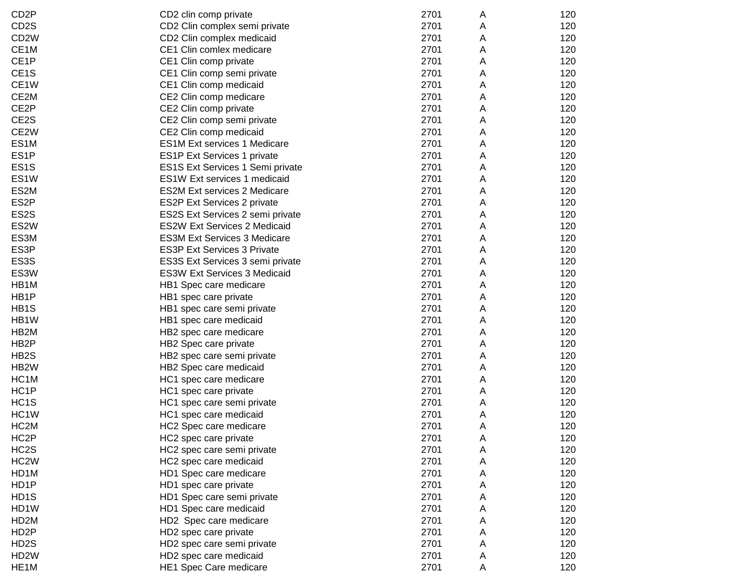| CD <sub>2</sub> P | CD2 clin comp private               | 2701 | A | 120 |
|-------------------|-------------------------------------|------|---|-----|
| CD <sub>2</sub> S | CD2 Clin complex semi private       | 2701 | A | 120 |
| CD <sub>2</sub> W | CD2 Clin complex medicaid           | 2701 | A | 120 |
| CE1M              | CE1 Clin comlex medicare            | 2701 | A | 120 |
| CE1P              | CE1 Clin comp private               | 2701 | Α | 120 |
| CE <sub>1</sub> S | CE1 Clin comp semi private          | 2701 | Α | 120 |
| CE1W              | CE1 Clin comp medicaid              | 2701 | Α | 120 |
| CE2M              | CE2 Clin comp medicare              | 2701 | Α | 120 |
| CE2P              | CE2 Clin comp private               | 2701 | Α | 120 |
| CE2S              | CE2 Clin comp semi private          | 2701 | Α | 120 |
| CE2W              | CE2 Clin comp medicaid              | 2701 | Α | 120 |
| ES <sub>1</sub> M | <b>ES1M Ext services 1 Medicare</b> | 2701 | Α | 120 |
| ES <sub>1</sub> P | ES1P Ext Services 1 private         | 2701 | Α | 120 |
| ES <sub>1</sub> S | ES1S Ext Services 1 Semi private    | 2701 | Α | 120 |
| ES1W              | ES1W Ext services 1 medicaid        | 2701 | A | 120 |
| ES2M              | <b>ES2M Ext services 2 Medicare</b> | 2701 | A | 120 |
| ES <sub>2</sub> P | ES2P Ext Services 2 private         | 2701 | A | 120 |
| ES2S              | ES2S Ext Services 2 semi private    | 2701 | Α | 120 |
| ES2W              | <b>ES2W Ext Services 2 Medicaid</b> | 2701 | A | 120 |
| ES3M              | <b>ES3M Ext Services 3 Medicare</b> | 2701 | А | 120 |
| ES3P              | <b>ES3P Ext Services 3 Private</b>  | 2701 | A | 120 |
| ES3S              | ES3S Ext Services 3 semi private    | 2701 | Α | 120 |
| ES3W              | <b>ES3W Ext Services 3 Medicaid</b> | 2701 | Α | 120 |
| HB1M              | HB1 Spec care medicare              | 2701 | Α | 120 |
| HB1P              | HB1 spec care private               | 2701 | Α | 120 |
| HB1S              | HB1 spec care semi private          | 2701 | Α | 120 |
| HB1W              | HB1 spec care medicaid              | 2701 | А | 120 |
| HB2M              | HB2 spec care medicare              | 2701 | А | 120 |
| HB <sub>2</sub> P | HB2 Spec care private               | 2701 | Α | 120 |
| HB <sub>2</sub> S | HB2 spec care semi private          | 2701 | Α | 120 |
| HB <sub>2</sub> W | HB2 Spec care medicaid              | 2701 | Α | 120 |
| HC <sub>1</sub> M | HC1 spec care medicare              | 2701 | Α | 120 |
| HC1P              | HC1 spec care private               | 2701 | Α | 120 |
| HC <sub>1</sub> S | HC1 spec care semi private          | 2701 | Α | 120 |
| HC <sub>1</sub> W | HC1 spec care medicaid              | 2701 | A | 120 |
| HC <sub>2</sub> M | HC2 Spec care medicare              | 2701 | Α | 120 |
| HC <sub>2</sub> P | HC2 spec care private               | 2701 | A | 120 |
| HC <sub>2</sub> S | HC2 spec care semi private          | 2701 | Α | 120 |
| HC <sub>2</sub> W | HC2 spec care medicaid              | 2701 | Α | 120 |
| HD1M              | HD1 Spec care medicare              | 2701 | А | 120 |
| HD1P              | HD1 spec care private               | 2701 | Α | 120 |
| HD1S              | HD1 Spec care semi private          | 2701 | Α | 120 |
| HD1W              | HD1 Spec care medicaid              | 2701 | Α | 120 |
| HD <sub>2</sub> M | HD2 Spec care medicare              | 2701 | Α | 120 |
| HD <sub>2</sub> P | HD2 spec care private               | 2701 | Α | 120 |
| HD <sub>2</sub> S | HD2 spec care semi private          | 2701 | Α | 120 |
| HD <sub>2</sub> W | HD2 spec care medicaid              | 2701 | Α | 120 |
| HE <sub>1</sub> M | HE1 Spec Care medicare              | 2701 | Α | 120 |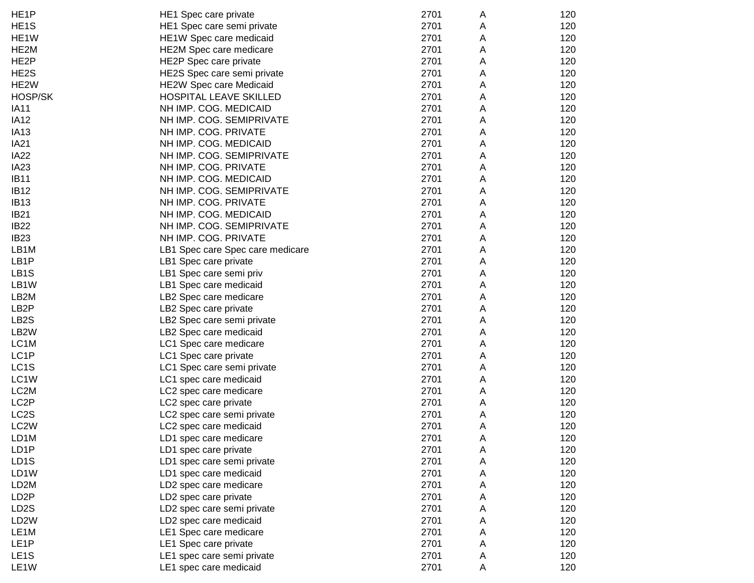| HE <sub>1</sub> P | HE1 Spec care private            | 2701 | A | 120 |
|-------------------|----------------------------------|------|---|-----|
| HE <sub>1</sub> S | HE1 Spec care semi private       | 2701 | A | 120 |
| HE <sub>1</sub> W | HE1W Spec care medicaid          | 2701 | A | 120 |
| HE2M              | HE2M Spec care medicare          | 2701 | Α | 120 |
| HE <sub>2</sub> P | HE2P Spec care private           | 2701 | Α | 120 |
| HE2S              | HE2S Spec care semi private      | 2701 | Α | 120 |
| HE <sub>2</sub> W | <b>HE2W Spec care Medicaid</b>   | 2701 | Α | 120 |
| HOSP/SK           | HOSPITAL LEAVE SKILLED           | 2701 | Α | 120 |
| <b>IA11</b>       | NH IMP. COG. MEDICAID            | 2701 | Α | 120 |
| <b>IA12</b>       | NH IMP. COG. SEMIPRIVATE         | 2701 | Α | 120 |
| <b>IA13</b>       | NH IMP. COG. PRIVATE             | 2701 | Α | 120 |
| <b>IA21</b>       | NH IMP. COG. MEDICAID            | 2701 | Α | 120 |
| <b>IA22</b>       | NH IMP. COG. SEMIPRIVATE         | 2701 | Α | 120 |
| <b>IA23</b>       | NH IMP. COG. PRIVATE             | 2701 | Α | 120 |
| <b>IB11</b>       | NH IMP. COG. MEDICAID            | 2701 | Α | 120 |
| <b>IB12</b>       | NH IMP. COG. SEMIPRIVATE         | 2701 | Α | 120 |
| <b>IB13</b>       | NH IMP. COG. PRIVATE             | 2701 | Α | 120 |
| <b>IB21</b>       | NH IMP. COG. MEDICAID            | 2701 | Α | 120 |
| <b>IB22</b>       | NH IMP. COG. SEMIPRIVATE         | 2701 | Α | 120 |
| <b>IB23</b>       | NH IMP. COG. PRIVATE             | 2701 | Α | 120 |
| LB1M              | LB1 Spec care Spec care medicare | 2701 | Α | 120 |
| LB <sub>1</sub> P | LB1 Spec care private            | 2701 | Α | 120 |
| LB <sub>1</sub> S | LB1 Spec care semi priv          | 2701 | Α | 120 |
| LB1W              | LB1 Spec care medicaid           | 2701 | Α | 120 |
| LB <sub>2</sub> M | LB2 Spec care medicare           | 2701 | Α | 120 |
| LB <sub>2</sub> P | LB2 Spec care private            | 2701 | Α | 120 |
| LB <sub>2</sub> S | LB2 Spec care semi private       | 2701 | Α | 120 |
| LB <sub>2</sub> W | LB2 Spec care medicaid           | 2701 | Α | 120 |
| LC1M              | LC1 Spec care medicare           | 2701 | Α | 120 |
| LC1P              | LC1 Spec care private            | 2701 | Α | 120 |
| LC1S              | LC1 Spec care semi private       | 2701 | Α | 120 |
| LC1W              | LC1 spec care medicaid           | 2701 | Α | 120 |
| LC <sub>2</sub> M | LC2 spec care medicare           | 2701 | A | 120 |
| LC <sub>2</sub> P | LC2 spec care private            | 2701 | A | 120 |
| LC <sub>2</sub> S | LC2 spec care semi private       | 2701 | A | 120 |
| LC <sub>2</sub> W | LC2 spec care medicaid           | 2701 | Α | 120 |
| LD1M              | LD1 spec care medicare           | 2701 | A | 120 |
| LD1P              | LD1 spec care private            | 2701 | Α | 120 |
| LD <sub>1</sub> S | LD1 spec care semi private       | 2701 | Α | 120 |
| LD1W              | LD1 spec care medicaid           | 2701 | Α | 120 |
| LD <sub>2</sub> M | LD2 spec care medicare           | 2701 | Α | 120 |
| LD <sub>2</sub> P | LD2 spec care private            | 2701 | Α | 120 |
| LD <sub>2</sub> S | LD2 spec care semi private       | 2701 | Α | 120 |
| LD <sub>2</sub> W | LD2 spec care medicaid           | 2701 | Α | 120 |
| LE <sub>1</sub> M | LE1 Spec care medicare           | 2701 | Α | 120 |
| LE <sub>1</sub> P | LE1 Spec care private            | 2701 | Α | 120 |
| LE <sub>1</sub> S | LE1 spec care semi private       | 2701 | A | 120 |
| LE <sub>1</sub> W | LE1 spec care medicaid           | 2701 | Α | 120 |
|                   |                                  |      |   |     |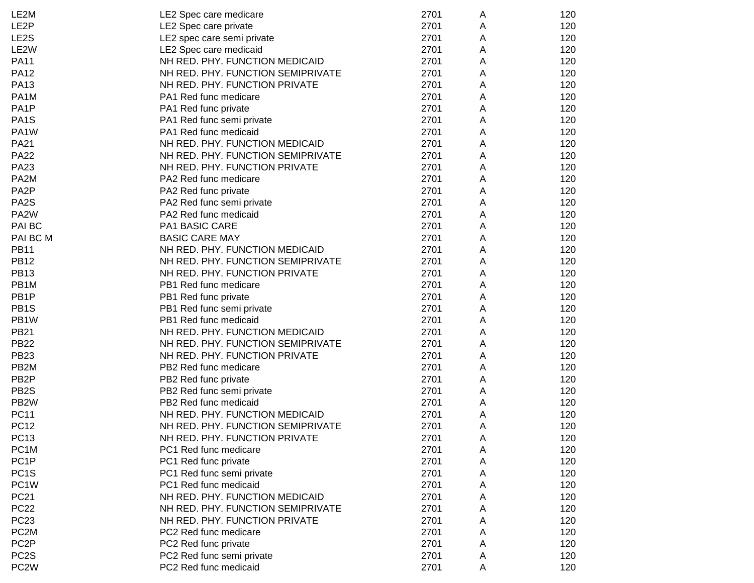| LE2M              | LE2 Spec care medicare            | 2701 | A | 120 |
|-------------------|-----------------------------------|------|---|-----|
| LE <sub>2</sub> P | LE2 Spec care private             | 2701 | Α | 120 |
| LE <sub>2</sub> S | LE2 spec care semi private        | 2701 | A | 120 |
| LE <sub>2</sub> W | LE2 Spec care medicaid            | 2701 | A | 120 |
| <b>PA11</b>       | NH RED. PHY. FUNCTION MEDICAID    | 2701 | Α | 120 |
| <b>PA12</b>       | NH RED. PHY. FUNCTION SEMIPRIVATE | 2701 | Α | 120 |
| <b>PA13</b>       | NH RED. PHY. FUNCTION PRIVATE     | 2701 | Α | 120 |
| PA1M              | PA1 Red func medicare             | 2701 | Α | 120 |
| PA <sub>1</sub> P | PA1 Red func private              | 2701 | Α | 120 |
| PA <sub>1</sub> S | PA1 Red func semi private         | 2701 | Α | 120 |
| PA1W              | PA1 Red func medicaid             | 2701 | Α | 120 |
| <b>PA21</b>       | NH RED. PHY. FUNCTION MEDICAID    | 2701 | Α | 120 |
| <b>PA22</b>       | NH RED. PHY. FUNCTION SEMIPRIVATE | 2701 | Α | 120 |
| <b>PA23</b>       | NH RED. PHY. FUNCTION PRIVATE     | 2701 | Α | 120 |
| PA2M              | PA2 Red func medicare             | 2701 | Α | 120 |
| PA <sub>2</sub> P | PA2 Red func private              | 2701 | A | 120 |
| PA <sub>2</sub> S | PA2 Red func semi private         | 2701 | A | 120 |
| PA <sub>2</sub> W | PA2 Red func medicaid             | 2701 | A | 120 |
| PAI BC            | PA1 BASIC CARE                    | 2701 | Α | 120 |
| PAI BC M          | <b>BASIC CARE MAY</b>             | 2701 | A | 120 |
| <b>PB11</b>       | NH RED. PHY. FUNCTION MEDICAID    | 2701 | Α | 120 |
| <b>PB12</b>       | NH RED. PHY. FUNCTION SEMIPRIVATE | 2701 | Α | 120 |
| <b>PB13</b>       | NH RED. PHY. FUNCTION PRIVATE     | 2701 | Α | 120 |
| PB1M              | PB1 Red func medicare             | 2701 | Α | 120 |
| PB <sub>1</sub> P | PB1 Red func private              | 2701 | Α | 120 |
| PB <sub>1</sub> S | PB1 Red func semi private         | 2701 | Α | 120 |
| PB1W              | PB1 Red func medicaid             | 2701 | Α | 120 |
| <b>PB21</b>       | NH RED. PHY. FUNCTION MEDICAID    | 2701 | Α | 120 |
| <b>PB22</b>       | NH RED. PHY. FUNCTION SEMIPRIVATE | 2701 | Α | 120 |
| <b>PB23</b>       | NH RED. PHY. FUNCTION PRIVATE     | 2701 | Α | 120 |
| PB <sub>2</sub> M | PB2 Red func medicare             | 2701 | Α | 120 |
| PB <sub>2</sub> P | PB2 Red func private              | 2701 | A | 120 |
| PB <sub>2</sub> S | PB2 Red func semi private         | 2701 | A | 120 |
| PB <sub>2</sub> W | PB2 Red func medicaid             | 2701 | A | 120 |
| <b>PC11</b>       | NH RED. PHY. FUNCTION MEDICAID    | 2701 | A | 120 |
| <b>PC12</b>       | NH RED. PHY. FUNCTION SEMIPRIVATE | 2701 | Α | 120 |
| PC13              | NH RED. PHY. FUNCTION PRIVATE     | 2701 | A | 120 |
| PC <sub>1</sub> M | PC1 Red func medicare             | 2701 | А | 120 |
| PC <sub>1P</sub>  | PC1 Red func private              | 2701 | Α | 120 |
| PC <sub>1</sub> S | PC1 Red func semi private         | 2701 | Α | 120 |
| PC <sub>1</sub> W | PC1 Red func medicaid             | 2701 | Α | 120 |
| <b>PC21</b>       | NH RED. PHY. FUNCTION MEDICAID    | 2701 | Α | 120 |
| <b>PC22</b>       | NH RED. PHY. FUNCTION SEMIPRIVATE | 2701 | Α | 120 |
| <b>PC23</b>       | NH RED. PHY. FUNCTION PRIVATE     | 2701 | Α | 120 |
| PC <sub>2</sub> M | PC2 Red func medicare             | 2701 | A | 120 |
| PC <sub>2</sub> P | PC2 Red func private              | 2701 | A | 120 |
| PC <sub>2</sub> S | PC2 Red func semi private         | 2701 | Α | 120 |
| PC <sub>2</sub> W | PC2 Red func medicaid             | 2701 | А | 120 |
|                   |                                   |      |   |     |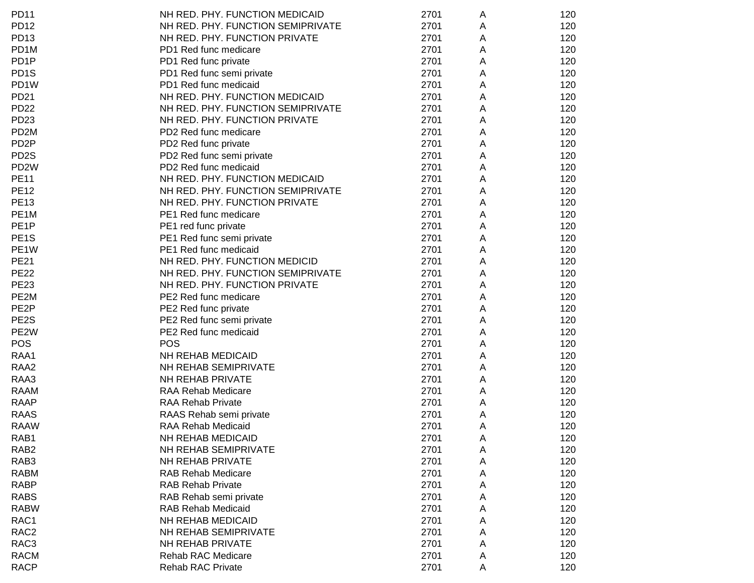| <b>PD11</b>       | NH RED. PHY. FUNCTION MEDICAID    | 2701 | A | 120 |
|-------------------|-----------------------------------|------|---|-----|
| <b>PD12</b>       | NH RED. PHY. FUNCTION SEMIPRIVATE | 2701 | Α | 120 |
| <b>PD13</b>       | NH RED. PHY. FUNCTION PRIVATE     | 2701 | Α | 120 |
| PD <sub>1</sub> M | PD1 Red func medicare             | 2701 | Α | 120 |
| PD <sub>1P</sub>  | PD1 Red func private              | 2701 | Α | 120 |
| PD <sub>1</sub> S | PD1 Red func semi private         | 2701 | Α | 120 |
| PD <sub>1</sub> W | PD1 Red func medicaid             | 2701 | Α | 120 |
| <b>PD21</b>       | NH RED. PHY. FUNCTION MEDICAID    | 2701 | Α | 120 |
| <b>PD22</b>       | NH RED. PHY. FUNCTION SEMIPRIVATE | 2701 | Α | 120 |
| PD <sub>23</sub>  | NH RED. PHY. FUNCTION PRIVATE     | 2701 | A | 120 |
| PD <sub>2</sub> M | PD2 Red func medicare             | 2701 | Α | 120 |
| PD <sub>2</sub> P | PD2 Red func private              | 2701 | A | 120 |
| PD <sub>2</sub> S | PD2 Red func semi private         | 2701 | А | 120 |
| PD <sub>2</sub> W | PD2 Red func medicaid             | 2701 | A | 120 |
| <b>PE11</b>       | NH RED. PHY. FUNCTION MEDICAID    | 2701 | A | 120 |
| <b>PE12</b>       | NH RED. PHY. FUNCTION SEMIPRIVATE | 2701 | A | 120 |
| <b>PE13</b>       | NH RED. PHY. FUNCTION PRIVATE     | 2701 | A | 120 |
| PE1M              | PE1 Red func medicare             | 2701 | A | 120 |
| PE <sub>1P</sub>  | PE1 red func private              | 2701 | Α | 120 |
| PE <sub>1</sub> S | PE1 Red func semi private         | 2701 | Α | 120 |
| PE <sub>1</sub> W | PE1 Red func medicaid             | 2701 | A | 120 |
| <b>PE21</b>       | NH RED. PHY. FUNCTION MEDICID     | 2701 | A | 120 |
| <b>PE22</b>       | NH RED. PHY. FUNCTION SEMIPRIVATE | 2701 | Α | 120 |
| <b>PE23</b>       | NH RED. PHY. FUNCTION PRIVATE     | 2701 | A | 120 |
| PE2M              | PE2 Red func medicare             | 2701 | A | 120 |
| PE <sub>2</sub> P | PE2 Red func private              | 2701 | Α | 120 |
| PE2S              | PE2 Red func semi private         | 2701 | Α | 120 |
| PE <sub>2</sub> W | PE2 Red func medicaid             | 2701 | Α | 120 |
| <b>POS</b>        | <b>POS</b>                        | 2701 | Α | 120 |
| RAA1              | NH REHAB MEDICAID                 | 2701 | Α | 120 |
| RAA <sub>2</sub>  | NH REHAB SEMIPRIVATE              | 2701 | Α | 120 |
| RAA3              | NH REHAB PRIVATE                  | 2701 | Α | 120 |
| <b>RAAM</b>       | RAA Rehab Medicare                | 2701 | A | 120 |
| <b>RAAP</b>       | <b>RAA Rehab Private</b>          | 2701 | A | 120 |
| <b>RAAS</b>       | RAAS Rehab semi private           | 2701 | Α | 120 |
| <b>RAAW</b>       | <b>RAA Rehab Medicaid</b>         | 2701 | Α | 120 |
| RAB1              | NH REHAB MEDICAID                 | 2701 | A | 120 |
| RAB <sub>2</sub>  | NH REHAB SEMIPRIVATE              | 2701 | Α | 120 |
| RAB3              | NH REHAB PRIVATE                  | 2701 | Α | 120 |
| <b>RABM</b>       | <b>RAB Rehab Medicare</b>         | 2701 | Α | 120 |
| <b>RABP</b>       | <b>RAB Rehab Private</b>          | 2701 | Α | 120 |
| <b>RABS</b>       | RAB Rehab semi private            | 2701 | Α | 120 |
| <b>RABW</b>       | <b>RAB Rehab Medicaid</b>         | 2701 | Α | 120 |
| RAC1              | NH REHAB MEDICAID                 | 2701 | Α | 120 |
| RAC <sub>2</sub>  | NH REHAB SEMIPRIVATE              | 2701 | Α | 120 |
| RAC3              | NH REHAB PRIVATE                  | 2701 | Α | 120 |
| <b>RACM</b>       | Rehab RAC Medicare                | 2701 | Α | 120 |
| <b>RACP</b>       | <b>Rehab RAC Private</b>          | 2701 | Α | 120 |
|                   |                                   |      |   |     |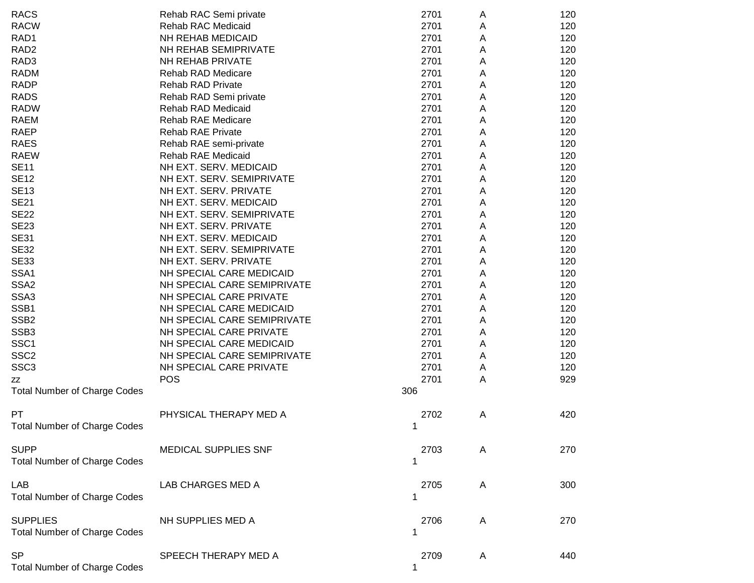| <b>RACS</b>                         | Rehab RAC Semi private      | 2701 | A | 120 |
|-------------------------------------|-----------------------------|------|---|-----|
| <b>RACW</b>                         | <b>Rehab RAC Medicaid</b>   | 2701 | A | 120 |
| RAD1                                | NH REHAB MEDICAID           | 2701 | A | 120 |
| RAD <sub>2</sub>                    | NH REHAB SEMIPRIVATE        | 2701 | A | 120 |
| RAD <sub>3</sub>                    | NH REHAB PRIVATE            | 2701 | A | 120 |
| <b>RADM</b>                         | <b>Rehab RAD Medicare</b>   | 2701 | Α | 120 |
| <b>RADP</b>                         | <b>Rehab RAD Private</b>    | 2701 | Α | 120 |
| <b>RADS</b>                         | Rehab RAD Semi private      | 2701 | Α | 120 |
| <b>RADW</b>                         | Rehab RAD Medicaid          | 2701 | Α | 120 |
| <b>RAEM</b>                         | <b>Rehab RAE Medicare</b>   | 2701 | Α | 120 |
| <b>RAEP</b>                         | <b>Rehab RAE Private</b>    | 2701 | Α | 120 |
| <b>RAES</b>                         | Rehab RAE semi-private      | 2701 | Α | 120 |
| <b>RAEW</b>                         | <b>Rehab RAE Medicaid</b>   | 2701 | Α | 120 |
| <b>SE11</b>                         | NH EXT. SERV. MEDICAID      | 2701 | Α | 120 |
| <b>SE12</b>                         | NH EXT. SERV. SEMIPRIVATE   | 2701 | Α | 120 |
| <b>SE13</b>                         | NH EXT. SERV. PRIVATE       | 2701 | Α | 120 |
| <b>SE21</b>                         | NH EXT. SERV. MEDICAID      | 2701 | Α | 120 |
| <b>SE22</b>                         | NH EXT. SERV. SEMIPRIVATE   | 2701 | Α | 120 |
| <b>SE23</b>                         | NH EXT. SERV. PRIVATE       | 2701 | Α | 120 |
| <b>SE31</b>                         | NH EXT. SERV. MEDICAID      | 2701 | Α | 120 |
| <b>SE32</b>                         | NH EXT. SERV. SEMIPRIVATE   | 2701 | Α | 120 |
| <b>SE33</b>                         | NH EXT. SERV. PRIVATE       | 2701 | Α | 120 |
| SSA1                                | NH SPECIAL CARE MEDICAID    | 2701 | Α | 120 |
| SSA <sub>2</sub>                    | NH SPECIAL CARE SEMIPRIVATE | 2701 | Α | 120 |
| SSA3                                | NH SPECIAL CARE PRIVATE     | 2701 | Α | 120 |
| SSB1                                | NH SPECIAL CARE MEDICAID    | 2701 | Α | 120 |
| SSB <sub>2</sub>                    | NH SPECIAL CARE SEMIPRIVATE | 2701 | Α | 120 |
| SSB <sub>3</sub>                    | NH SPECIAL CARE PRIVATE     | 2701 | Α | 120 |
| SSC <sub>1</sub>                    | NH SPECIAL CARE MEDICAID    | 2701 | Α | 120 |
| SSC <sub>2</sub>                    | NH SPECIAL CARE SEMIPRIVATE | 2701 | Α | 120 |
| SSC <sub>3</sub>                    | NH SPECIAL CARE PRIVATE     | 2701 | Α | 120 |
|                                     | <b>POS</b>                  | 2701 | A | 929 |
| ΖZ                                  |                             | 306  |   |     |
| <b>Total Number of Charge Codes</b> |                             |      |   |     |
| PT                                  | PHYSICAL THERAPY MED A      | 2702 | Α | 420 |
| <b>Total Number of Charge Codes</b> |                             | 1    |   |     |
|                                     |                             |      |   |     |
| <b>SUPP</b>                         | <b>MEDICAL SUPPLIES SNF</b> | 2703 | A | 270 |
| <b>Total Number of Charge Codes</b> |                             | 1    |   |     |
|                                     |                             |      |   |     |
| LAB                                 | LAB CHARGES MED A           | 2705 | A | 300 |
| <b>Total Number of Charge Codes</b> |                             | 1    |   |     |
|                                     |                             |      |   |     |
| <b>SUPPLIES</b>                     | NH SUPPLIES MED A           | 2706 | Α | 270 |
| <b>Total Number of Charge Codes</b> |                             | 1    |   |     |
|                                     |                             |      |   |     |
| <b>SP</b>                           | SPEECH THERAPY MED A        | 2709 | Α | 440 |
| <b>Total Number of Charge Codes</b> |                             | 1    |   |     |
|                                     |                             |      |   |     |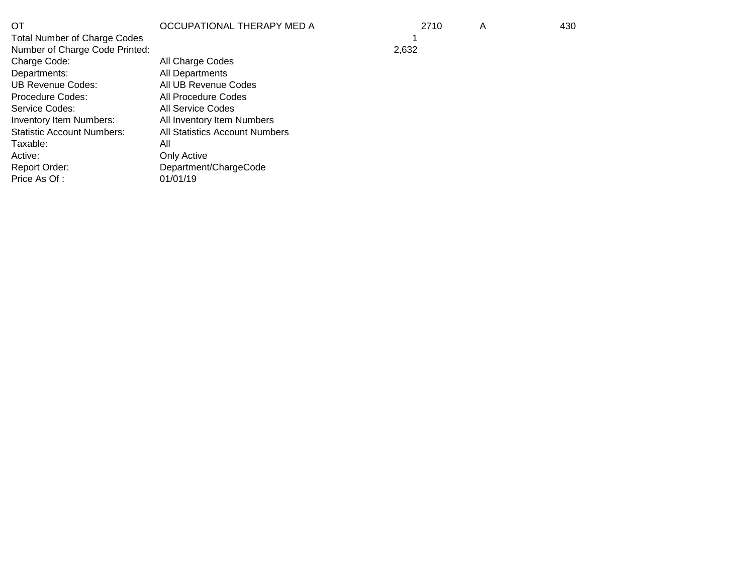| ОT<br><b>Total Number of Charge Codes</b> | OCCUPATIONAL THERAPY MED A            | 2710  | A | 430 |
|-------------------------------------------|---------------------------------------|-------|---|-----|
| Number of Charge Code Printed:            |                                       | 2,632 |   |     |
| Charge Code:                              | All Charge Codes                      |       |   |     |
| Departments:                              | All Departments                       |       |   |     |
| UB Revenue Codes:                         | All UB Revenue Codes                  |       |   |     |
| <b>Procedure Codes:</b>                   | All Procedure Codes                   |       |   |     |
| Service Codes:                            | All Service Codes                     |       |   |     |
| Inventory Item Numbers:                   | All Inventory Item Numbers            |       |   |     |
| <b>Statistic Account Numbers:</b>         | <b>All Statistics Account Numbers</b> |       |   |     |
| Taxable:                                  | All                                   |       |   |     |
| Active:                                   | Only Active                           |       |   |     |
| Report Order:                             | Department/ChargeCode                 |       |   |     |
| Price As Of:                              | 01/01/19                              |       |   |     |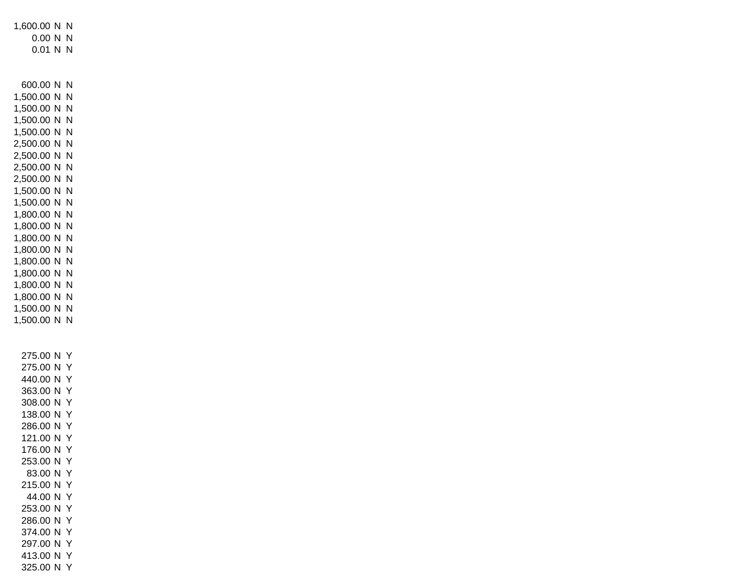1,600.00 N N 0.00 N N 0.01 N N 600.00 N N 1,500.00 N N 1,500.00 N N 1,500.00 N N 1,500.00 N N 2,500.00 N N 2,500.00 N N 2,500.00 N N 2,500.00 N N 1,500.00 N N 1,500.00 N N 1,800.00 N N 1,800.00 N N 1,800.00 N N 1,800.00 N N 1,800.00 N N 1,800.00 N N 1,800.00 N N 1,800.00 N N 1,500.00 N N 1,500.00 N N 275.00 N Y 275.00 N Y 440.00 N Y 363.00 N Y 308.00 N Y 138.00 N Y 286.00 N Y 121.00 N Y 176.00 N Y 253.00 N Y 83.00 N Y 215.00 N Y 44.00 N Y 253.00 N Y 286.00 N Y 374.00 N Y 297.00 N Y 413.00 N Y 325.00 N Y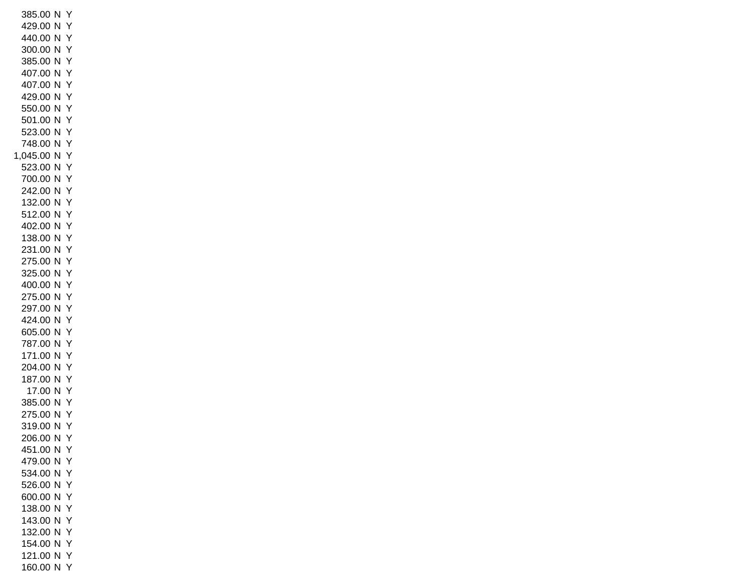385.00 N Y 429.00 N Y 440.00 N Y 300.00 N Y 385.00 N Y 407.00 N Y 407.00 N Y 429.00 N Y 550.00 N Y 501.00 N Y 523.00 N Y 748.00 N Y 1,045.00 N Y 523.00 N Y 700.00 N Y 242.00 N Y 132.00 N Y 512.00 N Y 402.00 N Y 138.00 N Y 231.00 N Y 275.00 N Y 325.00 N Y 400.00 N Y 275.00 N Y 297.00 N Y 424.00 N Y 605.00 N Y 787.00 N Y 171.00 N Y 204.00 N Y 187.00 N Y 17.00 N Y 385.00 N Y 275.00 N Y 319.00 N Y 206.00 N Y 451.00 N Y 479.00 N Y 534.00 N Y 526.00 N Y 600.00 N Y 138.00 N Y 143.00 N Y 132.00 N Y 154.00 N Y 121.00 N Y 160.00 N Y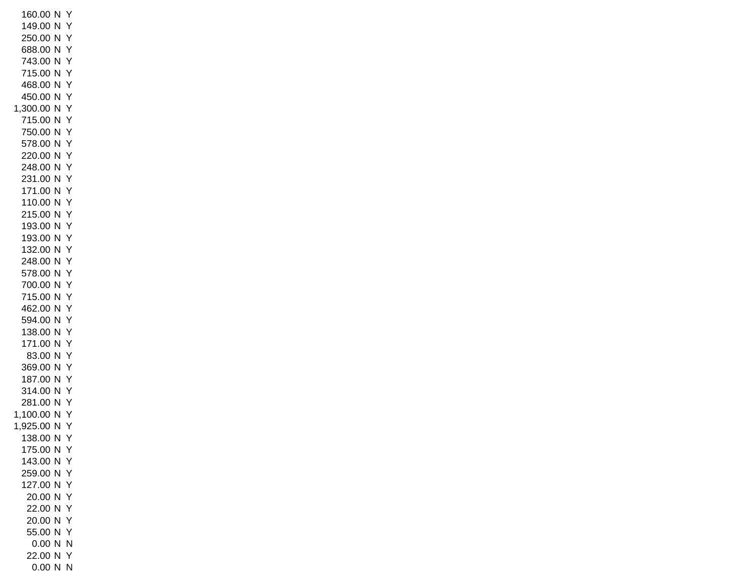160.00 N Y 149.00 N Y 250.00 N Y 688.00 N Y 743.00 N Y 715.00 N Y 468.00 N Y 450.00 N Y 1,300.00 N Y 715.00 N Y 750.00 N Y 578.00 N Y 220.00 N Y 248.00 N Y 231.00 N Y 171.00 N Y 110.00 N Y 215.00 N Y 193.00 N Y 193.00 N Y 132.00 N Y 248.00 N Y 578.00 N Y 700.00 N Y 715.00 N Y 462.00 N Y 594.00 N Y 138.00 N Y 171.00 N Y 83.00 N Y 369.00 N Y 187.00 N Y 314.00 N Y 281.00 N Y 1,100.00 N Y 1,925.00 N Y 138.00 N Y 175.00 N Y 143.00 N Y 259.00 N Y 127.00 N Y 20.00 N Y 22.00 N Y 20.00 N Y 55.00 N Y 0.00 N N 22.00 N Y 0.00 N N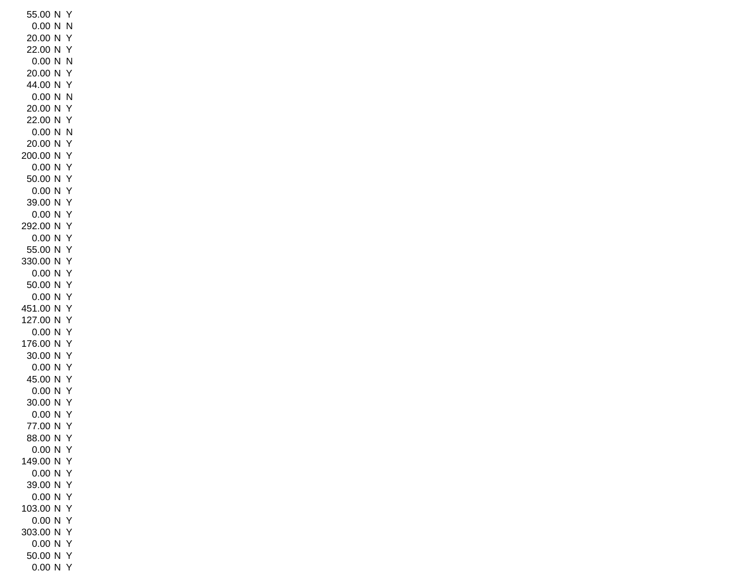55.00 N Y 0.00 N N 20.00 N Y 22.00 N Y 0.00 N N 20.00 N Y 44.00 N Y 0.00 N N 20.00 N Y 22.00 N Y 0.00 N N 20.00 N Y 200.00 N Y 0.00 N Y 50.00 N Y 0.00 N Y 39.00 N Y 0.00 N Y 292.00 N Y 0.00 N Y 55.00 N Y 330.00 N Y 0.00 N Y 50.00 N Y 0.00 N Y 451.00 N Y 127.00 N Y 0.00 N Y 176.00 N Y 30.00 N Y 0.00 N Y 45.00 N Y 0.00 N Y 30.00 N Y 0.00 N Y 77.00 N Y 88.00 N Y 0.00 N Y 149.00 N Y 0.00 N Y 39.00 N Y 0.00 N Y 103.00 N Y 0.00 N Y 303.00 N Y 0.00 N Y 50.00 N Y 0.00 N Y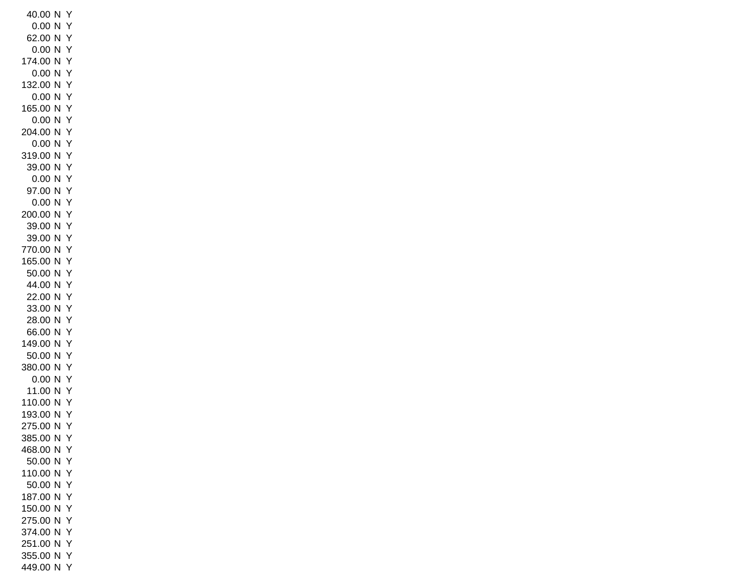40.00 N Y 0.00 N Y 62.00 N Y 0.00 N Y 174.00 N Y 0.00 N Y 132.00 N Y 0.00 N Y 165.00 N Y 0.00 N Y 204.00 N Y 0.00 N Y 319.00 N Y 39.00 N Y 0.00 N Y 97.00 N Y 0.00 N Y 200.00 N Y 39.00 N Y 39.00 N Y 770.00 N Y 165.00 N Y 50.00 N Y 44.00 N Y 22.00 N Y 33.00 N Y 28.00 N Y 66.00 N Y 149.00 N Y 50.00 N Y 380.00 N Y 0.00 N Y 11.00 N Y 110.00 N Y 193.00 N Y 275.00 N Y 385.00 N Y 468.00 N Y 50.00 N Y 110.00 N Y 50.00 N Y 187.00 N Y 150.00 N Y 275.00 N Y 374.00 N Y 251.00 N Y 355.00 N Y 449.00 N Y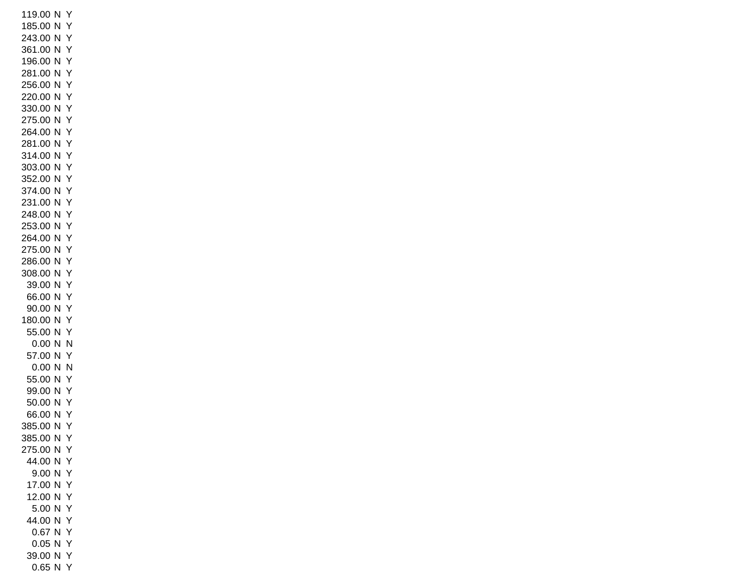119.00 N Y 185.00 N Y 243.00 N Y 361.00 N Y 196.00 N Y 281.00 N Y 256.00 N Y 220.00 N Y 330.00 N Y 275.00 N Y 264.00 N Y 281.00 N Y 314.00 N Y 303.00 N Y 352.00 N Y 374.00 N Y 231.00 N Y 248.00 N Y 253.00 N Y 264.00 N Y 275.00 N Y 286.00 N Y 308.00 N Y 39.00 N Y 66.00 N Y 90.00 N Y 180.00 N Y 55.00 N Y 0.00 N N 57.00 N Y 0.00 N N 55.00 N Y 99.00 N Y 50.00 N Y 66.00 N Y 385.00 N Y 385.00 N Y 275.00 N Y 44.00 N Y 9.00 N Y 17.00 N Y 12.00 N Y 5.00 N Y 44.00 N Y 0.67 N Y 0.05 N Y 39.00 N Y 0.65 N Y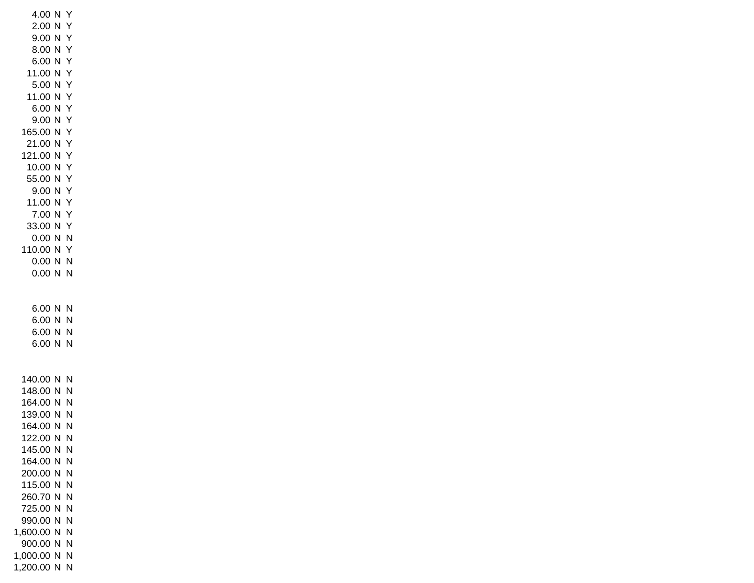4.00 N Y 2.00 N Y 9.00 N Y 8.00 N Y 6.00 N Y 11.00 N Y 5.00 N Y 11.00 N Y 6.00 N Y 9.00 N Y 165.00 N Y 21.00 N Y 121.00 N Y 10.00 N Y 55.00 N Y 9.00 N Y 11.00 N Y 7.00 N Y 33.00 N Y 0.00 N N 110.00 N Y 0.00 N N 0.00 N N 6.00 N N 6.00 N N 6.00 N N 6.00 N N 140.00 N N 148.00 N N 164.00 N N 139.00 N N 164.00 N N 122.00 N N 145.00 N N 164.00 N N 200.00 N N 115.00 N N 260.70 N N 725.00 N N 990.00 N N 1,600.00 N N 900.00 N N 1,000.00 N N 1,200.00 N N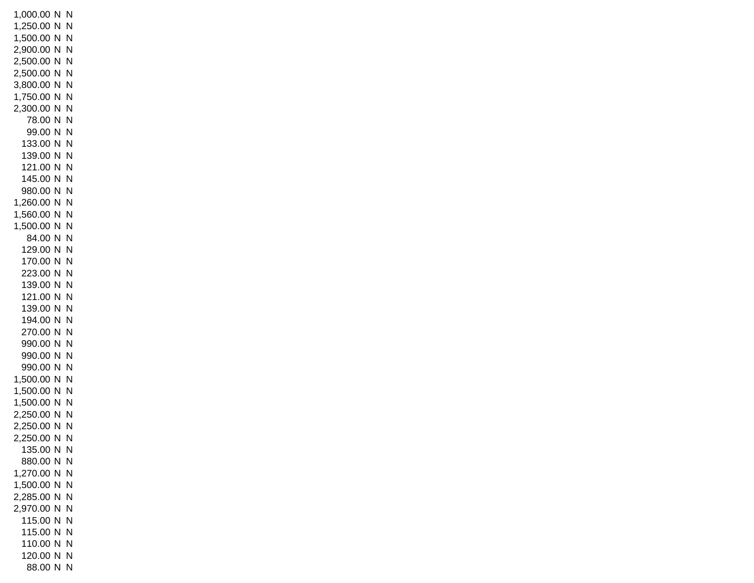1,000.00 N N 1,250.00 N N 1,500.00 N N 2,900.00 N N 2,500.00 N N 2,500.00 N N 3,800.00 N N 1,750.00 N N 2,300.00 N N 78.00 N N 99.00 N N 133.00 N N 139.00 N N 121.00 N N 145.00 N N 980.00 N N 1,260.00 N N 1,560.00 N N 1,500.00 N N 84.00 N N 129.00 N N 170.00 N N 223.00 N N 139.00 N N 121.00 N N 139.00 N N 194.00 N N 270.00 N N 990.00 N N 990.00 N N 990.00 N N 1,500.00 N N 1,500.00 N N 1,500.00 N N 2,250.00 N N 2,250.00 N N 2,250.00 N N 135.00 N N 880.00 N N 1,270.00 N N 1,500.00 N N 2,285.00 N N 2,970.00 N N 115.00 N N 115.00 N N 110.00 N N 120.00 N N 88.00 N N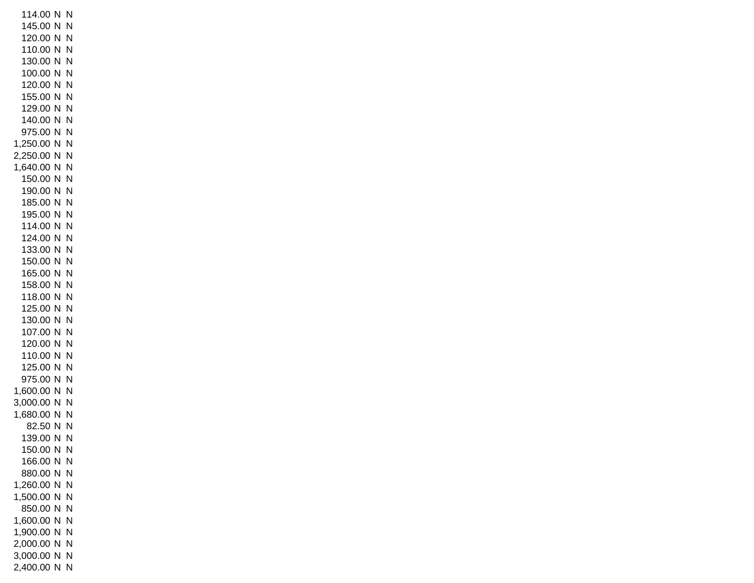114.00 N N 145.00 N N 120.00 N N 110.00 N N 130.00 N N 100.00 N N 120.00 N N 155.00 N N 129.00 N N 140.00 N N 975.00 N N 1,250.00 N N 2,250.00 N N 1,640.00 N N 150.00 N N 190.00 N N 185.00 N N 195.00 N N 114.00 N N 124.00 N N 133.00 N N 150.00 N N 165.00 N N 158.00 N N 118.00 N N 125.00 N N 130.00 N N 107.00 N N 120.00 N N 110.00 N N 125.00 N N 975.00 N N 1,600.00 N N 3,000.00 N N 1,680.00 N N 82.50 N N 139.00 N N 150.00 N N 166.00 N N 880.00 N N 1,260.00 N N 1,500.00 N N 850.00 N N 1,600.00 N N 1,900.00 N N 2,000.00 N N 3,000.00 N N 2,400.00 N N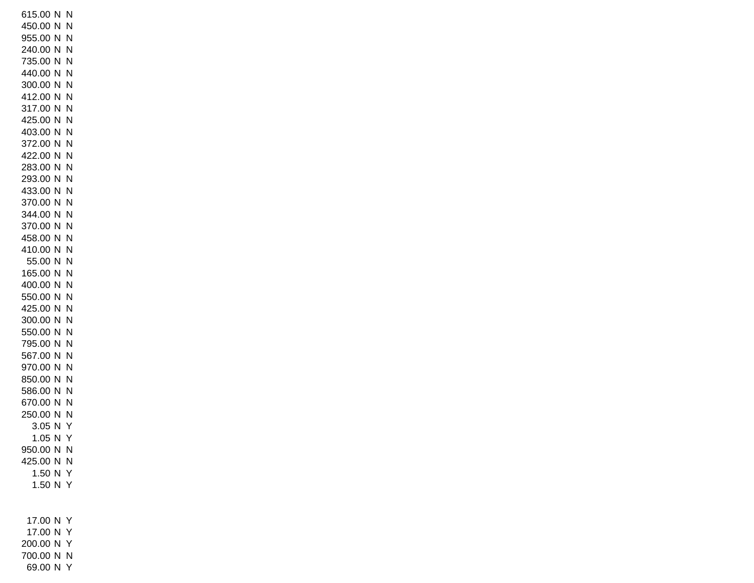615.00 N N 450.00 N N 955.00 N N 240.00 N N 735.00 N N 440.00 N N 300.00 N N 412.00 N N 317.00 N N 425.00 N N 403.00 N N 372.00 N N 422.00 N N 283.00 N N 293.00 N N 433.00 N N 370.00 N N 344.00 N N 370.00 N N 458.00 N N 410.00 N N 55.00 N N 165.00 N N 400.00 N N 550.00 N N 425.00 N N 300.00 N N 550.00 N N 795.00 N N 567.00 N N 970.00 N N 850.00 N N 586.00 N N 670.00 N N 250.00 N N 3.05 N Y 1.05 N Y 950.00 N N 425.00 N N 1.50 N Y 1.50 N Y 17.00 N Y 17.00 N Y 200.00 N Y 700.00 N N

69.00 N Y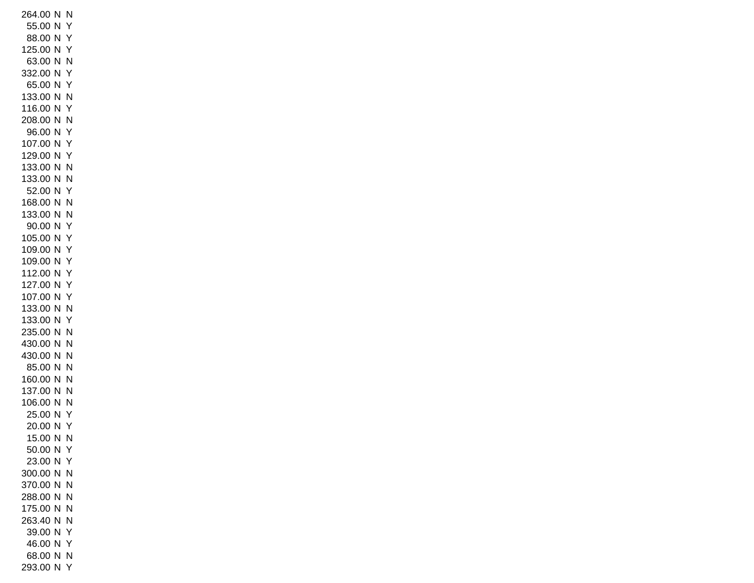264.00 N N 55.00 N Y 88.00 N Y 125.00 N Y 63.00 N N 332.00 N Y 65.00 N Y 133.00 N N 116.00 N Y 208.00 N N 96.00 N Y 107.00 N Y 129.00 N Y 133.00 N N 133.00 N N 52.00 N Y 168.00 N N 133.00 N N 90.00 N Y 105.00 N Y 109.00 N Y 109.00 N Y 112.00 N Y 127.00 N Y 107.00 N Y 133.00 N N 133.00 N Y 235.00 N N 430.00 N N 430.00 N N 85.00 N N 160.00 N N 137.00 N N 106.00 N N 25.00 N Y 20.00 N Y 15.00 N N 50.00 N Y 23.00 N Y 300.00 N N 370.00 N N 288.00 N N 175.00 N N 263.40 N N 39.00 N Y 46.00 N Y 68.00 N N 293.00 N Y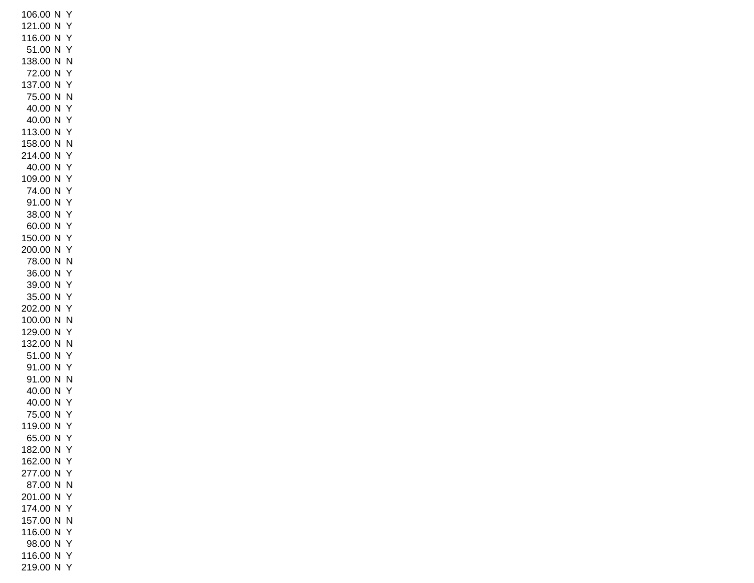106.00 N Y 121.00 N Y 116.00 N Y 51.00 N Y 138.00 N N 72.00 N Y 137.00 N Y 75.00 N N 40.00 N Y 40.00 N Y 113.00 N Y 158.00 N N 214.00 N Y 40.00 N Y 109.00 N Y 74.00 N Y 91.00 N Y 38.00 N Y 60.00 N Y 150.00 N Y 200.00 N Y 78.00 N N 36.00 N Y 39.00 N Y 35.00 N Y 202.00 N Y 100.00 N N 129.00 N Y 132.00 N N 51.00 N Y 91.00 N Y 91.00 N N 40.00 N Y 40.00 N Y 75.00 N Y 119.00 N Y 65.00 N Y 182.00 N Y 162.00 N Y 277.00 N Y 87.00 N N 201.00 N Y 174.00 N Y 157.00 N N 116.00 N Y 98.00 N Y 116.00 N Y 219.00 N Y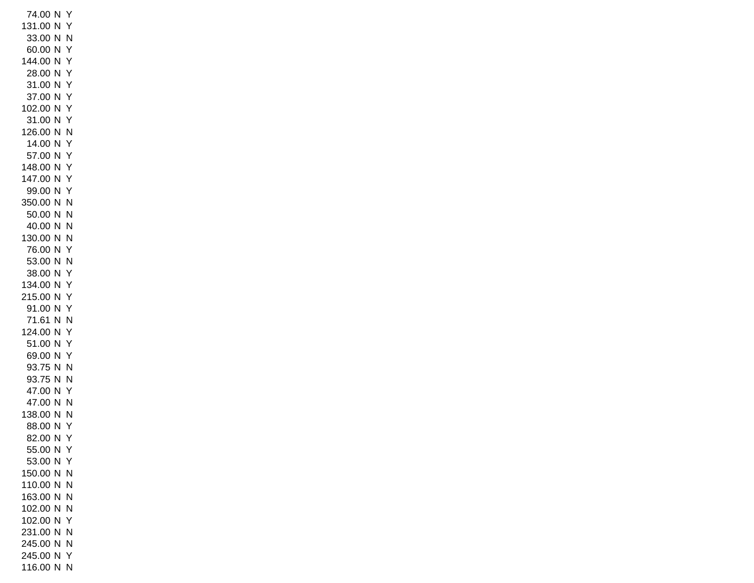74.00 N Y 131.00 N Y 33.00 N N 60.00 N Y 144.00 N Y 28.00 N Y 31.00 N Y 37.00 N Y 102.00 N Y 31.00 N Y 126.00 N N 14.00 N Y 57.00 N Y 148.00 N Y 147.00 N Y 99.00 N Y 350.00 N N 50.00 N N 40.00 N N 130.00 N N 76.00 N Y 53.00 N N 38.00 N Y 134.00 N Y 215.00 N Y 91.00 N Y 71.61 N N 124.00 N Y 51.00 N Y 69.00 N Y 93.75 N N 93.75 N N 47.00 N Y 47.00 N N 138.00 N N 88.00 N Y 82.00 N Y 55.00 N Y 53.00 N Y 150.00 N N 110.00 N N 163.00 N N 102.00 N N 102.00 N Y 231.00 N N 245.00 N N 245.00 N Y 116.00 N N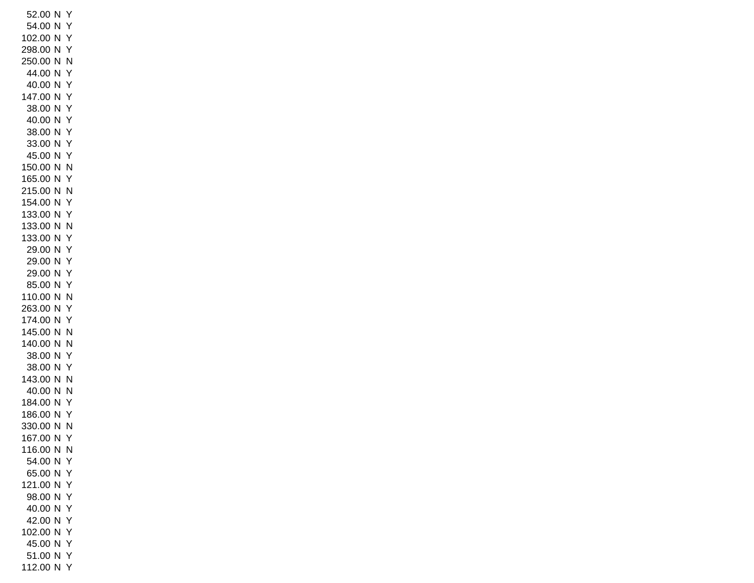52.00 N Y 54.00 N Y 102.00 N Y 298.00 N Y 250.00 N N 44.00 N Y 40.00 N Y 147.00 N Y 38.00 N Y 40.00 N Y 38.00 N Y 33.00 N Y 45.00 N Y 150.00 N N 165.00 N Y 215.00 N N 154.00 N Y 133.00 N Y 133.00 N N 133.00 N Y 29.00 N Y 29.00 N Y 29.00 N Y 85.00 N Y 110.00 N N 263.00 N Y 174.00 N Y 145.00 N N 140.00 N N 38.00 N Y 38.00 N Y 143.00 N N 40.00 N N 184.00 N Y 186.00 N Y 330.00 N N 167.00 N Y 116.00 N N 54.00 N Y 65.00 N Y 121.00 N Y 98.00 N Y 40.00 N Y 42.00 N Y 102.00 N Y 45.00 N Y 51.00 N Y 112.00 N Y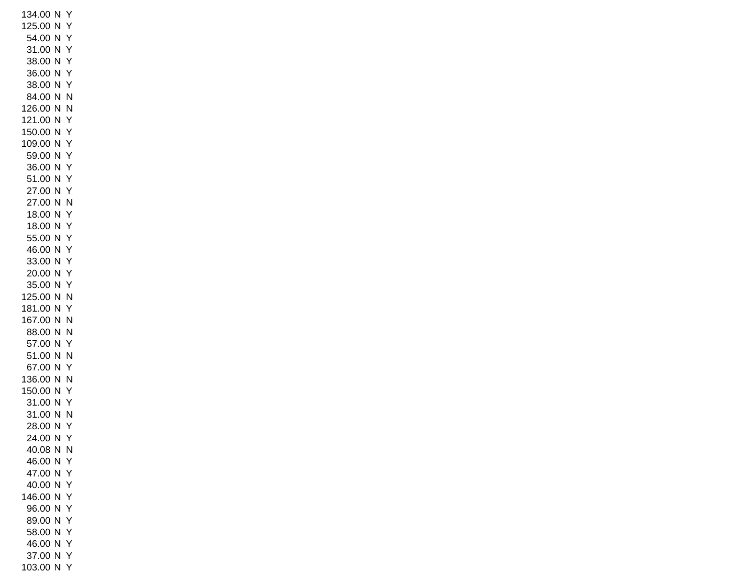134.00 N Y 125.00 N Y 54.00 N Y 31.00 N Y 38.00 N Y 36.00 N Y 38.00 N Y 84.00 N N 126.00 N N 121.00 N Y 150.00 N Y 109.00 N Y 59.00 N Y 36.00 N Y 51.00 N Y 27.00 N Y 27.00 N N 18.00 N Y 18.00 N Y 55.00 N Y 46.00 N Y 33.00 N Y 20.00 N Y 35.00 N Y 125.00 N N 181.00 N Y 167.00 N N 88.00 N N 57.00 N Y 51.00 N N 67.00 N Y 136.00 N N 150.00 N Y 31.00 N Y 31.00 N N 28.00 N Y 24.00 N Y 40.08 N N 46.00 N Y 47.00 N Y 40.00 N Y 146.00 N Y 96.00 N Y 89.00 N Y 58.00 N Y 46.00 N Y 37.00 N Y 103.00 N Y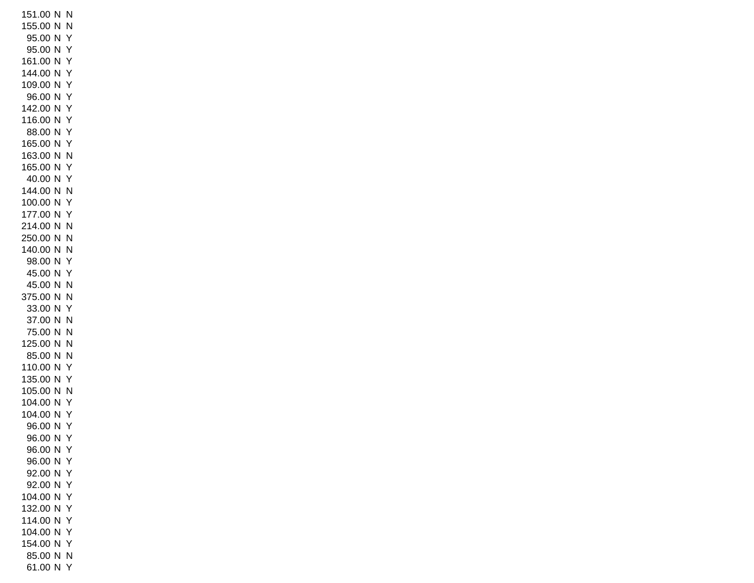151.00 N N 155.00 N N 95.00 N Y 95.00 N Y 161.00 N Y 144.00 N Y 109.00 N Y 96.00 N Y 142.00 N Y 116.00 N Y 88.00 N Y 165.00 N Y 163.00 N N 165.00 N Y 40.00 N Y 144.00 N N 100.00 N Y 177.00 N Y 214.00 N N 250.00 N N 140.00 N N 98.00 N Y 45.00 N Y 45.00 N N 375.00 N N 33.00 N Y 37.00 N N 75.00 N N 125.00 N N 85.00 N N 110.00 N Y 135.00 N Y 105.00 N N 104.00 N Y 104.00 N Y 96.00 N Y 96.00 N Y 96.00 N Y 96.00 N Y 92.00 N Y 92.00 N Y 104.00 N Y 132.00 N Y 114.00 N Y 104.00 N Y 154.00 N Y 85.00 N N 61.00 N Y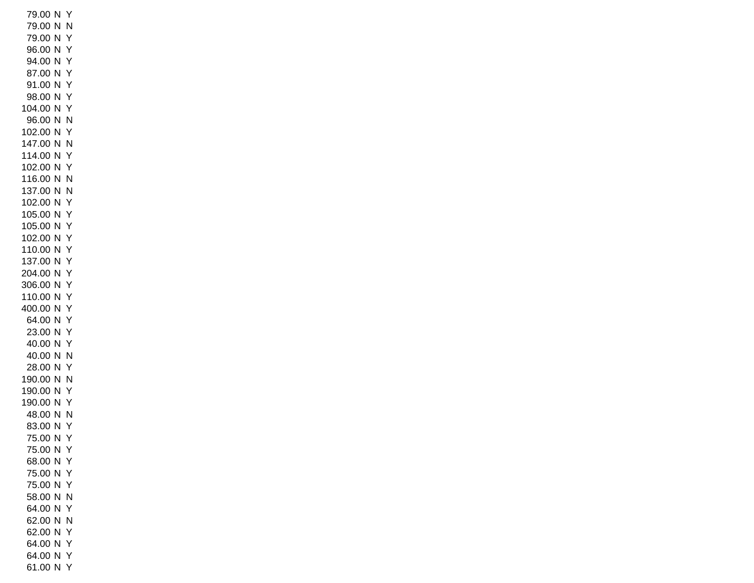79.00 N Y 79.00 N N 79.00 N Y 96.00 N Y 94.00 N Y 87.00 N Y 91.00 N Y 98.00 N Y 104.00 N Y 96.00 N N 102.00 N Y 147.00 N N 114.00 N Y 102.00 N Y 116.00 N N 137.00 N N 102.00 N Y 105.00 N Y 105.00 N Y 102.00 N Y 110.00 N Y 137.00 N Y 204.00 N Y 306.00 N Y 110.00 N Y 400.00 N Y 64.00 N Y 23.00 N Y 40.00 N Y 40.00 N N 28.00 N Y 190.00 N N 190.00 N Y 190.00 N Y 48.00 N N 83.00 N Y 75.00 N Y 75.00 N Y 68.00 N Y 75.00 N Y 75.00 N Y 58.00 N N 64.00 N Y 62.00 N N 62.00 N Y 64.00 N Y 64.00 N Y 61.00 N Y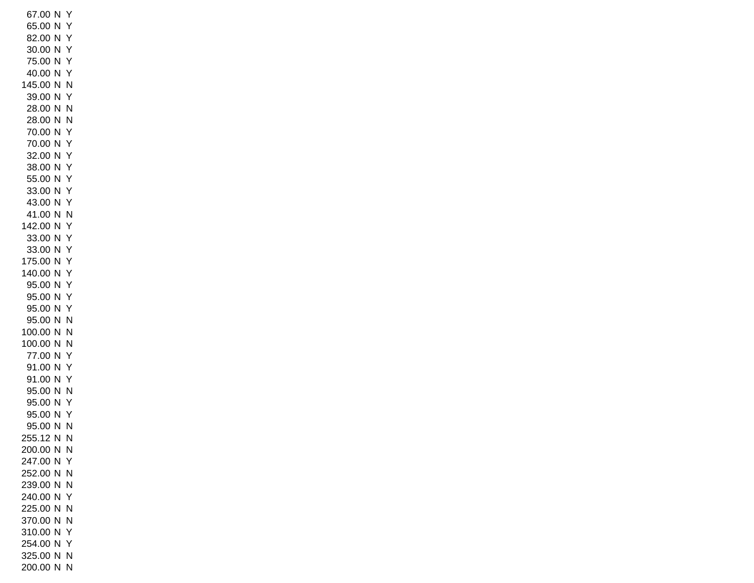67.00 N Y 65.00 N Y 82.00 N Y 30.00 N Y 75.00 N Y 40.00 N Y 145.00 N N 39.00 N Y 28.00 N N 28.00 N N 70.00 N Y 70.00 N Y 32.00 N Y 38.00 N Y 55.00 N Y 33.00 N Y 43.00 N Y 41.00 N N 142.00 N Y 33.00 N Y 33.00 N Y 175.00 N Y 140.00 N Y 95.00 N Y 95.00 N Y 95.00 N Y 95.00 N N 100.00 N N 100.00 N N 77.00 N Y 91.00 N Y 91.00 N Y 95.00 N N 95.00 N Y 95.00 N Y 95.00 N N 255.12 N N 200.00 N N 247.00 N Y 252.00 N N 239.00 N N 240.00 N Y 225.00 N N 370.00 N N 310.00 N Y 254.00 N Y 325.00 N N 200.00 N N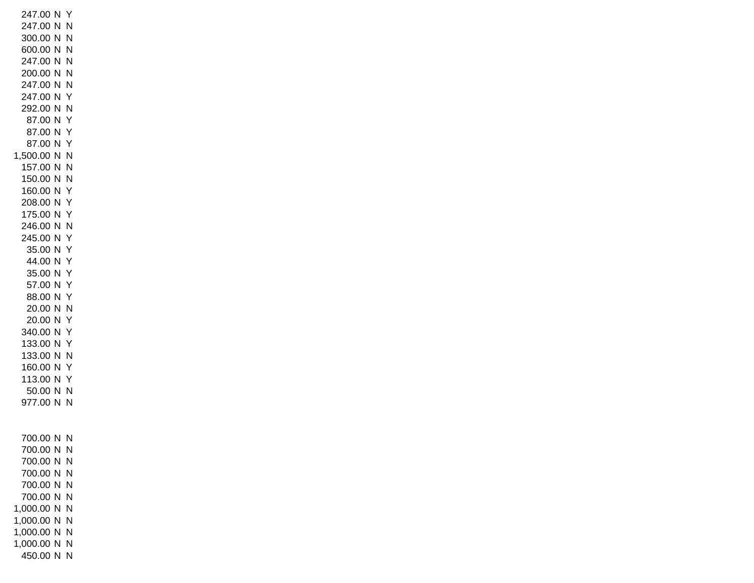247.00 N Y 247.00 N N 300.00 N N 600.00 N N 247.00 N N 200.00 N N 247.00 N N 247.00 N Y 292.00 N N 87.00 N Y 87.00 N Y 87.00 N Y 1,500.00 N N 157.00 N N 150.00 N N 160.00 N Y 208.00 N Y 175.00 N Y 246.00 N N 245.00 N Y 35.00 N Y 44.00 N Y 35.00 N Y 57.00 N Y 88.00 N Y 20.00 N N 20.00 N Y 340.00 N Y 133.00 N Y 133.00 N N 160.00 N Y 113.00 N Y 50.00 N N 977.00 N N 700.00 N N 700.00 N N 700.00 N N 700.00 N N 700.00 N N 700.00 N N 1,000.00 N N 1,000.00 N N 1,000.00 N N 1,000.00 N N 450.00 N N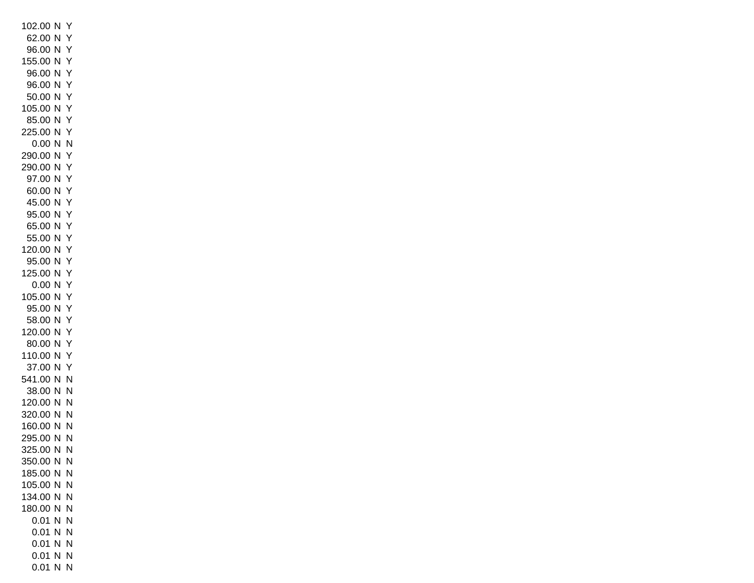102.00 N Y 62.00 N Y 96.00 N Y 155.00 N Y 96.00 N Y 96.00 N Y 50.00 N Y 105.00 N Y 85.00 N Y 225.00 N Y 0.00 N N 290.00 N Y 290.00 N Y 97.00 N Y 60.00 N Y 45.00 N Y 95.00 N Y 65.00 N Y 55.00 N Y 120.00 N Y 95.00 N Y 125.00 N Y 0.00 N Y 105.00 N Y 95.00 N Y 58.00 N Y 120.00 N Y 80.00 N Y 110.00 N Y 37.00 N Y 541.00 N N 38.00 N N 120.00 N N 320.00 N N 160.00 N N 295.00 N N 325.00 N N 350.00 N N 185.00 N N 105.00 N N 134.00 N N 180.00 N N 0.01 N N 0.01 N N 0.01 N N 0.01 N N 0.01 N N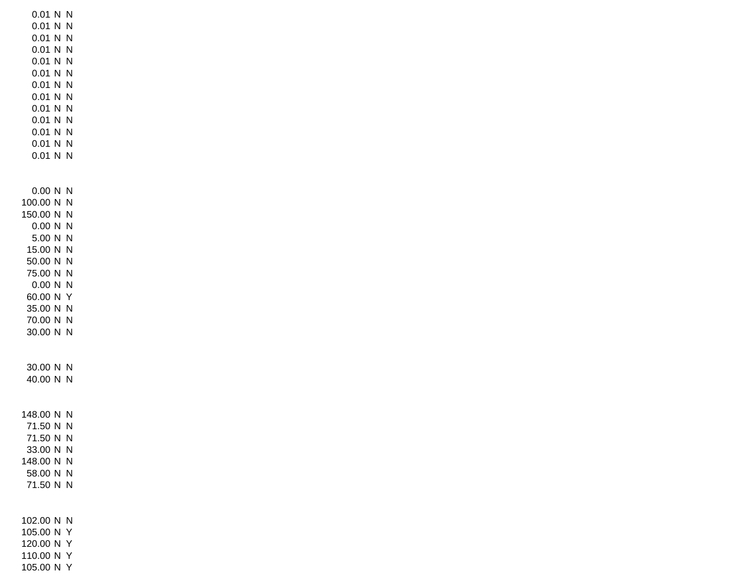0.01 N N 0.01 N N 0.01 N N 0.01 N N 0.01 N N 0.01 N N 0.01 N N 0.01 N N 0.01 N N 0.01 N N 0.01 N N 0.01 N N 0.01 N N 0.00 N N 100.00 N N 150.00 N N 0.00 N N 5.00 N N 15.00 N N 50.00 N N 75.00 N N 0.00 N N 60.00 N Y 35.00 N N 70.00 N N 30.00 N N 30.00 N N 40.00 N N 148.00 N N 71.50 N N 71.50 N N 33.00 N N 148.00 N N 58.00 N N 71.50 N N 102.00 N N 105.00 N Y 120.00 N Y 110.00 N Y

105.00 N Y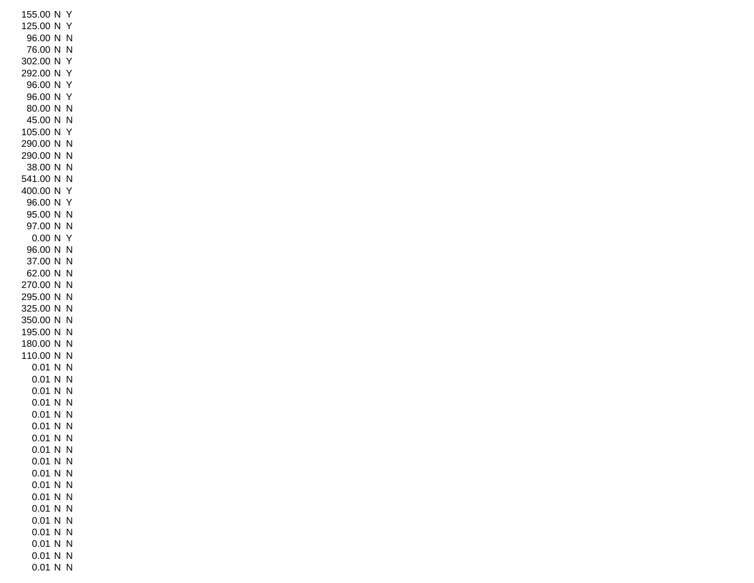155.00 N Y 125.00 N Y 96.00 N N 76.00 N N 302.00 N Y 292.00 N Y 96.00 N Y 96.00 N Y 80.00 N N 45.00 N N 105.00 N Y 290.00 N N 290.00 N N 38.00 N N 541.00 N N 400.00 N Y 96.00 N Y 95.00 N N 97.00 N N 0.00 N Y 96.00 N N 37.00 N N 62.00 N N 270.00 N N 295.00 N N 325.00 N N 350.00 N N 195.00 N N 180.00 N N 110.00 N N 0.01 N N 0.01 N N 0.01 N N 0.01 N N 0.01 N N 0.01 N N 0.01 N N 0.01 N N 0.01 N N 0.01 N N 0.01 N N 0.01 N N 0.01 N N 0.01 N N 0.01 N N 0.01 N N 0.01 N N 0.01 N N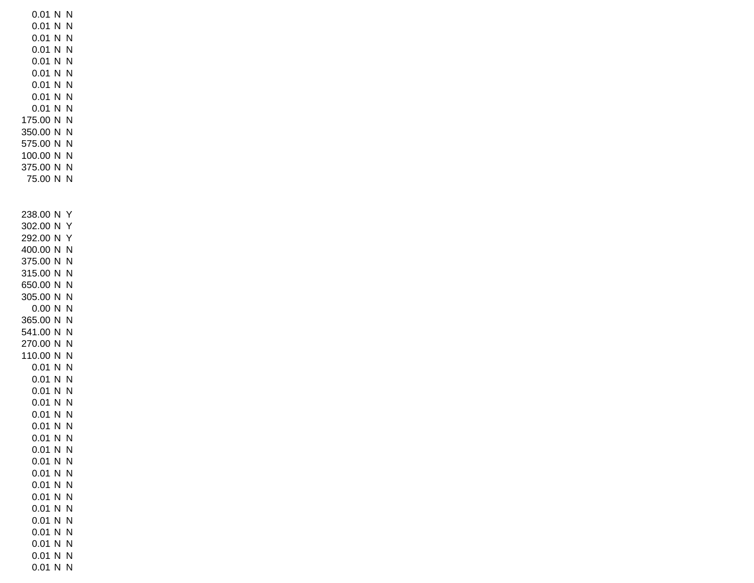0.01 N N 0.01 N N 0.01 N N 0.01 N N 0.01 N N 0.01 N N 0.01 N N 0.01 N N 0.01 N N 175.00 N N 350.00 N N 575.00 N N 100.00 N N 375.00 N N 75.00 N N 238.00 N Y 302.00 N Y 292.00 N Y 400.00 N N 375.00 N N 315.00 N N 650.00 N N 305.00 N N 0.00 N N 365.00 N N 541.00 N N 270.00 N N 110.00 N N 0.01 N N 0.01 N N 0.01 N N 0.01 N N 0.01 N N 0.01 N N 0.01 N N 0.01 N N 0.01 N N 0.01 N N 0.01 N N 0.01 N N 0.01 N N 0.01 N N 0.01 N N 0.01 N N 0.01 N N 0.01 N N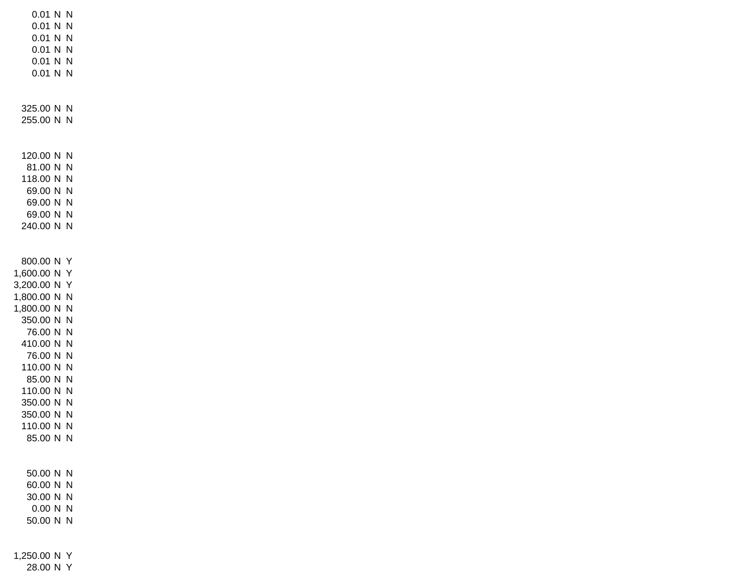0.01 N N 0.01 N N 0.01 N N 0.01 N N 0.01 N N 0.01 N N 325.00 N N 255.00 N N 120.00 N N 81.00 N N 118.00 N N 69.00 N N 69.00 N N 69.00 N N 240.00 N N 800.00 N Y 1,600.00 N Y 3,200.00 N Y 1,800.00 N N 1,800.00 N N 350.00 N N 76.00 N N 410.00 N N 76.00 N N 110.00 N N 85.00 N N 110.00 N N 350.00 N N 350.00 N N 110.00 N N 85.00 N N 50.00 N N 60.00 N N 30.00 N N 0.00 N N 50.00 N N 1,250.00 N Y 28.00 N Y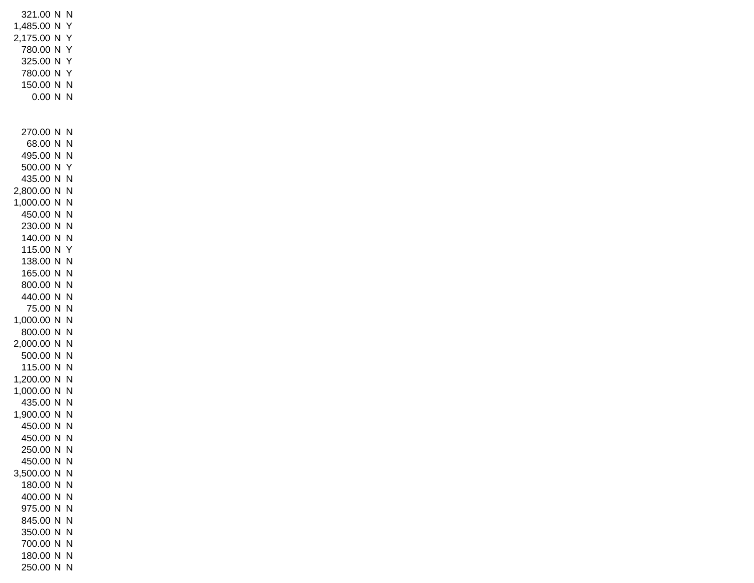321.00 N N 1,485.00 N Y 2,175.00 N Y 780.00 N Y 325.00 N Y 780.00 N Y 150.00 N N 0.00 N N 270.00 N N 68.00 N N 495.00 N N 500.00 N Y 435.00 N N 2,800.00 N N 1,000.00 N N 450.00 N N 230.00 N N 140.00 N N 115.00 N Y 138.00 N N 165.00 N N 800.00 N N 440.00 N N 75.00 N N 1,000.00 N N 800.00 N N 2,000.00 N N 500.00 N N 115.00 N N 1,200.00 N N 1,000.00 N N 435.00 N N 1,900.00 N N 450.00 N N 450.00 N N 250.00 N N 450.00 N N 3,500.00 N N 180.00 N N 400.00 N N 975.00 N N 845.00 N N 350.00 N N 700.00 N N 180.00 N N 250.00 N N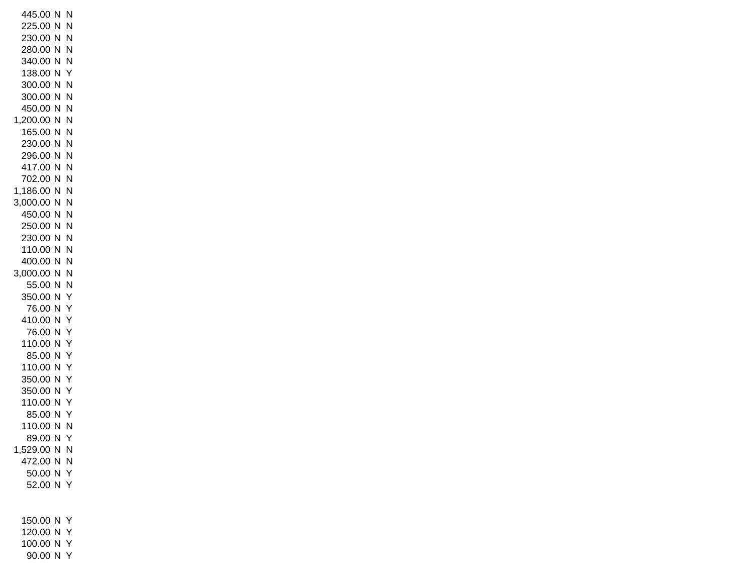445.00 N N 225.00 N N 230.00 N N 280.00 N N 340.00 N N 138.00 N Y 300.00 N N 300.00 N N 450.00 N N 1,200.00 N N 165.00 N N 230.00 N N 296.00 N N 417.00 N N 702.00 N N 1,186.00 N N 3,000.00 N N 450.00 N N 250.00 N N 230.00 N N 110.00 N N 400.00 N N 3,000.00 N N 55.00 N N 350.00 N Y 76.00 N Y 410.00 N Y 76.00 N Y 110.00 N Y 85.00 N Y 110.00 N Y 350.00 N Y 350.00 N Y 110.00 N Y 85.00 N Y 110.00 N N 89.00 N Y 1,529.00 N N 472.00 N N 50.00 N Y 52.00 N Y 150.00 N Y 120.00 N Y 100.00 N Y

90.00 N Y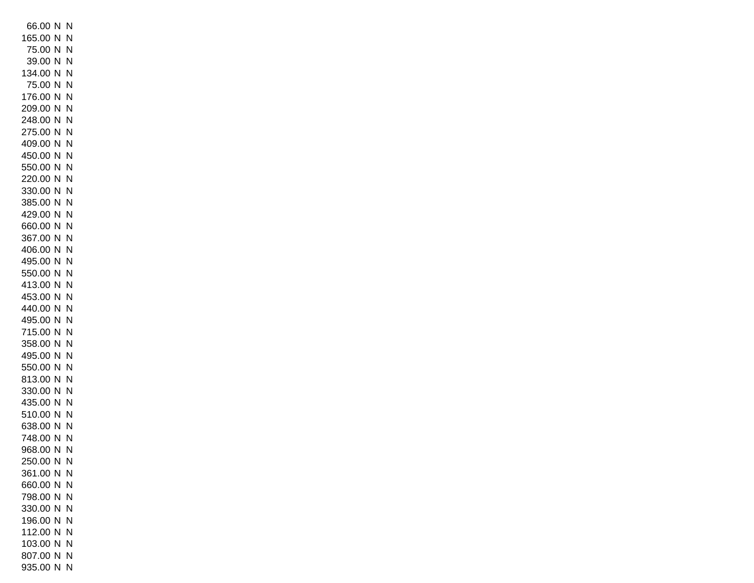66.00 N N 165.00 N N 75.00 N N 39.00 N N 134.00 N N 75.00 N N 176.00 N N 209.00 N N 248.00 N N 275.00 N N 409.00 N N 450.00 N N 550.00 N N 220.00 N N 330.00 N N 385.00 N N 429.00 N N 660.00 N N 367.00 N N 406.00 N N 495.00 N N 550.00 N N 413.00 N N 453.00 N N 440.00 N N 495.00 N N 715.00 N N 358.00 N N 495.00 N N 550.00 N N 813.00 N N 330.00 N N 435.00 N N 510.00 N N 638.00 N N 748.00 N N 968.00 N N 250.00 N N 361.00 N N 660.00 N N 798.00 N N 330.00 N N 196.00 N N 112.00 N N 103.00 N N 807.00 N N 935.00 N N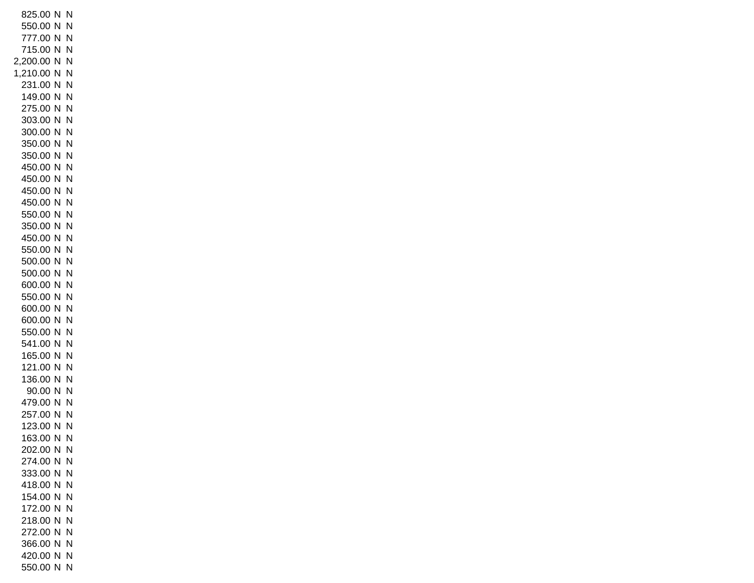825.00 N N 550.00 N N 777.00 N N 715.00 N N 2,200.00 N N 1,210.00 N N 231.00 N N 149.00 N N 275.00 N N 303.00 N N 300.00 N N 350.00 N N 350.00 N N 450.00 N N 450.00 N N 450.00 N N 450.00 N N 550.00 N N 350.00 N N 450.00 N N 550.00 N N 500.00 N N 500.00 N N 600.00 N N 550.00 N N 600.00 N N 600.00 N N 550.00 N N 541.00 N N 165.00 N N 121.00 N N 136.00 N N 90.00 N N 479.00 N N 257.00 N N 123.00 N N 163.00 N N 202.00 N N 274.00 N N 333.00 N N 418.00 N N 154.00 N N 172.00 N N 218.00 N N 272.00 N N 366.00 N N 420.00 N N 550.00 N N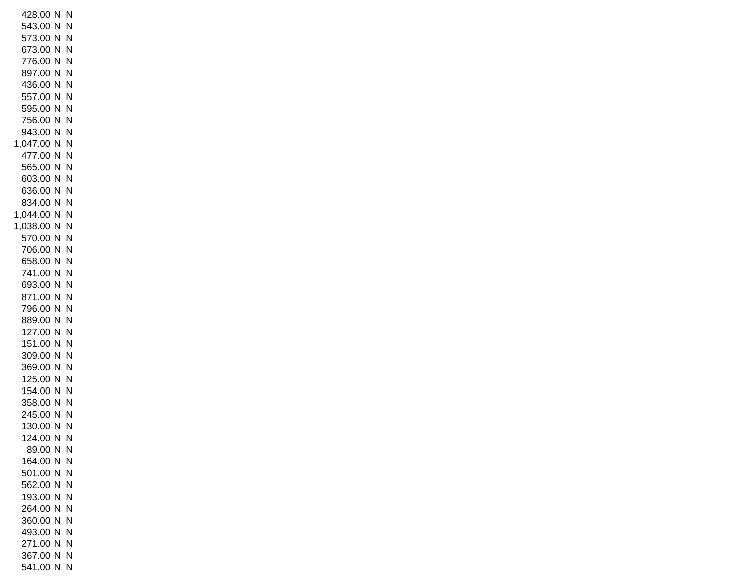428.00 N N 543.00 N N 573.00 N N 673.00 N N 776.00 N N 897.00 N N 436.00 N N 557.00 N N 595.00 N N 756.00 N N 943.00 N N 1,047.00 N N 477.00 N N 565.00 N N 603.00 N N 636.00 N N 834.00 N N 1,044.00 N N 1,038.00 N N 570.00 N N 706.00 N N 658.00 N N 741.00 N N 693.00 N N 871.00 N N 796.00 N N 889.00 N N 127.00 N N 151.00 N N 309.00 N N 369.00 N N 125.00 N N 154.00 N N 358.00 N N 245.00 N N 130.00 N N 124.00 N N 89.00 N N 164.00 N N 501.00 N N 562.00 N N 193.00 N N 264.00 N N 360.00 N N 493.00 N N 271.00 N N 367.00 N N 541.00 N N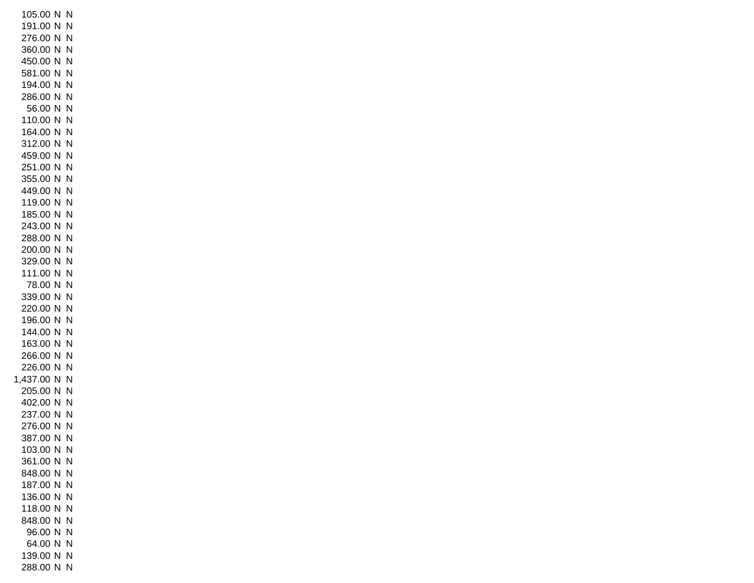105.00 N N 191.00 N N 276.00 N N 360.00 N N 450.00 N N 581.00 N N 194.00 N N 286.00 N N 56.00 N N 110.00 N N 164.00 N N 312.00 N N 459.00 N N 251.00 N N 355.00 N N 449.00 N N 119.00 N N 185.00 N N 243.00 N N 288.00 N N 200.00 N N 329.00 N N 111.00 N N 78.00 N N 339.00 N N 220.00 N N 196.00 N N 144.00 N N 163.00 N N 266.00 N N 226.00 N N 1,437.00 N N 205.00 N N 402.00 N N 237.00 N N 276.00 N N 387.00 N N 103.00 N N 361.00 N N 848.00 N N 187.00 N N 136.00 N N 118.00 N N 848.00 N N 96.00 N N 64.00 N N 139.00 N N 288.00 N N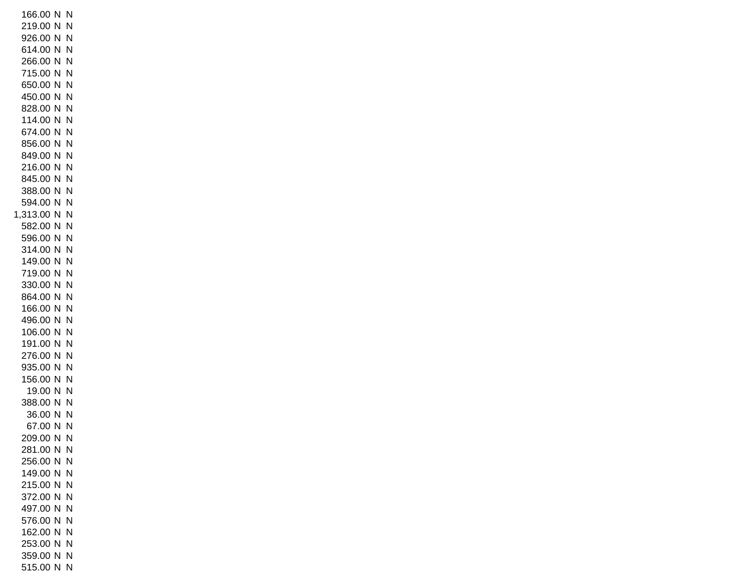166.00 N N 219.00 N N 926.00 N N 614.00 N N 266.00 N N 715.00 N N 650.00 N N 450.00 N N 828.00 N N 114.00 N N 674.00 N N 856.00 N N 849.00 N N 216.00 N N 845.00 N N 388.00 N N 594.00 N N 1,313.00 N N 582.00 N N 596.00 N N 314.00 N N 149.00 N N 719.00 N N 330.00 N N 864.00 N N 166.00 N N 496.00 N N 106.00 N N 191.00 N N 276.00 N N 935.00 N N 156.00 N N 19.00 N N 388.00 N N 36.00 N N 67.00 N N 209.00 N N 281.00 N N 256.00 N N 149.00 N N 215.00 N N 372.00 N N 497.00 N N 576.00 N N 162.00 N N 253.00 N N 359.00 N N 515.00 N N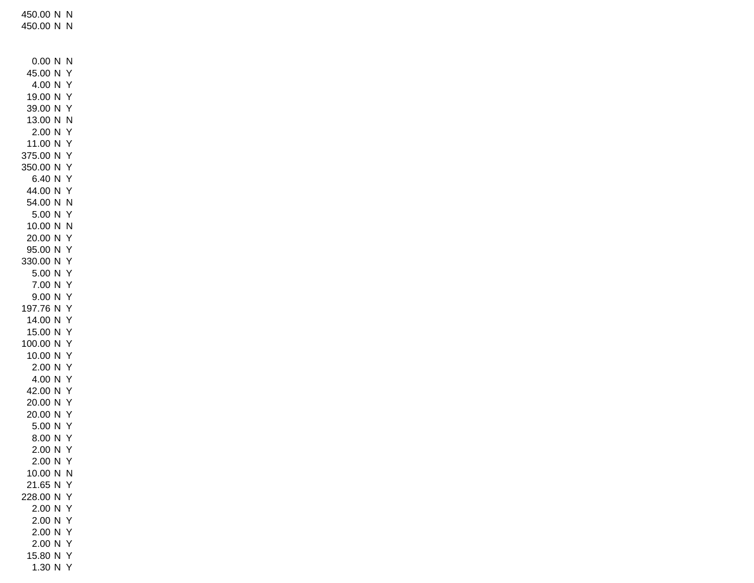450.00 N N 450.00 N N 0.00 N N 45.00 N Y 4.00 N Y 19.00 N Y 39.00 N Y 13.00 N N 2.00 N Y 11.00 N Y 375.00 N Y 350.00 N Y 6.40 N Y 44.00 N Y 54.00 N N 5.00 N Y 10.00 N N 20.00 N Y 95.00 N Y 330.00 N Y 5.00 N Y 7.00 N Y 9.00 N Y 197.76 N Y 14.00 N Y 15.00 N Y 100.00 N Y 10.00 N Y 2.00 N Y 4.00 N Y 42.00 N Y 20.00 N Y 20.00 N Y 5.00 N Y 8.00 N Y 2.00 N Y 2.00 N Y 10.00 N N 21.65 N Y 228.00 N Y 2.00 N Y 2.00 N Y 2.00 N Y 2.00 N Y 15.80 N Y 1.30 N Y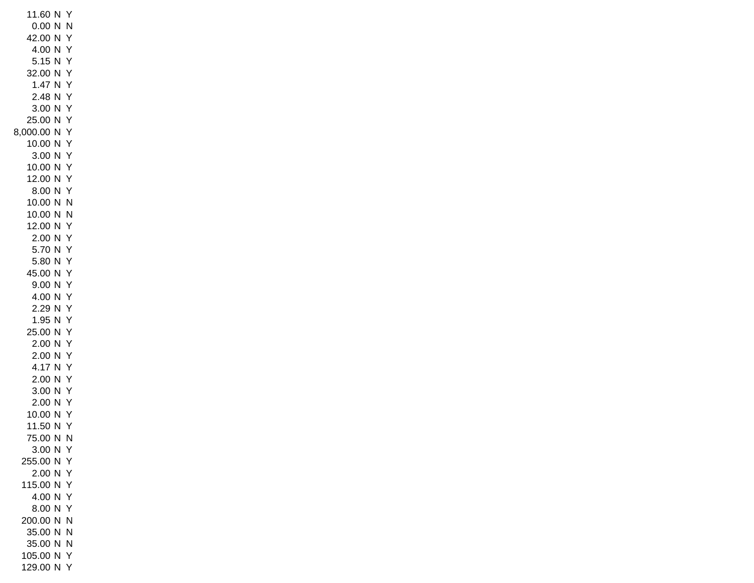11.60 N Y 0.00 N N 42.00 N Y 4.00 N Y 5.15 N Y 32.00 N Y 1.47 N Y 2.48 N Y 3.00 N Y 25.00 N Y 8,000.00 N Y 10.00 N Y 3.00 N Y 10.00 N Y 12.00 N Y 8.00 N Y 10.00 N N 10.00 N N 12.00 N Y 2.00 N Y 5.70 N Y 5.80 N Y 45.00 N Y 9.00 N Y 4.00 N Y 2.29 N Y 1.95 N Y 25.00 N Y 2.00 N Y 2.00 N Y 4.17 N Y 2.00 N Y 3.00 N Y 2.00 N Y 10.00 N Y 11.50 N Y 75.00 N N 3.00 N Y 255.00 N Y 2.00 N Y 115.00 N Y 4.00 N Y 8.00 N Y 200.00 N N 35.00 N N 35.00 N N 105.00 N Y 129.00 N Y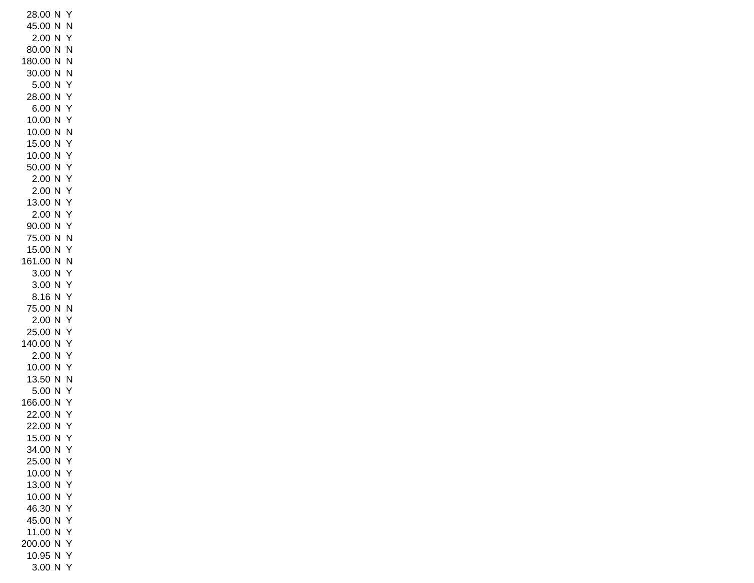28.00 N Y 45.00 N N 2.00 N Y 80.00 N N 180.00 N N 30.00 N N 5.00 N Y 28.00 N Y 6.00 N Y 10.00 N Y 10.00 N N 15.00 N Y 10.00 N Y 50.00 N Y 2.00 N Y 2.00 N Y 13.00 N Y 2.00 N Y 90.00 N Y 75.00 N N 15.00 N Y 161.00 N N 3.00 N Y 3.00 N Y 8.16 N Y 75.00 N N 2.00 N Y 25.00 N Y 140.00 N Y 2.00 N Y 10.00 N Y 13.50 N N 5.00 N Y 166.00 N Y 22.00 N Y 22.00 N Y 15.00 N Y 34.00 N Y 25.00 N Y 10.00 N Y 13.00 N Y 10.00 N Y 46.30 N Y 45.00 N Y 11.00 N Y 200.00 N Y 10.95 N Y 3.00 N Y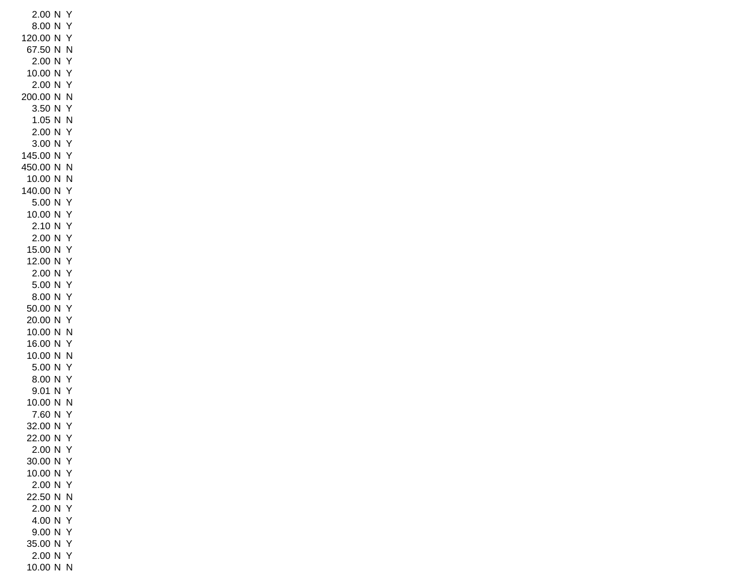2.00 N Y 8.00 N Y 120.00 N Y 67.50 N N 2.00 N Y 10.00 N Y 2.00 N Y 200.00 N N 3.50 N Y 1.05 N N 2.00 N Y 3.00 N Y 145.00 N Y 450.00 N N 10.00 N N 140.00 N Y 5.00 N Y 10.00 N Y 2.10 N Y 2.00 N Y 15.00 N Y 12.00 N Y 2.00 N Y 5.00 N Y 8.00 N Y 50.00 N Y 20.00 N Y 10.00 N N 16.00 N Y 10.00 N N 5.00 N Y 8.00 N Y 9.01 N Y 10.00 N N 7.60 N Y 32.00 N Y 22.00 N Y 2.00 N Y 30.00 N Y 10.00 N Y 2.00 N Y 22.50 N N 2.00 N Y 4.00 N Y 9.00 N Y 35.00 N Y 2.00 N Y 10.00 N N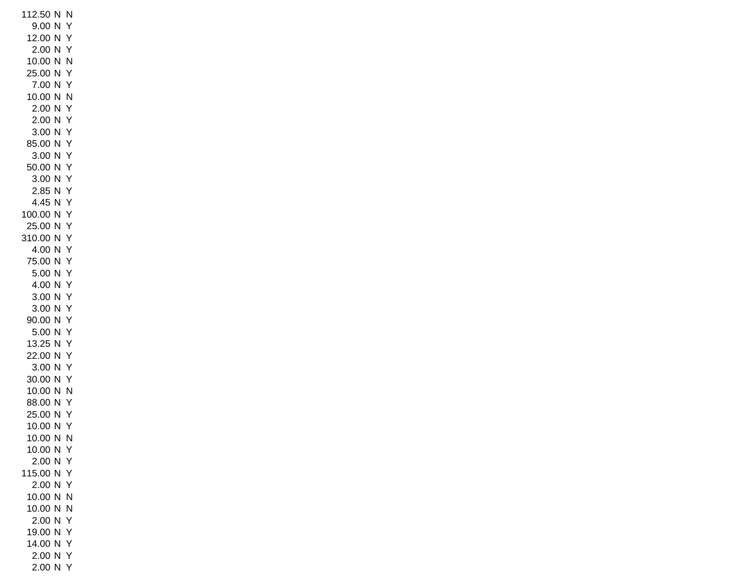112.50 N N 9.00 N Y 12.00 N Y 2.00 N Y 10.00 N N 25.00 N Y 7.00 N Y 10.00 N N 2.00 N Y 2.00 N Y 3.00 N Y 85.00 N Y 3.00 N Y 50.00 N Y 3.00 N Y 2.85 N Y 4.45 N Y 100.00 N Y 25.00 N Y 310.00 N Y 4.00 N Y 75.00 N Y 5.00 N Y 4.00 N Y 3.00 N Y 3.00 N Y 90.00 N Y 5.00 N Y 13.25 N Y 22.00 N Y 3.00 N Y 30.00 N Y 10.00 N N 88.00 N Y 25.00 N Y 10.00 N Y 10.00 N N 10.00 N Y 2.00 N Y 115.00 N Y 2.00 N Y 10.00 N N 10.00 N N 2.00 N Y 19.00 N Y 14.00 N Y 2.00 N Y 2.00 N Y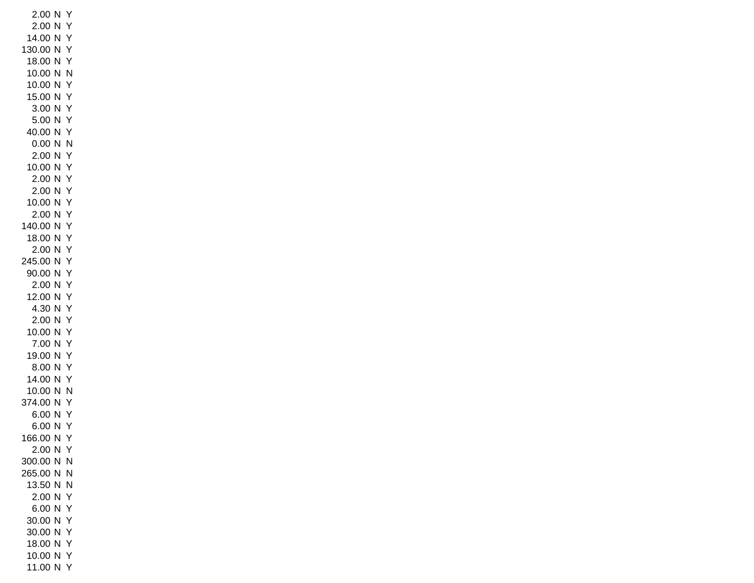2.00 N Y 2.00 N Y 14.00 N Y 130.00 N Y 18.00 N Y 10.00 N N 10.00 N Y 15.00 N Y 3.00 N Y 5.00 N Y 40.00 N Y 0.00 N N 2.00 N Y 10.00 N Y 2.00 N Y 2.00 N Y 10.00 N Y 2.00 N Y 140.00 N Y 18.00 N Y 2.00 N Y 245.00 N Y 90.00 N Y 2.00 N Y 12.00 N Y 4.30 N Y 2.00 N Y 10.00 N Y 7.00 N Y 19.00 N Y 8.00 N Y 14.00 N Y 10.00 N N 374.00 N Y 6.00 N Y 6.00 N Y 166.00 N Y 2.00 N Y 300.00 N N 265.00 N N 13.50 N N 2.00 N Y 6.00 N Y 30.00 N Y 30.00 N Y 18.00 N Y 10.00 N Y 11.00 N Y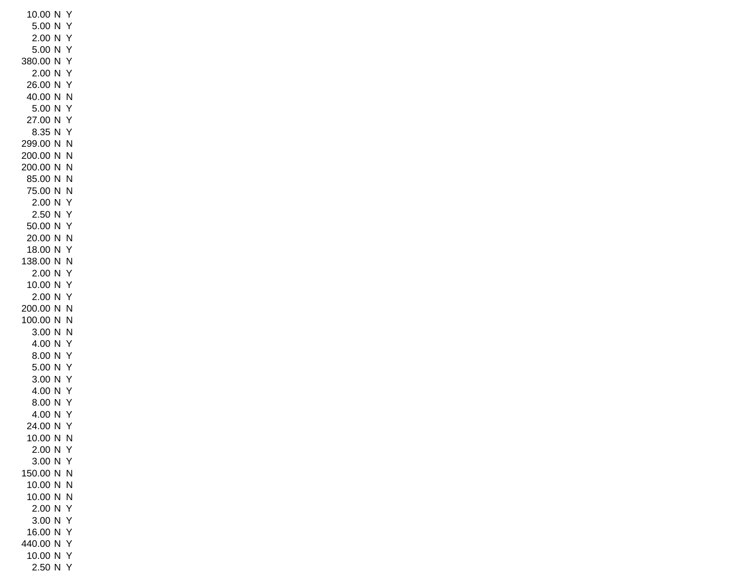10.00 N Y 5.00 N Y 2.00 N Y 5.00 N Y 380.00 N Y 2.00 N Y 26.00 N Y 40.00 N N 5.00 N Y 27.00 N Y 8.35 N Y 299.00 N N 200.00 N N 200.00 N N 85.00 N N 75.00 N N 2.00 N Y 2.50 N Y 50.00 N Y 20.00 N N 18.00 N Y 138.00 N N 2.00 N Y 10.00 N Y 2.00 N Y 200.00 N N 100.00 N N 3.00 N N 4.00 N Y 8.00 N Y 5.00 N Y 3.00 N Y 4.00 N Y 8.00 N Y 4.00 N Y 24.00 N Y 10.00 N N 2.00 N Y 3.00 N Y 150.00 N N 10.00 N N 10.00 N N 2.00 N Y 3.00 N Y 16.00 N Y 440.00 N Y 10.00 N Y 2.50 N Y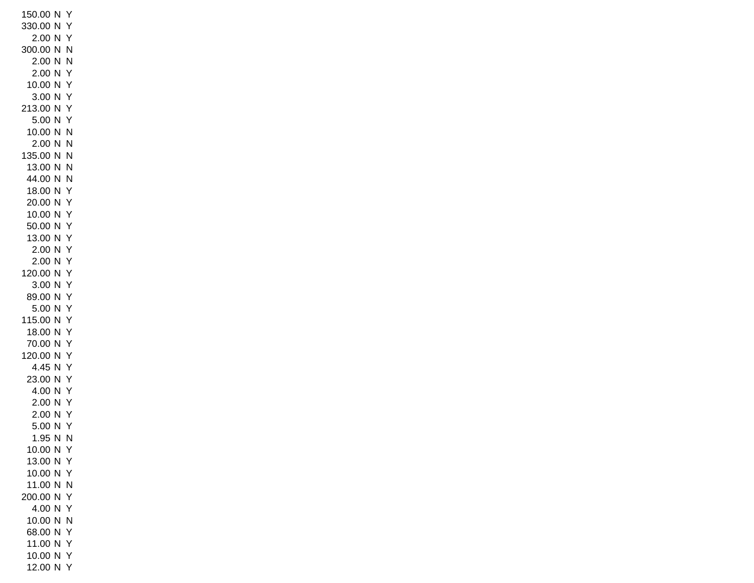150.00 N Y 330.00 N Y 2.00 N Y 300.00 N N 2.00 N N 2.00 N Y 10.00 N Y 3.00 N Y 213.00 N Y 5.00 N Y 10.00 N N 2.00 N N 135.00 N N 13.00 N N 44.00 N N 18.00 N Y 20.00 N Y 10.00 N Y 50.00 N Y 13.00 N Y 2.00 N Y 2.00 N Y 120.00 N Y 3.00 N Y 89.00 N Y 5.00 N Y 115.00 N Y 18.00 N Y 70.00 N Y 120.00 N Y 4.45 N Y 23.00 N Y 4.00 N Y 2.00 N Y 2.00 N Y 5.00 N Y 1.95 N N 10.00 N Y 13.00 N Y 10.00 N Y 11.00 N N 200.00 N Y 4.00 N Y 10.00 N N 68.00 N Y 11.00 N Y 10.00 N Y 12.00 N Y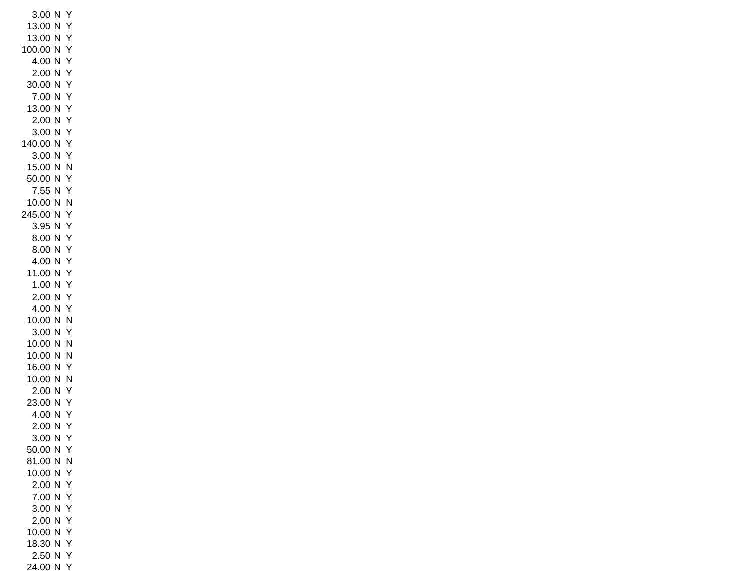3.00 N Y 13.00 N Y 13.00 N Y 100.00 N Y 4.00 N Y 2.00 N Y 30.00 N Y 7.00 N Y 13.00 N Y 2.00 N Y 3.00 N Y 140.00 N Y 3.00 N Y 15.00 N N 50.00 N Y 7.55 N Y 10.00 N N 245.00 N Y 3.95 N Y 8.00 N Y 8.00 N Y 4.00 N Y 11.00 N Y 1.00 N Y 2.00 N Y 4.00 N Y 10.00 N N 3.00 N Y 10.00 N N 10.00 N N 16.00 N Y 10.00 N N 2.00 N Y 23.00 N Y 4.00 N Y 2.00 N Y 3.00 N Y 50.00 N Y 81.00 N N 10.00 N Y 2.00 N Y 7.00 N Y 3.00 N Y 2.00 N Y 10.00 N Y 18.30 N Y 2.50 N Y 24.00 N Y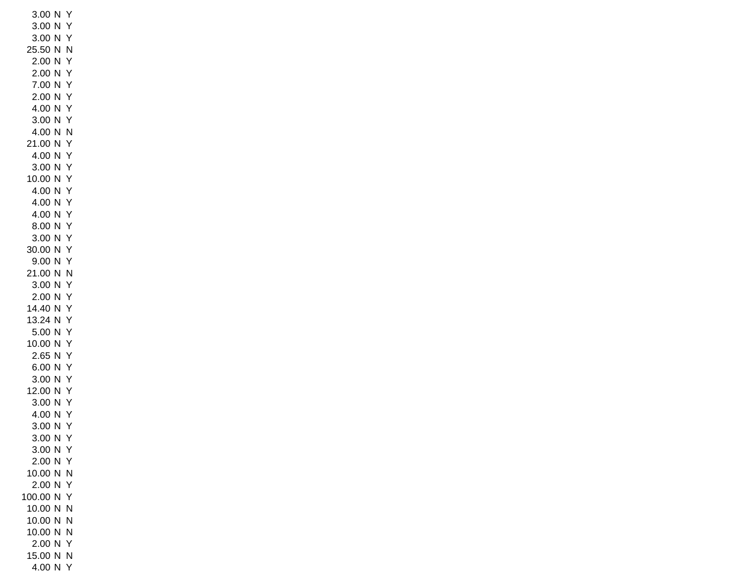3.00 N Y 3.00 N Y 3.00 N Y 25.50 N N 2.00 N Y 2.00 N Y 7.00 N Y 2.00 N Y 4.00 N Y 3.00 N Y 4.00 N N 21.00 N Y 4.00 N Y 3.00 N Y 10.00 N Y 4.00 N Y 4.00 N Y 4.00 N Y 8.00 N Y 3.00 N Y 30.00 N Y 9.00 N Y 21.00 N N 3.00 N Y 2.00 N Y 14.40 N Y 13.24 N Y 5.00 N Y 10.00 N Y 2.65 N Y 6.00 N Y 3.00 N Y 12.00 N Y 3.00 N Y 4.00 N Y 3.00 N Y 3.00 N Y 3.00 N Y 2.00 N Y 10.00 N N 2.00 N Y 100.00 N Y 10.00 N N 10.00 N N 10.00 N N 2.00 N Y 15.00 N N 4.00 N Y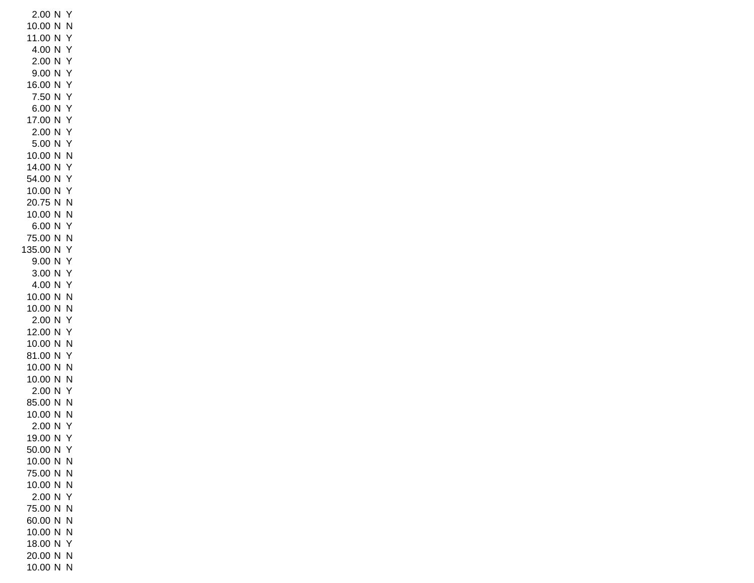2.00 N Y 10.00 N N 11.00 N Y 4.00 N Y 2.00 N Y 9.00 N Y 16.00 N Y 7.50 N Y 6.00 N Y 17.00 N Y 2.00 N Y 5.00 N Y 10.00 N N 14.00 N Y 54.00 N Y 10.00 N Y 20.75 N N 10.00 N N 6.00 N Y 75.00 N N 135.00 N Y 9.00 N Y 3.00 N Y 4.00 N Y 10.00 N N 10.00 N N 2.00 N Y 12.00 N Y 10.00 N N 81.00 N Y 10.00 N N 10.00 N N 2.00 N Y 85.00 N N 10.00 N N 2.00 N Y 19.00 N Y 50.00 N Y 10.00 N N 75.00 N N 10.00 N N 2.00 N Y 75.00 N N 60.00 N N 10.00 N N 18.00 N Y 20.00 N N 10.00 N N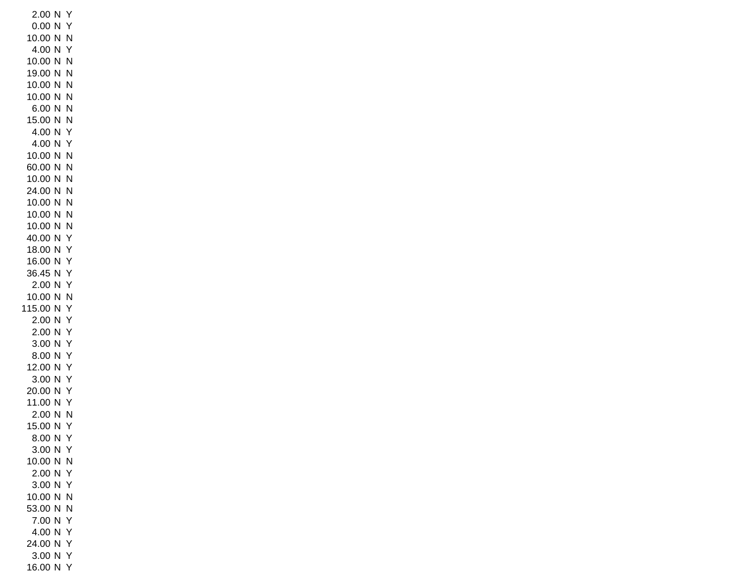2.00 N Y 0.00 N Y 10.00 N N 4.00 N Y 10.00 N N 19.00 N N 10.00 N N 10.00 N N 6.00 N N 15.00 N N 4.00 N Y 4.00 N Y 10.00 N N 60.00 N N 10.00 N N 24.00 N N 10.00 N N 10.00 N N 10.00 N N 40.00 N Y 18.00 N Y 16.00 N Y 36.45 N Y 2.00 N Y 10.00 N N 115.00 N Y 2.00 N Y 2.00 N Y 3.00 N Y 8.00 N Y 12.00 N Y 3.00 N Y 20.00 N Y 11.00 N Y 2.00 N N 15.00 N Y 8.00 N Y 3.00 N Y 10.00 N N 2.00 N Y 3.00 N Y 10.00 N N 53.00 N N 7.00 N Y 4.00 N Y 24.00 N Y 3.00 N Y 16.00 N Y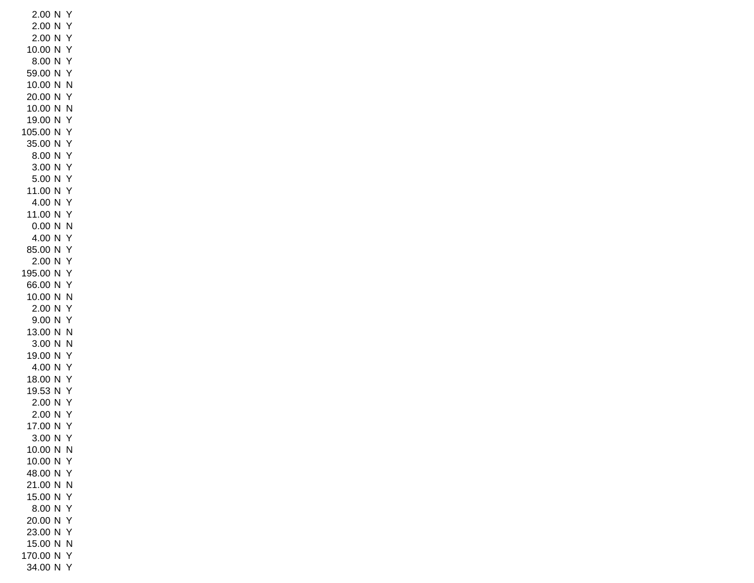2.00 N Y 2.00 N Y 2.00 N Y 10.00 N Y 8.00 N Y 59.00 N Y 10.00 N N 20.00 N Y 10.00 N N 19.00 N Y 105.00 N Y 35.00 N Y 8.00 N Y 3.00 N Y 5.00 N Y 11.00 N Y 4.00 N Y 11.00 N Y 0.00 N N 4.00 N Y 85.00 N Y 2.00 N Y 195.00 N Y 66.00 N Y 10.00 N N 2.00 N Y 9.00 N Y 13.00 N N 3.00 N N 19.00 N Y 4.00 N Y 18.00 N Y 19.53 N Y 2.00 N Y 2.00 N Y 17.00 N Y 3.00 N Y 10.00 N N 10.00 N Y 48.00 N Y 21.00 N N 15.00 N Y 8.00 N Y 20.00 N Y 23.00 N Y 15.00 N N 170.00 N Y 34.00 N Y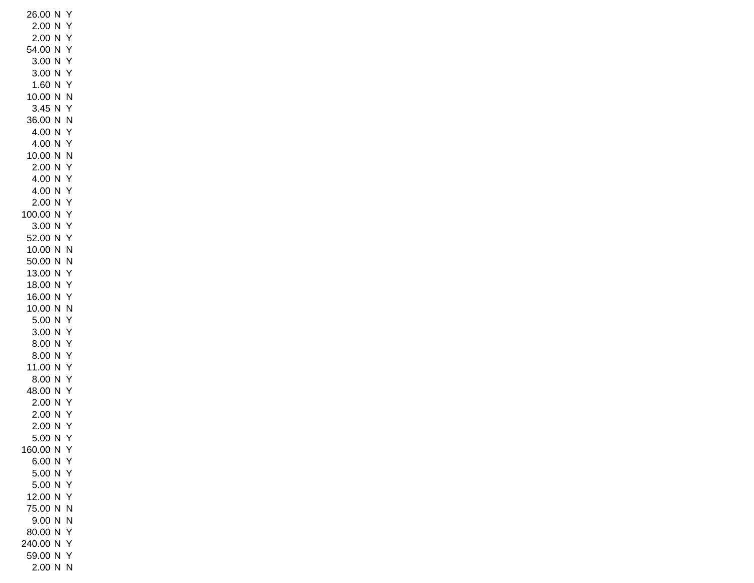26.00 N Y 2.00 N Y 2.00 N Y 54.00 N Y 3.00 N Y 3.00 N Y 1.60 N Y 10.00 N N 3.45 N Y 36.00 N N 4.00 N Y 4.00 N Y 10.00 N N 2.00 N Y 4.00 N Y 4.00 N Y 2.00 N Y 100.00 N Y 3.00 N Y 52.00 N Y 10.00 N N 50.00 N N 13.00 N Y 18.00 N Y 16.00 N Y 10.00 N N 5.00 N Y 3.00 N Y 8.00 N Y 8.00 N Y 11.00 N Y 8.00 N Y 48.00 N Y 2.00 N Y 2.00 N Y 2.00 N Y 5.00 N Y 160.00 N Y 6.00 N Y 5.00 N Y 5.00 N Y 12.00 N Y 75.00 N N 9.00 N N 80.00 N Y 240.00 N Y 59.00 N Y 2.00 N N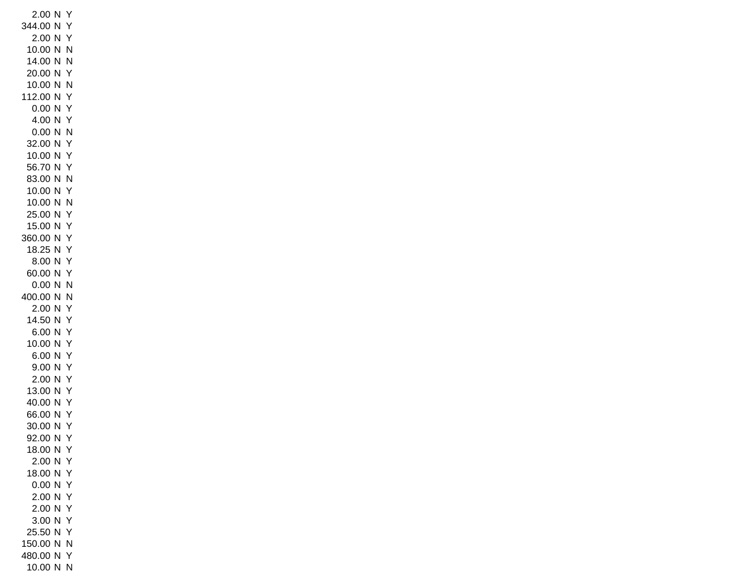2.00 N Y 344.00 N Y 2.00 N Y 10.00 N N 14.00 N N 20.00 N Y 10.00 N N 112.00 N Y 0.00 N Y 4.00 N Y 0.00 N N 32.00 N Y 10.00 N Y 56.70 N Y 83.00 N N 10.00 N Y 10.00 N N 25.00 N Y 15.00 N Y 360.00 N Y 18.25 N Y 8.00 N Y 60.00 N Y 0.00 N N 400.00 N N 2.00 N Y 14.50 N Y 6.00 N Y 10.00 N Y 6.00 N Y 9.00 N Y 2.00 N Y 13.00 N Y 40.00 N Y 66.00 N Y 30.00 N Y 92.00 N Y 18.00 N Y 2.00 N Y 18.00 N Y 0.00 N Y 2.00 N Y 2.00 N Y 3.00 N Y 25.50 N Y 150.00 N N 480.00 N Y 10.00 N N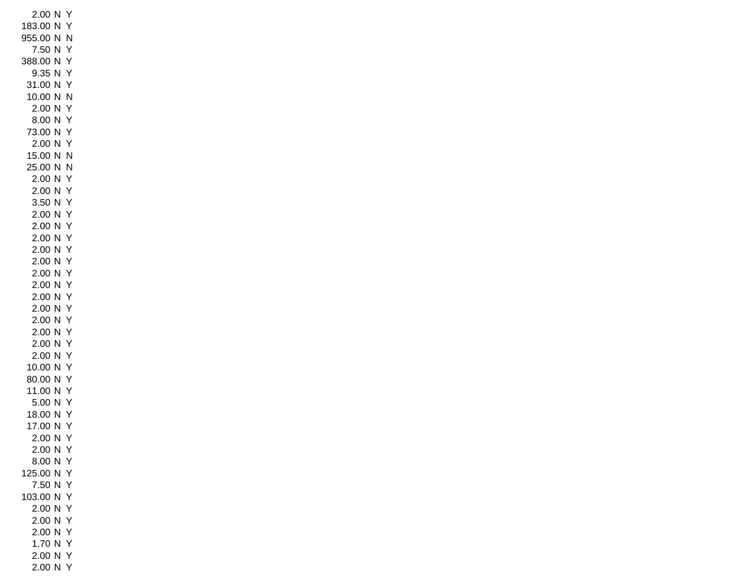2.00 N Y 183.00 N Y 955.00 N N 7.50 N Y 388.00 N Y 9.35 N Y 31.00 N Y 10.00 N N 2.00 N Y 8.00 N Y 73.00 N Y 2.00 N Y 15.00 N N 25.00 N N 2.00 N Y 2.00 N Y 3.50 N Y 2.00 N Y 2.00 N Y 2.00 N Y 2.00 N Y 2.00 N Y 2.00 N Y 2.00 N Y 2.00 N Y 2.00 N Y 2.00 N Y 2.00 N Y 2.00 N Y 2.00 N Y 10.00 N Y 80.00 N Y 11.00 N Y 5.00 N Y 18.00 N Y 17.00 N Y 2.00 N Y 2.00 N Y 8.00 N Y 125.00 N Y 7.50 N Y 103.00 N Y 2.00 N Y 2.00 N Y 2.00 N Y 1.70 N Y 2.00 N Y 2.00 N Y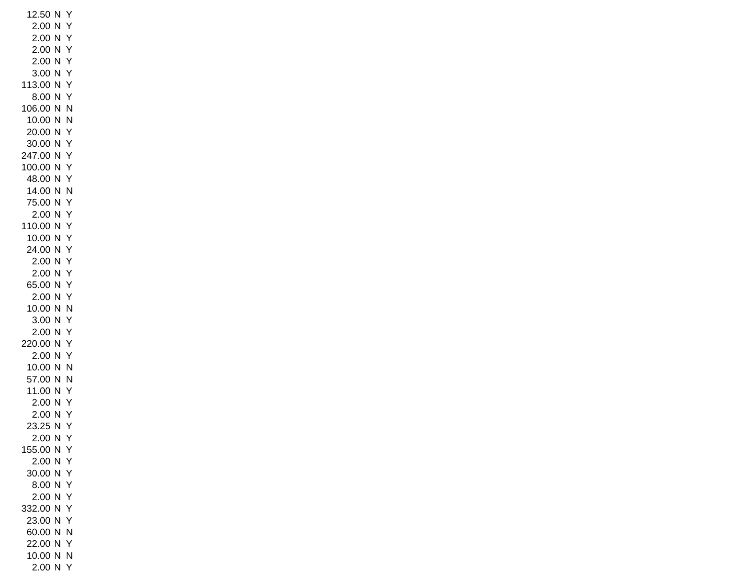12.50 N Y 2.00 N Y 2.00 N Y 2.00 N Y 2.00 N Y 3.00 N Y 113.00 N Y 8.00 N Y 106.00 N N 10.00 N N 20.00 N Y 30.00 N Y 247.00 N Y 100.00 N Y 48.00 N Y 14.00 N N 75.00 N Y 2.00 N Y 110.00 N Y 10.00 N Y 24.00 N Y 2.00 N Y 2.00 N Y 65.00 N Y 2.00 N Y 10.00 N N 3.00 N Y 2.00 N Y 220.00 N Y 2.00 N Y 10.00 N N 57.00 N N 11.00 N Y 2.00 N Y 2.00 N Y 23.25 N Y 2.00 N Y 155.00 N Y 2.00 N Y 30.00 N Y 8.00 N Y 2.00 N Y 332.00 N Y 23.00 N Y 60.00 N N 22.00 N Y 10.00 N N 2.00 N Y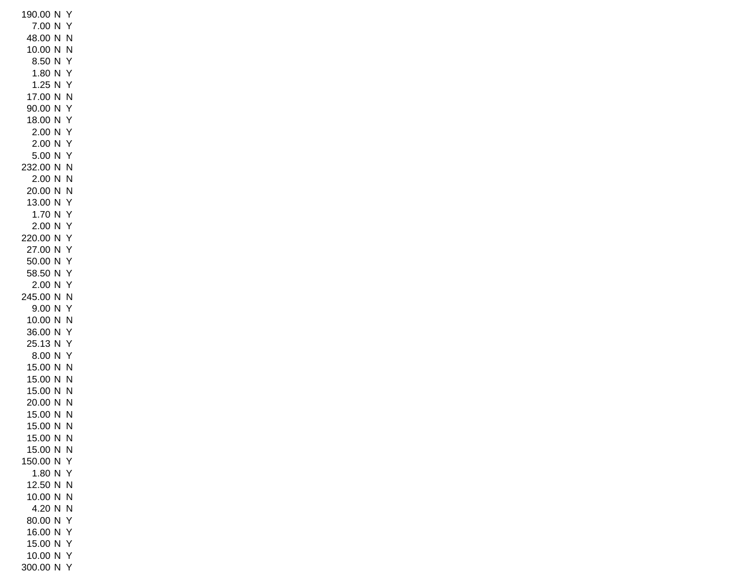190.00 N Y 7.00 N Y 48.00 N N 10.00 N N 8.50 N Y 1.80 N Y 1.25 N Y 17.00 N N 90.00 N Y 18.00 N Y 2.00 N Y 2.00 N Y 5.00 N Y 232.00 N N 2.00 N N 20.00 N N 13.00 N Y 1.70 N Y 2.00 N Y 220.00 N Y 27.00 N Y 50.00 N Y 58.50 N Y 2.00 N Y 245.00 N N 9.00 N Y 10.00 N N 36.00 N Y 25.13 N Y 8.00 N Y 15.00 N N 15.00 N N 15.00 N N 20.00 N N 15.00 N N 15.00 N N 15.00 N N 15.00 N N 150.00 N Y 1.80 N Y 12.50 N N 10.00 N N 4.20 N N 80.00 N Y 16.00 N Y 15.00 N Y 10.00 N Y 300.00 N Y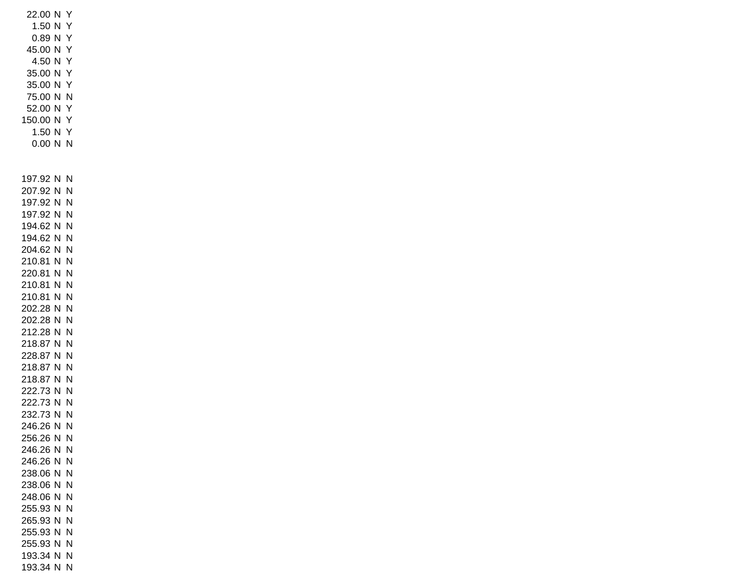22.00 N Y 1.50 N Y 0.89 N Y 45.00 N Y 4.50 N Y 35.00 N Y 35.00 N Y 75.00 N N 52.00 N Y 150.00 N Y 1.50 N Y 0.00 N N 197.92 N N 207.92 N N 197.92 N N 197.92 N N 194.62 N N 194.62 N N 204.62 N N 210.81 N N 220.81 N N 210.81 N N 210.81 N N 202.28 N N 202.28 N N 212.28 N N 218.87 N N 228.87 N N 218.87 N N 218.87 N N 222.73 N N 222.73 N N 232.73 N N 246.26 N N 256.26 N N 246.26 N N 246.26 N N 238.06 N N 238.06 N N 248.06 N N 255.93 N N 265.93 N N 255.93 N N 255.93 N N 193.34 N N 193.34 N N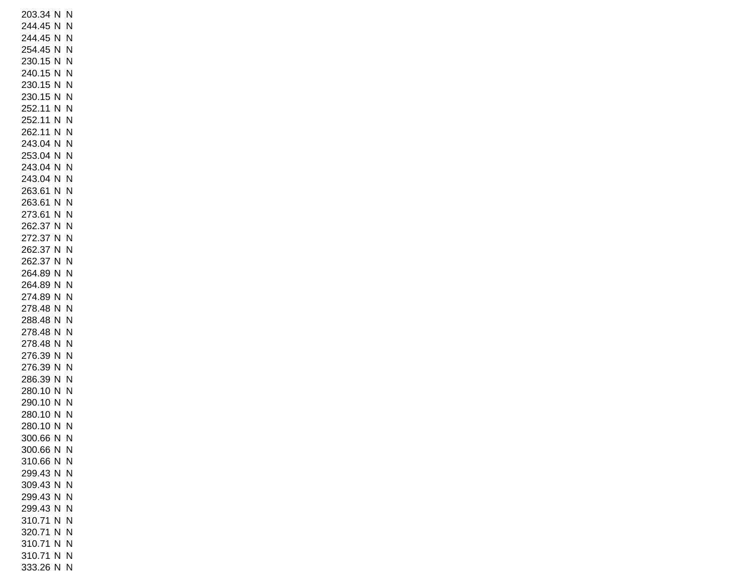203.34 N N 244.45 N N 244.45 N N 254.45 N N 230.15 N N 240.15 N N 230.15 N N 230.15 N N 252.11 N N 252.11 N N 262.11 N N 243.04 N N 253.04 N N 243.04 N N 243.04 N N 263.61 N N 263.61 N N 273.61 N N 262.37 N N 272.37 N N 262.37 N N 262.37 N N 264.89 N N 264.89 N N 274.89 N N 278.48 N N 288.48 N N 278.48 N N 278.48 N N 276.39 N N 276.39 N N 286.39 N N 280.10 N N 290.10 N N 280.10 N N 280.10 N N 300.66 N N 300.66 N N 310.66 N N 299.43 N N 309.43 N N 299.43 N N 299.43 N N 310.71 N N 320.71 N N 310.71 N N 310.71 N N 333.26 N N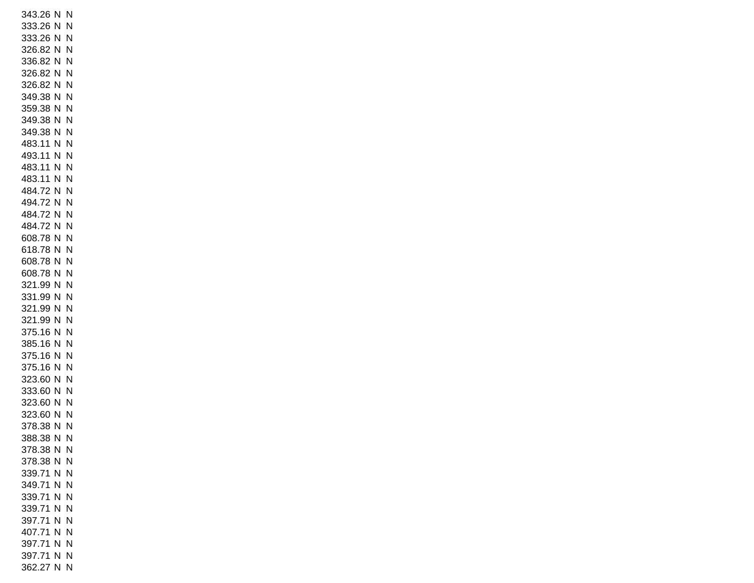343.26 N N 333.26 N N 333.26 N N 326.82 N N 336.82 N N 326.82 N N 326.82 N N 349.38 N N 359.38 N N 349.38 N N 349.38 N N 483.11 N N 493.11 N N 483.11 N N 483.11 N N 484.72 N N 494.72 N N 484.72 N N 484.72 N N 608.78 N N 618.78 N N 608.78 N N 608.78 N N 321.99 N N 331.99 N N 321.99 N N 321.99 N N 375.16 N N 385.16 N N 375.16 N N 375.16 N N 323.60 N N 333.60 N N 323.60 N N 323.60 N N 378.38 N N 388.38 N N 378.38 N N 378.38 N N 339.71 N N 349.71 N N 339.71 N N 339.71 N N 397.71 N N 407.71 N N 397.71 N N 397.71 N N 362.27 N N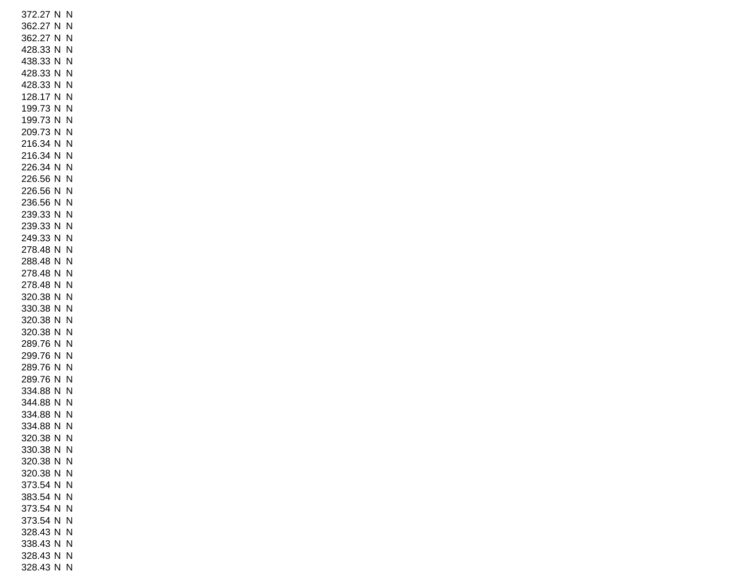372.27 N N 362.27 N N 362.27 N N 428.33 N N 438.33 N N 428.33 N N 428.33 N N 128.17 N N 199.73 N N 199.73 N N 209.73 N N 216.34 N N 216.34 N N 226.34 N N 226.56 N N 226.56 N N 236.56 N N 239.33 N N 239.33 N N 249.33 N N 278.48 N N 288.48 N N 278.48 N N 278.48 N N 320.38 N N 330.38 N N 320.38 N N 320.38 N N 289.76 N N 299.76 N N 289.76 N N 289.76 N N 334.88 N N 344.88 N N 334.88 N N 334.88 N N 320.38 N N 330.38 N N 320.38 N N 320.38 N N 373.54 N N 383.54 N N 373.54 N N 373.54 N N 328.43 N N 338.43 N N 328.43 N N 328.43 N N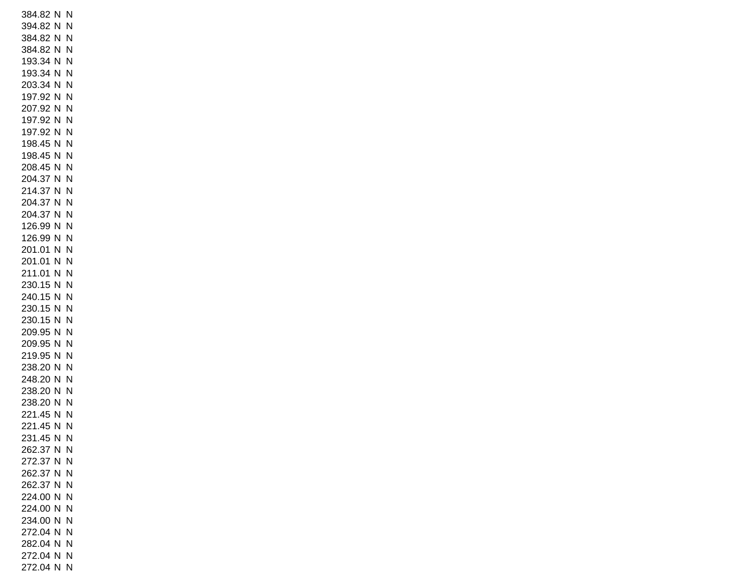384.82 N N 394.82 N N 384.82 N N 384.82 N N 193.34 N N 193.34 N N 203.34 N N 197.92 N N 207.92 N N 197.92 N N 197.92 N N 198.45 N N 198.45 N N 208.45 N N 204.37 N N 214.37 N N 204.37 N N 204.37 N N 126.99 N N 126.99 N N 201.01 N N 201.01 N N 211.01 N N 230.15 N N 240.15 N N 230.15 N N 230.15 N N 209.95 N N 209.95 N N 219.95 N N 238.20 N N 248.20 N N 238.20 N N 238.20 N N 221.45 N N 221.45 N N 231.45 N N 262.37 N N 272.37 N N 262.37 N N 262.37 N N 224.00 N N 224.00 N N 234.00 N N 272.04 N N 282.04 N N 272.04 N N 272.04 N N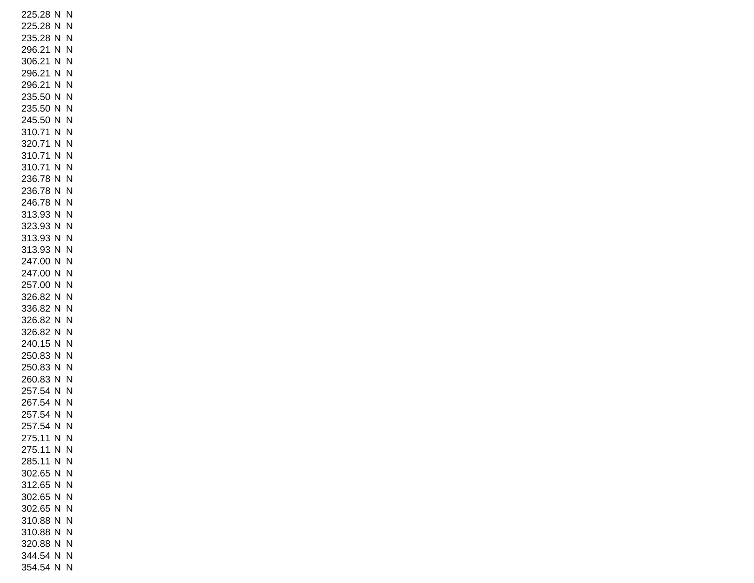225.28 N N 225.28 N N 235.28 N N 296.21 N N 306.21 N N 296.21 N N 296.21 N N 235.50 N N 235.50 N N 245.50 N N 310.71 N N 320.71 N N 310.71 N N 310.71 N N 236.78 N N 236.78 N N 246.78 N N 313.93 N N 323.93 N N 313.93 N N 313.93 N N 247.00 N N 247.00 N N 257.00 N N 326.82 N N 336.82 N N 326.82 N N 326.82 N N 240.15 N N 250.83 N N 250.83 N N 260.83 N N 257.54 N N 267.54 N N 257.54 N N 257.54 N N 275.11 N N 275.11 N N 285.11 N N 302.65 N N 312.65 N N 302.65 N N 302.65 N N 310.88 N N 310.88 N N 320.88 N N 344.54 N N 354.54 N N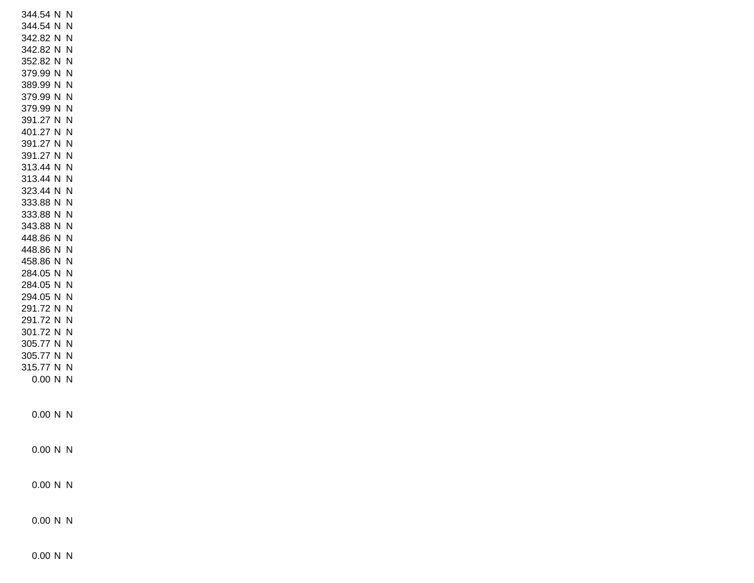| 344.54 N      | N |
|---------------|---|
| 344.54 N      | N |
| 342.82 N      | N |
| 342.82 N      | N |
| 352.82 N      | N |
| 379.99 N      | N |
| 389.99 N      | N |
| 379.99 N      | N |
| 379.99 N      | N |
| 391.27 N      | N |
| 401.27 N      | N |
| 391.27 N      | N |
| 391.27 N      | N |
| 313.44 N      | N |
| 313.44 N      | N |
| 323.44 N      | N |
| 333.88 N      | N |
| 333.88 N      | N |
| 343.88 N N    |   |
| 448.86 N N    |   |
| 448.86 N      | N |
| 458.86 N      | N |
| 284.05 N      | N |
| 284.05 N      | N |
| 294.05 N      | N |
| 291.72 N      | N |
| 291.72 N      | N |
| 301.72 N      | N |
| 305.77 N      | N |
| 305.77<br>N N |   |
| 315.77 N N    |   |
| 0.00 N        | N |
|               |   |
|               |   |
| 0.00 N        | Ν |
|               |   |
| 0.00 N N      |   |
|               |   |
| $0.00 N$ N    |   |
|               |   |
| $0.00 N$ N    |   |
|               |   |

0.00 N N